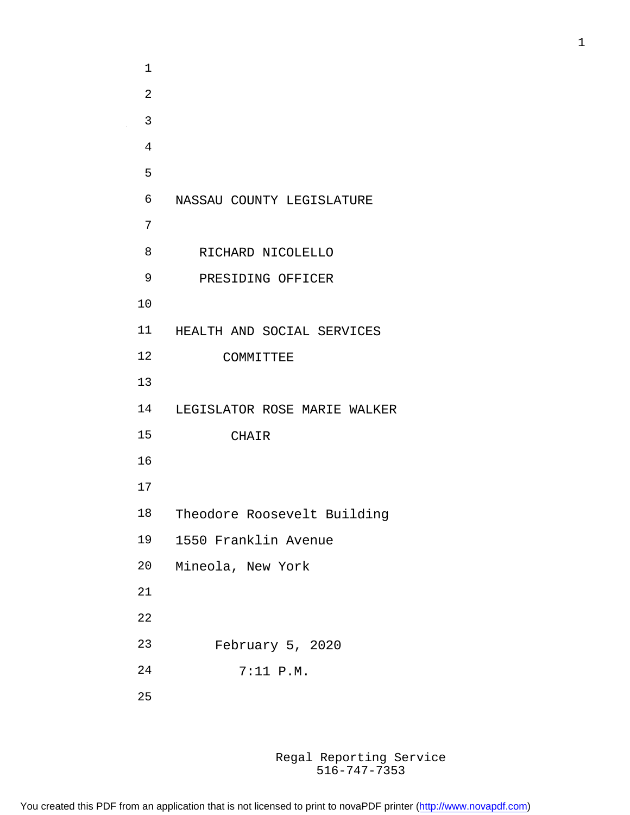| 1              |                              |
|----------------|------------------------------|
| $\overline{2}$ |                              |
| 3              |                              |
| 4              |                              |
| 5              |                              |
| 6              | NASSAU COUNTY LEGISLATURE    |
| 7              |                              |
| 8              | RICHARD NICOLELLO            |
| 9              | PRESIDING OFFICER            |
| 10             |                              |
| 11             | HEALTH AND SOCIAL SERVICES   |
| 12             | COMMITTEE                    |
| 13             |                              |
| 14             | LEGISLATOR ROSE MARIE WALKER |
| 15             | CHAIR                        |
| 16             |                              |
| 17             |                              |
| 18             | Theodore Roosevelt Building  |
| 19             | 1550 Franklin Avenue         |
| 20             | Mineola, New York            |
| 21             |                              |
| 22             |                              |
| 23             | February 5, 2020             |
| 24             | 7:11 P.M.                    |
|                |                              |

 $\sim 10^6$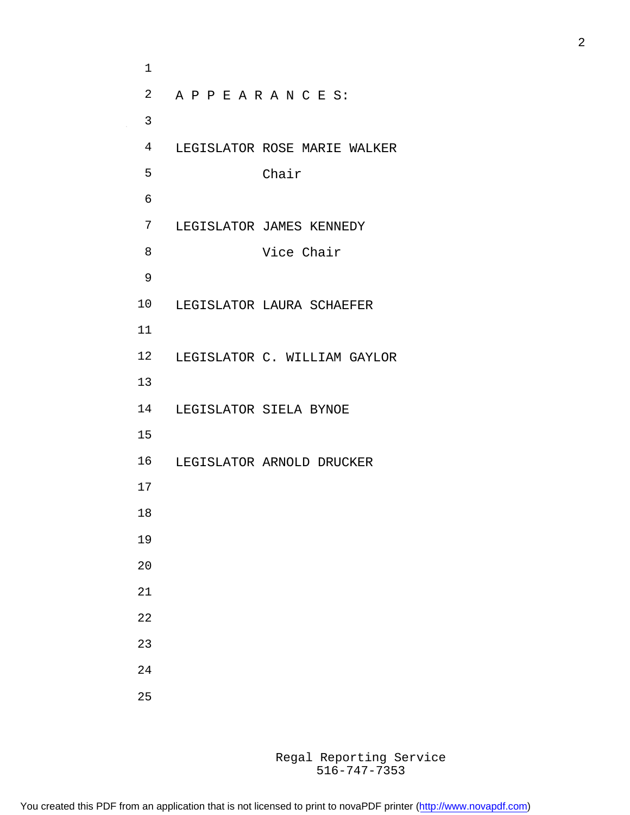A P P E A R A N C E S: LEGISLATOR ROSE MARIE WALKER Chair LEGISLATOR JAMES KENNEDY Vice Chair LEGISLATOR LAURA SCHAEFER LEGISLATOR C. WILLIAM GAYLOR LEGISLATOR SIELA BYNOE LEGISLATOR ARNOLD DRUCKER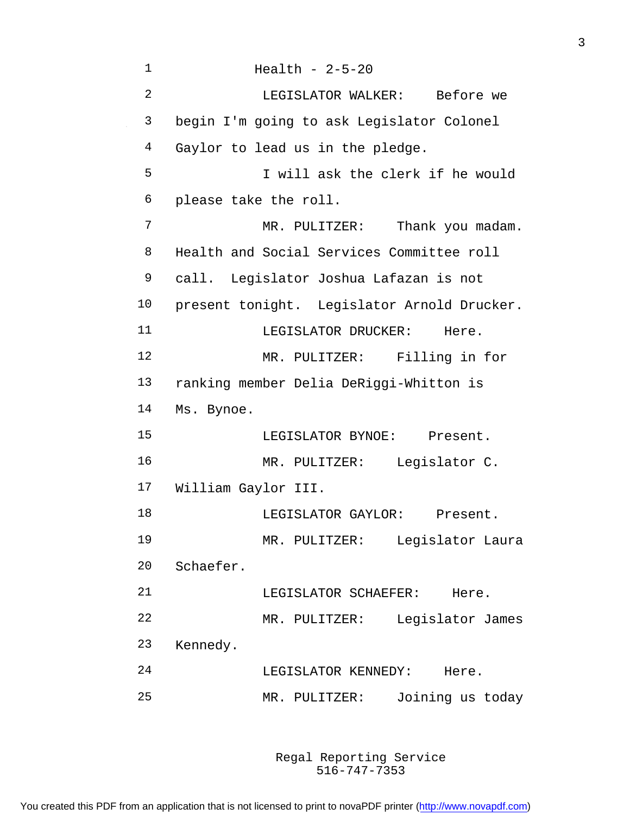Health - 2-5-20 LEGISLATOR WALKER: Before we begin I'm going to ask Legislator Colonel Gaylor to lead us in the pledge. I will ask the clerk if he would please take the roll. MR. PULITZER: Thank you madam. Health and Social Services Committee roll call. Legislator Joshua Lafazan is not present tonight. Legislator Arnold Drucker. 11 LEGISLATOR DRUCKER: Here. MR. PULITZER: Filling in for ranking member Delia DeRiggi-Whitton is Ms. Bynoe. LEGISLATOR BYNOE: Present. MR. PULITZER: Legislator C. William Gaylor III. 18 LEGISLATOR GAYLOR: Present. MR. PULITZER: Legislator Laura Schaefer. 21 LEGISLATOR SCHAEFER: Here. MR. PULITZER: Legislator James Kennedy. 24 LEGISLATOR KENNEDY: Here. MR. PULITZER: Joining us today

> 516-747-7353 Regal Reporting Service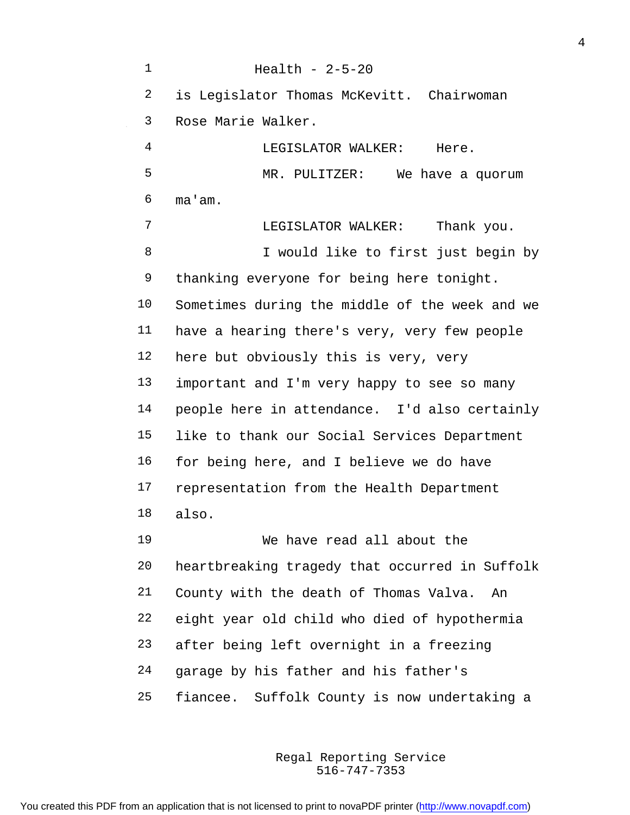Health - 2-5-20 is Legislator Thomas McKevitt. Chairwoman Rose Marie Walker. LEGISLATOR WALKER: Here. MR. PULITZER: We have a quorum ma'am. LEGISLATOR WALKER: Thank you. I would like to first just begin by 9 thanking everyone for being here tonight. Sometimes during the middle of the week and we have a hearing there's very, very few people here but obviously this is very, very important and I'm very happy to see so many people here in attendance. I'd also certainly like to thank our Social Services Department for being here, and I believe we do have 17 representation from the Health Department also. We have read all about the heartbreaking tragedy that occurred in Suffolk County with the death of Thomas Valva. An eight year old child who died of hypothermia after being left overnight in a freezing garage by his father and his father's fiancee. Suffolk County is now undertaking a

> 516-747-7353 Regal Reporting Service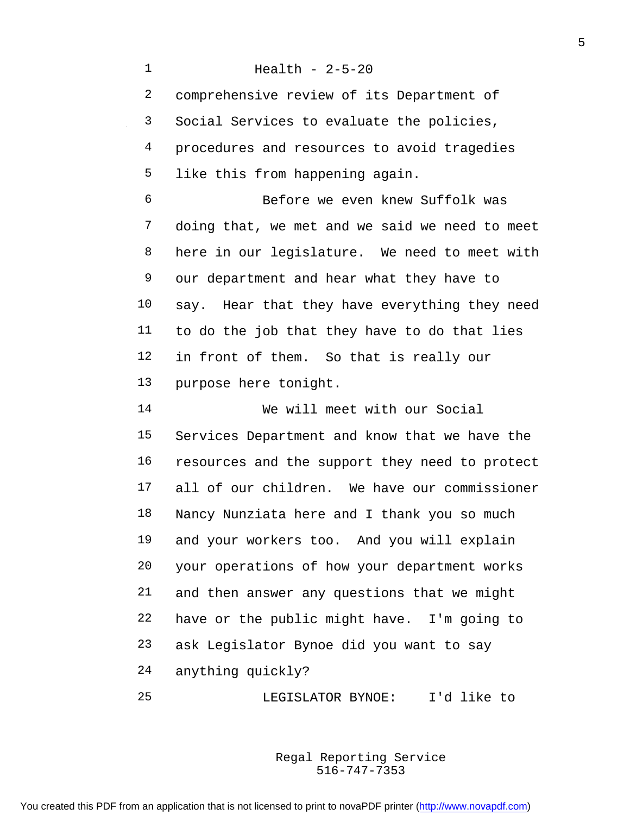Health - 2-5-20 comprehensive review of its Department of Social Services to evaluate the policies, procedures and resources to avoid tragedies like this from happening again. Before we even knew Suffolk was doing that, we met and we said we need to meet here in our legislature. We need to meet with our department and hear what they have to say. Hear that they have everything they need to do the job that they have to do that lies in front of them. So that is really our purpose here tonight. We will meet with our Social Services Department and know that we have the resources and the support they need to protect all of our children. We have our commissioner Nancy Nunziata here and I thank you so much and your workers too. And you will explain your operations of how your department works and then answer any questions that we might have or the public might have. I'm going to ask Legislator Bynoe did you want to say anything quickly? LEGISLATOR BYNOE: I'd like to

> 516-747-7353 Regal Reporting Service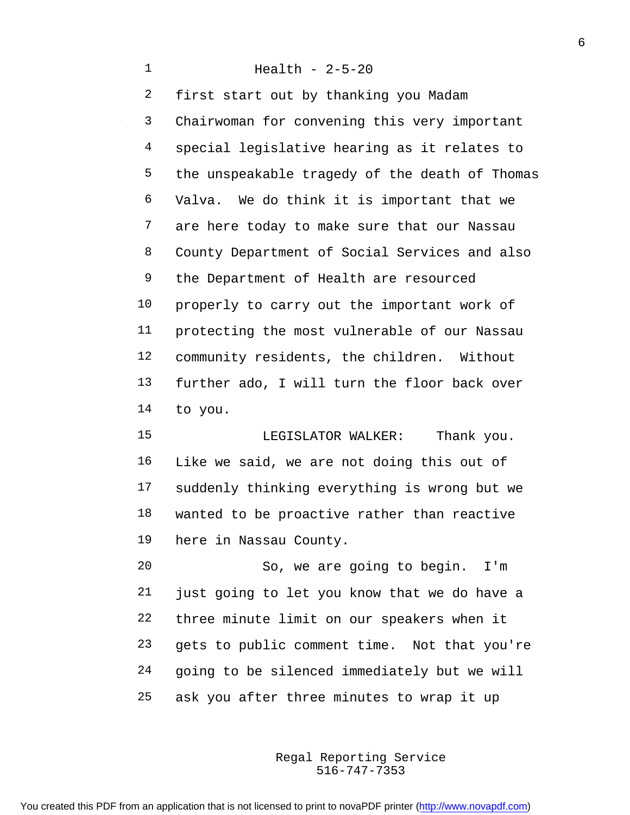Health - 2-5-20 first start out by thanking you Madam Chairwoman for convening this very important special legislative hearing as it relates to the unspeakable tragedy of the death of Thomas Valva. We do think it is important that we are here today to make sure that our Nassau County Department of Social Services and also the Department of Health are resourced properly to carry out the important work of protecting the most vulnerable of our Nassau community residents, the children. Without further ado, I will turn the floor back over to you.

15 LEGISLATOR WALKER: Thank you. Like we said, we are not doing this out of suddenly thinking everything is wrong but we wanted to be proactive rather than reactive here in Nassau County.

 So, we are going to begin. I'm just going to let you know that we do have a three minute limit on our speakers when it gets to public comment time. Not that you're going to be silenced immediately but we will ask you after three minutes to wrap it up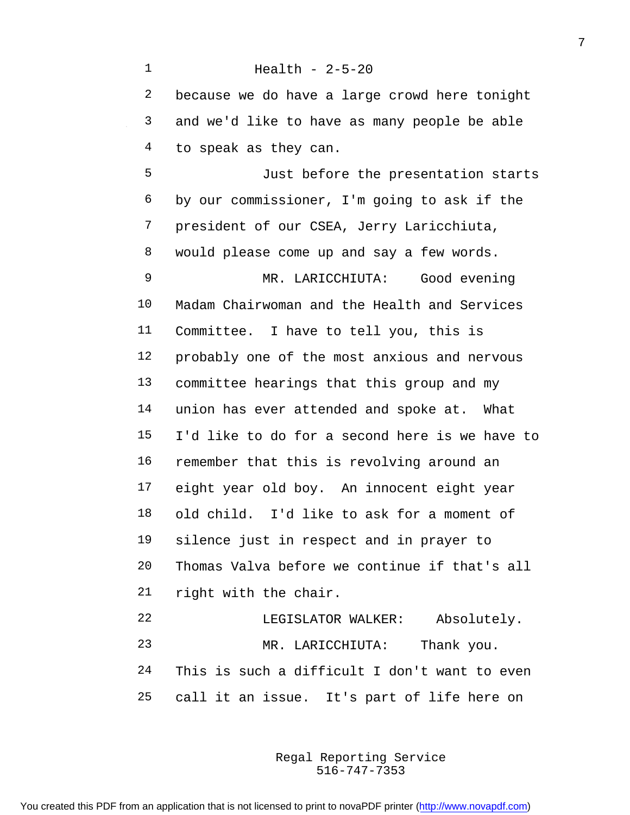Health - 2-5-20 because we do have a large crowd here tonight and we'd like to have as many people be able to speak as they can. Just before the presentation starts by our commissioner, I'm going to ask if the president of our CSEA, Jerry Laricchiuta, would please come up and say a few words. MR. LARICCHIUTA: Good evening Madam Chairwoman and the Health and Services Committee. I have to tell you, this is probably one of the most anxious and nervous committee hearings that this group and my union has ever attended and spoke at. What I'd like to do for a second here is we have to remember that this is revolving around an eight year old boy. An innocent eight year old child. I'd like to ask for a moment of silence just in respect and in prayer to Thomas Valva before we continue if that's all right with the chair.

 LEGISLATOR WALKER: Absolutely. MR. LARICCHIUTA: Thank you. This is such a difficult I don't want to even call it an issue. It's part of life here on

> 516-747-7353 Regal Reporting Service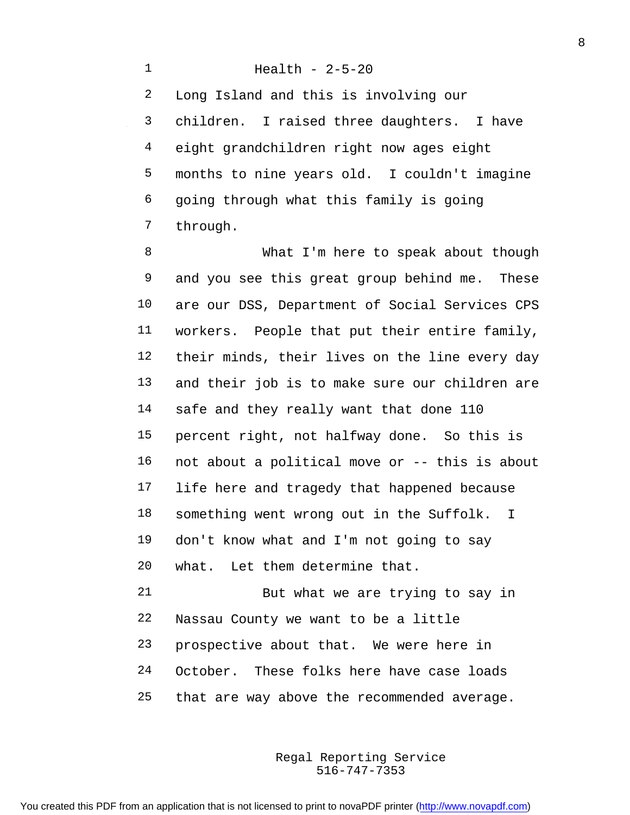Health - 2-5-20 Long Island and this is involving our children. I raised three daughters. I have eight grandchildren right now ages eight months to nine years old. I couldn't imagine going through what this family is going through.

8 What I'm here to speak about though and you see this great group behind me. These are our DSS, Department of Social Services CPS workers. People that put their entire family, their minds, their lives on the line every day and their job is to make sure our children are safe and they really want that done 110 percent right, not halfway done. So this is not about a political move or -- this is about life here and tragedy that happened because something went wrong out in the Suffolk. I don't know what and I'm not going to say what. Let them determine that.

 But what we are trying to say in Nassau County we want to be a little prospective about that. We were here in October. These folks here have case loads that are way above the recommended average.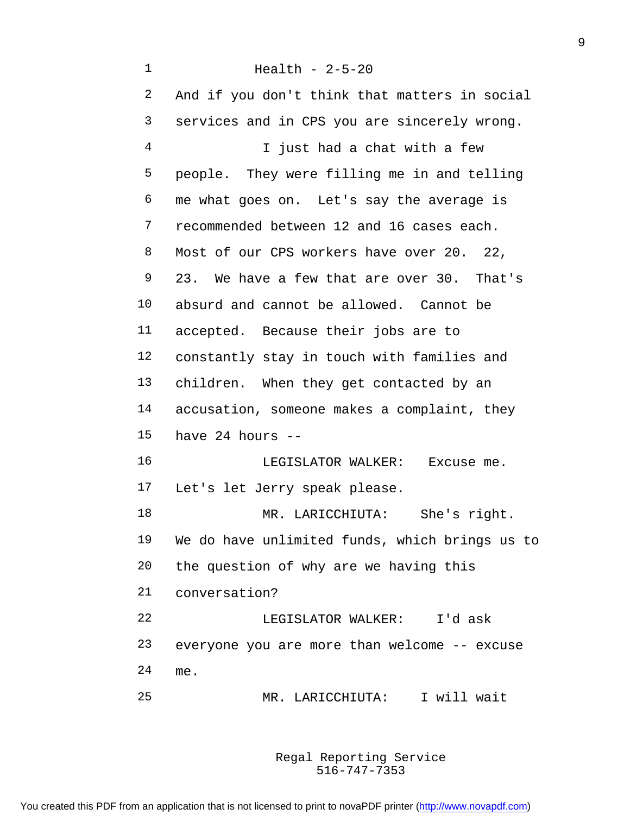Health - 2-5-20 And if you don't think that matters in social services and in CPS you are sincerely wrong. I just had a chat with a few people. They were filling me in and telling me what goes on. Let's say the average is 7 recommended between 12 and 16 cases each. Most of our CPS workers have over 20. 22, 23. We have a few that are over 30. That's absurd and cannot be allowed. Cannot be accepted. Because their jobs are to constantly stay in touch with families and children. When they get contacted by an accusation, someone makes a complaint, they have 24 hours -- LEGISLATOR WALKER: Excuse me. Let's let Jerry speak please. MR. LARICCHIUTA: She's right. We do have unlimited funds, which brings us to the question of why are we having this conversation? LEGISLATOR WALKER: I'd ask everyone you are more than welcome -- excuse me.

MR. LARICCHIUTA: I will wait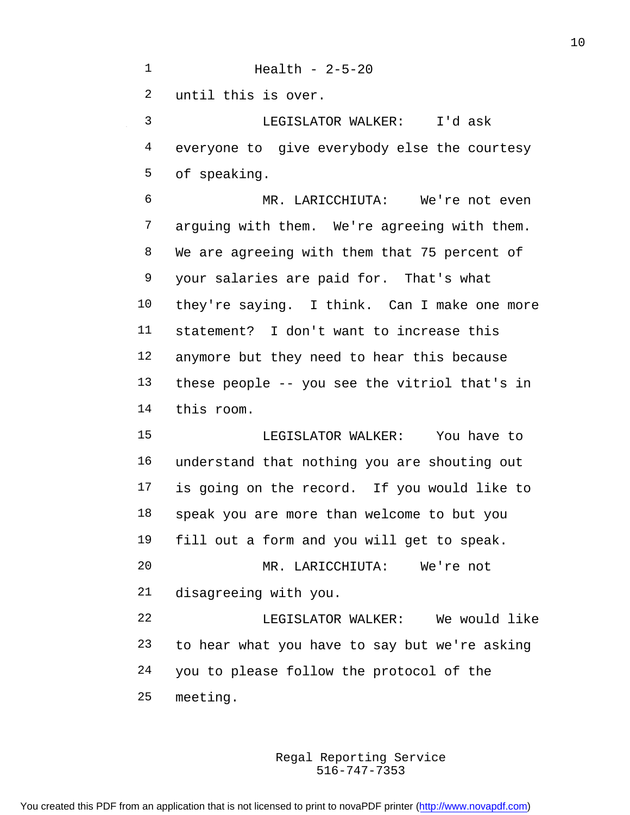Health - 2-5-20 until this is over. LEGISLATOR WALKER: I'd ask everyone to give everybody else the courtesy of speaking.

 MR. LARICCHIUTA: We're not even arguing with them. We're agreeing with them. We are agreeing with them that 75 percent of your salaries are paid for. That's what they're saying. I think. Can I make one more statement? I don't want to increase this anymore but they need to hear this because these people -- you see the vitriol that's in this room.

 LEGISLATOR WALKER: You have to understand that nothing you are shouting out is going on the record. If you would like to speak you are more than welcome to but you fill out a form and you will get to speak. MR. LARICCHIUTA: We're not disagreeing with you. LEGISLATOR WALKER: We would like to hear what you have to say but we're asking you to please follow the protocol of the meeting.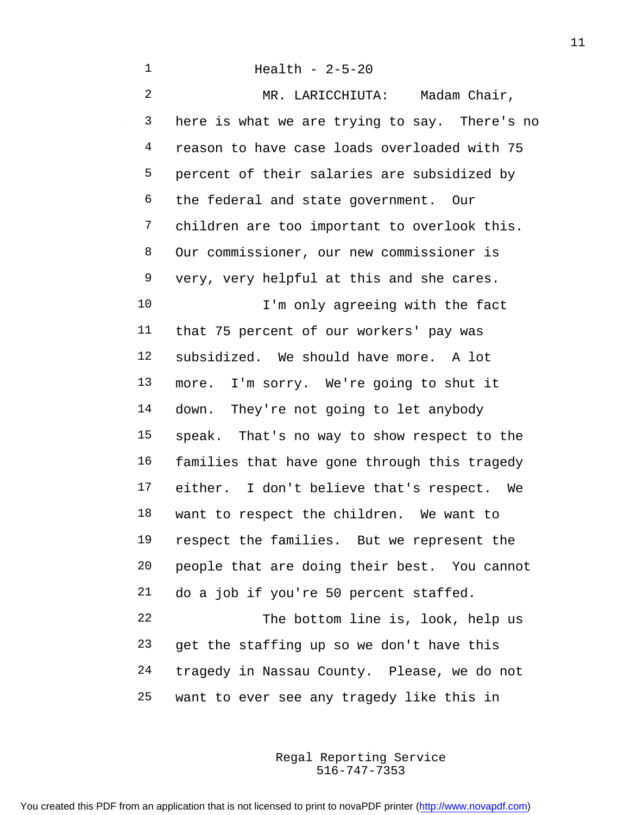Health - 2-5-20 MR. LARICCHIUTA: Madam Chair, here is what we are trying to say. There's no reason to have case loads overloaded with 75 percent of their salaries are subsidized by the federal and state government. Our children are too important to overlook this. Our commissioner, our new commissioner is very, very helpful at this and she cares. 10 I'm only agreeing with the fact that 75 percent of our workers' pay was subsidized. We should have more. A lot more. I'm sorry. We're going to shut it down. They're not going to let anybody speak. That's no way to show respect to the families that have gone through this tragedy either. I don't believe that's respect. We want to respect the children. We want to respect the families. But we represent the people that are doing their best. You cannot do a job if you're 50 percent staffed. The bottom line is, look, help us get the staffing up so we don't have this tragedy in Nassau County. Please, we do not want to ever see any tragedy like this in

> 516-747-7353 Regal Reporting Service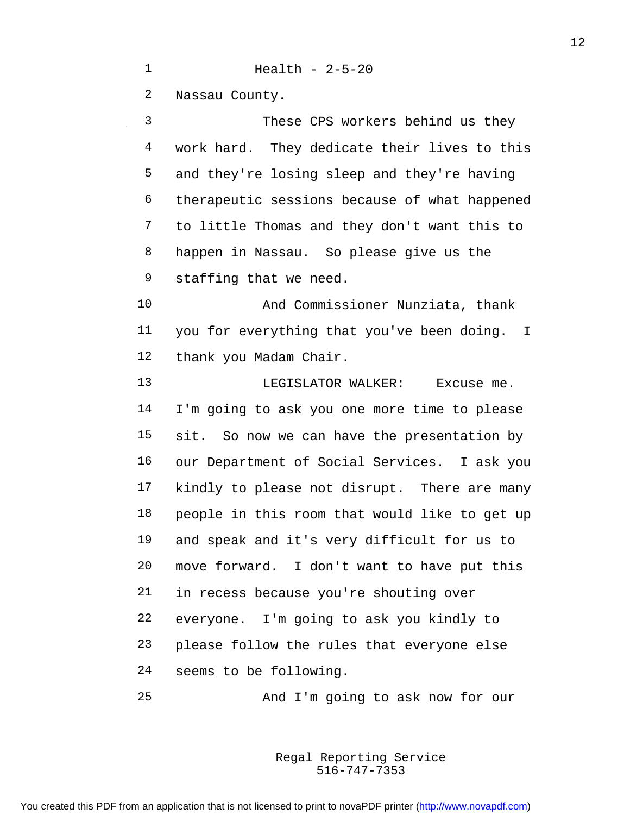$\sim$ 

## Health - 2-5-20

Nassau County.

| 3  | These CPS workers behind us they              |
|----|-----------------------------------------------|
| 4  | work hard. They dedicate their lives to this  |
| 5  | and they're losing sleep and they're having   |
| 6  | therapeutic sessions because of what happened |
| 7  | to little Thomas and they don't want this to  |
| 8  | happen in Nassau. So please give us the       |
| 9  | staffing that we need.                        |
| 10 | And Commissioner Nunziata, thank              |
| 11 | you for everything that you've been doing. I  |
| 12 | thank you Madam Chair.                        |
| 13 | LEGISLATOR WALKER:<br>Excuse me.              |
| 14 | I'm going to ask you one more time to please  |
| 15 | sit. So now we can have the presentation by   |
| 16 | our Department of Social Services. I ask you  |
| 17 | kindly to please not disrupt. There are many  |
| 18 | people in this room that would like to get up |
| 19 | and speak and it's very difficult for us to   |
| 20 | move forward. I don't want to have put this   |
| 21 | in recess because you're shouting over        |
| 22 | everyone. I'm going to ask you kindly to      |
| 23 | please follow the rules that everyone else    |
| 24 | seems to be following.                        |
| 25 | And I'm going to ask now for our              |

516-747-7353 Regal Reporting Service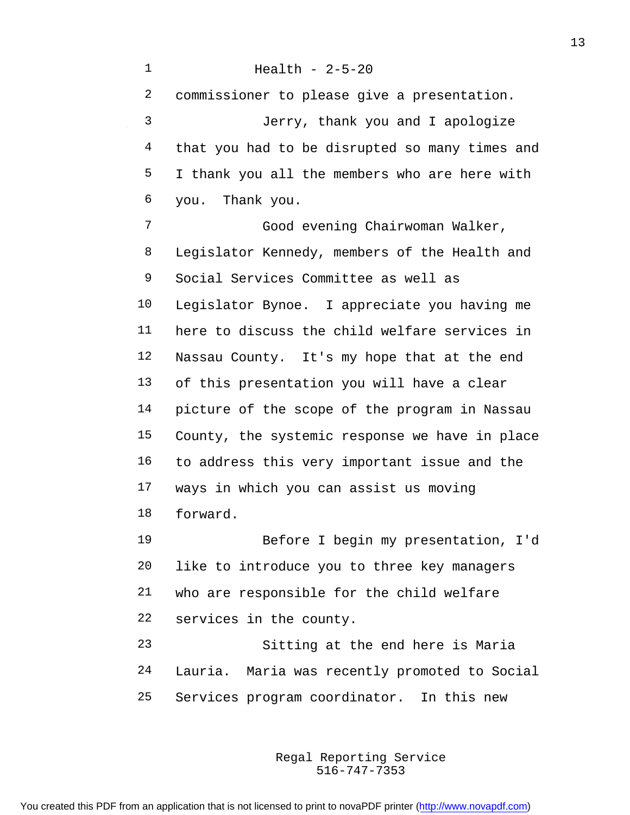Health - 2-5-20 commissioner to please give a presentation. Jerry, thank you and I apologize 4 that you had to be disrupted so many times and I thank you all the members who are here with you. Thank you.

 Good evening Chairwoman Walker, Legislator Kennedy, members of the Health and Social Services Committee as well as Legislator Bynoe. I appreciate you having me here to discuss the child welfare services in Nassau County. It's my hope that at the end of this presentation you will have a clear picture of the scope of the program in Nassau County, the systemic response we have in place to address this very important issue and the ways in which you can assist us moving forward.

 Before I begin my presentation, I'd like to introduce you to three key managers who are responsible for the child welfare services in the county.

 Sitting at the end here is Maria Lauria. Maria was recently promoted to Social Services program coordinator. In this new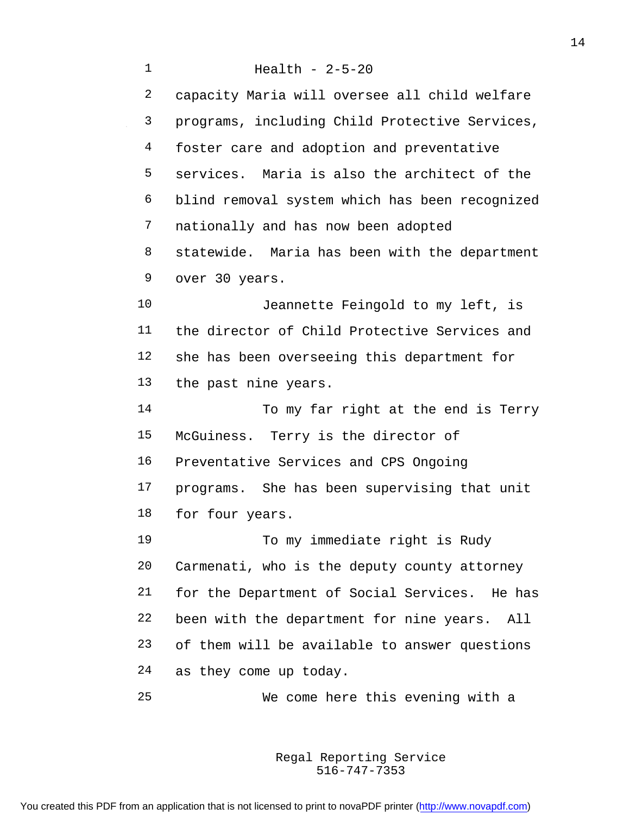Health - 2-5-20 capacity Maria will oversee all child welfare programs, including Child Protective Services, 4 foster care and adoption and preventative services. Maria is also the architect of the blind removal system which has been recognized nationally and has now been adopted statewide. Maria has been with the department over 30 years. Jeannette Feingold to my left, is the director of Child Protective Services and she has been overseeing this department for the past nine years. To my far right at the end is Terry McGuiness. Terry is the director of Preventative Services and CPS Ongoing programs. She has been supervising that unit for four years. 19 To my immediate right is Rudy Carmenati, who is the deputy county attorney for the Department of Social Services. He has been with the department for nine years. All of them will be available to answer questions as they come up today. We come here this evening with a

> 516-747-7353 Regal Reporting Service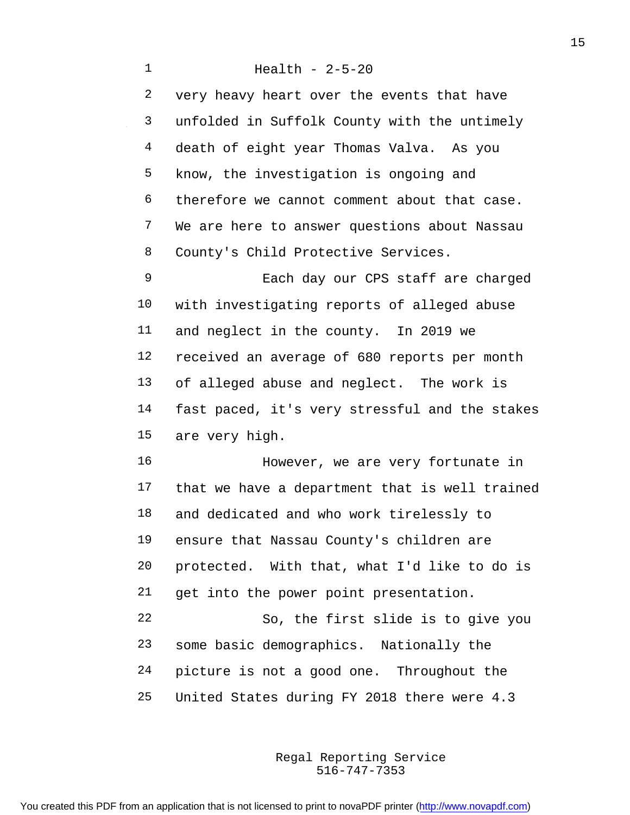Health - 2-5-20 very heavy heart over the events that have unfolded in Suffolk County with the untimely death of eight year Thomas Valva. As you know, the investigation is ongoing and therefore we cannot comment about that case. We are here to answer questions about Nassau County's Child Protective Services. Each day our CPS staff are charged with investigating reports of alleged abuse and neglect in the county. In 2019 we received an average of 680 reports per month of alleged abuse and neglect. The work is fast paced, it's very stressful and the stakes are very high. However, we are very fortunate in that we have a department that is well trained and dedicated and who work tirelessly to ensure that Nassau County's children are protected. With that, what I'd like to do is get into the power point presentation. So, the first slide is to give you some basic demographics. Nationally the picture is not a good one. Throughout the United States during FY 2018 there were 4.3

> 516-747-7353 Regal Reporting Service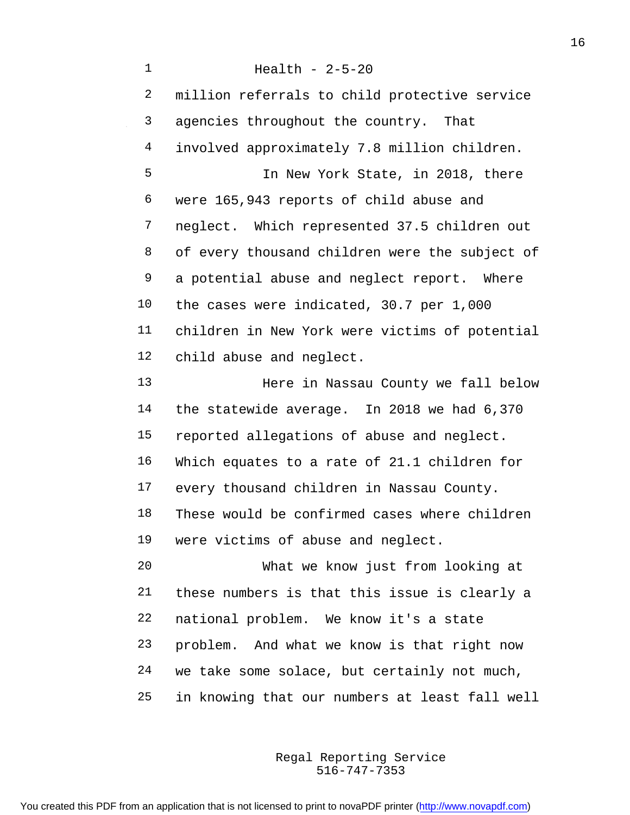Health - 2-5-20 million referrals to child protective service agencies throughout the country. That involved approximately 7.8 million children. In New York State, in 2018, there were 165,943 reports of child abuse and neglect. Which represented 37.5 children out of every thousand children were the subject of a potential abuse and neglect report. Where the cases were indicated, 30.7 per 1,000 children in New York were victims of potential child abuse and neglect. Here in Nassau County we fall below the statewide average. In 2018 we had 6,370 reported allegations of abuse and neglect. Which equates to a rate of 21.1 children for every thousand children in Nassau County. These would be confirmed cases where children were victims of abuse and neglect. What we know just from looking at these numbers is that this issue is clearly a national problem. We know it's a state problem. And what we know is that right now we take some solace, but certainly not much, in knowing that our numbers at least fall well

> 516-747-7353 Regal Reporting Service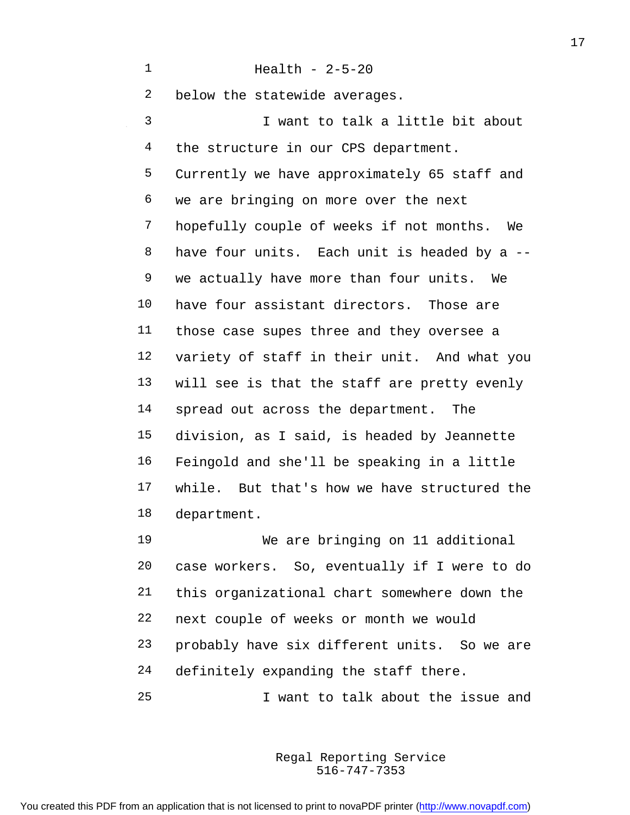Health - 2-5-20 below the statewide averages. I want to talk a little bit about 4 the structure in our CPS department. Currently we have approximately 65 staff and we are bringing on more over the next hopefully couple of weeks if not months. We have four units. Each unit is headed by a -- we actually have more than four units. We have four assistant directors. Those are those case supes three and they oversee a variety of staff in their unit. And what you will see is that the staff are pretty evenly spread out across the department. The division, as I said, is headed by Jeannette Feingold and she'll be speaking in a little while. But that's how we have structured the department.

 We are bringing on 11 additional case workers. So, eventually if I were to do this organizational chart somewhere down the next couple of weeks or month we would probably have six different units. So we are definitely expanding the staff there. I want to talk about the issue and

> 516-747-7353 Regal Reporting Service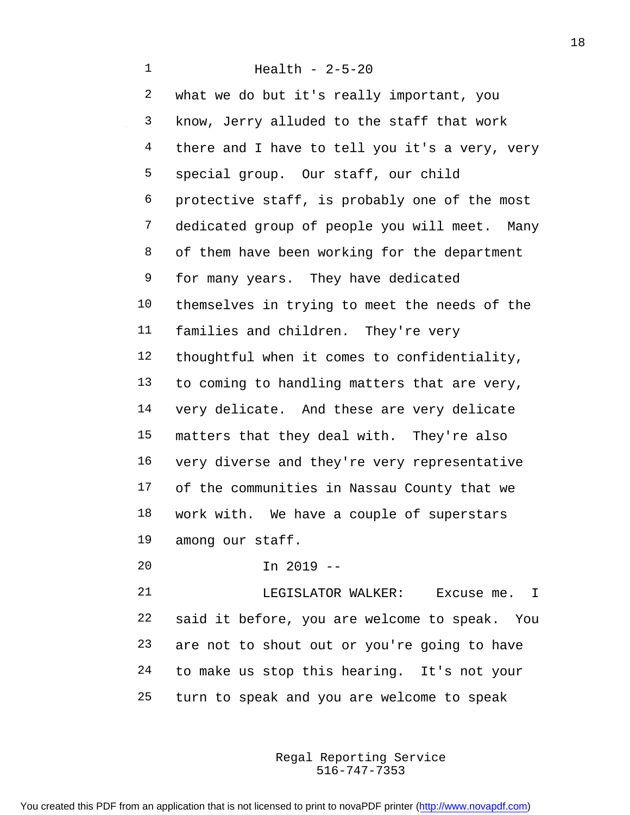what we do but it's really important, you know, Jerry alluded to the staff that work 4 there and I have to tell you it's a very, very special group. Our staff, our child protective staff, is probably one of the most dedicated group of people you will meet. Many of them have been working for the department for many years. They have dedicated themselves in trying to meet the needs of the families and children. They're very thoughtful when it comes to confidentiality, to coming to handling matters that are very, very delicate. And these are very delicate matters that they deal with. They're also very diverse and they're very representative of the communities in Nassau County that we work with. We have a couple of superstars among our staff.

In 2019 --

 LEGISLATOR WALKER: Excuse me. I said it before, you are welcome to speak. You are not to shout out or you're going to have to make us stop this hearing. It's not your turn to speak and you are welcome to speak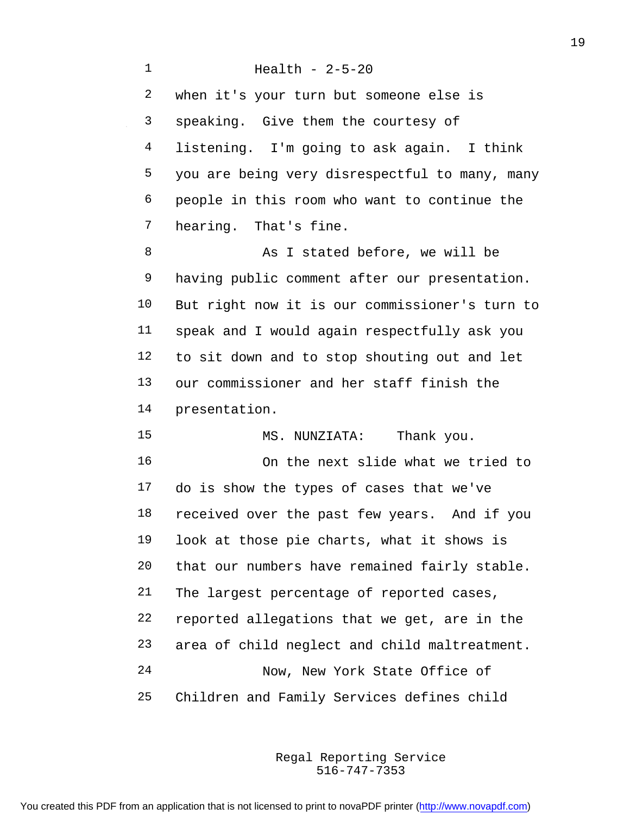Health - 2-5-20 when it's your turn but someone else is speaking. Give them the courtesy of listening. I'm going to ask again. I think you are being very disrespectful to many, many people in this room who want to continue the hearing. That's fine. 8 As I stated before, we will be having public comment after our presentation. But right now it is our commissioner's turn to speak and I would again respectfully ask you to sit down and to stop shouting out and let our commissioner and her staff finish the presentation. 15 MS. NUNZIATA: Thank you. On the next slide what we tried to do is show the types of cases that we've received over the past few years. And if you look at those pie charts, what it shows is that our numbers have remained fairly stable. The largest percentage of reported cases, reported allegations that we get, are in the area of child neglect and child maltreatment. Now, New York State Office of Children and Family Services defines child

> 516-747-7353 Regal Reporting Service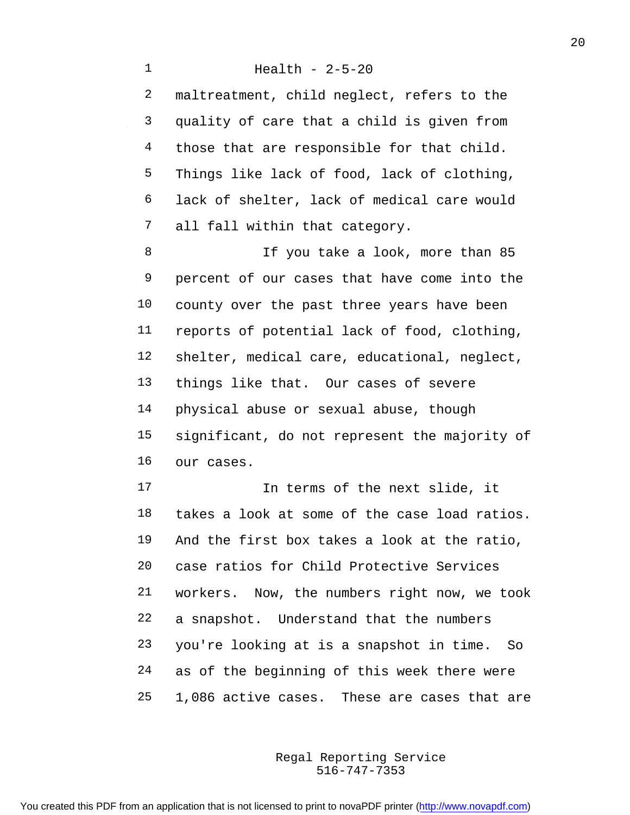maltreatment, child neglect, refers to the quality of care that a child is given from 4 those that are responsible for that child. Things like lack of food, lack of clothing, lack of shelter, lack of medical care would all fall within that category.

8 If you take a look, more than 85 percent of our cases that have come into the county over the past three years have been reports of potential lack of food, clothing, shelter, medical care, educational, neglect, things like that. Our cases of severe physical abuse or sexual abuse, though significant, do not represent the majority of our cases.

 In terms of the next slide, it takes a look at some of the case load ratios. And the first box takes a look at the ratio, case ratios for Child Protective Services workers. Now, the numbers right now, we took a snapshot. Understand that the numbers you're looking at is a snapshot in time. So as of the beginning of this week there were 1,086 active cases. These are cases that are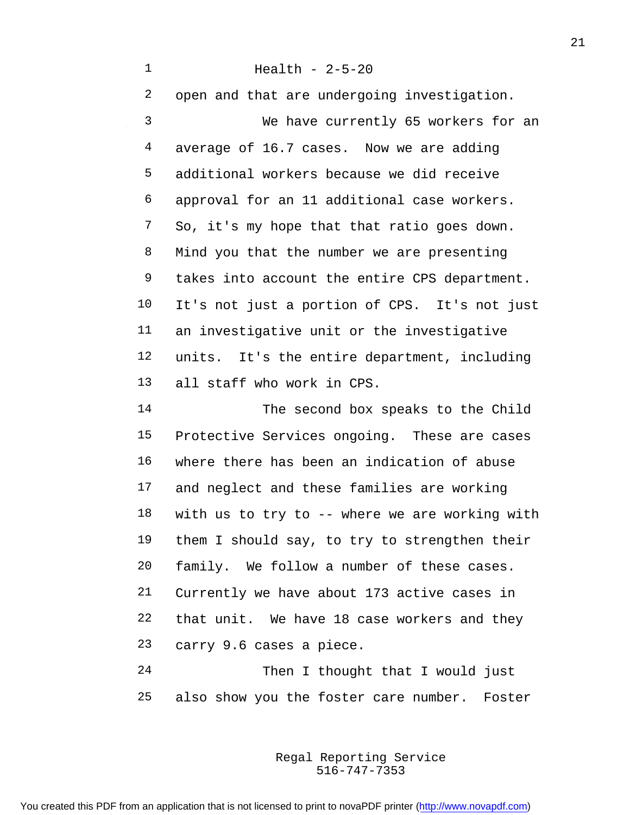Health - 2-5-20 open and that are undergoing investigation. We have currently 65 workers for an average of 16.7 cases. Now we are adding additional workers because we did receive approval for an 11 additional case workers. So, it's my hope that that ratio goes down. Mind you that the number we are presenting takes into account the entire CPS department. It's not just a portion of CPS. It's not just an investigative unit or the investigative units. It's the entire department, including all staff who work in CPS. The second box speaks to the Child Protective Services ongoing. These are cases where there has been an indication of abuse and neglect and these families are working with us to try to -- where we are working with them I should say, to try to strengthen their family. We follow a number of these cases. Currently we have about 173 active cases in that unit. We have 18 case workers and they carry 9.6 cases a piece. Then I thought that I would just

> 516-747-7353 Regal Reporting Service

also show you the foster care number. Foster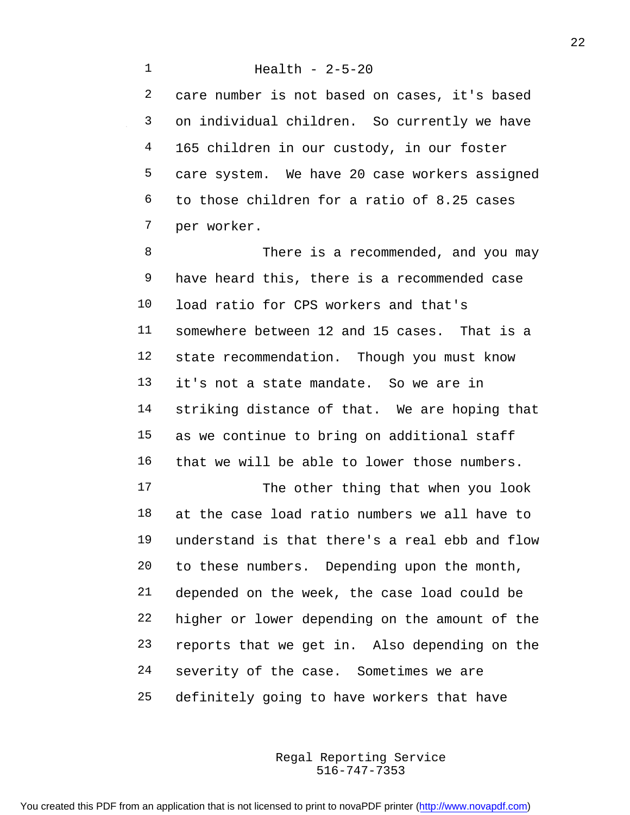care number is not based on cases, it's based on individual children. So currently we have 165 children in our custody, in our foster care system. We have 20 case workers assigned to those children for a ratio of 8.25 cases per worker.

 There is a recommended, and you may have heard this, there is a recommended case load ratio for CPS workers and that's somewhere between 12 and 15 cases. That is a state recommendation. Though you must know it's not a state mandate. So we are in striking distance of that. We are hoping that as we continue to bring on additional staff that we will be able to lower those numbers. 17 The other thing that when you look at the case load ratio numbers we all have to understand is that there's a real ebb and flow to these numbers. Depending upon the month, depended on the week, the case load could be higher or lower depending on the amount of the

 reports that we get in. Also depending on the severity of the case. Sometimes we are

definitely going to have workers that have

516-747-7353 Regal Reporting Service

You created this PDF from an application that is not licensed to print to novaPDF printer ([http://www.novapdf.com\)](http://www.novapdf.com/)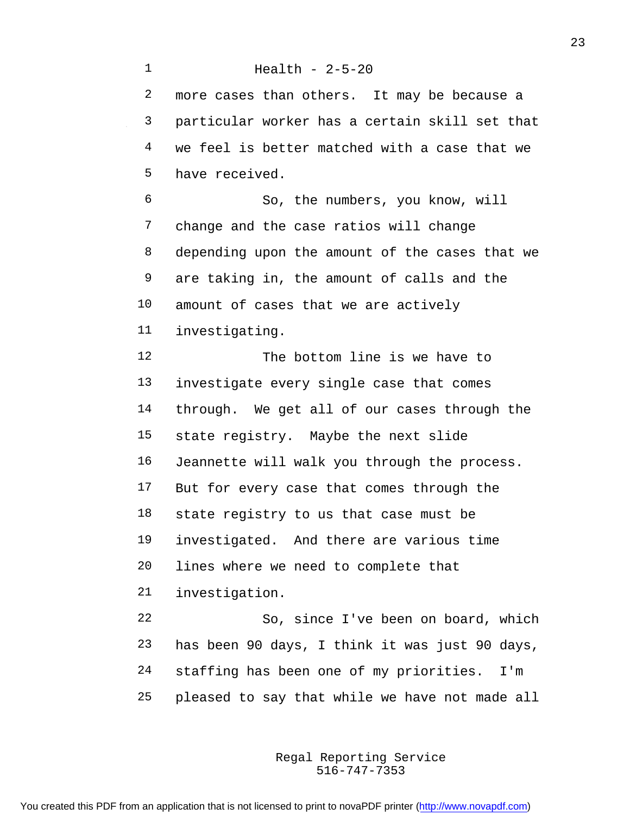Health - 2-5-20 more cases than others. It may be because a particular worker has a certain skill set that we feel is better matched with a case that we have received. So, the numbers, you know, will change and the case ratios will change depending upon the amount of the cases that we are taking in, the amount of calls and the amount of cases that we are actively investigating. The bottom line is we have to investigate every single case that comes through. We get all of our cases through the state registry. Maybe the next slide Jeannette will walk you through the process. 17 But for every case that comes through the state registry to us that case must be investigated. And there are various time lines where we need to complete that investigation. So, since I've been on board, which has been 90 days, I think it was just 90 days, staffing has been one of my priorities. I'm pleased to say that while we have not made all

> 516-747-7353 Regal Reporting Service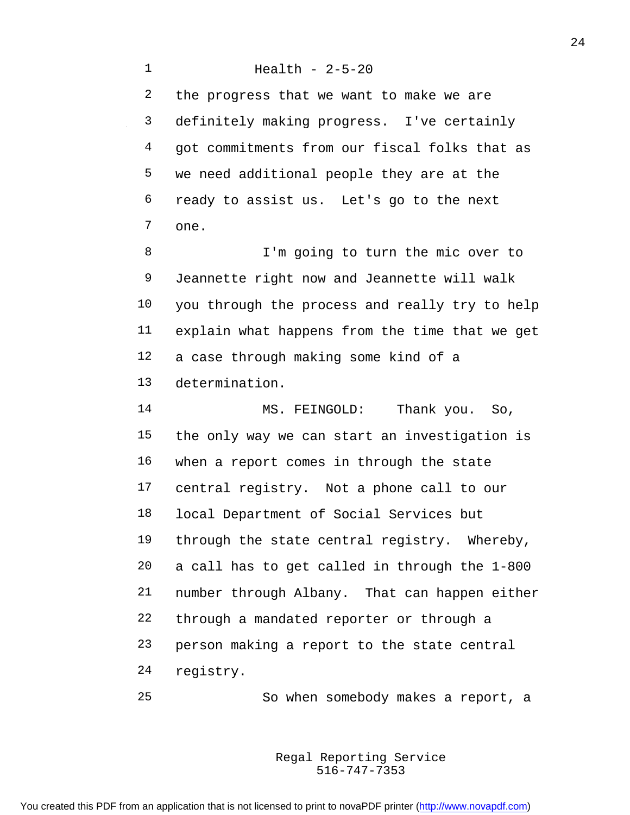Health - 2-5-20 the progress that we want to make we are definitely making progress. I've certainly got commitments from our fiscal folks that as we need additional people they are at the ready to assist us. Let's go to the next one.

 I'm going to turn the mic over to Jeannette right now and Jeannette will walk you through the process and really try to help explain what happens from the time that we get a case through making some kind of a determination.

14 MS. FEINGOLD: Thank you. So, the only way we can start an investigation is when a report comes in through the state central registry. Not a phone call to our local Department of Social Services but through the state central registry. Whereby, a call has to get called in through the 1-800 number through Albany. That can happen either through a mandated reporter or through a person making a report to the state central registry.

So when somebody makes a report, a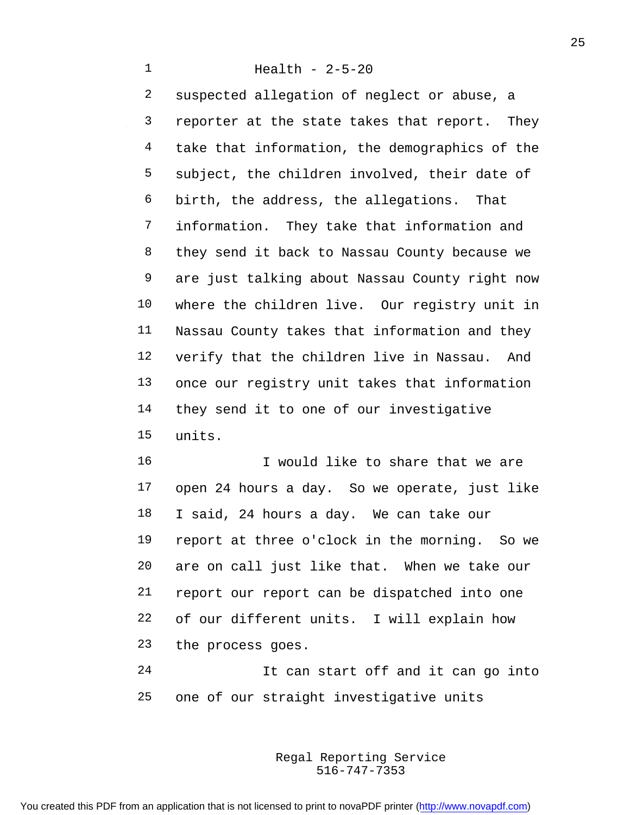Health - 2-5-20

 suspected allegation of neglect or abuse, a reporter at the state takes that report. They take that information, the demographics of the subject, the children involved, their date of birth, the address, the allegations. That information. They take that information and they send it back to Nassau County because we are just talking about Nassau County right now where the children live. Our registry unit in Nassau County takes that information and they verify that the children live in Nassau. And once our registry unit takes that information 14 they send it to one of our investigative units.

16 16 I would like to share that we are open 24 hours a day. So we operate, just like I said, 24 hours a day. We can take our report at three o'clock in the morning. So we are on call just like that. When we take our report our report can be dispatched into one of our different units. I will explain how the process goes.

 It can start off and it can go into one of our straight investigative units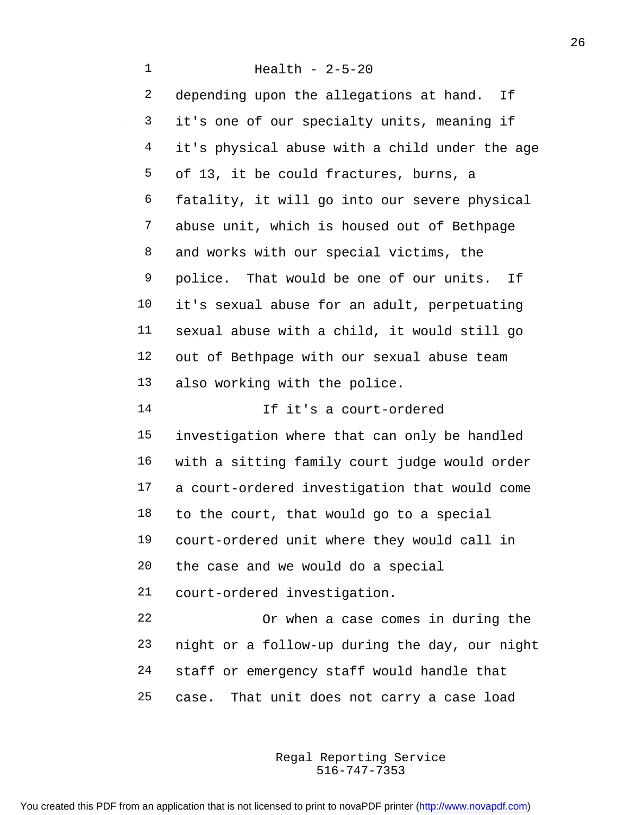Health - 2-5-20 2 depending upon the allegations at hand. If it's one of our specialty units, meaning if it's physical abuse with a child under the age of 13, it be could fractures, burns, a fatality, it will go into our severe physical abuse unit, which is housed out of Bethpage and works with our special victims, the police. That would be one of our units. If it's sexual abuse for an adult, perpetuating sexual abuse with a child, it would still go out of Bethpage with our sexual abuse team also working with the police. If it's a court-ordered investigation where that can only be handled with a sitting family court judge would order a court-ordered investigation that would come to the court, that would go to a special court-ordered unit where they would call in the case and we would do a special court-ordered investigation. Or when a case comes in during the night or a follow-up during the day, our night staff or emergency staff would handle that case. That unit does not carry a case load

> 516-747-7353 Regal Reporting Service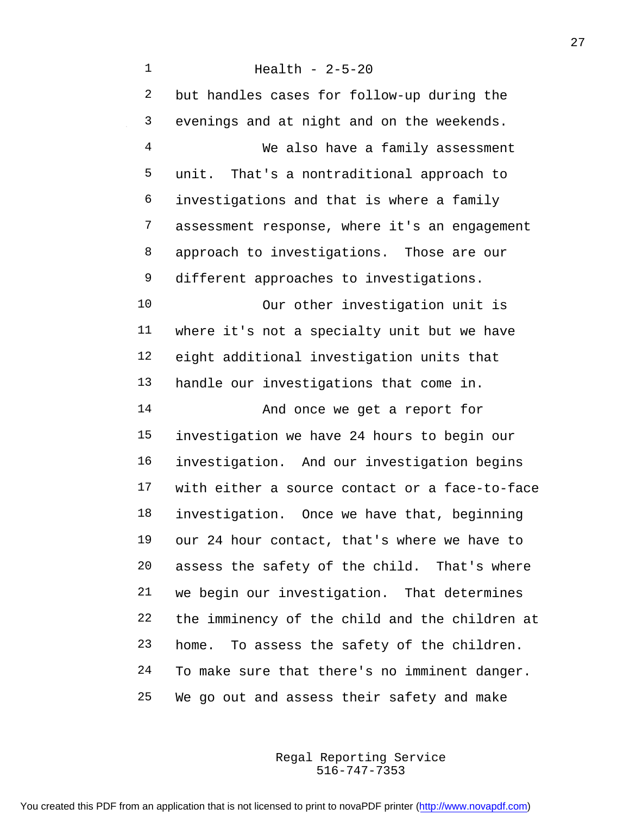Health - 2-5-20 but handles cases for follow-up during the evenings and at night and on the weekends. We also have a family assessment unit. That's a nontraditional approach to investigations and that is where a family assessment response, where it's an engagement approach to investigations. Those are our different approaches to investigations. Our other investigation unit is where it's not a specialty unit but we have eight additional investigation units that handle our investigations that come in. And once we get a report for investigation we have 24 hours to begin our investigation. And our investigation begins with either a source contact or a face-to-face investigation. Once we have that, beginning our 24 hour contact, that's where we have to assess the safety of the child. That's where we begin our investigation. That determines the imminency of the child and the children at home. To assess the safety of the children. To make sure that there's no imminent danger. We go out and assess their safety and make

> 516-747-7353 Regal Reporting Service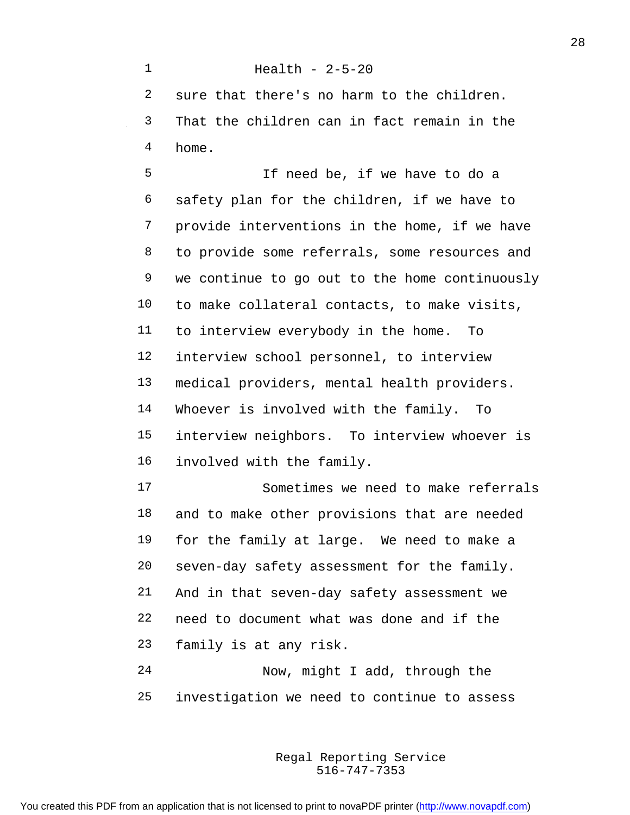Health - 2-5-20 sure that there's no harm to the children. That the children can in fact remain in the home. If need be, if we have to do a safety plan for the children, if we have to provide interventions in the home, if we have to provide some referrals, some resources and we continue to go out to the home continuously to make collateral contacts, to make visits, to interview everybody in the home. To interview school personnel, to interview medical providers, mental health providers. Whoever is involved with the family. To interview neighbors. To interview whoever is involved with the family. Sometimes we need to make referrals and to make other provisions that are needed for the family at large. We need to make a seven-day safety assessment for the family. And in that seven-day safety assessment we need to document what was done and if the family is at any risk. Now, might I add, through the investigation we need to continue to assess

> 516-747-7353 Regal Reporting Service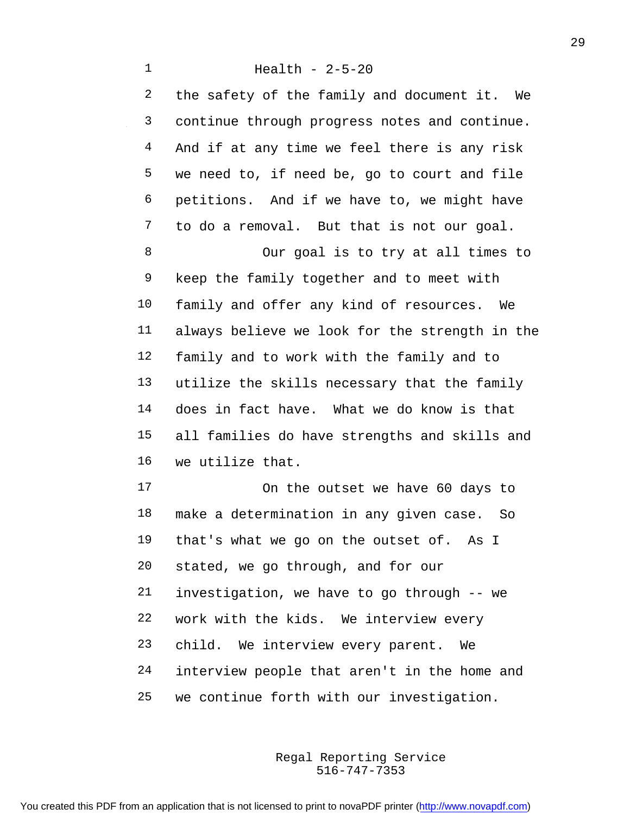the safety of the family and document it. We continue through progress notes and continue. And if at any time we feel there is any risk we need to, if need be, go to court and file petitions. And if we have to, we might have to do a removal. But that is not our goal.

 Our goal is to try at all times to keep the family together and to meet with family and offer any kind of resources. We always believe we look for the strength in the family and to work with the family and to utilize the skills necessary that the family does in fact have. What we do know is that all families do have strengths and skills and we utilize that.

 On the outset we have 60 days to make a determination in any given case. So that's what we go on the outset of. As I stated, we go through, and for our investigation, we have to go through -- we work with the kids. We interview every child. We interview every parent. We interview people that aren't in the home and we continue forth with our investigation.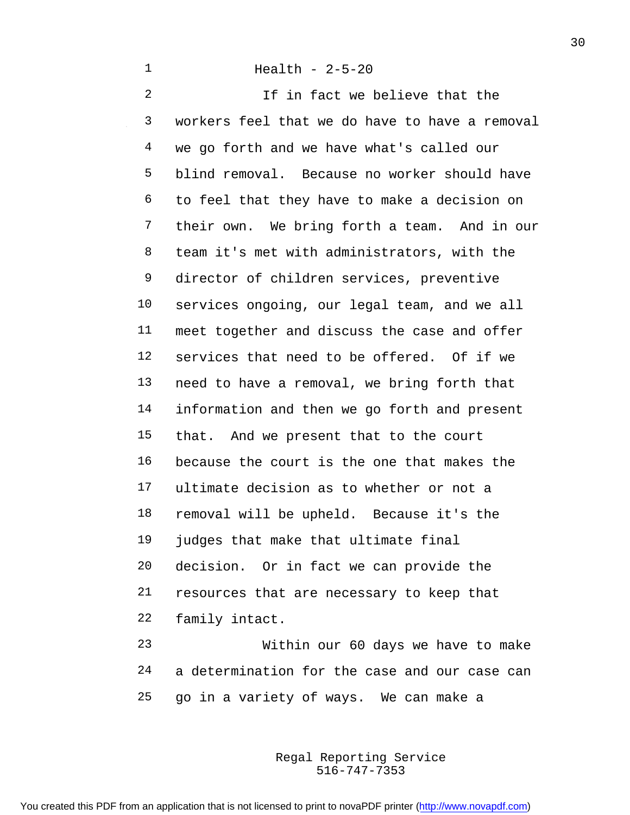2 1f in fact we believe that the workers feel that we do have to have a removal we go forth and we have what's called our blind removal. Because no worker should have to feel that they have to make a decision on their own. We bring forth a team. And in our team it's met with administrators, with the director of children services, preventive services ongoing, our legal team, and we all meet together and discuss the case and offer services that need to be offered. Of if we need to have a removal, we bring forth that information and then we go forth and present that. And we present that to the court because the court is the one that makes the ultimate decision as to whether or not a removal will be upheld. Because it's the judges that make that ultimate final decision. Or in fact we can provide the resources that are necessary to keep that family intact. Within our 60 days we have to make

 a determination for the case and our case can go in a variety of ways. We can make a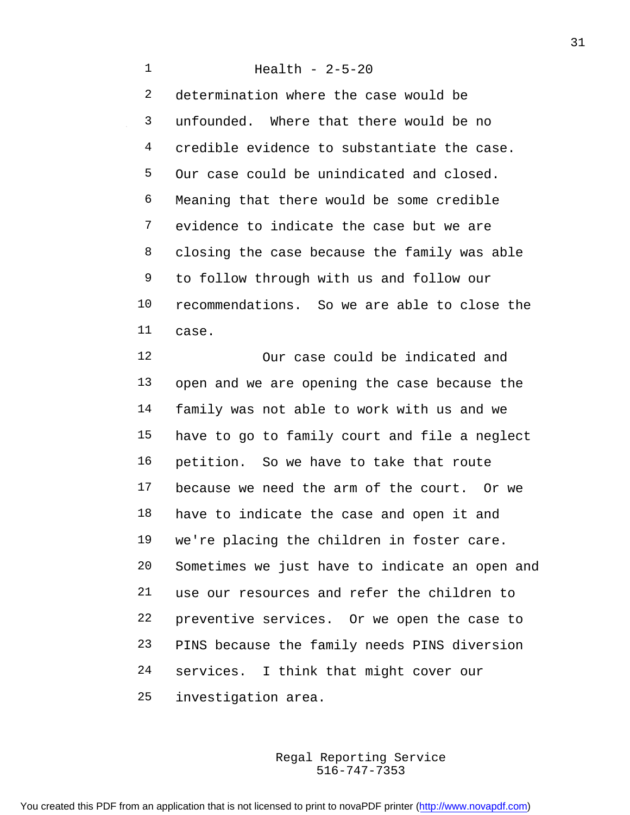Health - 2-5-20 determination where the case would be unfounded. Where that there would be no credible evidence to substantiate the case. Our case could be unindicated and closed. Meaning that there would be some credible evidence to indicate the case but we are closing the case because the family was able to follow through with us and follow our recommendations. So we are able to close the case.

 Our case could be indicated and open and we are opening the case because the family was not able to work with us and we have to go to family court and file a neglect petition. So we have to take that route because we need the arm of the court. Or we have to indicate the case and open it and we're placing the children in foster care. Sometimes we just have to indicate an open and use our resources and refer the children to preventive services. Or we open the case to PINS because the family needs PINS diversion services. I think that might cover our investigation area.

> 516-747-7353 Regal Reporting Service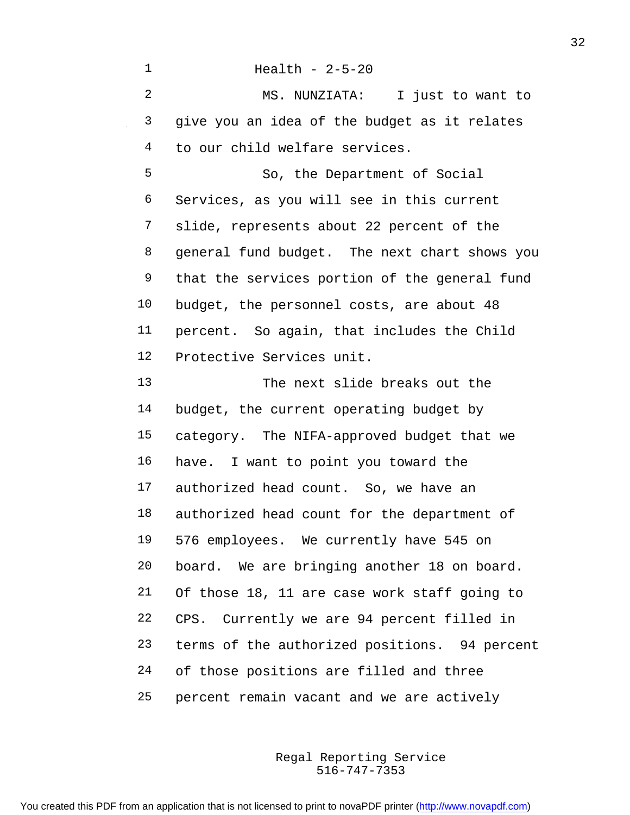Health - 2-5-20 MS. NUNZIATA: I just to want to give you an idea of the budget as it relates to our child welfare services. So, the Department of Social Services, as you will see in this current slide, represents about 22 percent of the general fund budget. The next chart shows you that the services portion of the general fund budget, the personnel costs, are about 48 percent. So again, that includes the Child Protective Services unit. The next slide breaks out the 14 budget, the current operating budget by category. The NIFA-approved budget that we have. I want to point you toward the authorized head count. So, we have an authorized head count for the department of 576 employees. We currently have 545 on board. We are bringing another 18 on board. Of those 18, 11 are case work staff going to CPS. Currently we are 94 percent filled in terms of the authorized positions. 94 percent of those positions are filled and three percent remain vacant and we are actively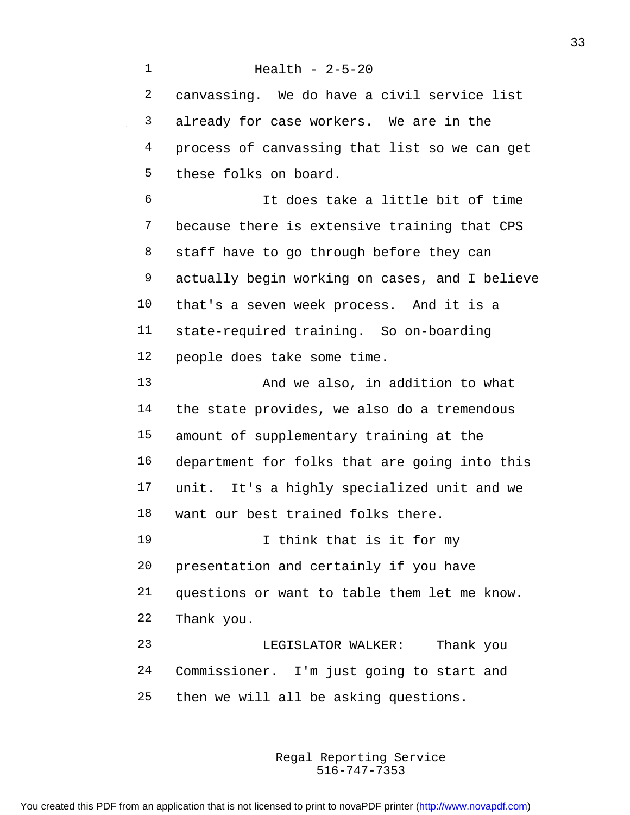Health - 2-5-20 canvassing. We do have a civil service list already for case workers. We are in the process of canvassing that list so we can get these folks on board. It does take a little bit of time because there is extensive training that CPS 8 staff have to go through before they can actually begin working on cases, and I believe that's a seven week process. And it is a state-required training. So on-boarding people does take some time. 13 And we also, in addition to what the state provides, we also do a tremendous amount of supplementary training at the department for folks that are going into this unit. It's a highly specialized unit and we want our best trained folks there. I think that is it for my presentation and certainly if you have questions or want to table them let me know. Thank you. LEGISLATOR WALKER: Thank you Commissioner. I'm just going to start and then we will all be asking questions.

> 516-747-7353 Regal Reporting Service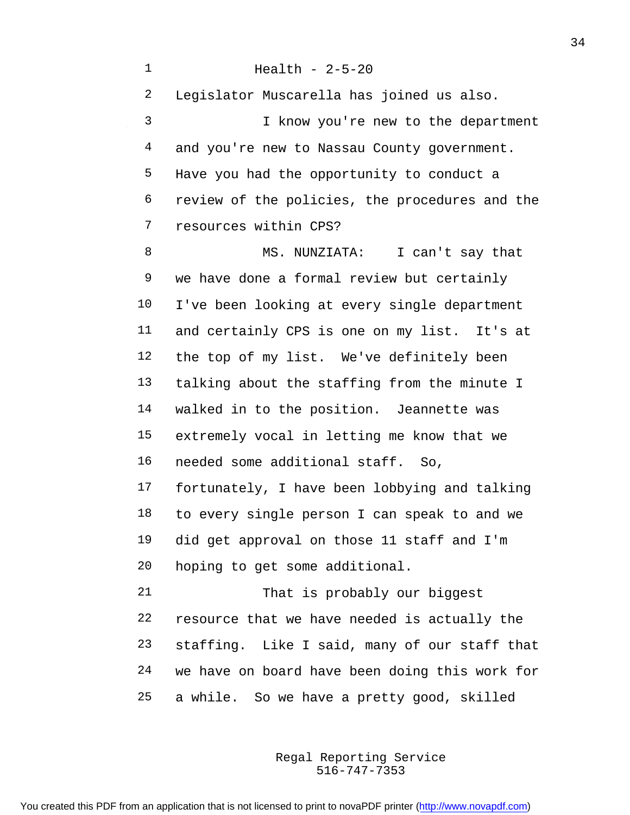Health - 2-5-20 Legislator Muscarella has joined us also. I know you're new to the department 4 and you're new to Nassau County government. Have you had the opportunity to conduct a review of the policies, the procedures and the resources within CPS? MS. NUNZIATA: I can't say that we have done a formal review but certainly I've been looking at every single department and certainly CPS is one on my list. It's at the top of my list. We've definitely been talking about the staffing from the minute I walked in to the position. Jeannette was extremely vocal in letting me know that we needed some additional staff. So, fortunately, I have been lobbying and talking to every single person I can speak to and we did get approval on those 11 staff and I'm hoping to get some additional. That is probably our biggest resource that we have needed is actually the staffing. Like I said, many of our staff that we have on board have been doing this work for a while. So we have a pretty good, skilled

> 516-747-7353 Regal Reporting Service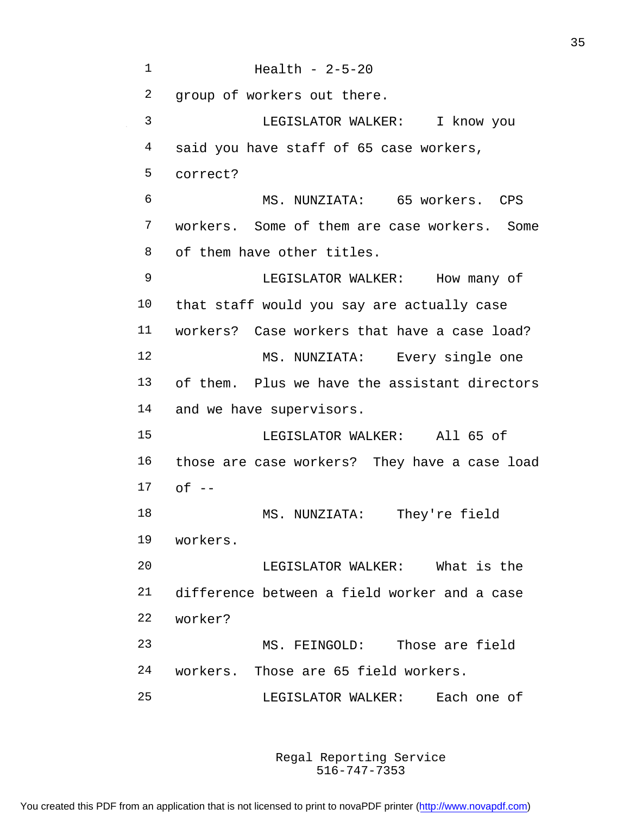Health - 2-5-20 group of workers out there. LEGISLATOR WALKER: I know you 4 said you have staff of 65 case workers, correct? MS. NUNZIATA: 65 workers. CPS workers. Some of them are case workers. Some of them have other titles. LEGISLATOR WALKER: How many of that staff would you say are actually case workers? Case workers that have a case load? MS. NUNZIATA: Every single one of them. Plus we have the assistant directors and we have supervisors. LEGISLATOR WALKER: All 65 of those are case workers? They have a case load  $17 \quad$  of  $-$  MS. NUNZIATA: They're field workers. LEGISLATOR WALKER: What is the difference between a field worker and a case worker? MS. FEINGOLD: Those are field workers. Those are 65 field workers. LEGISLATOR WALKER: Each one of

> 516-747-7353 Regal Reporting Service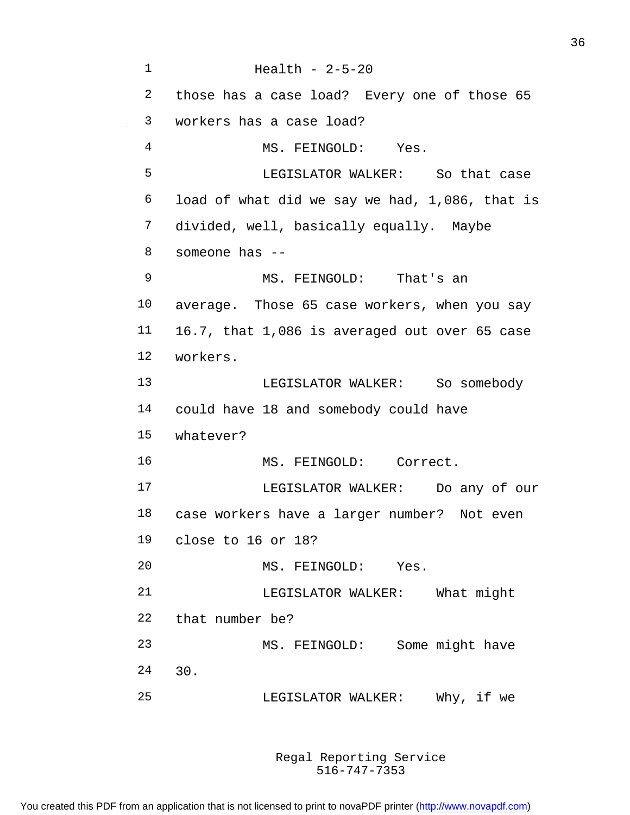Health - 2-5-20 those has a case load? Every one of those 65 workers has a case load? 4 MS. FEINGOLD: Yes. LEGISLATOR WALKER: So that case load of what did we say we had, 1,086, that is divided, well, basically equally. Maybe someone has -- MS. FEINGOLD: That's an average. Those 65 case workers, when you say 16.7, that 1,086 is averaged out over 65 case workers. LEGISLATOR WALKER: So somebody could have 18 and somebody could have whatever? MS. FEINGOLD: Correct. LEGISLATOR WALKER: Do any of our case workers have a larger number? Not even close to 16 or 18? MS. FEINGOLD: Yes. 21 LEGISLATOR WALKER: What might that number be? MS. FEINGOLD: Some might have 30. LEGISLATOR WALKER: Why, if we

> 516-747-7353 Regal Reporting Service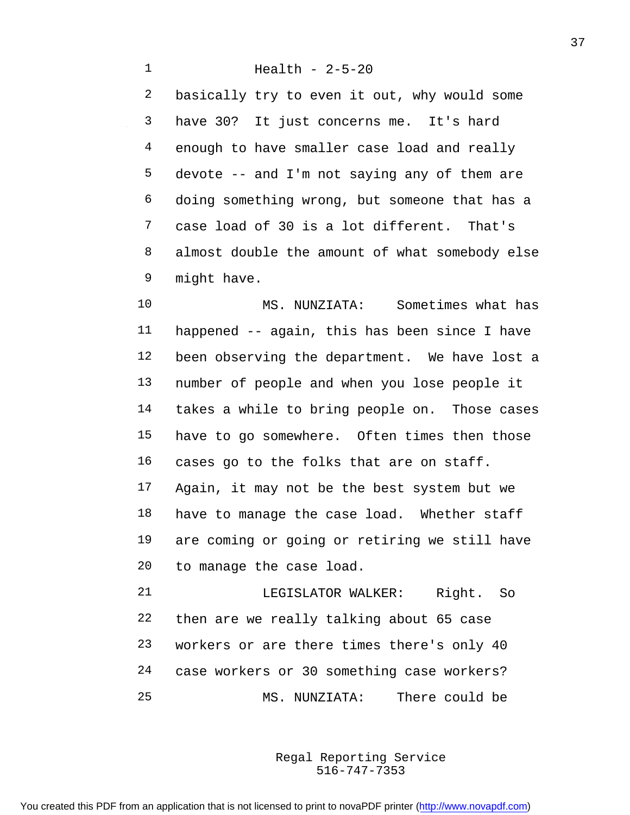Health - 2-5-20 basically try to even it out, why would some have 30? It just concerns me. It's hard enough to have smaller case load and really devote -- and I'm not saying any of them are doing something wrong, but someone that has a case load of 30 is a lot different. That's almost double the amount of what somebody else might have.

 MS. NUNZIATA: Sometimes what has happened -- again, this has been since I have been observing the department. We have lost a number of people and when you lose people it takes a while to bring people on. Those cases have to go somewhere. Often times then those cases go to the folks that are on staff. Again, it may not be the best system but we have to manage the case load. Whether staff are coming or going or retiring we still have to manage the case load.

21 LEGISLATOR WALKER: Right. So then are we really talking about 65 case workers or are there times there's only 40 case workers or 30 something case workers? MS. NUNZIATA: There could be

> 516-747-7353 Regal Reporting Service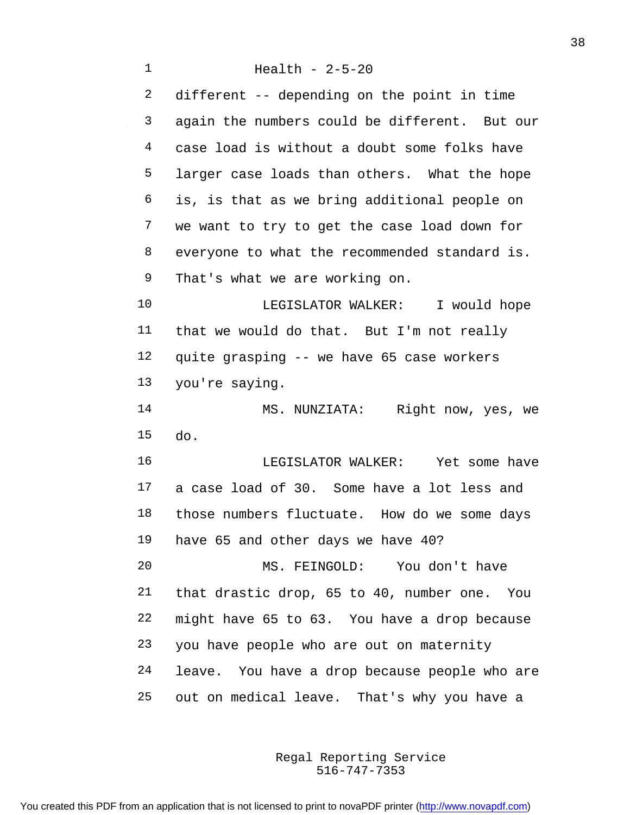Health - 2-5-20 different -- depending on the point in time again the numbers could be different. But our case load is without a doubt some folks have larger case loads than others. What the hope is, is that as we bring additional people on we want to try to get the case load down for everyone to what the recommended standard is. That's what we are working on. LEGISLATOR WALKER: I would hope that we would do that. But I'm not really quite grasping -- we have 65 case workers you're saying. MS. NUNZIATA: Right now, yes, we do. LEGISLATOR WALKER: Yet some have a case load of 30. Some have a lot less and those numbers fluctuate. How do we some days have 65 and other days we have 40? MS. FEINGOLD: You don't have that drastic drop, 65 to 40, number one. You might have 65 to 63. You have a drop because you have people who are out on maternity leave. You have a drop because people who are out on medical leave. That's why you have a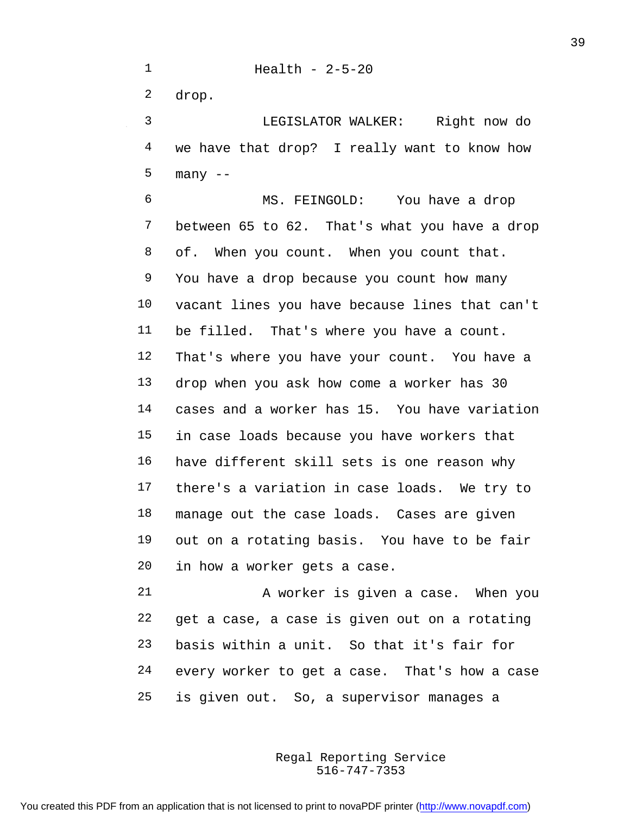drop.

 LEGISLATOR WALKER: Right now do we have that drop? I really want to know how many --

 MS. FEINGOLD: You have a drop between 65 to 62. That's what you have a drop 8 of. When you count. When you count that. You have a drop because you count how many vacant lines you have because lines that can't be filled. That's where you have a count. That's where you have your count. You have a drop when you ask how come a worker has 30 cases and a worker has 15. You have variation in case loads because you have workers that have different skill sets is one reason why there's a variation in case loads. We try to manage out the case loads. Cases are given out on a rotating basis. You have to be fair in how a worker gets a case.

 A worker is given a case. When you get a case, a case is given out on a rotating basis within a unit. So that it's fair for every worker to get a case. That's how a case is given out. So, a supervisor manages a

> 516-747-7353 Regal Reporting Service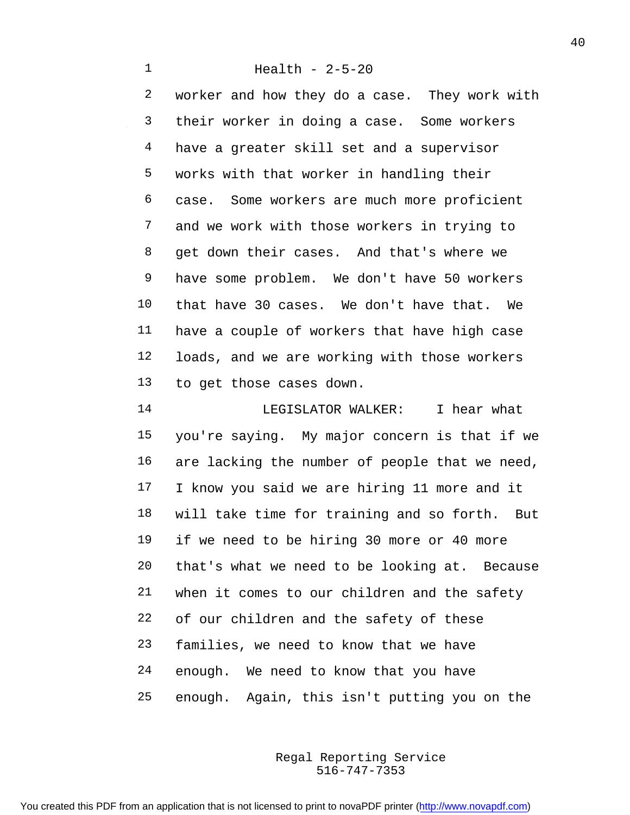Health - 2-5-20 worker and how they do a case. They work with their worker in doing a case. Some workers have a greater skill set and a supervisor works with that worker in handling their case. Some workers are much more proficient and we work with those workers in trying to get down their cases. And that's where we have some problem. We don't have 50 workers that have 30 cases. We don't have that. We have a couple of workers that have high case loads, and we are working with those workers to get those cases down.

 LEGISLATOR WALKER: I hear what you're saying. My major concern is that if we are lacking the number of people that we need, I know you said we are hiring 11 more and it will take time for training and so forth. But if we need to be hiring 30 more or 40 more that's what we need to be looking at. Because when it comes to our children and the safety of our children and the safety of these families, we need to know that we have enough. We need to know that you have enough. Again, this isn't putting you on the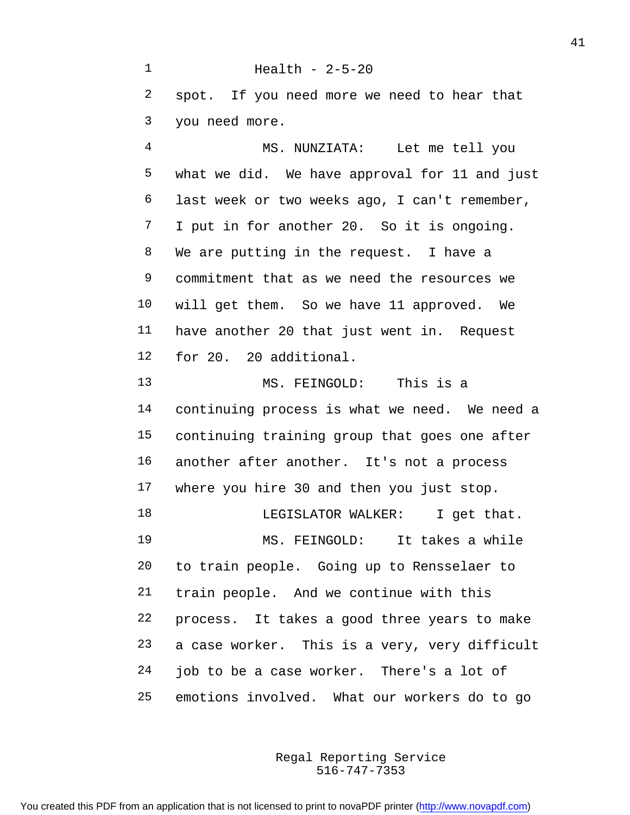Health - 2-5-20 spot. If you need more we need to hear that you need more. MS. NUNZIATA: Let me tell you what we did. We have approval for 11 and just last week or two weeks ago, I can't remember, I put in for another 20. So it is ongoing. We are putting in the request. I have a commitment that as we need the resources we will get them. So we have 11 approved. We have another 20 that just went in. Request for 20. 20 additional. MS. FEINGOLD: This is a continuing process is what we need. We need a continuing training group that goes one after another after another. It's not a process where you hire 30 and then you just stop. 18 LEGISLATOR WALKER: I get that. MS. FEINGOLD: It takes a while to train people. Going up to Rensselaer to train people. And we continue with this process. It takes a good three years to make a case worker. This is a very, very difficult job to be a case worker. There's a lot of emotions involved. What our workers do to go

> 516-747-7353 Regal Reporting Service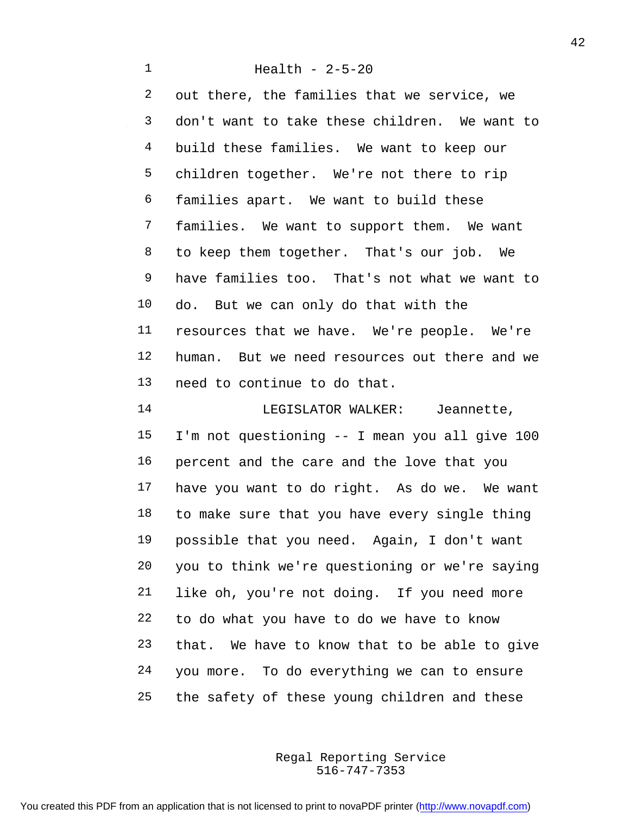Health - 2-5-20 out there, the families that we service, we don't want to take these children. We want to 4 build these families. We want to keep our children together. We're not there to rip families apart. We want to build these families. We want to support them. We want to keep them together. That's our job. We have families too. That's not what we want to do. But we can only do that with the resources that we have. We're people. We're human. But we need resources out there and we need to continue to do that. 14 LEGISLATOR WALKER: Jeannette, I'm not questioning -- I mean you all give 100

 percent and the care and the love that you have you want to do right. As do we. We want to make sure that you have every single thing possible that you need. Again, I don't want you to think we're questioning or we're saying like oh, you're not doing. If you need more to do what you have to do we have to know that. We have to know that to be able to give you more. To do everything we can to ensure the safety of these young children and these

> 516-747-7353 Regal Reporting Service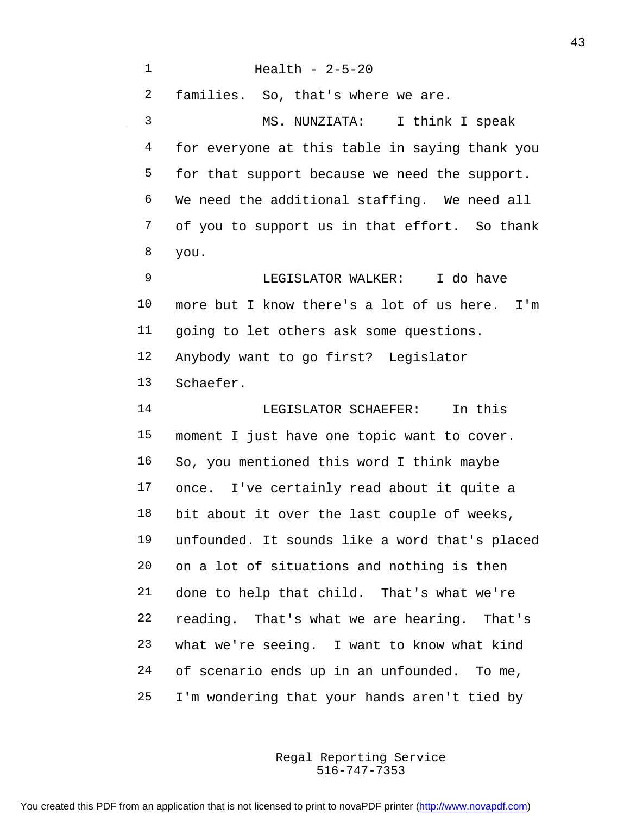Health - 2-5-20 families. So, that's where we are. MS. NUNZIATA: I think I speak for everyone at this table in saying thank you for that support because we need the support. We need the additional staffing. We need all of you to support us in that effort. So thank you. LEGISLATOR WALKER: I do have more but I know there's a lot of us here. I'm going to let others ask some questions. Anybody want to go first? Legislator Schaefer. LEGISLATOR SCHAEFER: In this moment I just have one topic want to cover. So, you mentioned this word I think maybe once. I've certainly read about it quite a bit about it over the last couple of weeks, unfounded. It sounds like a word that's placed on a lot of situations and nothing is then done to help that child. That's what we're reading. That's what we are hearing. That's what we're seeing. I want to know what kind of scenario ends up in an unfounded. To me, I'm wondering that your hands aren't tied by

> 516-747-7353 Regal Reporting Service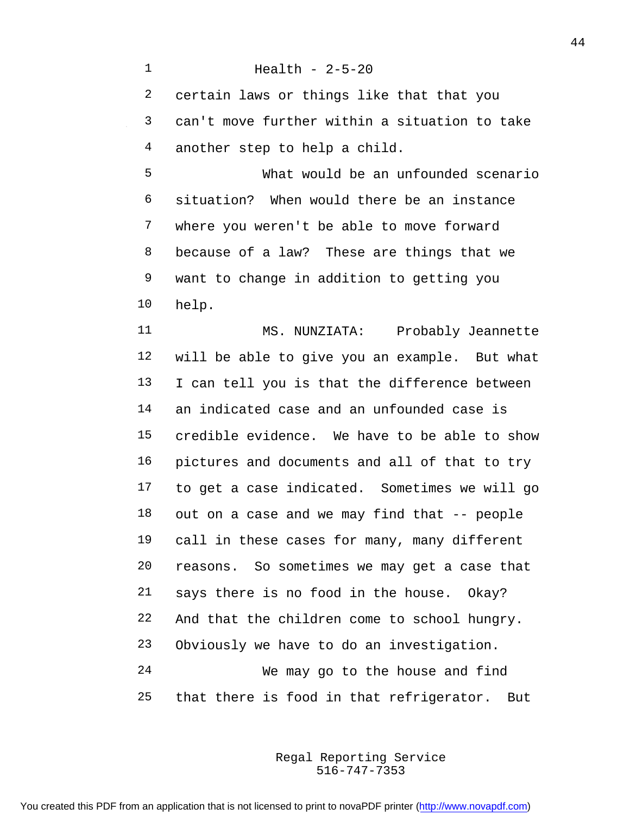Health - 2-5-20 certain laws or things like that that you can't move further within a situation to take another step to help a child. What would be an unfounded scenario situation? When would there be an instance where you weren't be able to move forward because of a law? These are things that we want to change in addition to getting you help. 11 MS. NUNZIATA: Probably Jeannette will be able to give you an example. But what I can tell you is that the difference between an indicated case and an unfounded case is credible evidence. We have to be able to show pictures and documents and all of that to try to get a case indicated. Sometimes we will go out on a case and we may find that -- people call in these cases for many, many different reasons. So sometimes we may get a case that says there is no food in the house. Okay? And that the children come to school hungry. Obviously we have to do an investigation.

 We may go to the house and find that there is food in that refrigerator. But

> 516-747-7353 Regal Reporting Service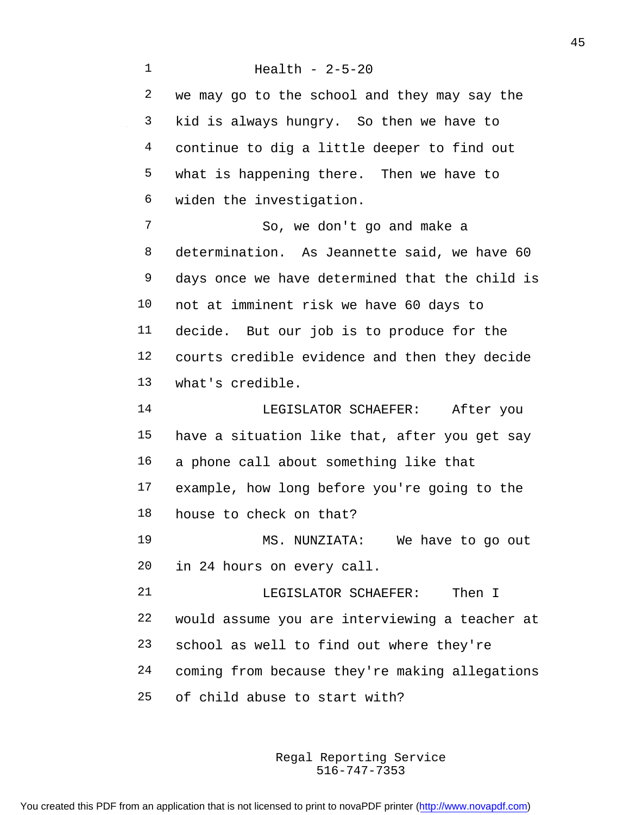Health - 2-5-20 we may go to the school and they may say the kid is always hungry. So then we have to continue to dig a little deeper to find out what is happening there. Then we have to widen the investigation. So, we don't go and make a determination. As Jeannette said, we have 60 days once we have determined that the child is not at imminent risk we have 60 days to decide. But our job is to produce for the courts credible evidence and then they decide what's credible. LEGISLATOR SCHAEFER: After you have a situation like that, after you get say a phone call about something like that example, how long before you're going to the house to check on that? MS. NUNZIATA: We have to go out in 24 hours on every call. LEGISLATOR SCHAEFER: Then I would assume you are interviewing a teacher at school as well to find out where they're coming from because they're making allegations of child abuse to start with?

> 516-747-7353 Regal Reporting Service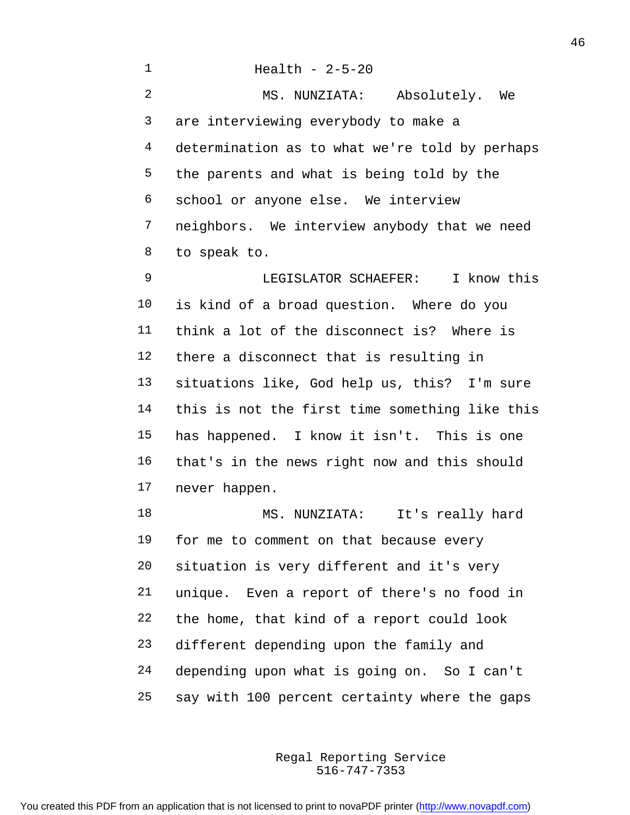| $\mathbf{1}$   | Health - $2-5-20$                              |
|----------------|------------------------------------------------|
| $\overline{a}$ | MS. NUNZIATA: Absolutely. We                   |
| 3              | are interviewing everybody to make a           |
| 4              | determination as to what we're told by perhaps |
| 5              | the parents and what is being told by the      |
| 6              | school or anyone else. We interview            |
| 7              | neighbors. We interview anybody that we need   |
| 8              | to speak to.                                   |
| 9              | LEGISLATOR SCHAEFER: I know this               |
| 10             | is kind of a broad question. Where do you      |
| 11             | think a lot of the disconnect is? Where is     |
| 12             | there a disconnect that is resulting in        |
| 13             | situations like, God help us, this? I'm sure   |
| 14             | this is not the first time something like this |
| 15             | has happened. I know it isn't. This is one     |
| 16             | that's in the news right now and this should   |
| 17             | never happen.                                  |
| 18             | MS. NUNZIATA:<br>It's really hard              |
| 19             | for me to comment on that because every        |
| 20             | situation is very different and it's very      |
| 21             | unique. Even a report of there's no food in    |
| 22             | the home, that kind of a report could look     |
| 23             | different depending upon the family and        |
| 24             | depending upon what is going on. So I can't    |
| 25             | say with 100 percent certainty where the gaps  |

516-747-7353 Regal Reporting Service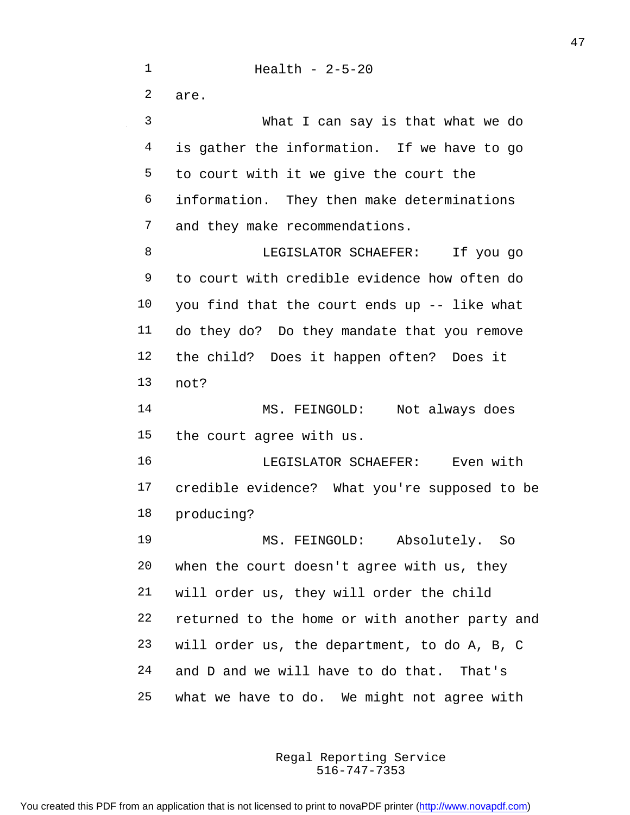Health - 2-5-20 are. What I can say is that what we do is gather the information. If we have to go to court with it we give the court the information. They then make determinations and they make recommendations. 8 LEGISLATOR SCHAEFER: If you go to court with credible evidence how often do you find that the court ends up -- like what do they do? Do they mandate that you remove the child? Does it happen often? Does it not? MS. FEINGOLD: Not always does the court agree with us. LEGISLATOR SCHAEFER: Even with credible evidence? What you're supposed to be producing? MS. FEINGOLD: Absolutely. So when the court doesn't agree with us, they will order us, they will order the child returned to the home or with another party and will order us, the department, to do A, B, C and D and we will have to do that. That's what we have to do. We might not agree with

> 516-747-7353 Regal Reporting Service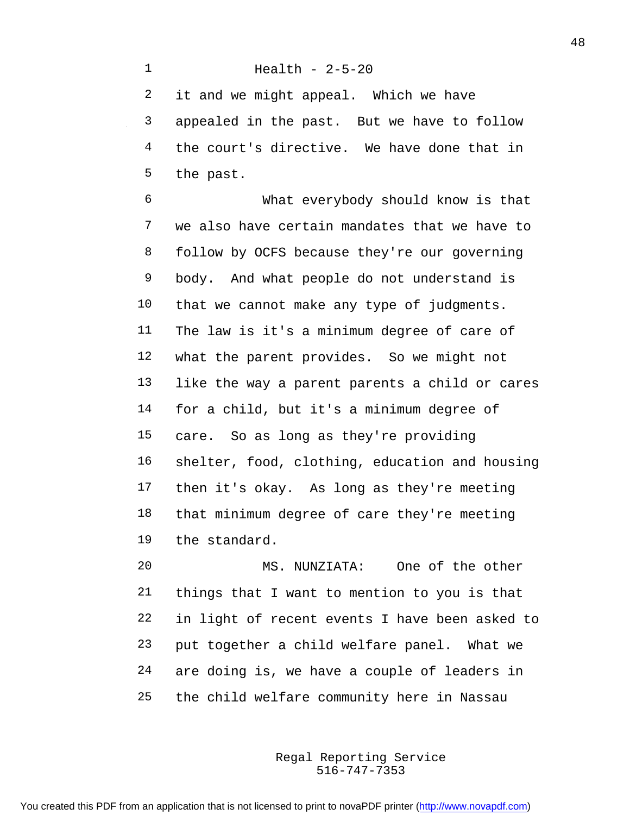Health - 2-5-20 it and we might appeal. Which we have appealed in the past. But we have to follow 4 the court's directive. We have done that in the past.

 What everybody should know is that we also have certain mandates that we have to follow by OCFS because they're our governing body. And what people do not understand is that we cannot make any type of judgments. The law is it's a minimum degree of care of what the parent provides. So we might not like the way a parent parents a child or cares for a child, but it's a minimum degree of care. So as long as they're providing shelter, food, clothing, education and housing then it's okay. As long as they're meeting that minimum degree of care they're meeting the standard.

 MS. NUNZIATA: One of the other things that I want to mention to you is that in light of recent events I have been asked to put together a child welfare panel. What we are doing is, we have a couple of leaders in the child welfare community here in Nassau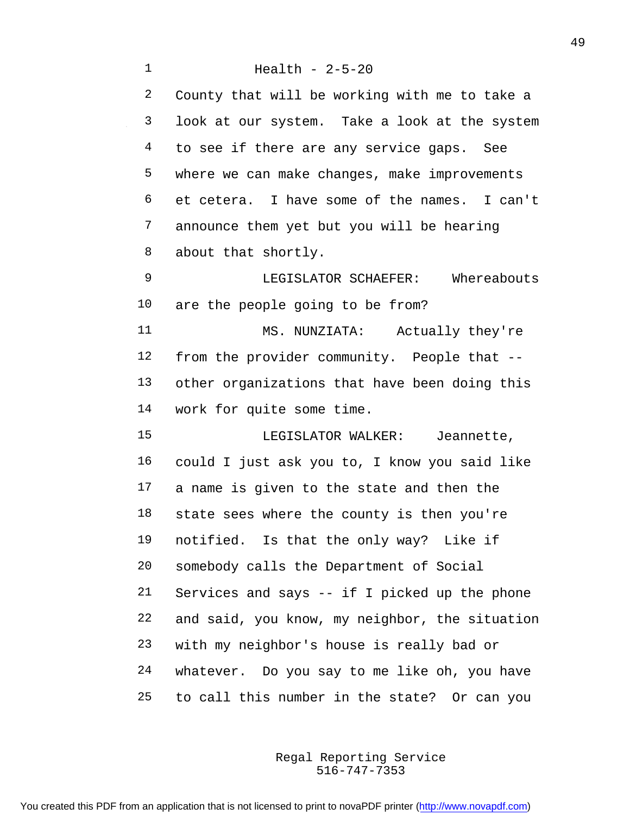Health - 2-5-20 County that will be working with me to take a look at our system. Take a look at the system 4 to see if there are any service gaps. See where we can make changes, make improvements et cetera. I have some of the names. I can't announce them yet but you will be hearing about that shortly. LEGISLATOR SCHAEFER: Whereabouts are the people going to be from? MS. NUNZIATA: Actually they're from the provider community. People that -- other organizations that have been doing this work for quite some time. LEGISLATOR WALKER: Jeannette, could I just ask you to, I know you said like a name is given to the state and then the state sees where the county is then you're notified. Is that the only way? Like if somebody calls the Department of Social Services and says -- if I picked up the phone and said, you know, my neighbor, the situation with my neighbor's house is really bad or whatever. Do you say to me like oh, you have to call this number in the state? Or can you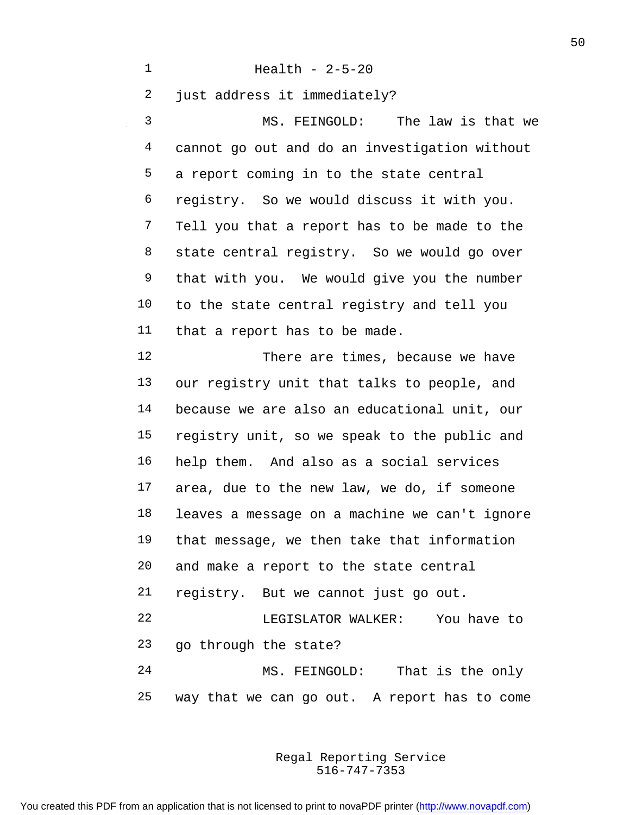Health - 2-5-20 just address it immediately? MS. FEINGOLD: The law is that we cannot go out and do an investigation without a report coming in to the state central registry. So we would discuss it with you. Tell you that a report has to be made to the 8 state central registry. So we would go over that with you. We would give you the number to the state central registry and tell you that a report has to be made. There are times, because we have our registry unit that talks to people, and because we are also an educational unit, our registry unit, so we speak to the public and help them. And also as a social services area, due to the new law, we do, if someone leaves a message on a machine we can't ignore that message, we then take that information and make a report to the state central registry. But we cannot just go out. LEGISLATOR WALKER: You have to go through the state? MS. FEINGOLD: That is the only way that we can go out. A report has to come

> 516-747-7353 Regal Reporting Service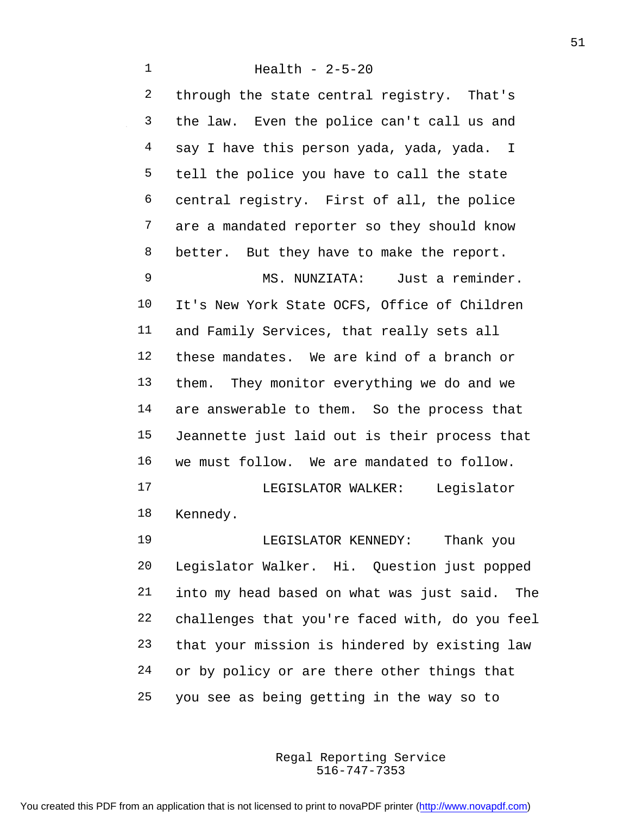through the state central registry. That's the law. Even the police can't call us and say I have this person yada, yada, yada. I tell the police you have to call the state central registry. First of all, the police are a mandated reporter so they should know 8 better. But they have to make the report. MS. NUNZIATA: Just a reminder.

 It's New York State OCFS, Office of Children and Family Services, that really sets all these mandates. We are kind of a branch or them. They monitor everything we do and we are answerable to them. So the process that Jeannette just laid out is their process that we must follow. We are mandated to follow. LEGISLATOR WALKER: Legislator Kennedy.

 LEGISLATOR KENNEDY: Thank you Legislator Walker. Hi. Question just popped into my head based on what was just said. The challenges that you're faced with, do you feel that your mission is hindered by existing law or by policy or are there other things that you see as being getting in the way so to

> 516-747-7353 Regal Reporting Service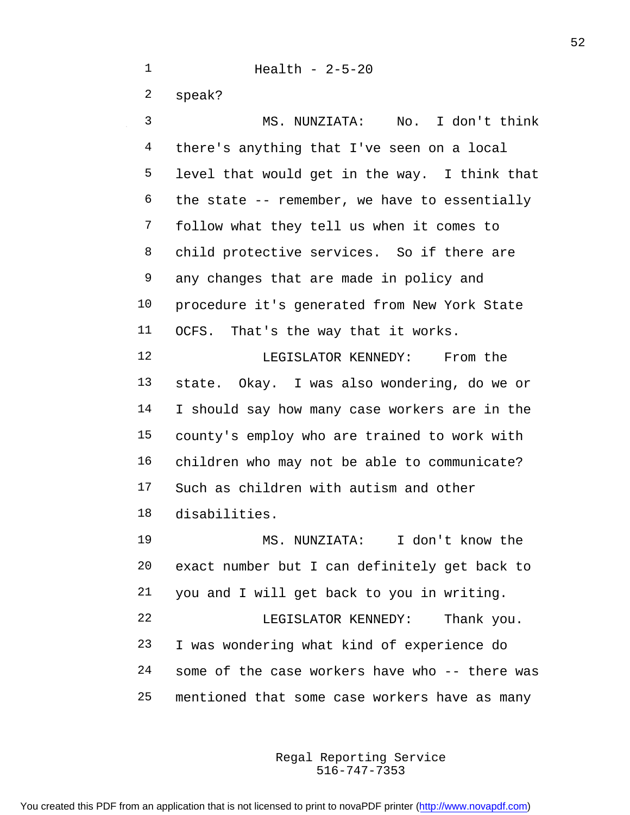Health - 2-5-20 speak? MS. NUNZIATA: No. I don't think there's anything that I've seen on a local level that would get in the way. I think that the state  $-$ - remember, we have to essentially follow what they tell us when it comes to child protective services. So if there are any changes that are made in policy and procedure it's generated from New York State OCFS. That's the way that it works. 12 LEGISLATOR KENNEDY: From the state. Okay. I was also wondering, do we or I should say how many case workers are in the county's employ who are trained to work with children who may not be able to communicate? Such as children with autism and other disabilities. MS. NUNZIATA: I don't know the exact number but I can definitely get back to you and I will get back to you in writing. LEGISLATOR KENNEDY: Thank you. I was wondering what kind of experience do some of the case workers have who -- there was

> 516-747-7353 Regal Reporting Service

mentioned that some case workers have as many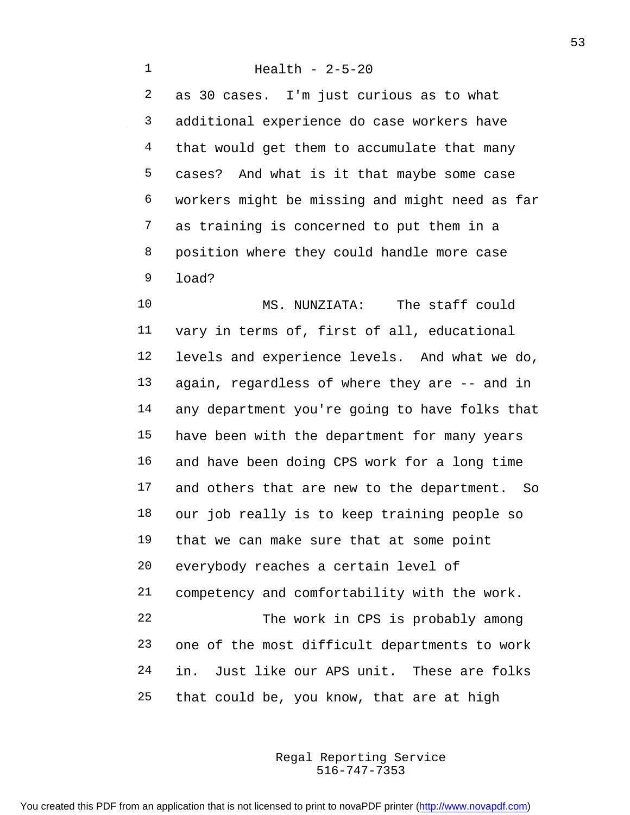Health - 2-5-20 as 30 cases. I'm just curious as to what additional experience do case workers have that would get them to accumulate that many cases? And what is it that maybe some case workers might be missing and might need as far as training is concerned to put them in a position where they could handle more case load?

 MS. NUNZIATA: The staff could vary in terms of, first of all, educational levels and experience levels. And what we do, again, regardless of where they are -- and in any department you're going to have folks that have been with the department for many years and have been doing CPS work for a long time and others that are new to the department. So our job really is to keep training people so that we can make sure that at some point everybody reaches a certain level of competency and comfortability with the work. The work in CPS is probably among one of the most difficult departments to work in. Just like our APS unit. These are folks that could be, you know, that are at high

> 516-747-7353 Regal Reporting Service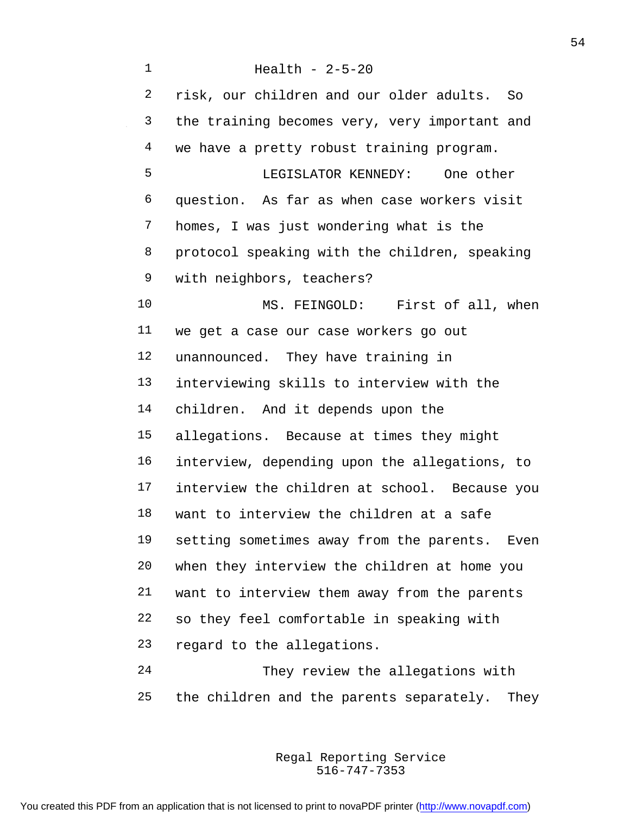Health - 2-5-20 risk, our children and our older adults. So the training becomes very, very important and 4 we have a pretty robust training program. LEGISLATOR KENNEDY: One other question. As far as when case workers visit homes, I was just wondering what is the protocol speaking with the children, speaking with neighbors, teachers? 10 MS. FEINGOLD: First of all, when we get a case our case workers go out unannounced. They have training in interviewing skills to interview with the children. And it depends upon the allegations. Because at times they might interview, depending upon the allegations, to interview the children at school. Because you want to interview the children at a safe setting sometimes away from the parents. Even when they interview the children at home you want to interview them away from the parents so they feel comfortable in speaking with regard to the allegations. They review the allegations with

> 516-747-7353 Regal Reporting Service

the children and the parents separately. They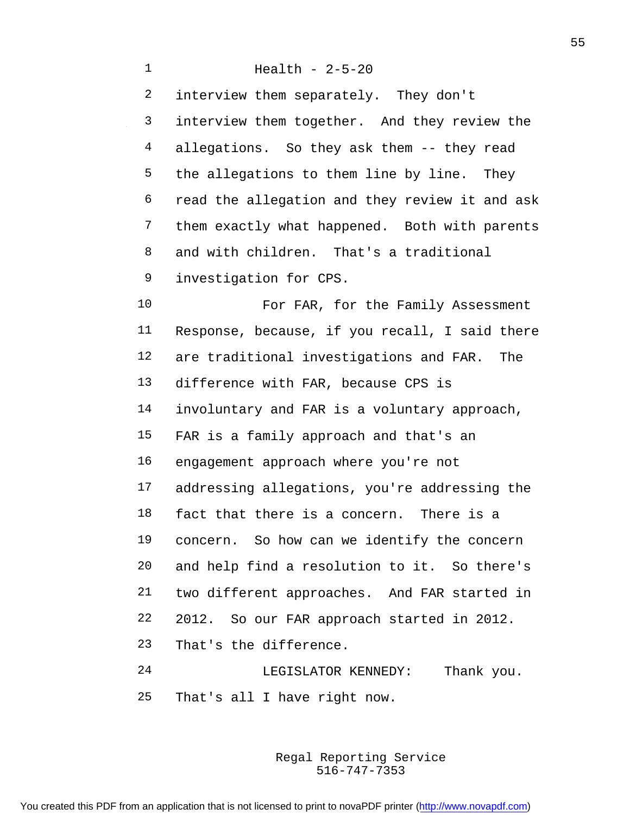Health - 2-5-20 interview them separately. They don't interview them together. And they review the allegations. So they ask them -- they read the allegations to them line by line. They read the allegation and they review it and ask them exactly what happened. Both with parents and with children. That's a traditional investigation for CPS. 10 For FAR, for the Family Assessment Response, because, if you recall, I said there are traditional investigations and FAR. The difference with FAR, because CPS is involuntary and FAR is a voluntary approach, FAR is a family approach and that's an engagement approach where you're not addressing allegations, you're addressing the fact that there is a concern. There is a concern. So how can we identify the concern and help find a resolution to it. So there's two different approaches. And FAR started in 2012. So our FAR approach started in 2012. That's the difference. LEGISLATOR KENNEDY: Thank you. That's all I have right now.

> 516-747-7353 Regal Reporting Service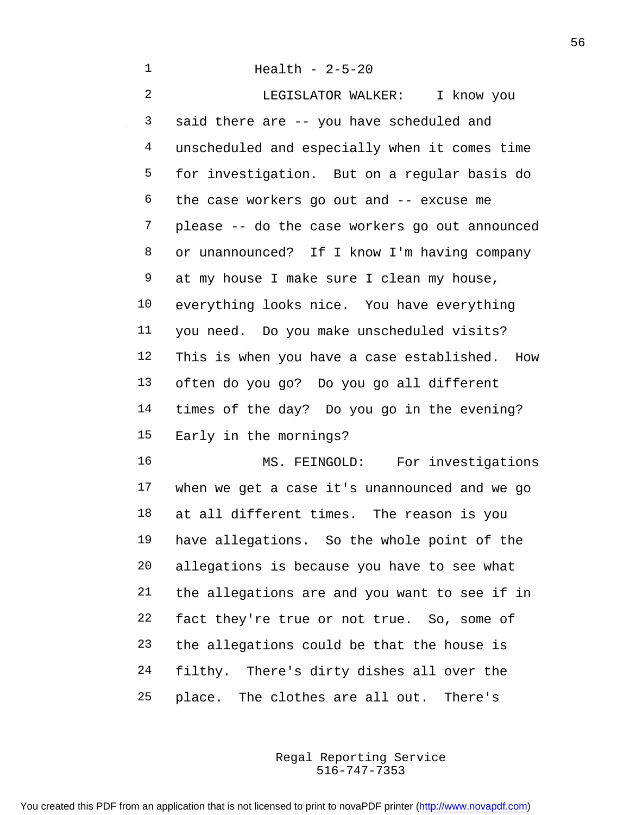Health - 2-5-20 LEGISLATOR WALKER: I know you said there are -- you have scheduled and unscheduled and especially when it comes time for investigation. But on a regular basis do the case workers go out and -- excuse me please -- do the case workers go out announced or unannounced? If I know I'm having company at my house I make sure I clean my house, everything looks nice. You have everything you need. Do you make unscheduled visits? This is when you have a case established. How often do you go? Do you go all different times of the day? Do you go in the evening? Early in the mornings? MS. FEINGOLD: For investigations

 when we get a case it's unannounced and we go at all different times. The reason is you have allegations. So the whole point of the allegations is because you have to see what the allegations are and you want to see if in fact they're true or not true. So, some of the allegations could be that the house is filthy. There's dirty dishes all over the place. The clothes are all out. There's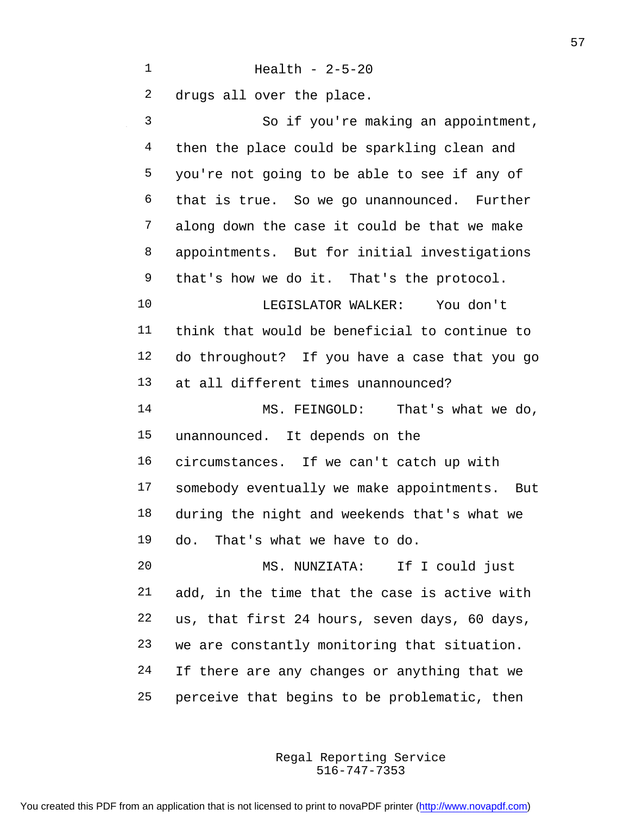Health - 2-5-20

 drugs all over the place. So if you're making an appointment, 4 then the place could be sparkling clean and you're not going to be able to see if any of that is true. So we go unannounced. Further along down the case it could be that we make appointments. But for initial investigations that's how we do it. That's the protocol. LEGISLATOR WALKER: You don't think that would be beneficial to continue to do throughout? If you have a case that you go at all different times unannounced? MS. FEINGOLD: That's what we do, unannounced. It depends on the circumstances. If we can't catch up with somebody eventually we make appointments. But during the night and weekends that's what we do. That's what we have to do. MS. NUNZIATA: If I could just add, in the time that the case is active with us, that first 24 hours, seven days, 60 days, we are constantly monitoring that situation. If there are any changes or anything that we perceive that begins to be problematic, then

> 516-747-7353 Regal Reporting Service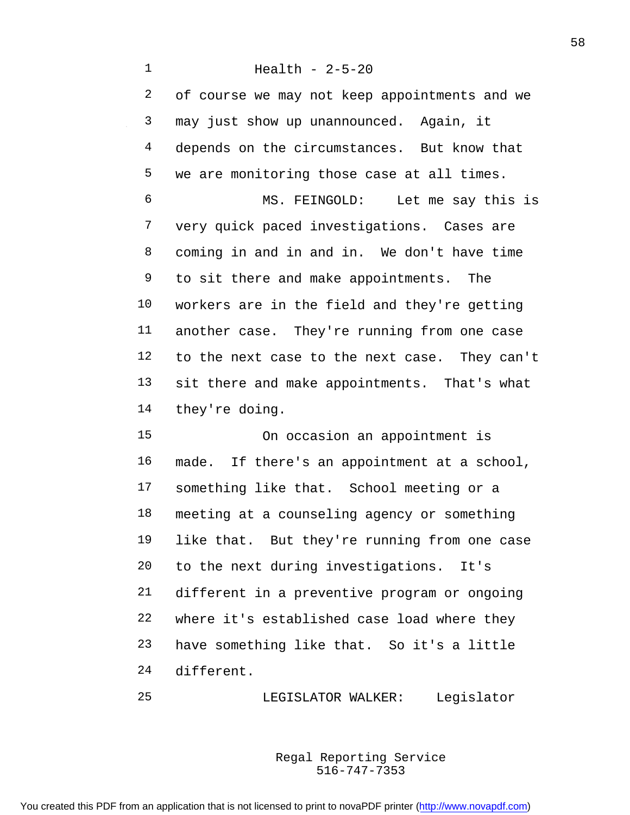Health - 2-5-20 of course we may not keep appointments and we may just show up unannounced. Again, it depends on the circumstances. But know that we are monitoring those case at all times. MS. FEINGOLD: Let me say this is very quick paced investigations. Cases are coming in and in and in. We don't have time to sit there and make appointments. The workers are in the field and they're getting another case. They're running from one case to the next case to the next case. They can't sit there and make appointments. That's what they're doing. On occasion an appointment is made. If there's an appointment at a school,

 something like that. School meeting or a meeting at a counseling agency or something like that. But they're running from one case to the next during investigations. It's different in a preventive program or ongoing where it's established case load where they have something like that. So it's a little different.

LEGISLATOR WALKER: Legislator

516-747-7353 Regal Reporting Service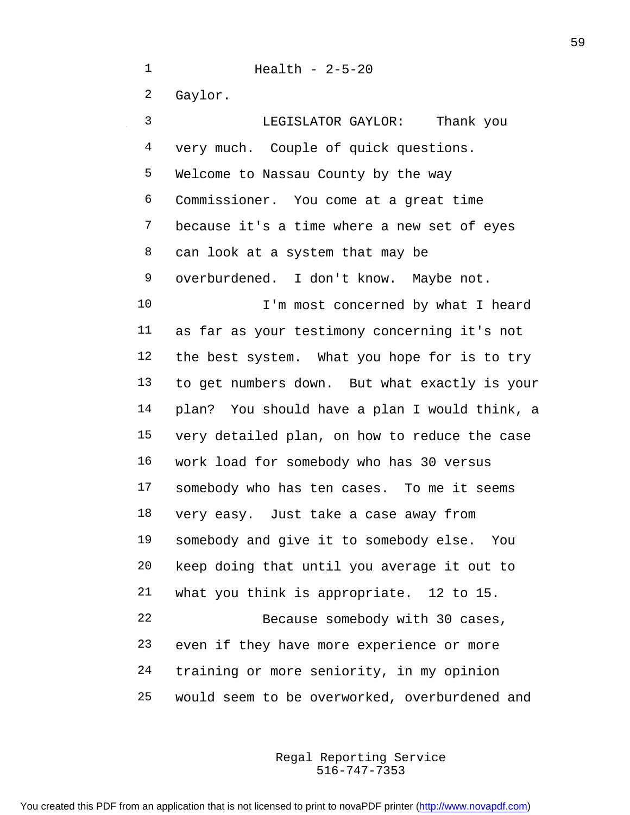Health - 2-5-20 Gaylor. LEGISLATOR GAYLOR: Thank you very much. Couple of quick questions. Welcome to Nassau County by the way Commissioner. You come at a great time because it's a time where a new set of eyes can look at a system that may be overburdened. I don't know. Maybe not. 10 I'm most concerned by what I heard as far as your testimony concerning it's not the best system. What you hope for is to try to get numbers down. But what exactly is your plan? You should have a plan I would think, a very detailed plan, on how to reduce the case work load for somebody who has 30 versus somebody who has ten cases. To me it seems very easy. Just take a case away from somebody and give it to somebody else. You keep doing that until you average it out to what you think is appropriate. 12 to 15. Because somebody with 30 cases, even if they have more experience or more training or more seniority, in my opinion would seem to be overworked, overburdened and

> 516-747-7353 Regal Reporting Service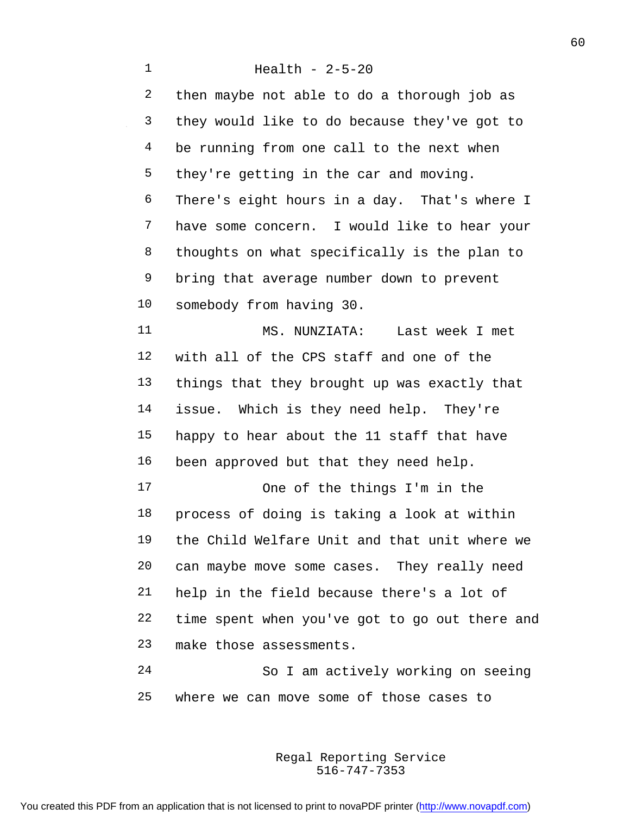Health - 2-5-20 then maybe not able to do a thorough job as they would like to do because they've got to be running from one call to the next when they're getting in the car and moving. There's eight hours in a day. That's where I have some concern. I would like to hear your thoughts on what specifically is the plan to bring that average number down to prevent somebody from having 30. MS. NUNZIATA: Last week I met with all of the CPS staff and one of the things that they brought up was exactly that issue. Which is they need help. They're happy to hear about the 11 staff that have been approved but that they need help. One of the things I'm in the process of doing is taking a look at within the Child Welfare Unit and that unit where we can maybe move some cases. They really need help in the field because there's a lot of time spent when you've got to go out there and make those assessments. So I am actively working on seeing

where we can move some of those cases to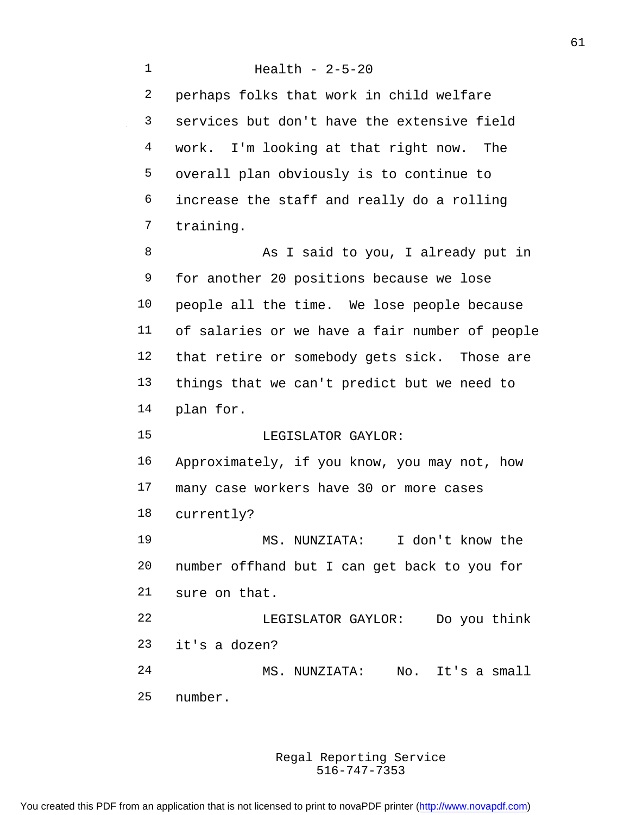Health - 2-5-20 perhaps folks that work in child welfare services but don't have the extensive field work. I'm looking at that right now. The overall plan obviously is to continue to increase the staff and really do a rolling training. 8 As I said to you, I already put in for another 20 positions because we lose people all the time. We lose people because of salaries or we have a fair number of people that retire or somebody gets sick. Those are things that we can't predict but we need to plan for. LEGISLATOR GAYLOR: Approximately, if you know, you may not, how many case workers have 30 or more cases currently? MS. NUNZIATA: I don't know the number offhand but I can get back to you for sure on that. LEGISLATOR GAYLOR: Do you think it's a dozen? MS. NUNZIATA: No. It's a small number.

> 516-747-7353 Regal Reporting Service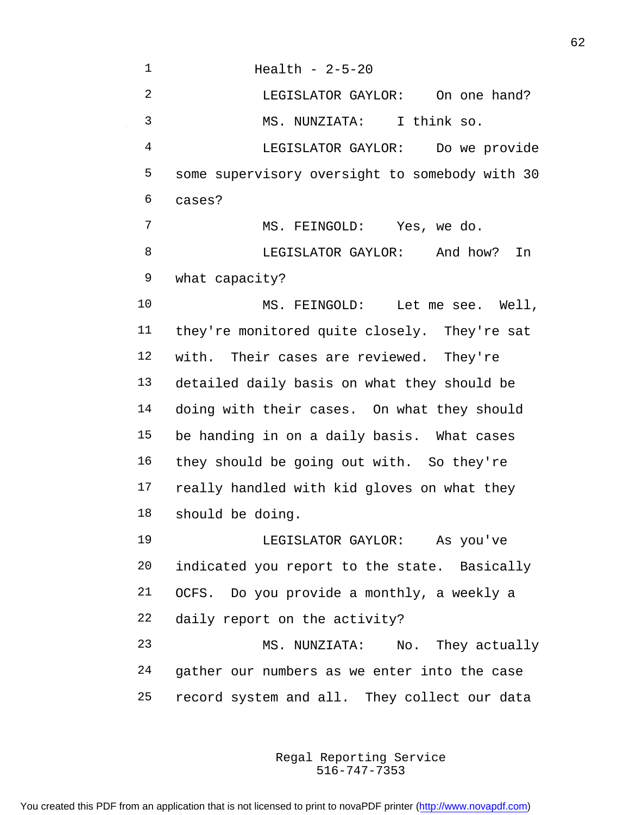Health - 2-5-20 LEGISLATOR GAYLOR: On one hand? MS. NUNZIATA: I think so. LEGISLATOR GAYLOR: Do we provide some supervisory oversight to somebody with 30 cases? MS. FEINGOLD: Yes, we do. LEGISLATOR GAYLOR: And how? In what capacity? MS. FEINGOLD: Let me see. Well, they're monitored quite closely. They're sat with. Their cases are reviewed. They're detailed daily basis on what they should be doing with their cases. On what they should be handing in on a daily basis. What cases they should be going out with. So they're really handled with kid gloves on what they should be doing. LEGISLATOR GAYLOR: As you've indicated you report to the state. Basically OCFS. Do you provide a monthly, a weekly a daily report on the activity? MS. NUNZIATA: No. They actually gather our numbers as we enter into the case record system and all. They collect our data

> 516-747-7353 Regal Reporting Service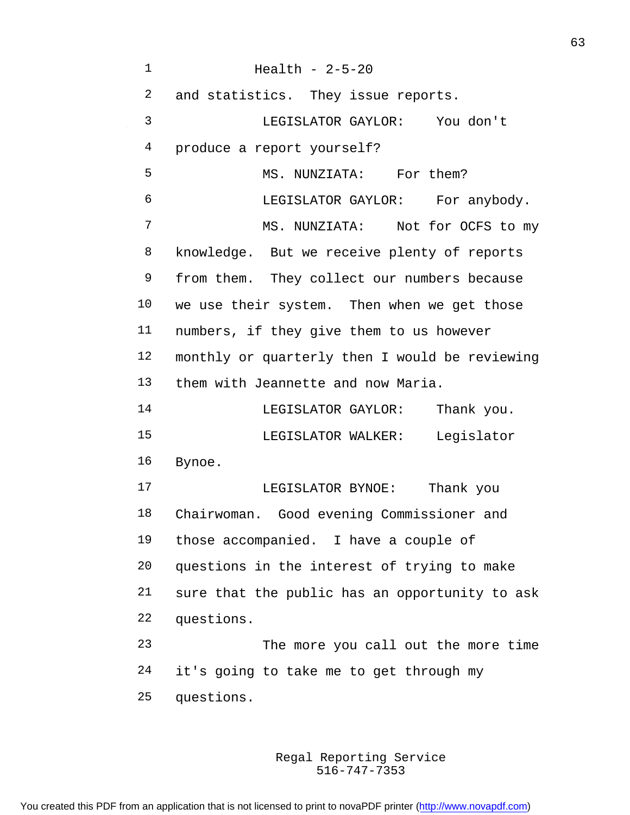Health - 2-5-20 and statistics. They issue reports. LEGISLATOR GAYLOR: You don't produce a report yourself? 5 MS. NUNZIATA: For them? LEGISLATOR GAYLOR: For anybody. MS. NUNZIATA: Not for OCFS to my knowledge. But we receive plenty of reports from them. They collect our numbers because we use their system. Then when we get those numbers, if they give them to us however monthly or quarterly then I would be reviewing them with Jeannette and now Maria. LEGISLATOR GAYLOR: Thank you. LEGISLATOR WALKER: Legislator Bynoe. LEGISLATOR BYNOE: Thank you Chairwoman. Good evening Commissioner and those accompanied. I have a couple of questions in the interest of trying to make sure that the public has an opportunity to ask questions. The more you call out the more time it's going to take me to get through my questions.

> 516-747-7353 Regal Reporting Service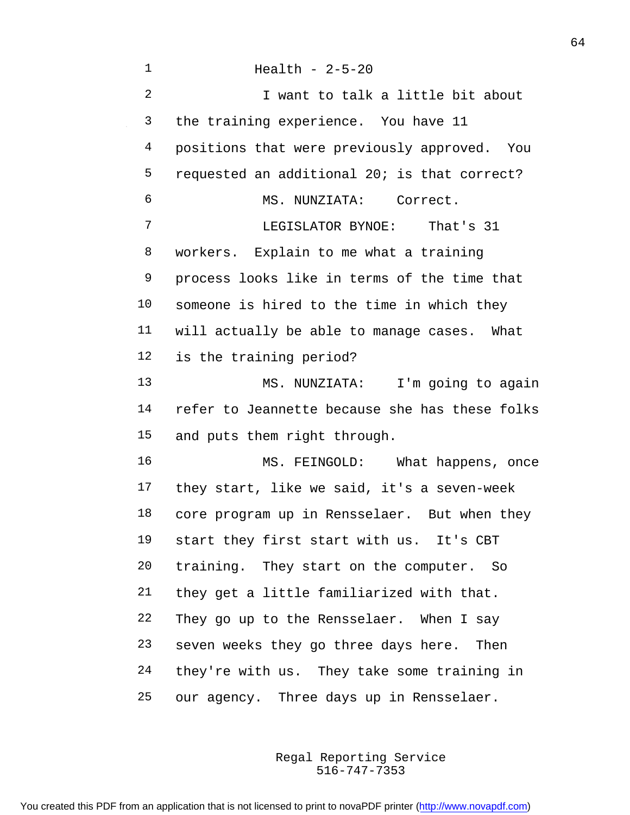| 1              | Health - $2-5-20$                              |
|----------------|------------------------------------------------|
| $\overline{2}$ | I want to talk a little bit about              |
| 3              | the training experience. You have 11           |
| 4              | positions that were previously approved. You   |
| 5              | requested an additional 20; is that correct?   |
| 6              | MS. NUNZIATA: Correct.                         |
| 7              | LEGISLATOR BYNOE: That's 31                    |
| 8              | workers. Explain to me what a training         |
| 9              | process looks like in terms of the time that   |
| 10             | someone is hired to the time in which they     |
| 11             | will actually be able to manage cases. What    |
| 12             | is the training period?                        |
| 13             | MS. NUNZIATA: I'm going to again               |
| 14             | refer to Jeannette because she has these folks |
| 15             | and puts them right through.                   |
| 16             | MS. FEINGOLD: What happens, once               |
| 17             | they start, like we said, it's a seven-week    |
| 18             | core program up in Rensselaer. But when they   |
| 19             | start they first start with us. It's CBT       |
| 20             | training. They start on the computer. So       |
| 21             | they get a little familiarized with that.      |
| 22             | They go up to the Rensselaer. When I say       |
| 23             | seven weeks they go three days here. Then      |
| 24             | they're with us. They take some training in    |
| 25             | our agency. Three days up in Rensselaer.       |

 $\sim 10^{-1}$ 

516-747-7353 Regal Reporting Service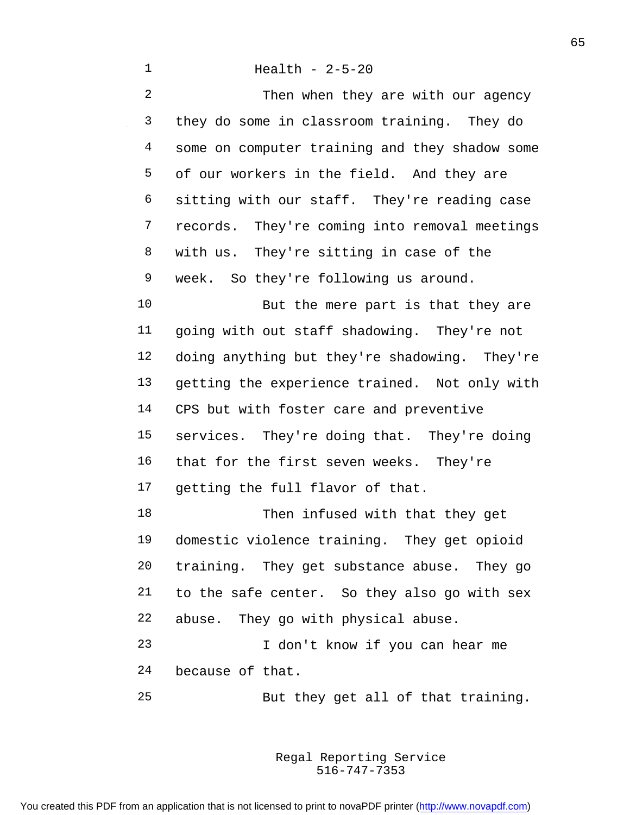Health - 2-5-20 2 Then when they are with our agency they do some in classroom training. They do some on computer training and they shadow some of our workers in the field. And they are sitting with our staff. They're reading case records. They're coming into removal meetings with us. They're sitting in case of the week. So they're following us around. 10 But the mere part is that they are going with out staff shadowing. They're not doing anything but they're shadowing. They're getting the experience trained. Not only with CPS but with foster care and preventive services. They're doing that. They're doing that for the first seven weeks. They're getting the full flavor of that. 18 Then infused with that they get domestic violence training. They get opioid training. They get substance abuse. They go to the safe center. So they also go with sex abuse. They go with physical abuse. I don't know if you can hear me because of that.

But they get all of that training.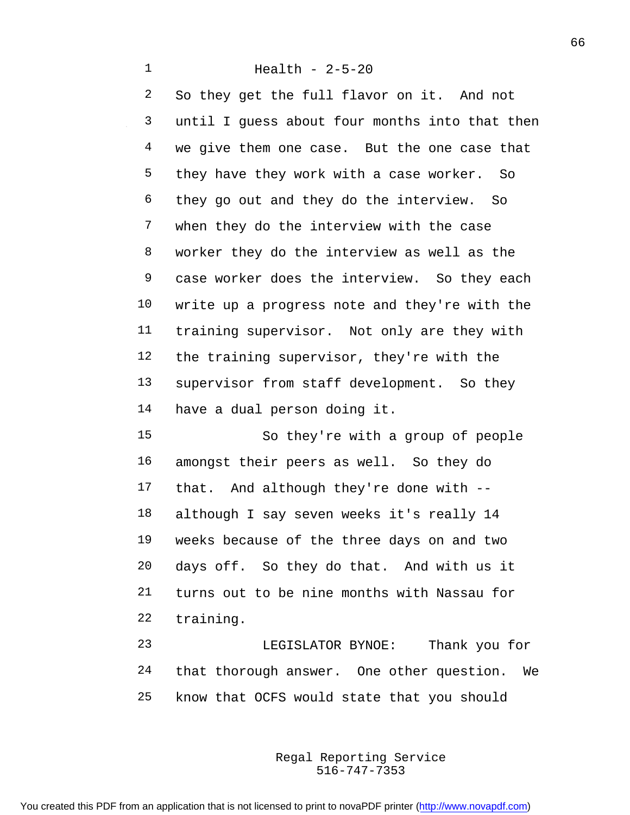Health - 2-5-20

 So they get the full flavor on it. And not until I guess about four months into that then 4 we give them one case. But the one case that they have they work with a case worker. So they go out and they do the interview. So when they do the interview with the case worker they do the interview as well as the case worker does the interview. So they each write up a progress note and they're with the training supervisor. Not only are they with the training supervisor, they're with the supervisor from staff development. So they have a dual person doing it. So they're with a group of people amongst their peers as well. So they do

 that. And although they're done with -- although I say seven weeks it's really 14 weeks because of the three days on and two days off. So they do that. And with us it turns out to be nine months with Nassau for training.

 LEGISLATOR BYNOE: Thank you for that thorough answer. One other question. We know that OCFS would state that you should

> 516-747-7353 Regal Reporting Service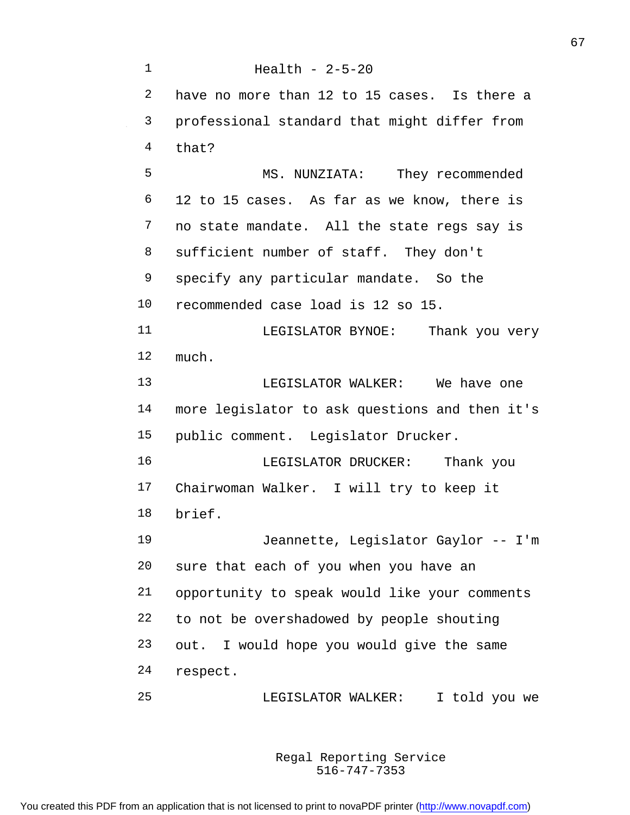Health - 2-5-20 have no more than 12 to 15 cases. Is there a professional standard that might differ from that? MS. NUNZIATA: They recommended 12 to 15 cases. As far as we know, there is no state mandate. All the state regs say is sufficient number of staff. They don't specify any particular mandate. So the recommended case load is 12 so 15. LEGISLATOR BYNOE: Thank you very much. LEGISLATOR WALKER: We have one more legislator to ask questions and then it's public comment. Legislator Drucker. LEGISLATOR DRUCKER: Thank you Chairwoman Walker. I will try to keep it brief. Jeannette, Legislator Gaylor -- I'm sure that each of you when you have an opportunity to speak would like your comments to not be overshadowed by people shouting out. I would hope you would give the same respect. LEGISLATOR WALKER: I told you we

> 516-747-7353 Regal Reporting Service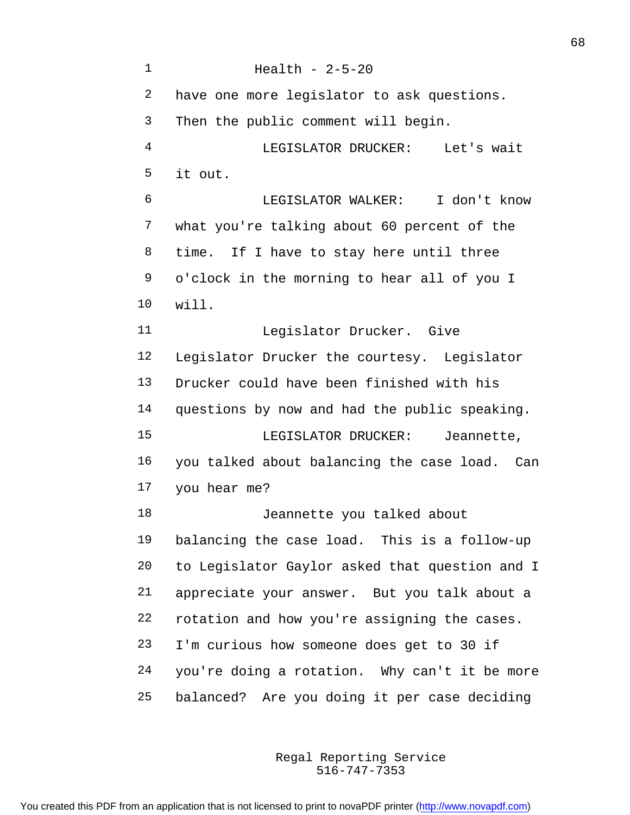Health - 2-5-20 have one more legislator to ask questions. Then the public comment will begin. LEGISLATOR DRUCKER: Let's wait it out. LEGISLATOR WALKER: I don't know what you're talking about 60 percent of the time. If I have to stay here until three o'clock in the morning to hear all of you I will. Legislator Drucker. Give Legislator Drucker the courtesy. Legislator Drucker could have been finished with his questions by now and had the public speaking. 15 LEGISLATOR DRUCKER: Jeannette, you talked about balancing the case load. Can you hear me? Jeannette you talked about balancing the case load. This is a follow-up to Legislator Gaylor asked that question and I appreciate your answer. But you talk about a rotation and how you're assigning the cases. I'm curious how someone does get to 30 if you're doing a rotation. Why can't it be more balanced? Are you doing it per case deciding

> 516-747-7353 Regal Reporting Service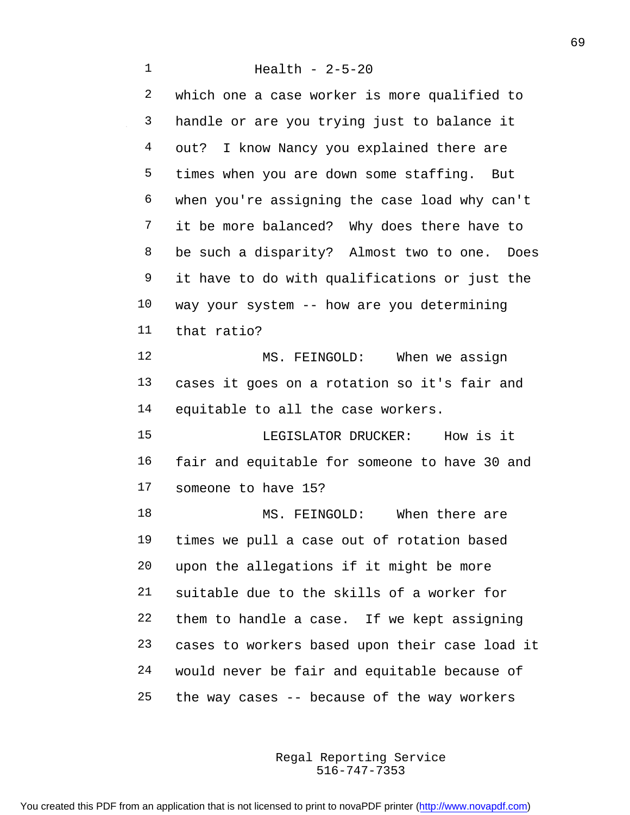Health - 2-5-20 which one a case worker is more qualified to handle or are you trying just to balance it out? I know Nancy you explained there are times when you are down some staffing. But when you're assigning the case load why can't it be more balanced? Why does there have to be such a disparity? Almost two to one. Does it have to do with qualifications or just the way your system -- how are you determining that ratio? 12 MS. FEINGOLD: When we assign cases it goes on a rotation so it's fair and equitable to all the case workers. LEGISLATOR DRUCKER: How is it fair and equitable for someone to have 30 and someone to have 15? 18 MS. FEINGOLD: When there are times we pull a case out of rotation based upon the allegations if it might be more suitable due to the skills of a worker for them to handle a case. If we kept assigning cases to workers based upon their case load it would never be fair and equitable because of the way cases -- because of the way workers

> 516-747-7353 Regal Reporting Service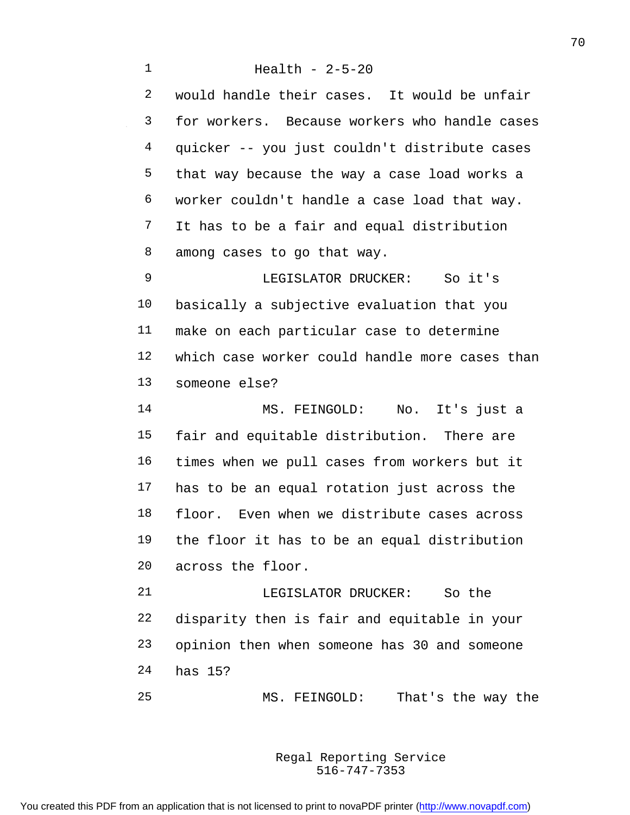Health - 2-5-20 would handle their cases. It would be unfair for workers. Because workers who handle cases quicker -- you just couldn't distribute cases that way because the way a case load works a worker couldn't handle a case load that way. It has to be a fair and equal distribution among cases to go that way. LEGISLATOR DRUCKER: So it's basically a subjective evaluation that you make on each particular case to determine which case worker could handle more cases than someone else? MS. FEINGOLD: No. It's just a fair and equitable distribution. There are times when we pull cases from workers but it has to be an equal rotation just across the floor. Even when we distribute cases across the floor it has to be an equal distribution across the floor. LEGISLATOR DRUCKER: So the disparity then is fair and equitable in your opinion then when someone has 30 and someone has 15?

MS. FEINGOLD: That's the way the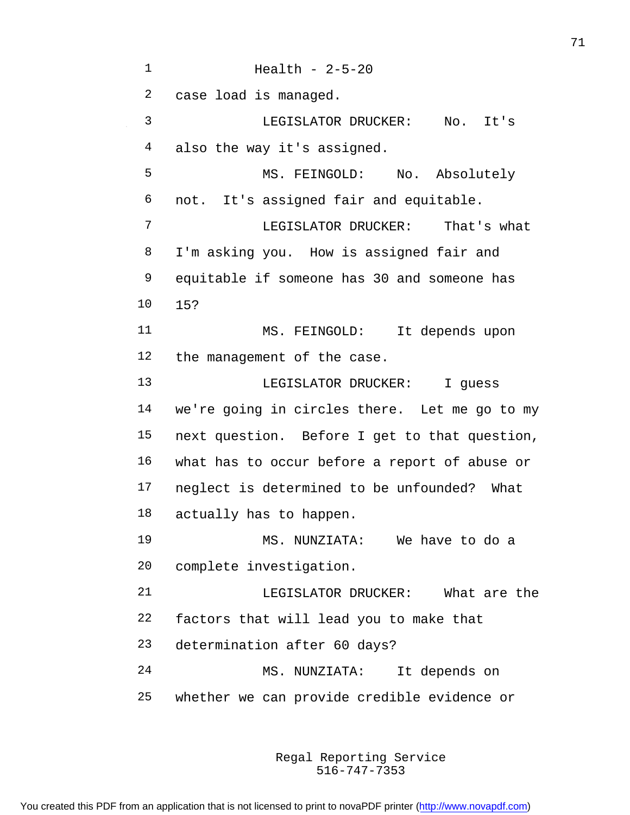Health - 2-5-20 case load is managed. LEGISLATOR DRUCKER: No. It's also the way it's assigned. MS. FEINGOLD: No. Absolutely not. It's assigned fair and equitable. LEGISLATOR DRUCKER: That's what I'm asking you. How is assigned fair and equitable if someone has 30 and someone has 15? MS. FEINGOLD: It depends upon the management of the case. LEGISLATOR DRUCKER: I guess we're going in circles there. Let me go to my next question. Before I get to that question, what has to occur before a report of abuse or neglect is determined to be unfounded? What actually has to happen. MS. NUNZIATA: We have to do a complete investigation. LEGISLATOR DRUCKER: What are the factors that will lead you to make that determination after 60 days? MS. NUNZIATA: It depends on whether we can provide credible evidence or

> 516-747-7353 Regal Reporting Service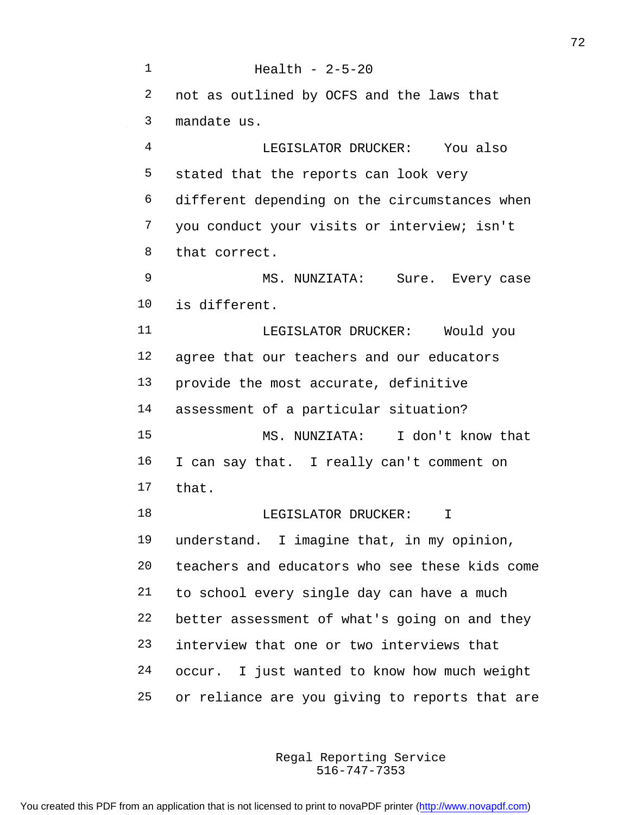Health - 2-5-20 not as outlined by OCFS and the laws that mandate us. LEGISLATOR DRUCKER: You also stated that the reports can look very different depending on the circumstances when you conduct your visits or interview; isn't that correct. 9 MS. NUNZIATA: Sure. Every case is different. 11 LEGISLATOR DRUCKER: Would you agree that our teachers and our educators provide the most accurate, definitive assessment of a particular situation? MS. NUNZIATA: I don't know that I can say that. I really can't comment on that. 18 LEGISLATOR DRUCKER: I understand. I imagine that, in my opinion, teachers and educators who see these kids come to school every single day can have a much better assessment of what's going on and they interview that one or two interviews that occur. I just wanted to know how much weight or reliance are you giving to reports that are

> 516-747-7353 Regal Reporting Service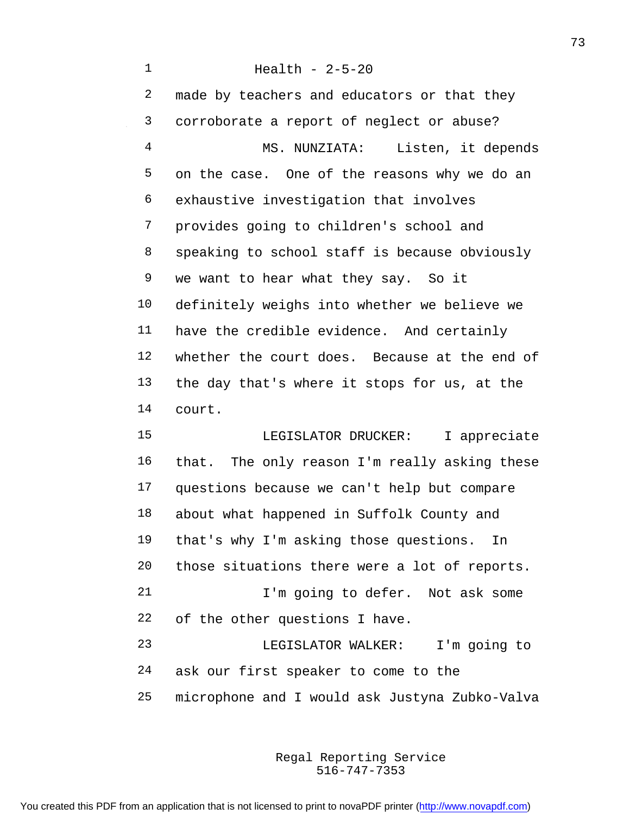Health - 2-5-20 2 made by teachers and educators or that they corroborate a report of neglect or abuse? MS. NUNZIATA: Listen, it depends on the case. One of the reasons why we do an exhaustive investigation that involves provides going to children's school and speaking to school staff is because obviously we want to hear what they say. So it definitely weighs into whether we believe we have the credible evidence. And certainly whether the court does. Because at the end of the day that's where it stops for us, at the court. LEGISLATOR DRUCKER: I appreciate that. The only reason I'm really asking these questions because we can't help but compare about what happened in Suffolk County and that's why I'm asking those questions. In those situations there were a lot of reports. I'm going to defer. Not ask some of the other questions I have. LEGISLATOR WALKER: I'm going to ask our first speaker to come to the microphone and I would ask Justyna Zubko-Valva

> 516-747-7353 Regal Reporting Service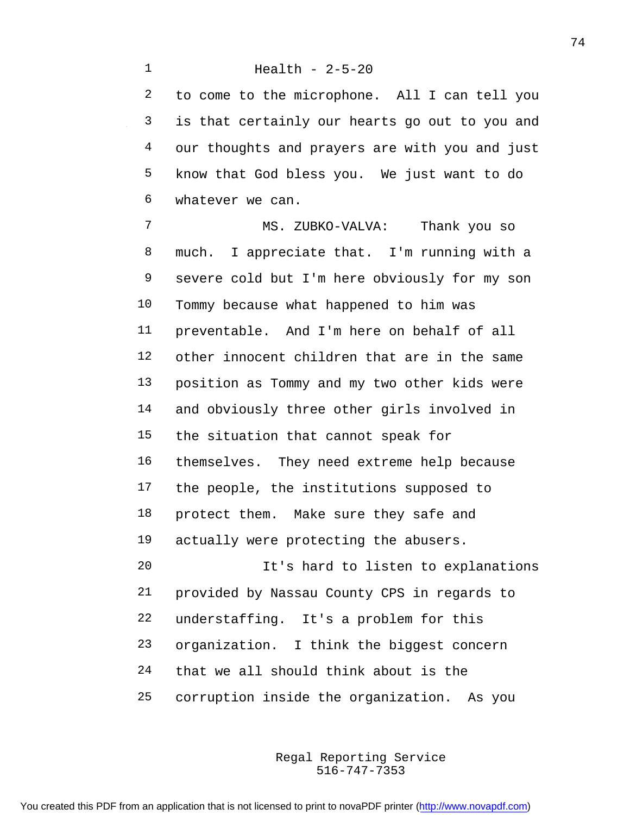to come to the microphone. All I can tell you is that certainly our hearts go out to you and our thoughts and prayers are with you and just know that God bless you. We just want to do whatever we can.

 MS. ZUBKO-VALVA: Thank you so much. I appreciate that. I'm running with a severe cold but I'm here obviously for my son Tommy because what happened to him was preventable. And I'm here on behalf of all other innocent children that are in the same position as Tommy and my two other kids were and obviously three other girls involved in the situation that cannot speak for themselves. They need extreme help because the people, the institutions supposed to protect them. Make sure they safe and actually were protecting the abusers. It's hard to listen to explanations provided by Nassau County CPS in regards to understaffing. It's a problem for this organization. I think the biggest concern that we all should think about is the corruption inside the organization. As you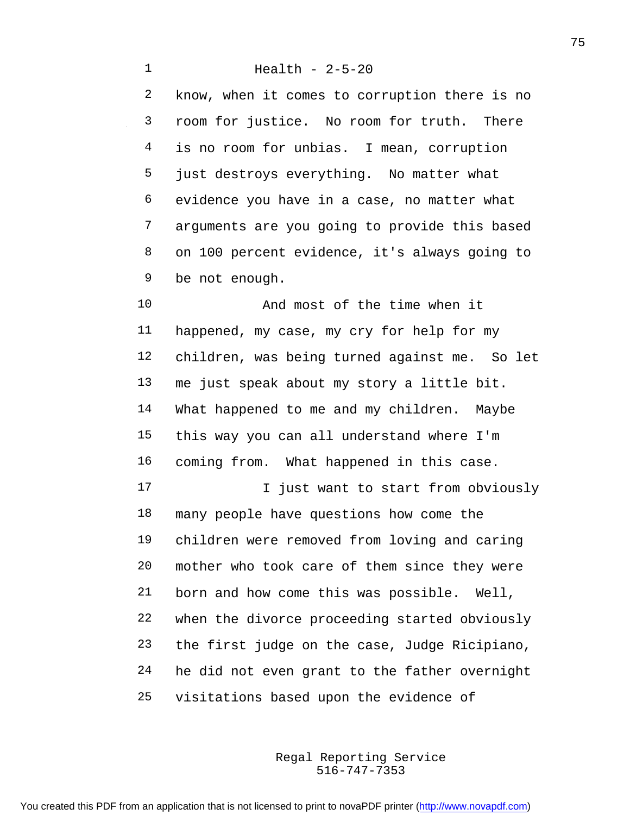Health - 2-5-20 know, when it comes to corruption there is no room for justice. No room for truth. There 4 is no room for unbias. I mean, corruption just destroys everything. No matter what evidence you have in a case, no matter what arguments are you going to provide this based on 100 percent evidence, it's always going to be not enough. 10 And most of the time when it

 happened, my case, my cry for help for my children, was being turned against me. So let me just speak about my story a little bit. What happened to me and my children. Maybe this way you can all understand where I'm coming from. What happened in this case. 17 17 I just want to start from obviously many people have questions how come the children were removed from loving and caring mother who took care of them since they were born and how come this was possible. Well, when the divorce proceeding started obviously the first judge on the case, Judge Ricipiano, he did not even grant to the father overnight visitations based upon the evidence of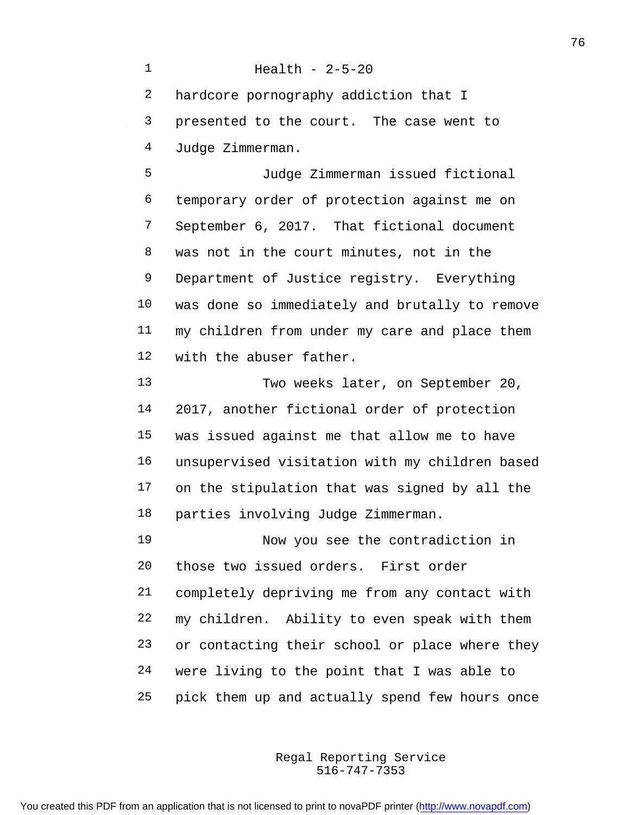Health - 2-5-20 hardcore pornography addiction that I presented to the court. The case went to Judge Zimmerman. Judge Zimmerman issued fictional temporary order of protection against me on September 6, 2017. That fictional document was not in the court minutes, not in the Department of Justice registry. Everything was done so immediately and brutally to remove my children from under my care and place them with the abuser father. Two weeks later, on September 20, 2017, another fictional order of protection was issued against me that allow me to have unsupervised visitation with my children based on the stipulation that was signed by all the parties involving Judge Zimmerman. Now you see the contradiction in those two issued orders. First order completely depriving me from any contact with my children. Ability to even speak with them or contacting their school or place where they were living to the point that I was able to pick them up and actually spend few hours once

> 516-747-7353 Regal Reporting Service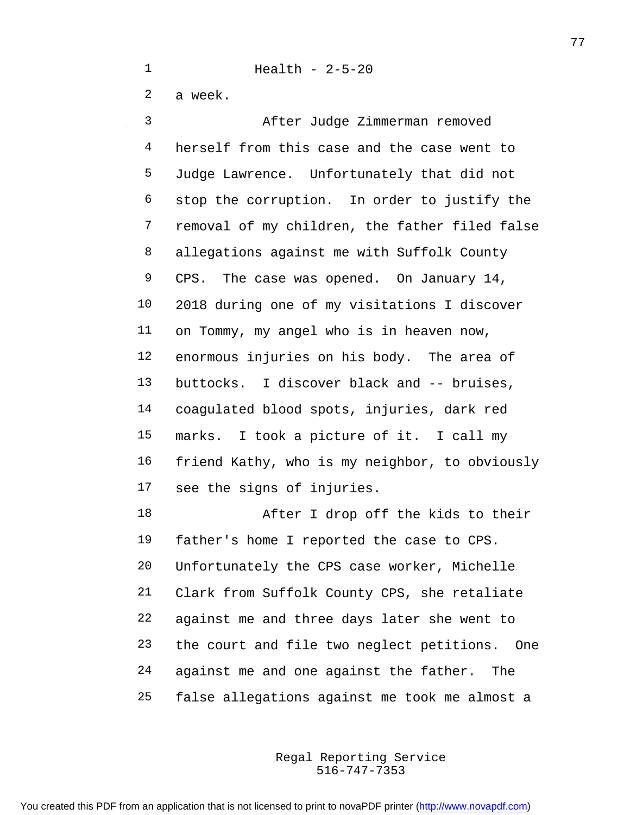a week.

 After Judge Zimmerman removed herself from this case and the case went to Judge Lawrence. Unfortunately that did not stop the corruption. In order to justify the removal of my children, the father filed false allegations against me with Suffolk County 9 CPS. The case was opened. On January 14, 2018 during one of my visitations I discover on Tommy, my angel who is in heaven now, enormous injuries on his body. The area of buttocks. I discover black and -- bruises, coagulated blood spots, injuries, dark red marks. I took a picture of it. I call my friend Kathy, who is my neighbor, to obviously see the signs of injuries.

 After I drop off the kids to their father's home I reported the case to CPS. Unfortunately the CPS case worker, Michelle Clark from Suffolk County CPS, she retaliate against me and three days later she went to the court and file two neglect petitions. One against me and one against the father. The false allegations against me took me almost a

> 516-747-7353 Regal Reporting Service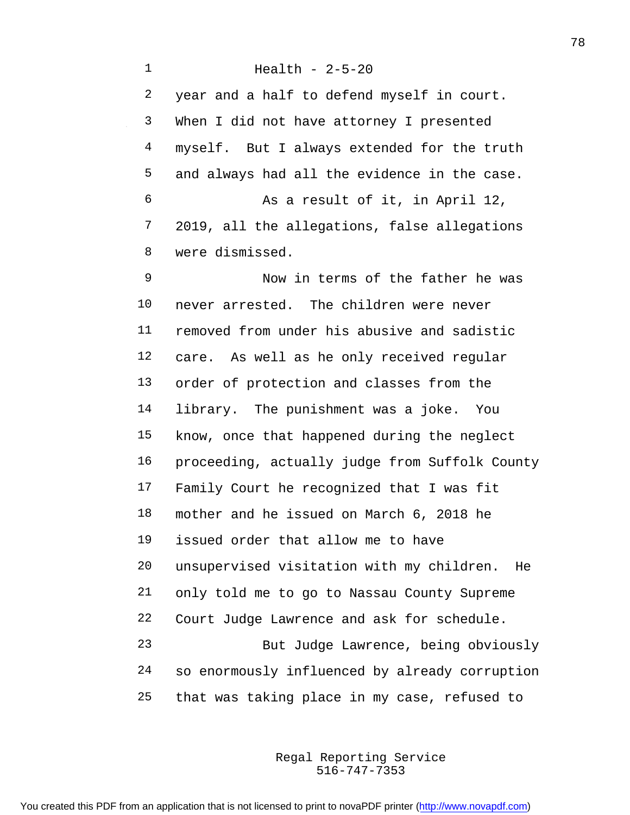year and a half to defend myself in court. When I did not have attorney I presented myself. But I always extended for the truth and always had all the evidence in the case. As a result of it, in April 12, 2019, all the allegations, false allegations were dismissed.

 Now in terms of the father he was never arrested. The children were never removed from under his abusive and sadistic care. As well as he only received regular order of protection and classes from the library. The punishment was a joke. You know, once that happened during the neglect proceeding, actually judge from Suffolk County Family Court he recognized that I was fit mother and he issued on March 6, 2018 he issued order that allow me to have unsupervised visitation with my children. He only told me to go to Nassau County Supreme Court Judge Lawrence and ask for schedule. But Judge Lawrence, being obviously so enormously influenced by already corruption that was taking place in my case, refused to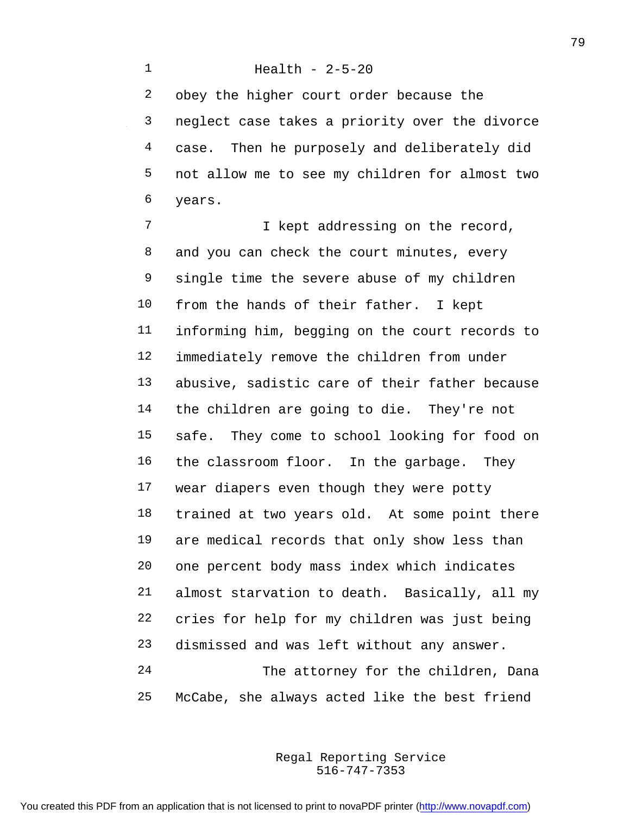## Health - 2-5-20

 obey the higher court order because the neglect case takes a priority over the divorce case. Then he purposely and deliberately did not allow me to see my children for almost two years.

**I** kept addressing on the record, 8 and you can check the court minutes, every single time the severe abuse of my children from the hands of their father. I kept informing him, begging on the court records to immediately remove the children from under abusive, sadistic care of their father because the children are going to die. They're not safe. They come to school looking for food on the classroom floor. In the garbage. They wear diapers even though they were potty trained at two years old. At some point there are medical records that only show less than one percent body mass index which indicates almost starvation to death. Basically, all my cries for help for my children was just being dismissed and was left without any answer. The attorney for the children, Dana McCabe, she always acted like the best friend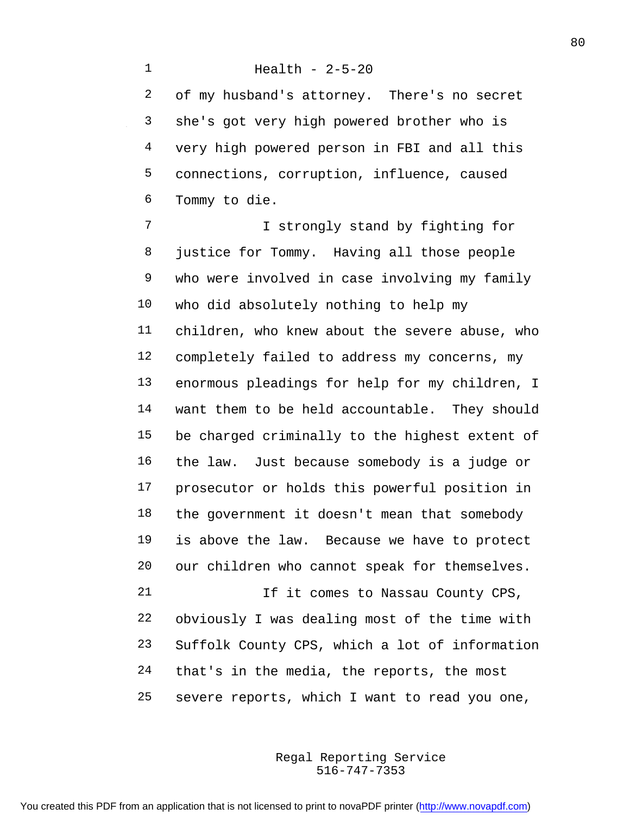Health - 2-5-20 of my husband's attorney. There's no secret she's got very high powered brother who is very high powered person in FBI and all this connections, corruption, influence, caused Tommy to die. I strongly stand by fighting for justice for Tommy. Having all those people who were involved in case involving my family who did absolutely nothing to help my children, who knew about the severe abuse, who completely failed to address my concerns, my enormous pleadings for help for my children, I want them to be held accountable. They should be charged criminally to the highest extent of the law. Just because somebody is a judge or prosecutor or holds this powerful position in the government it doesn't mean that somebody is above the law. Because we have to protect our children who cannot speak for themselves. 21 1f it comes to Nassau County CPS, obviously I was dealing most of the time with Suffolk County CPS, which a lot of information

that's in the media, the reports, the most

severe reports, which I want to read you one,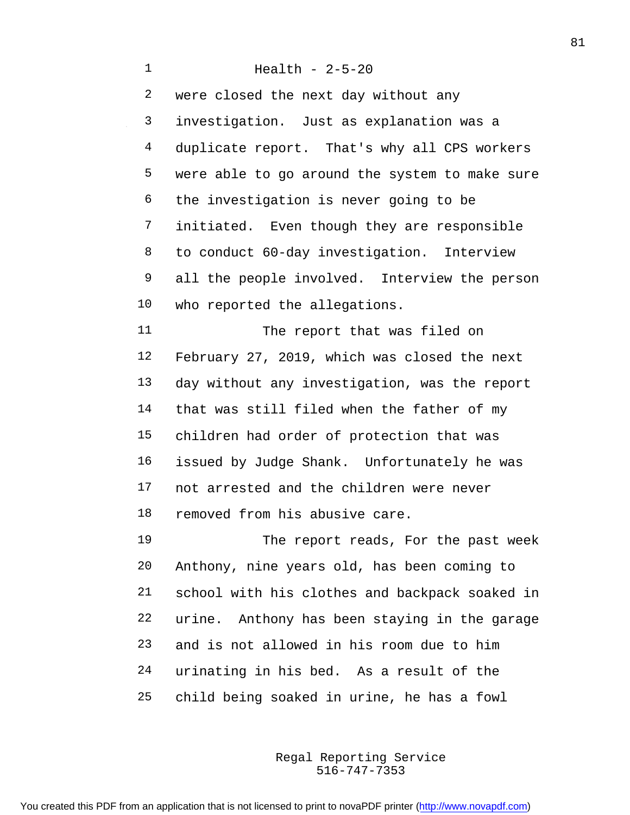Health - 2-5-20 were closed the next day without any investigation. Just as explanation was a duplicate report. That's why all CPS workers were able to go around the system to make sure the investigation is never going to be initiated. Even though they are responsible to conduct 60-day investigation. Interview all the people involved. Interview the person who reported the allegations. The report that was filed on February 27, 2019, which was closed the next day without any investigation, was the report that was still filed when the father of my children had order of protection that was issued by Judge Shank. Unfortunately he was not arrested and the children were never removed from his abusive care. The report reads, For the past week Anthony, nine years old, has been coming to school with his clothes and backpack soaked in urine. Anthony has been staying in the garage and is not allowed in his room due to him urinating in his bed. As a result of the child being soaked in urine, he has a fowl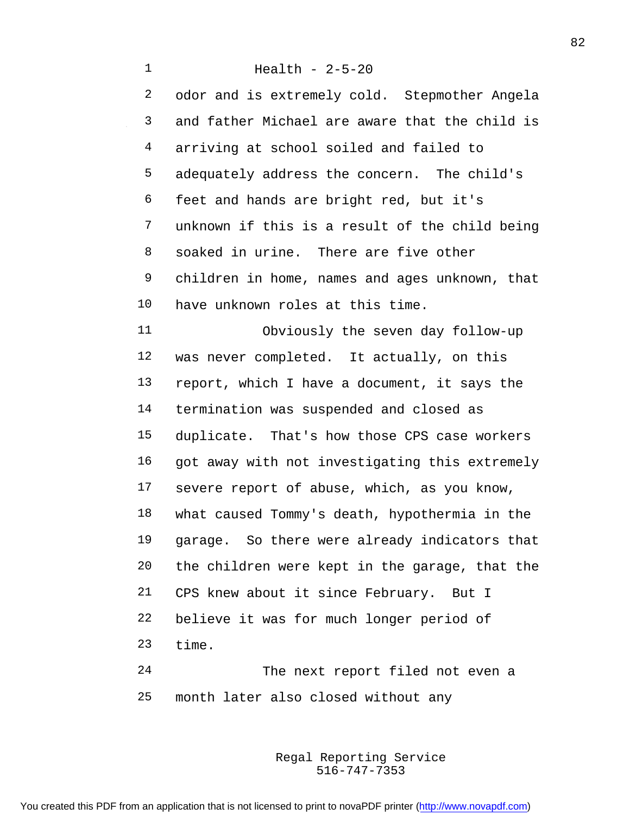Health - 2-5-20 odor and is extremely cold. Stepmother Angela and father Michael are aware that the child is arriving at school soiled and failed to adequately address the concern. The child's feet and hands are bright red, but it's unknown if this is a result of the child being soaked in urine. There are five other children in home, names and ages unknown, that have unknown roles at this time. Obviously the seven day follow-up was never completed. It actually, on this report, which I have a document, it says the termination was suspended and closed as duplicate. That's how those CPS case workers 16 got away with not investigating this extremely severe report of abuse, which, as you know, what caused Tommy's death, hypothermia in the garage. So there were already indicators that the children were kept in the garage, that the CPS knew about it since February. But I believe it was for much longer period of time. The next report filed not even a

> 516-747-7353 Regal Reporting Service

month later also closed without any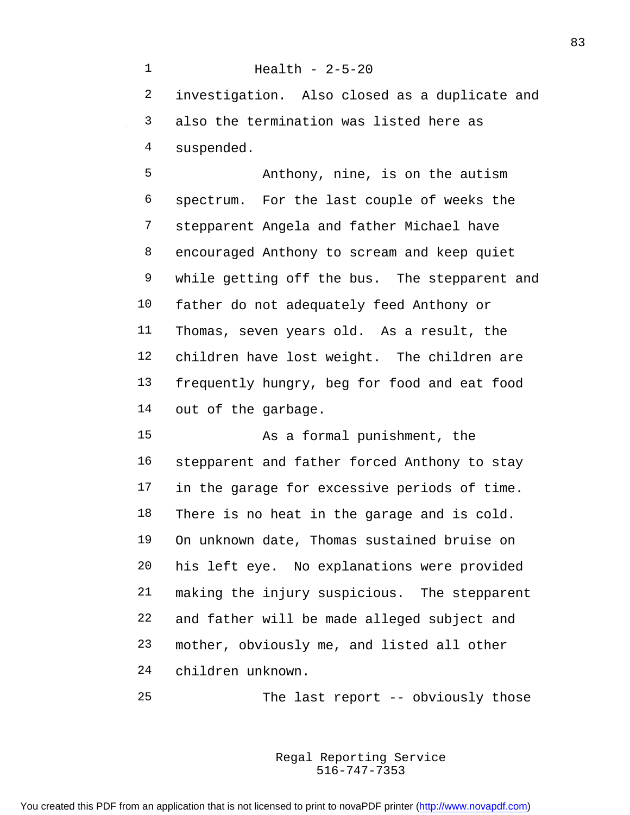Health - 2-5-20 investigation. Also closed as a duplicate and also the termination was listed here as suspended. Anthony, nine, is on the autism spectrum. For the last couple of weeks the

 stepparent Angela and father Michael have encouraged Anthony to scream and keep quiet while getting off the bus. The stepparent and father do not adequately feed Anthony or Thomas, seven years old. As a result, the children have lost weight. The children are frequently hungry, beg for food and eat food out of the garbage.

 As a formal punishment, the stepparent and father forced Anthony to stay 17 in the garage for excessive periods of time. There is no heat in the garage and is cold. On unknown date, Thomas sustained bruise on his left eye. No explanations were provided making the injury suspicious. The stepparent and father will be made alleged subject and mother, obviously me, and listed all other children unknown.

The last report -- obviously those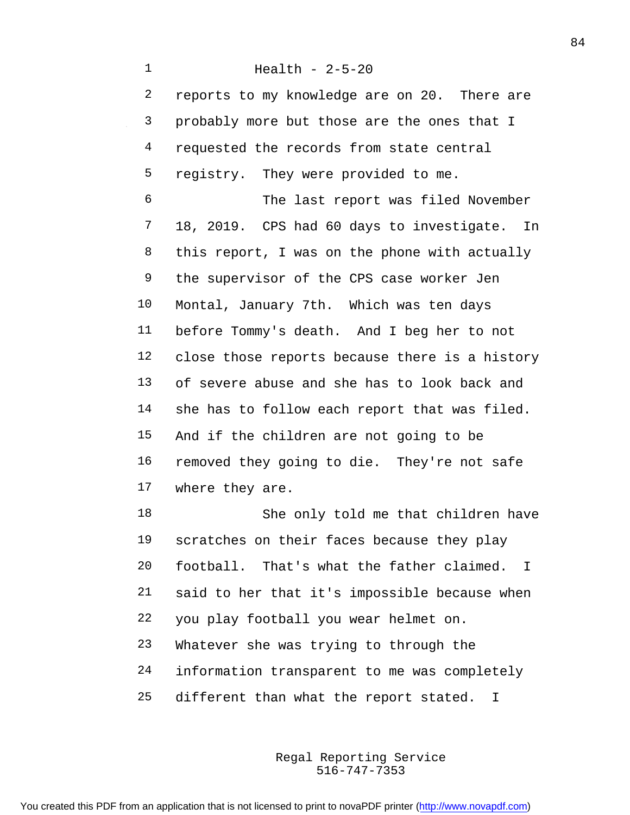Health - 2-5-20 reports to my knowledge are on 20. There are probably more but those are the ones that I 4 requested the records from state central registry. They were provided to me. The last report was filed November 18, 2019. CPS had 60 days to investigate. In this report, I was on the phone with actually the supervisor of the CPS case worker Jen Montal, January 7th. Which was ten days before Tommy's death. And I beg her to not close those reports because there is a history of severe abuse and she has to look back and 14 she has to follow each report that was filed. And if the children are not going to be removed they going to die. They're not safe where they are. She only told me that children have scratches on their faces because they play football. That's what the father claimed. I

you play football you wear helmet on.

said to her that it's impossible because when

Whatever she was trying to through the

- information transparent to me was completely
- different than what the report stated. I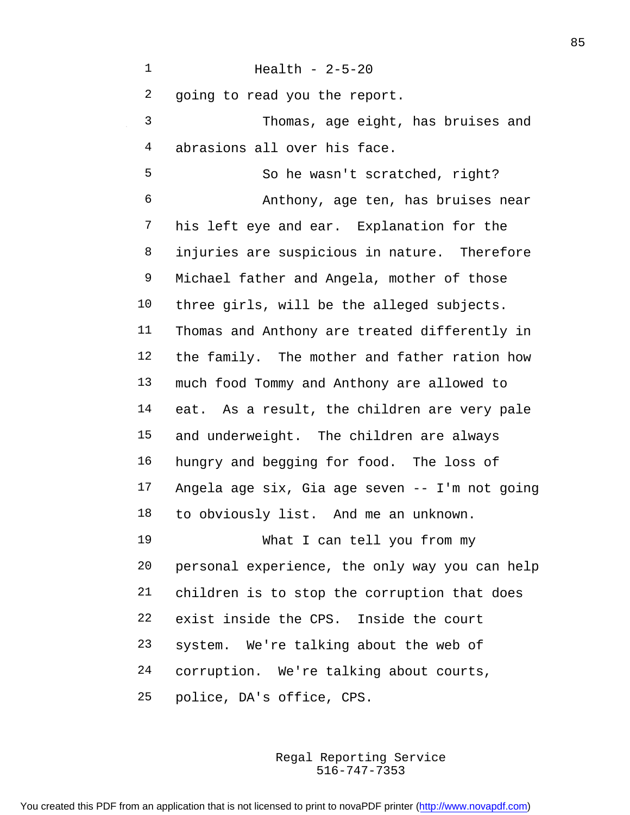Health - 2-5-20 going to read you the report. Thomas, age eight, has bruises and abrasions all over his face. So he wasn't scratched, right? Anthony, age ten, has bruises near his left eye and ear. Explanation for the injuries are suspicious in nature. Therefore Michael father and Angela, mother of those three girls, will be the alleged subjects. Thomas and Anthony are treated differently in the family. The mother and father ration how much food Tommy and Anthony are allowed to eat. As a result, the children are very pale and underweight. The children are always hungry and begging for food. The loss of Angela age six, Gia age seven -- I'm not going to obviously list. And me an unknown. What I can tell you from my personal experience, the only way you can help children is to stop the corruption that does exist inside the CPS. Inside the court system. We're talking about the web of corruption. We're talking about courts, police, DA's office, CPS.

> 516-747-7353 Regal Reporting Service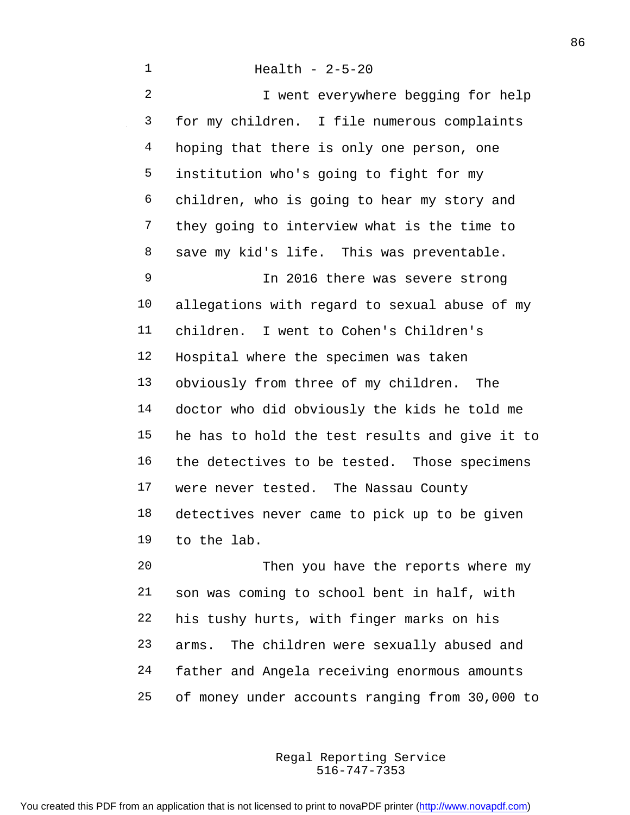I went everywhere begging for help for my children. I file numerous complaints 4 hoping that there is only one person, one institution who's going to fight for my children, who is going to hear my story and they going to interview what is the time to save my kid's life. This was preventable. In 2016 there was severe strong allegations with regard to sexual abuse of my children. I went to Cohen's Children's Hospital where the specimen was taken obviously from three of my children. The doctor who did obviously the kids he told me he has to hold the test results and give it to the detectives to be tested. Those specimens were never tested. The Nassau County detectives never came to pick up to be given to the lab.

 Then you have the reports where my son was coming to school bent in half, with his tushy hurts, with finger marks on his arms. The children were sexually abused and father and Angela receiving enormous amounts of money under accounts ranging from 30,000 to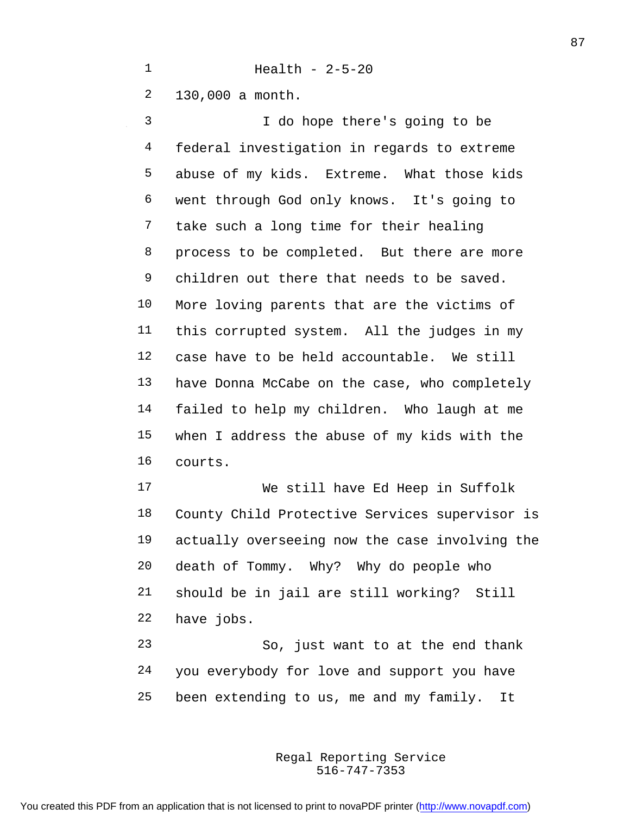Health - 2-5-20

130,000 a month.

 I do hope there's going to be federal investigation in regards to extreme abuse of my kids. Extreme. What those kids went through God only knows. It's going to take such a long time for their healing 8 process to be completed. But there are more children out there that needs to be saved. More loving parents that are the victims of this corrupted system. All the judges in my case have to be held accountable. We still have Donna McCabe on the case, who completely failed to help my children. Who laugh at me when I address the abuse of my kids with the courts.

 We still have Ed Heep in Suffolk County Child Protective Services supervisor is actually overseeing now the case involving the death of Tommy. Why? Why do people who should be in jail are still working? Still have jobs.

 So, just want to at the end thank you everybody for love and support you have been extending to us, me and my family. It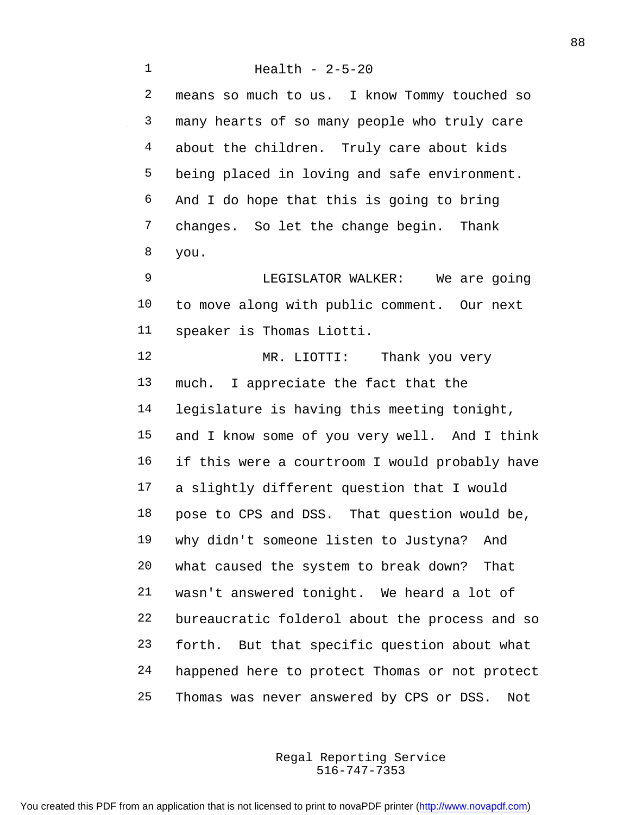Health - 2-5-20 means so much to us. I know Tommy touched so many hearts of so many people who truly care about the children. Truly care about kids being placed in loving and safe environment. And I do hope that this is going to bring changes. So let the change begin. Thank you. LEGISLATOR WALKER: We are going to move along with public comment. Our next speaker is Thomas Liotti. MR. LIOTTI: Thank you very much. I appreciate the fact that the legislature is having this meeting tonight, and I know some of you very well. And I think if this were a courtroom I would probably have a slightly different question that I would pose to CPS and DSS. That question would be, why didn't someone listen to Justyna? And what caused the system to break down? That wasn't answered tonight. We heard a lot of bureaucratic folderol about the process and so forth. But that specific question about what happened here to protect Thomas or not protect Thomas was never answered by CPS or DSS. Not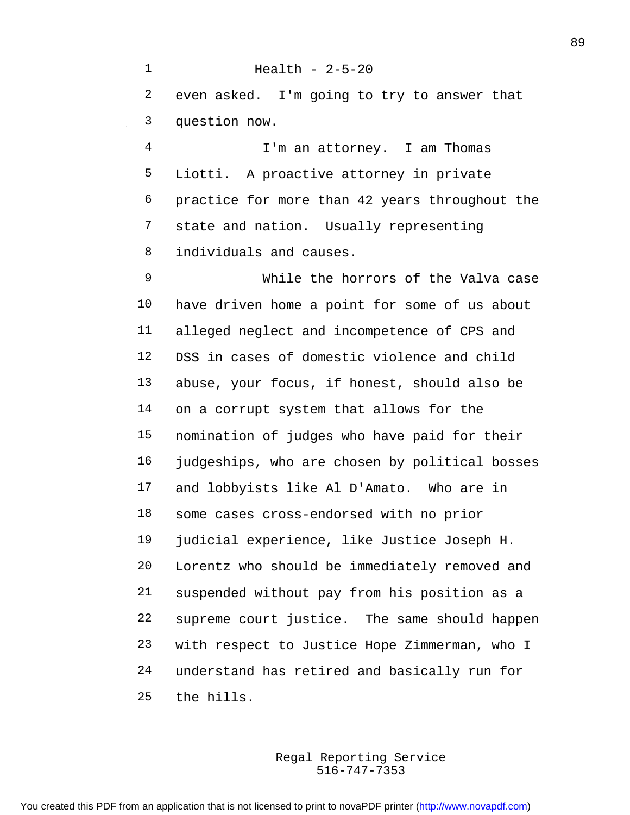Health - 2-5-20 even asked. I'm going to try to answer that question now.

 I'm an attorney. I am Thomas Liotti. A proactive attorney in private practice for more than 42 years throughout the state and nation. Usually representing individuals and causes.

 While the horrors of the Valva case have driven home a point for some of us about alleged neglect and incompetence of CPS and DSS in cases of domestic violence and child abuse, your focus, if honest, should also be on a corrupt system that allows for the nomination of judges who have paid for their judgeships, who are chosen by political bosses and lobbyists like Al D'Amato. Who are in some cases cross-endorsed with no prior judicial experience, like Justice Joseph H. Lorentz who should be immediately removed and suspended without pay from his position as a supreme court justice. The same should happen with respect to Justice Hope Zimmerman, who I understand has retired and basically run for the hills.

> 516-747-7353 Regal Reporting Service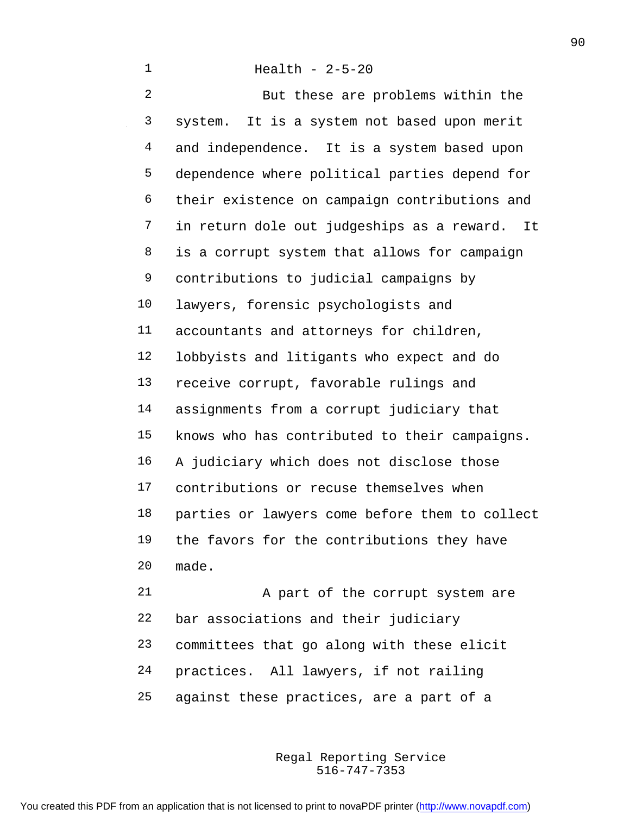Health - 2-5-20 But these are problems within the system. It is a system not based upon merit 4 and independence. It is a system based upon dependence where political parties depend for their existence on campaign contributions and in return dole out judgeships as a reward. It is a corrupt system that allows for campaign contributions to judicial campaigns by lawyers, forensic psychologists and accountants and attorneys for children, lobbyists and litigants who expect and do receive corrupt, favorable rulings and assignments from a corrupt judiciary that knows who has contributed to their campaigns. A judiciary which does not disclose those contributions or recuse themselves when parties or lawyers come before them to collect the favors for the contributions they have made. 21 A part of the corrupt system are

 bar associations and their judiciary committees that go along with these elicit practices. All lawyers, if not railing against these practices, are a part of a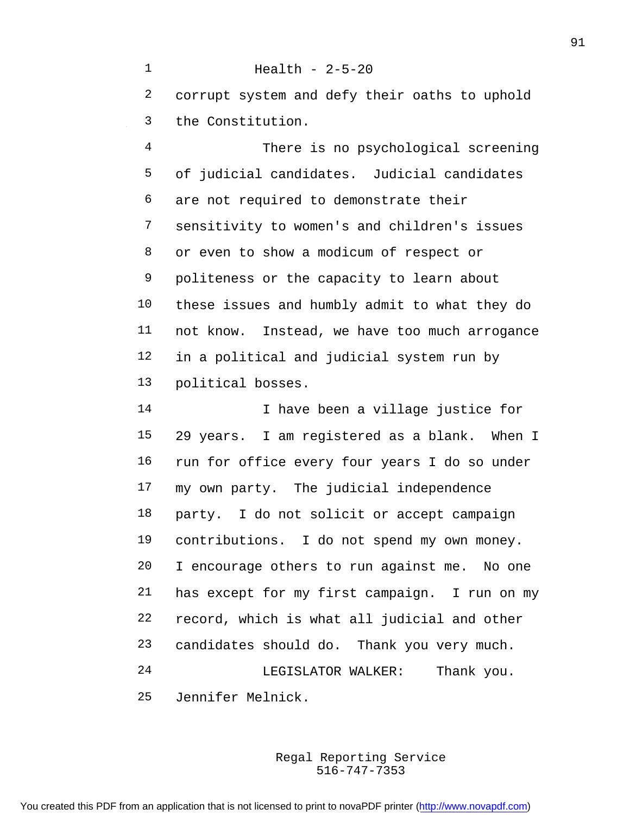Health - 2-5-20 corrupt system and defy their oaths to uphold the Constitution.

 There is no psychological screening of judicial candidates. Judicial candidates are not required to demonstrate their sensitivity to women's and children's issues or even to show a modicum of respect or politeness or the capacity to learn about these issues and humbly admit to what they do not know. Instead, we have too much arrogance in a political and judicial system run by political bosses.

 I have been a village justice for 29 years. I am registered as a blank. When I run for office every four years I do so under my own party. The judicial independence party. I do not solicit or accept campaign contributions. I do not spend my own money. I encourage others to run against me. No one has except for my first campaign. I run on my record, which is what all judicial and other candidates should do. Thank you very much. LEGISLATOR WALKER: Thank you. Jennifer Melnick.

> 516-747-7353 Regal Reporting Service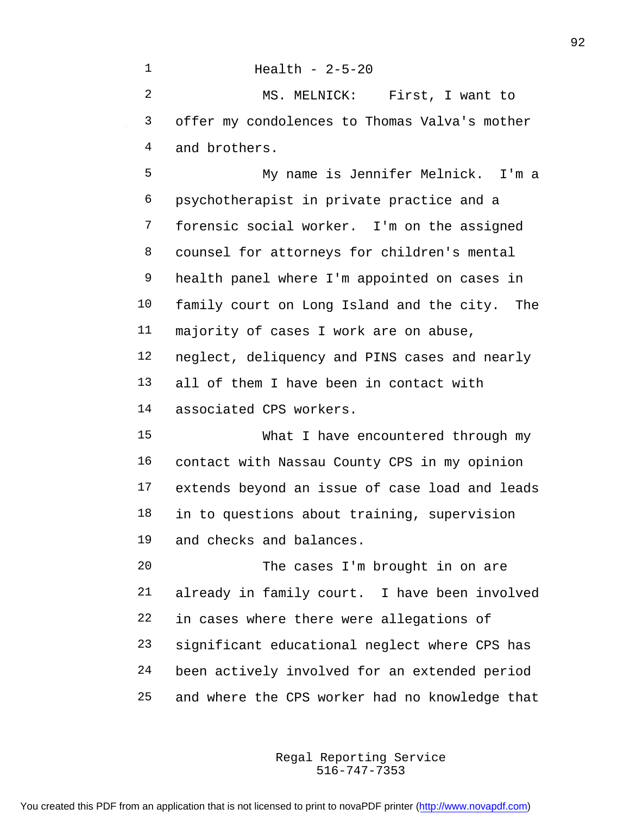Health - 2-5-20 MS. MELNICK: First, I want to offer my condolences to Thomas Valva's mother and brothers. My name is Jennifer Melnick. I'm a psychotherapist in private practice and a forensic social worker. I'm on the assigned counsel for attorneys for children's mental health panel where I'm appointed on cases in family court on Long Island and the city. The majority of cases I work are on abuse, neglect, deliquency and PINS cases and nearly all of them I have been in contact with associated CPS workers. What I have encountered through my contact with Nassau County CPS in my opinion extends beyond an issue of case load and leads in to questions about training, supervision and checks and balances. The cases I'm brought in on are already in family court. I have been involved in cases where there were allegations of significant educational neglect where CPS has been actively involved for an extended period and where the CPS worker had no knowledge that

> 516-747-7353 Regal Reporting Service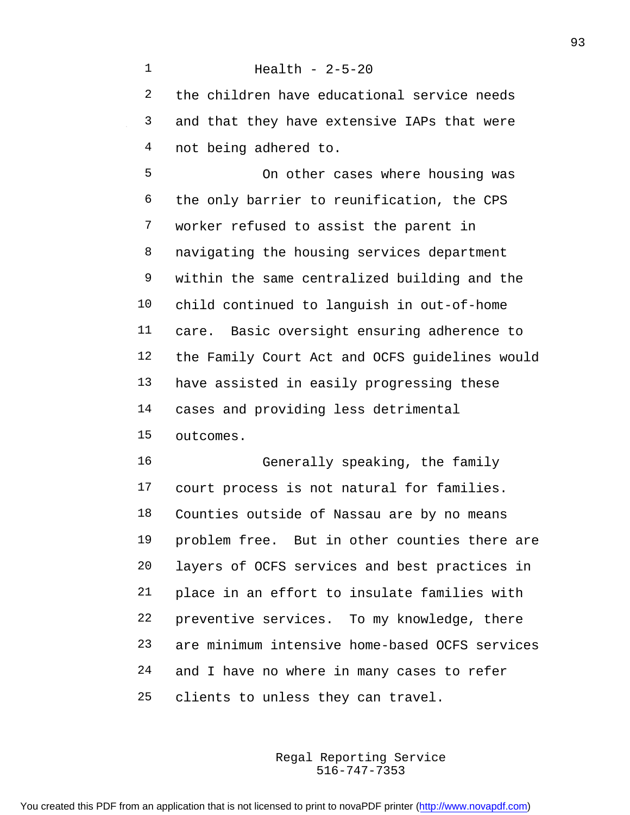the children have educational service needs and that they have extensive IAPs that were not being adhered to.

Health - 2-5-20

 On other cases where housing was the only barrier to reunification, the CPS worker refused to assist the parent in navigating the housing services department within the same centralized building and the child continued to languish in out-of-home care. Basic oversight ensuring adherence to the Family Court Act and OCFS guidelines would have assisted in easily progressing these cases and providing less detrimental outcomes.

 Generally speaking, the family court process is not natural for families. Counties outside of Nassau are by no means problem free. But in other counties there are layers of OCFS services and best practices in place in an effort to insulate families with preventive services. To my knowledge, there are minimum intensive home-based OCFS services and I have no where in many cases to refer clients to unless they can travel.

> 516-747-7353 Regal Reporting Service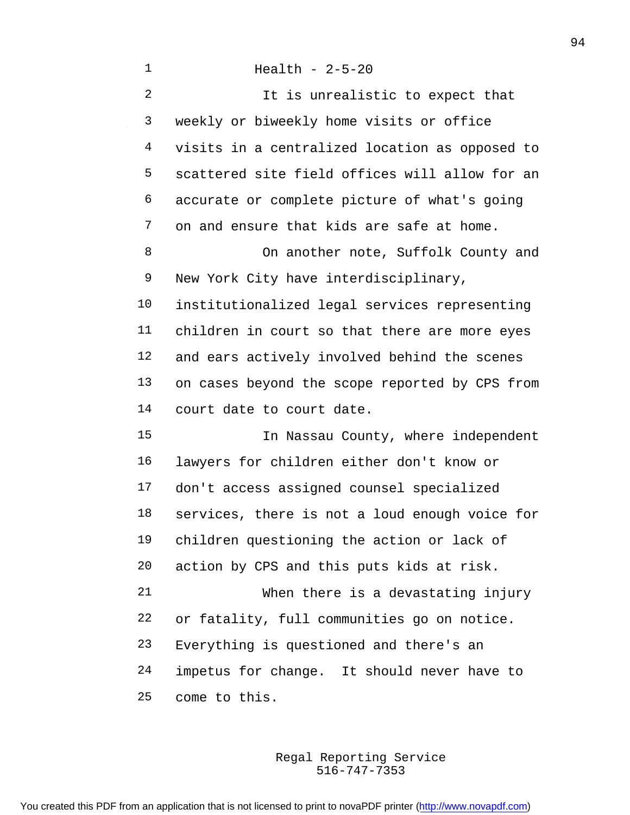| 1              | Health - $2-5-20$                              |
|----------------|------------------------------------------------|
| $\overline{2}$ | It is unrealistic to expect that               |
| 3              | weekly or biweekly home visits or office       |
| 4              | visits in a centralized location as opposed to |
| 5              | scattered site field offices will allow for an |
| 6              | accurate or complete picture of what's going   |
| 7              | on and ensure that kids are safe at home.      |
| 8              | On another note, Suffolk County and            |
| 9              | New York City have interdisciplinary,          |
| 10             | institutionalized legal services representing  |
| 11             | children in court so that there are more eyes  |
| 12             | and ears actively involved behind the scenes   |
| 13             | on cases beyond the scope reported by CPS from |
| 14             | court date to court date.                      |
| 15             | In Nassau County, where independent            |
| 16             | lawyers for children either don't know or      |
| 17             | don't access assigned counsel specialized      |
| 18             | services, there is not a loud enough voice for |
| 19             | children questioning the action or lack of     |
| 20             | action by CPS and this puts kids at risk.      |
| 21             | When there is a devastating injury             |
| 22             | or fatality, full communities go on notice.    |
| 23             | Everything is questioned and there's an        |
| 24             | impetus for change. It should never have to    |
| 25             | come to this.                                  |

 $\sim 10^{-1}$ 

516-747-7353 Regal Reporting Service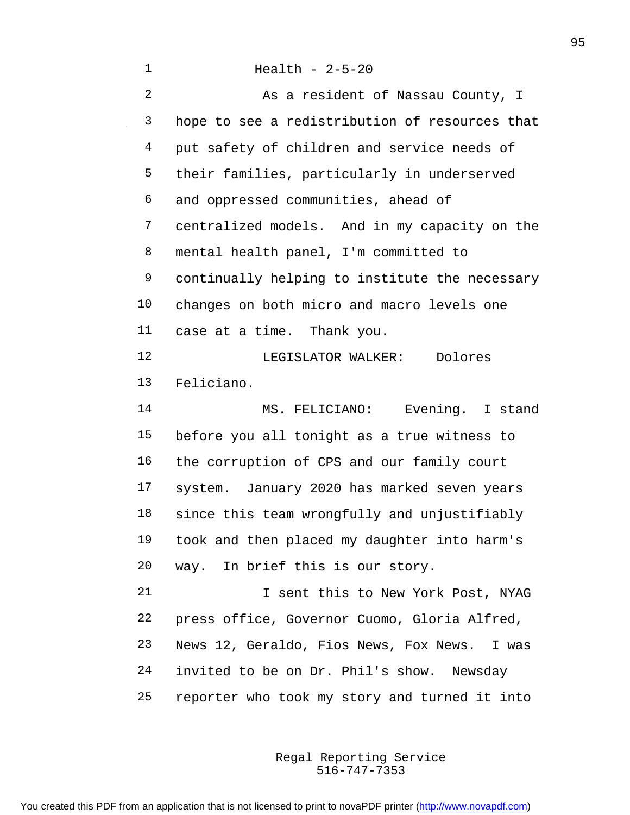| 1              | Health - $2-5-20$                              |
|----------------|------------------------------------------------|
| $\overline{2}$ | As a resident of Nassau County, I              |
| 3              | hope to see a redistribution of resources that |
| 4              | put safety of children and service needs of    |
| 5              | their families, particularly in underserved    |
| 6              | and oppressed communities, ahead of            |
| 7              | centralized models. And in my capacity on the  |
| 8              | mental health panel, I'm committed to          |
| 9              | continually helping to institute the necessary |
| 10             | changes on both micro and macro levels one     |
| 11             | case at a time. Thank you.                     |
| 12             | LEGISLATOR WALKER: Dolores                     |
| 13             | Feliciano.                                     |
| 14             | MS. FELICIANO: Evening. I stand                |
| 15             | before you all tonight as a true witness to    |
| 16             | the corruption of CPS and our family court     |
| 17             | system. January 2020 has marked seven years    |
| 18             | since this team wrongfully and unjustifiably   |
| 19             | took and then placed my daughter into harm's   |
| 20             | way. In brief this is our story.               |
| 21             | I sent this to New York Post, NYAG             |
| 22             | press office, Governor Cuomo, Gloria Alfred,   |
| 23             | News 12, Geraldo, Fios News, Fox News. I was   |
| 24             | invited to be on Dr. Phil's show. Newsday      |
| 25             | reporter who took my story and turned it into  |

 $\sim 10^{-1}$ 

516-747-7353 Regal Reporting Service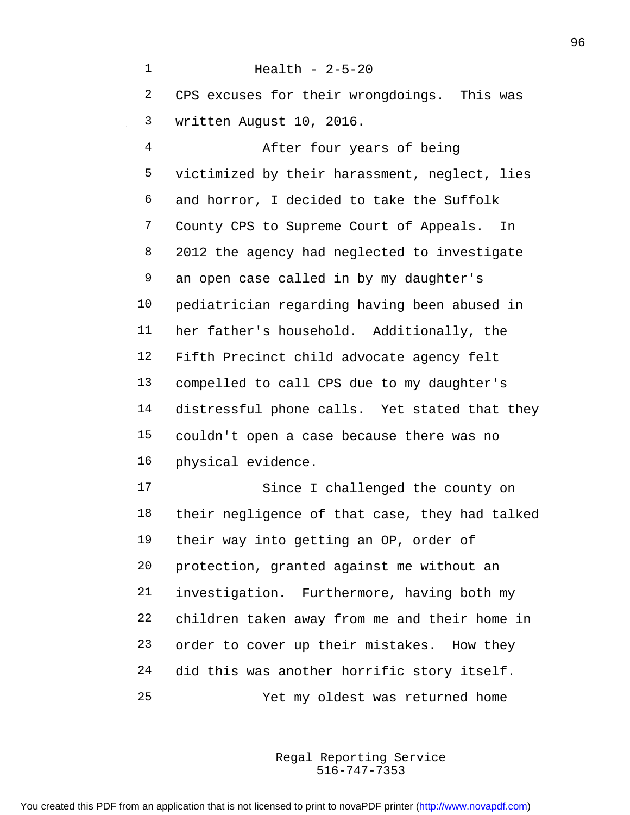Health - 2-5-20 CPS excuses for their wrongdoings. This was written August 10, 2016. After four years of being victimized by their harassment, neglect, lies and horror, I decided to take the Suffolk County CPS to Supreme Court of Appeals. In 2012 the agency had neglected to investigate an open case called in by my daughter's pediatrician regarding having been abused in her father's household. Additionally, the Fifth Precinct child advocate agency felt compelled to call CPS due to my daughter's distressful phone calls. Yet stated that they couldn't open a case because there was no physical evidence. Since I challenged the county on their negligence of that case, they had talked their way into getting an OP, order of protection, granted against me without an investigation. Furthermore, having both my children taken away from me and their home in order to cover up their mistakes. How they did this was another horrific story itself. Yet my oldest was returned home

> 516-747-7353 Regal Reporting Service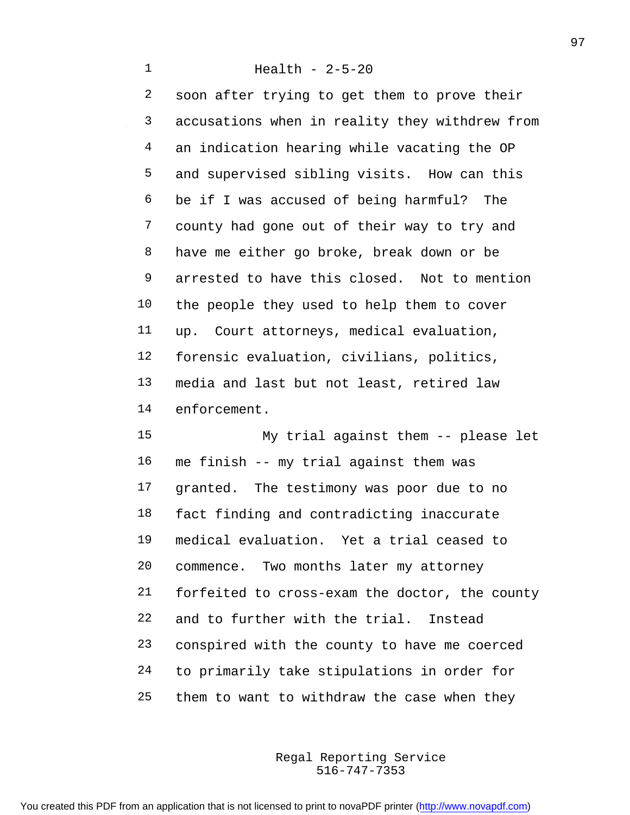soon after trying to get them to prove their accusations when in reality they withdrew from an indication hearing while vacating the OP and supervised sibling visits. How can this be if I was accused of being harmful? The county had gone out of their way to try and have me either go broke, break down or be arrested to have this closed. Not to mention the people they used to help them to cover up. Court attorneys, medical evaluation, forensic evaluation, civilians, politics, media and last but not least, retired law enforcement.

 My trial against them -- please let me finish -- my trial against them was granted. The testimony was poor due to no fact finding and contradicting inaccurate medical evaluation. Yet a trial ceased to commence. Two months later my attorney forfeited to cross-exam the doctor, the county and to further with the trial. Instead conspired with the county to have me coerced to primarily take stipulations in order for them to want to withdraw the case when they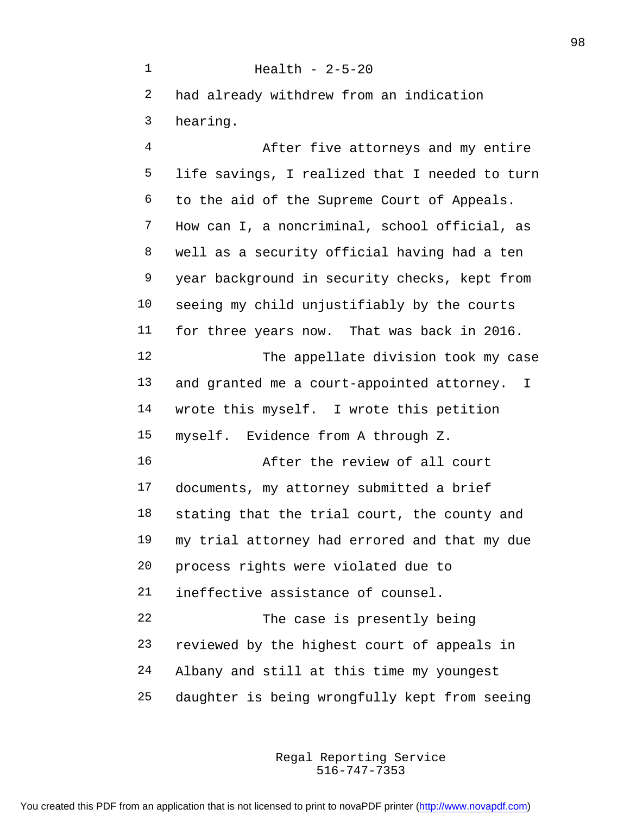Health - 2-5-20 had already withdrew from an indication hearing. After five attorneys and my entire life savings, I realized that I needed to turn to the aid of the Supreme Court of Appeals. How can I, a noncriminal, school official, as well as a security official having had a ten year background in security checks, kept from seeing my child unjustifiably by the courts for three years now. That was back in 2016. 12 The appellate division took my case and granted me a court-appointed attorney. I wrote this myself. I wrote this petition myself. Evidence from A through Z. After the review of all court documents, my attorney submitted a brief stating that the trial court, the county and my trial attorney had errored and that my due process rights were violated due to ineffective assistance of counsel. The case is presently being reviewed by the highest court of appeals in Albany and still at this time my youngest daughter is being wrongfully kept from seeing

> 516-747-7353 Regal Reporting Service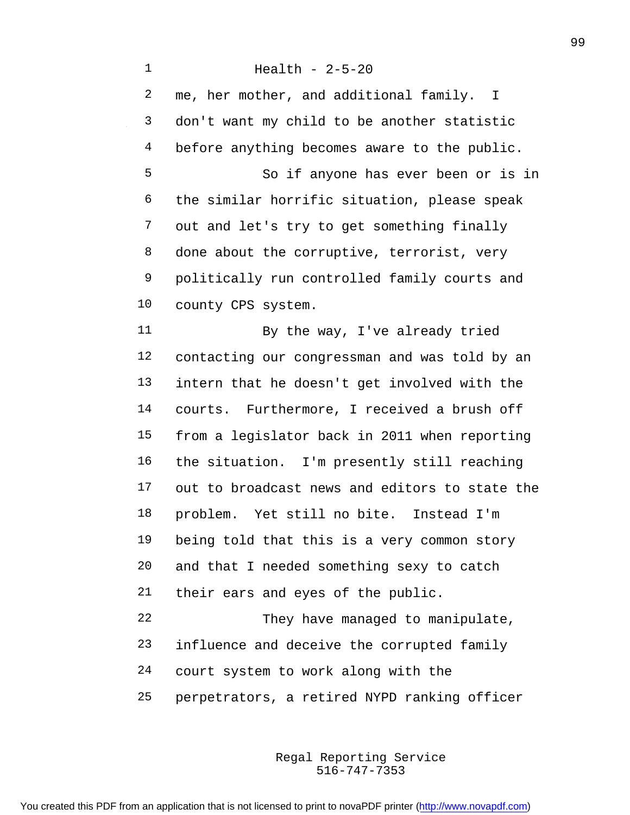me, her mother, and additional family. I don't want my child to be another statistic 4 before anything becomes aware to the public. So if anyone has ever been or is in the similar horrific situation, please speak out and let's try to get something finally 8 done about the corruptive, terrorist, very politically run controlled family courts and county CPS system. By the way, I've already tried contacting our congressman and was told by an intern that he doesn't get involved with the courts. Furthermore, I received a brush off from a legislator back in 2011 when reporting the situation. I'm presently still reaching out to broadcast news and editors to state the problem. Yet still no bite. Instead I'm being told that this is a very common story and that I needed something sexy to catch their ears and eyes of the public. They have managed to manipulate, influence and deceive the corrupted family court system to work along with the perpetrators, a retired NYPD ranking officer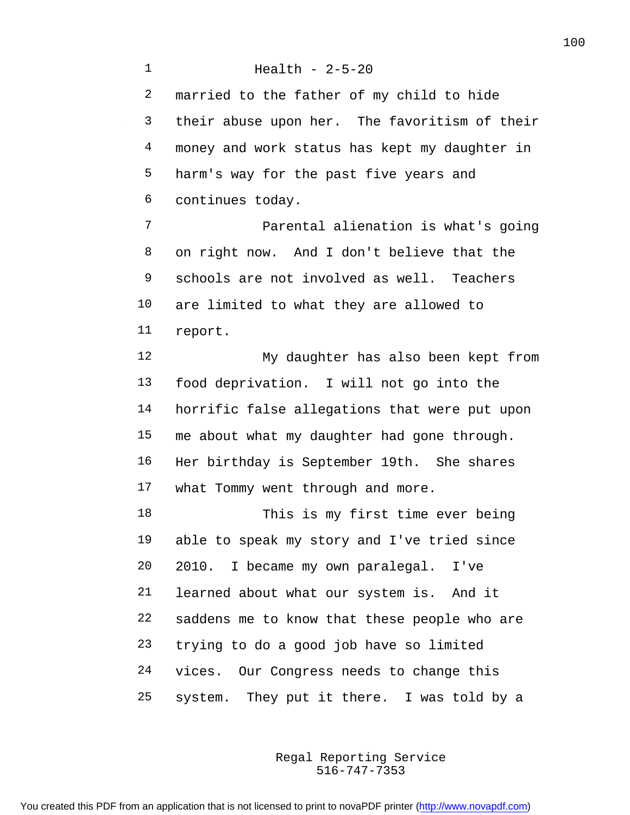Health - 2-5-20 married to the father of my child to hide their abuse upon her. The favoritism of their money and work status has kept my daughter in harm's way for the past five years and continues today. Parental alienation is what's going on right now. And I don't believe that the schools are not involved as well. Teachers are limited to what they are allowed to report. My daughter has also been kept from food deprivation. I will not go into the horrific false allegations that were put upon me about what my daughter had gone through. Her birthday is September 19th. She shares what Tommy went through and more. This is my first time ever being able to speak my story and I've tried since 2010. I became my own paralegal. I've learned about what our system is. And it saddens me to know that these people who are trying to do a good job have so limited vices. Our Congress needs to change this system. They put it there. I was told by a

> 516-747-7353 Regal Reporting Service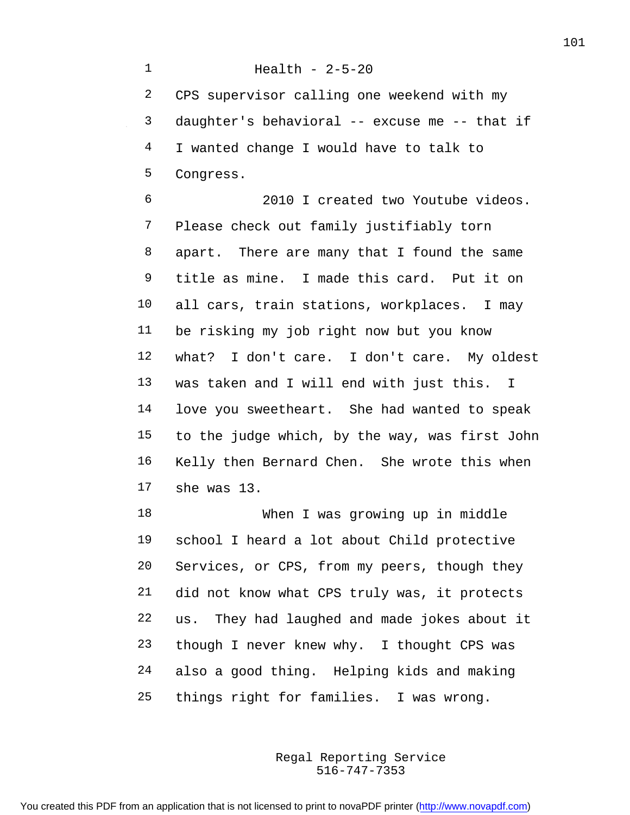CPS supervisor calling one weekend with my daughter's behavioral -- excuse me -- that if I wanted change I would have to talk to Congress.

Health - 2-5-20

 2010 I created two Youtube videos. Please check out family justifiably torn apart. There are many that I found the same title as mine. I made this card. Put it on all cars, train stations, workplaces. I may be risking my job right now but you know what? I don't care. I don't care. My oldest was taken and I will end with just this. I love you sweetheart. She had wanted to speak to the judge which, by the way, was first John Kelly then Bernard Chen. She wrote this when she was 13.

 When I was growing up in middle school I heard a lot about Child protective Services, or CPS, from my peers, though they did not know what CPS truly was, it protects us. They had laughed and made jokes about it though I never knew why. I thought CPS was also a good thing. Helping kids and making things right for families. I was wrong.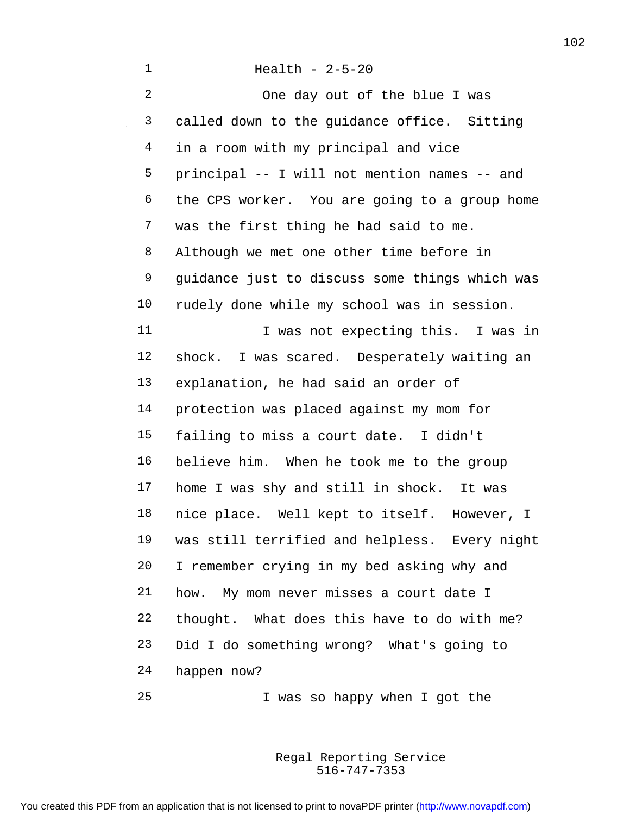| 1              | Health - $2-5-20$                              |
|----------------|------------------------------------------------|
| $\overline{a}$ | One day out of the blue I was                  |
| 3              | called down to the guidance office. Sitting    |
| 4              | in a room with my principal and vice           |
| 5              | principal -- I will not mention names -- and   |
| 6              | the CPS worker. You are going to a group home  |
| 7              | was the first thing he had said to me.         |
| 8              | Although we met one other time before in       |
| 9              | guidance just to discuss some things which was |
| 10             | rudely done while my school was in session.    |
| 11             | I was not expecting this. I was in             |
| 12             | shock. I was scared. Desperately waiting an    |
| 13             | explanation, he had said an order of           |
| 14             | protection was placed against my mom for       |
| 15             | failing to miss a court date. I didn't         |
| 16             | believe him. When he took me to the group      |
| 17             | home I was shy and still in shock. It was      |
| 18             | nice place. Well kept to itself. However, I    |
| 19             | was still terrified and helpless. Every night  |
| 20             | I remember crying in my bed asking why and     |
| 21             | My mom never misses a court date I<br>how.     |
| 22             | thought. What does this have to do with me?    |
| 23             | Did I do something wrong? What's going to      |
| 24             | happen now?                                    |
| 25             | I was so happy when I got the                  |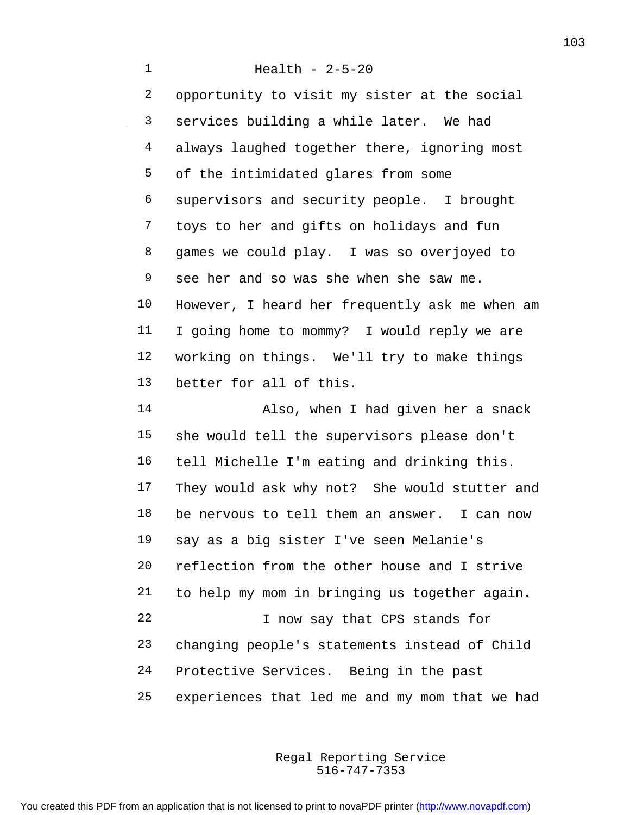Health - 2-5-20 opportunity to visit my sister at the social services building a while later. We had always laughed together there, ignoring most of the intimidated glares from some supervisors and security people. I brought toys to her and gifts on holidays and fun games we could play. I was so overjoyed to see her and so was she when she saw me. However, I heard her frequently ask me when am I going home to mommy? I would reply we are working on things. We'll try to make things better for all of this. Also, when I had given her a snack she would tell the supervisors please don't tell Michelle I'm eating and drinking this. They would ask why not? She would stutter and be nervous to tell them an answer. I can now say as a big sister I've seen Melanie's reflection from the other house and I strive to help my mom in bringing us together again. 22 I now say that CPS stands for changing people's statements instead of Child Protective Services. Being in the past experiences that led me and my mom that we had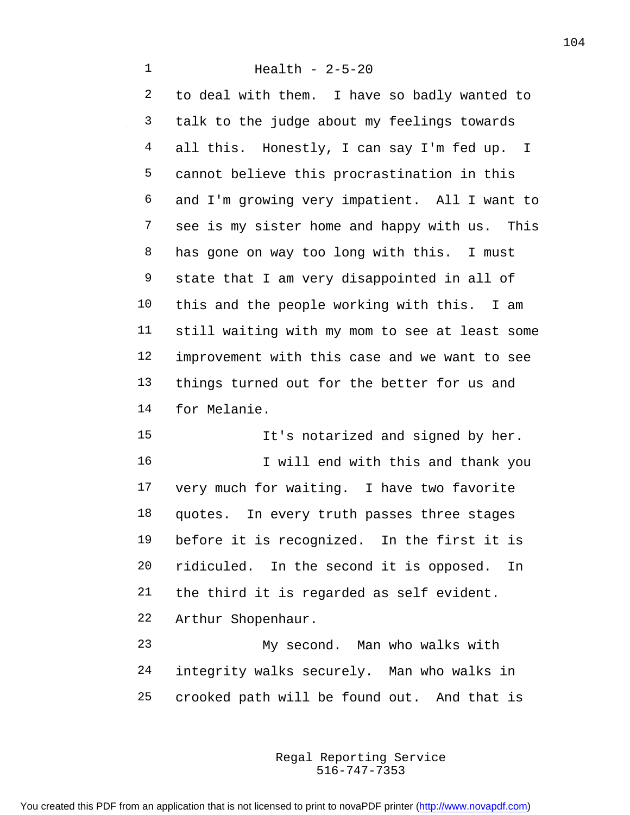to deal with them. I have so badly wanted to talk to the judge about my feelings towards all this. Honestly, I can say I'm fed up. I cannot believe this procrastination in this and I'm growing very impatient. All I want to see is my sister home and happy with us. This 8 has gone on way too long with this. I must state that I am very disappointed in all of this and the people working with this. I am still waiting with my mom to see at least some improvement with this case and we want to see things turned out for the better for us and for Melanie.

15 It's notarized and signed by her. 16 I will end with this and thank you very much for waiting. I have two favorite quotes. In every truth passes three stages before it is recognized. In the first it is ridiculed. In the second it is opposed. In the third it is regarded as self evident. Arthur Shopenhaur. My second. Man who walks with

 integrity walks securely. Man who walks in crooked path will be found out. And that is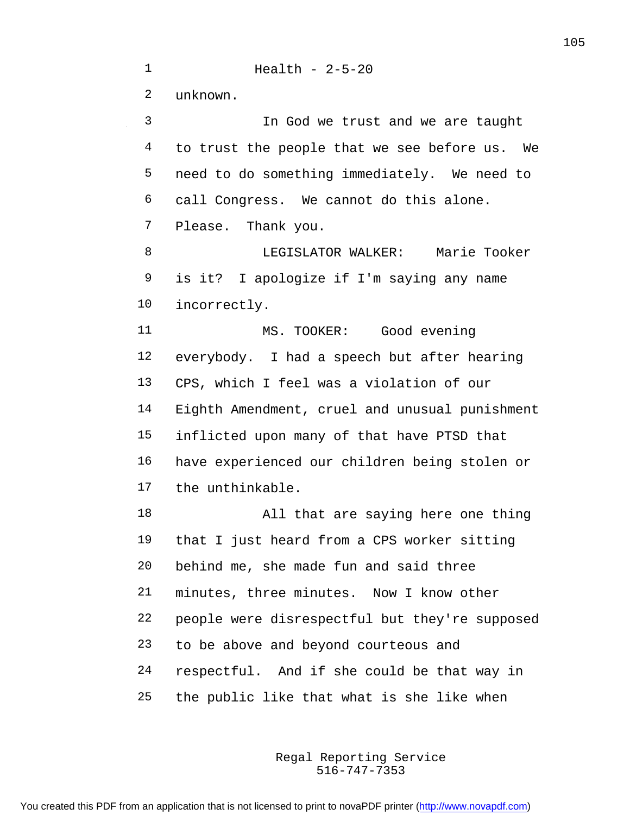Health - 2-5-20 unknown. In God we trust and we are taught to trust the people that we see before us. We need to do something immediately. We need to call Congress. We cannot do this alone. Please. Thank you. LEGISLATOR WALKER: Marie Tooker is it? I apologize if I'm saying any name incorrectly. MS. TOOKER: Good evening everybody. I had a speech but after hearing CPS, which I feel was a violation of our Eighth Amendment, cruel and unusual punishment inflicted upon many of that have PTSD that have experienced our children being stolen or the unthinkable. All that are saying here one thing that I just heard from a CPS worker sitting behind me, she made fun and said three minutes, three minutes. Now I know other people were disrespectful but they're supposed to be above and beyond courteous and respectful. And if she could be that way in the public like that what is she like when

> 516-747-7353 Regal Reporting Service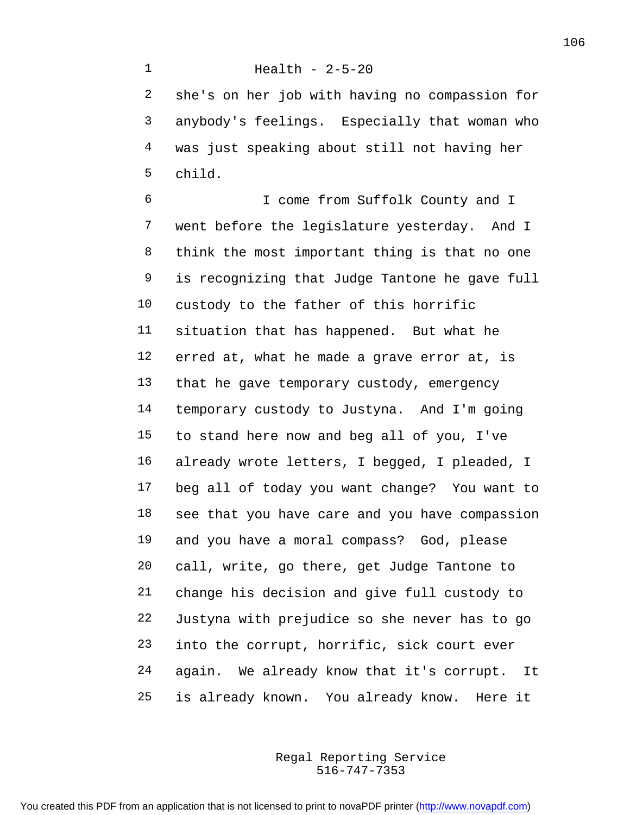Health - 2-5-20

 she's on her job with having no compassion for anybody's feelings. Especially that woman who was just speaking about still not having her child.

 I come from Suffolk County and I went before the legislature yesterday. And I think the most important thing is that no one is recognizing that Judge Tantone he gave full custody to the father of this horrific situation that has happened. But what he erred at, what he made a grave error at, is that he gave temporary custody, emergency temporary custody to Justyna. And I'm going to stand here now and beg all of you, I've already wrote letters, I begged, I pleaded, I beg all of today you want change? You want to see that you have care and you have compassion and you have a moral compass? God, please call, write, go there, get Judge Tantone to change his decision and give full custody to Justyna with prejudice so she never has to go into the corrupt, horrific, sick court ever again. We already know that it's corrupt. It is already known. You already know. Here it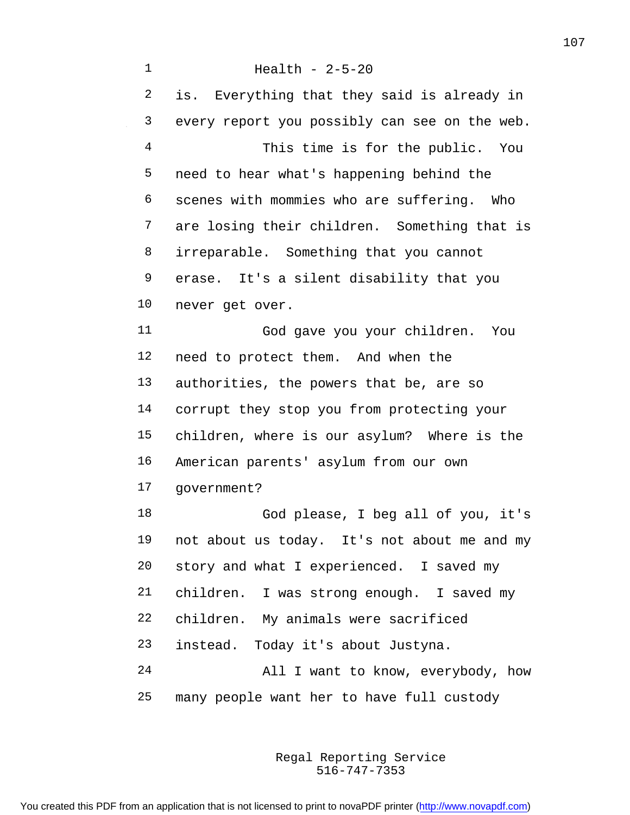Health - 2-5-20 is. Everything that they said is already in every report you possibly can see on the web. This time is for the public. You need to hear what's happening behind the scenes with mommies who are suffering. Who are losing their children. Something that is irreparable. Something that you cannot erase. It's a silent disability that you never get over. God gave you your children. You need to protect them. And when the authorities, the powers that be, are so corrupt they stop you from protecting your children, where is our asylum? Where is the American parents' asylum from our own government? God please, I beg all of you, it's not about us today. It's not about me and my story and what I experienced. I saved my children. I was strong enough. I saved my children. My animals were sacrificed instead. Today it's about Justyna. All I want to know, everybody, how many people want her to have full custody

> 516-747-7353 Regal Reporting Service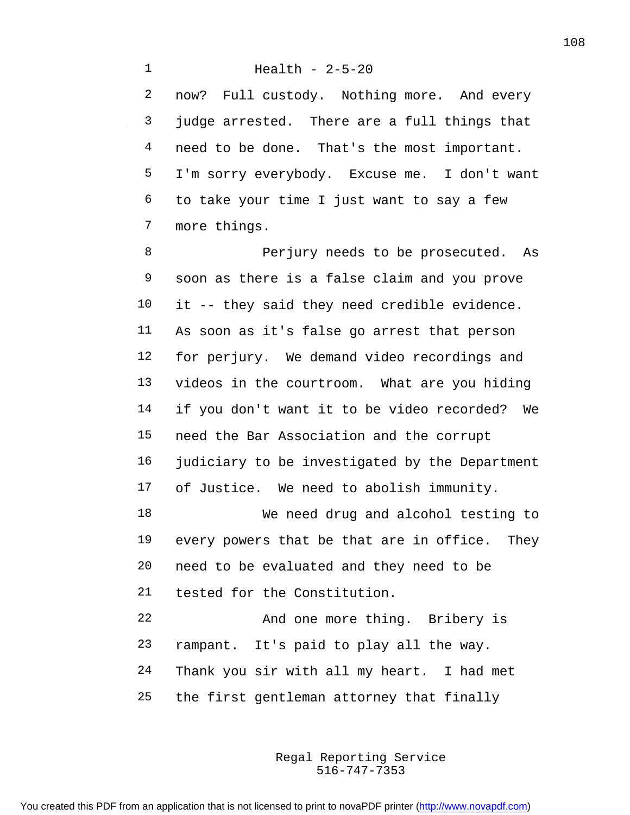now? Full custody. Nothing more. And every judge arrested. There are a full things that 4 need to be done. That's the most important. I'm sorry everybody. Excuse me. I don't want to take your time I just want to say a few more things.

8 Perjury needs to be prosecuted. As soon as there is a false claim and you prove it -- they said they need credible evidence. As soon as it's false go arrest that person for perjury. We demand video recordings and videos in the courtroom. What are you hiding if you don't want it to be video recorded? We need the Bar Association and the corrupt judiciary to be investigated by the Department of Justice. We need to abolish immunity. We need drug and alcohol testing to every powers that be that are in office. They need to be evaluated and they need to be tested for the Constitution.

 And one more thing. Bribery is rampant. It's paid to play all the way. Thank you sir with all my heart. I had met the first gentleman attorney that finally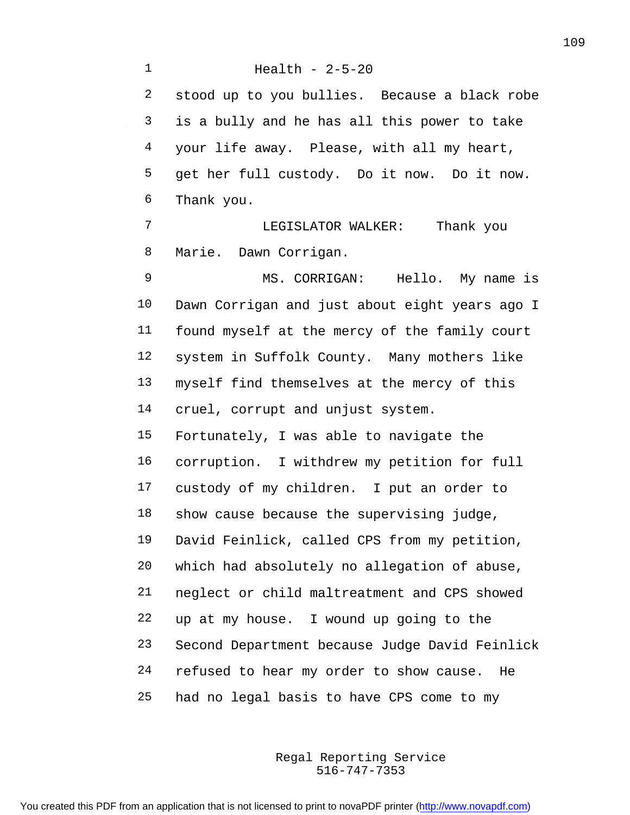Health - 2-5-20 stood up to you bullies. Because a black robe is a bully and he has all this power to take your life away. Please, with all my heart, get her full custody. Do it now. Do it now. Thank you. LEGISLATOR WALKER: Thank you Marie. Dawn Corrigan. MS. CORRIGAN: Hello. My name is Dawn Corrigan and just about eight years ago I found myself at the mercy of the family court system in Suffolk County. Many mothers like myself find themselves at the mercy of this cruel, corrupt and unjust system. Fortunately, I was able to navigate the corruption. I withdrew my petition for full custody of my children. I put an order to show cause because the supervising judge, David Feinlick, called CPS from my petition, which had absolutely no allegation of abuse, neglect or child maltreatment and CPS showed up at my house. I wound up going to the Second Department because Judge David Feinlick refused to hear my order to show cause. He had no legal basis to have CPS come to my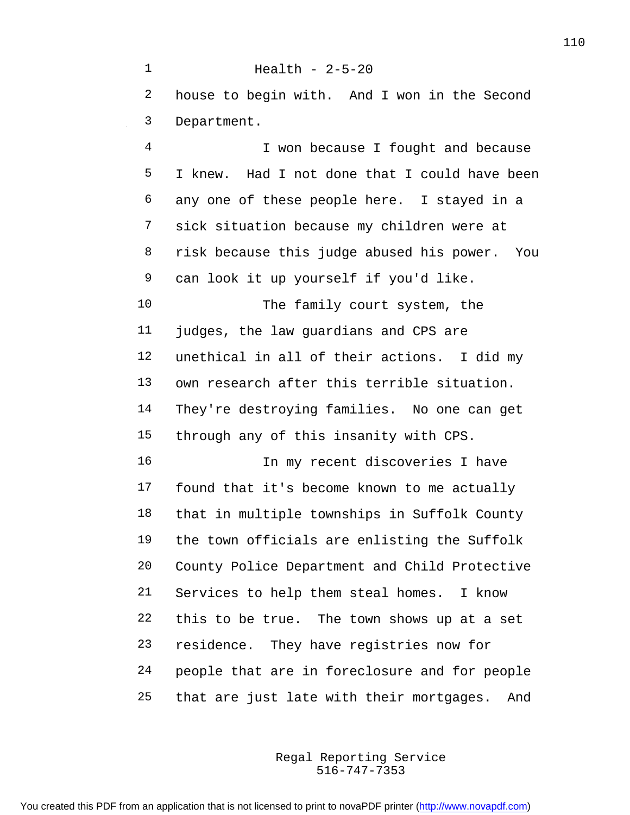Health - 2-5-20 house to begin with. And I won in the Second Department. I won because I fought and because I knew. Had I not done that I could have been any one of these people here. I stayed in a sick situation because my children were at risk because this judge abused his power. You can look it up yourself if you'd like. The family court system, the judges, the law guardians and CPS are unethical in all of their actions. I did my own research after this terrible situation. They're destroying families. No one can get through any of this insanity with CPS. In my recent discoveries I have found that it's become known to me actually that in multiple townships in Suffolk County the town officials are enlisting the Suffolk County Police Department and Child Protective Services to help them steal homes. I know this to be true. The town shows up at a set residence. They have registries now for people that are in foreclosure and for people that are just late with their mortgages. And

> 516-747-7353 Regal Reporting Service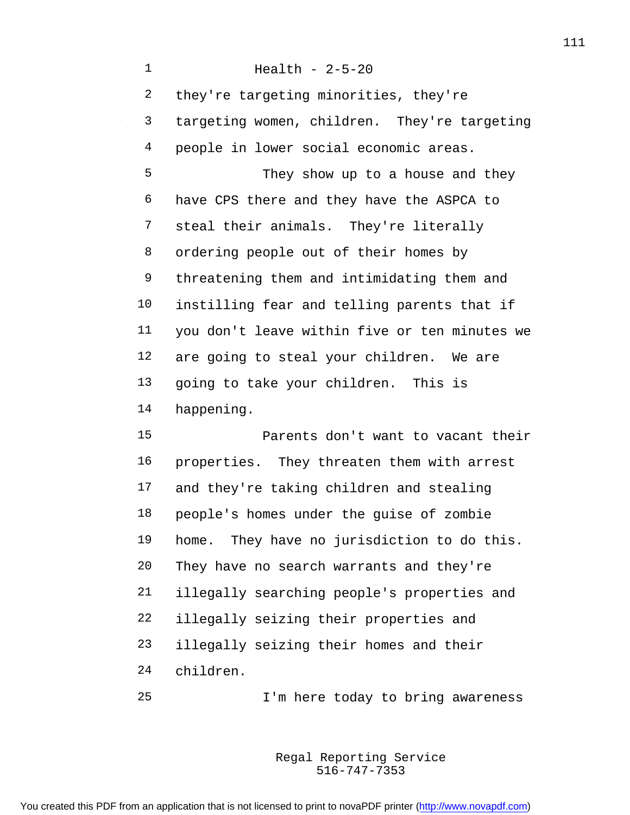Health - 2-5-20 they're targeting minorities, they're targeting women, children. They're targeting people in lower social economic areas. They show up to a house and they have CPS there and they have the ASPCA to steal their animals. They're literally ordering people out of their homes by threatening them and intimidating them and instilling fear and telling parents that if you don't leave within five or ten minutes we are going to steal your children. We are going to take your children. This is happening. Parents don't want to vacant their properties. They threaten them with arrest and they're taking children and stealing people's homes under the guise of zombie home. They have no jurisdiction to do this.

 They have no search warrants and they're illegally searching people's properties and illegally seizing their properties and illegally seizing their homes and their children.

I'm here today to bring awareness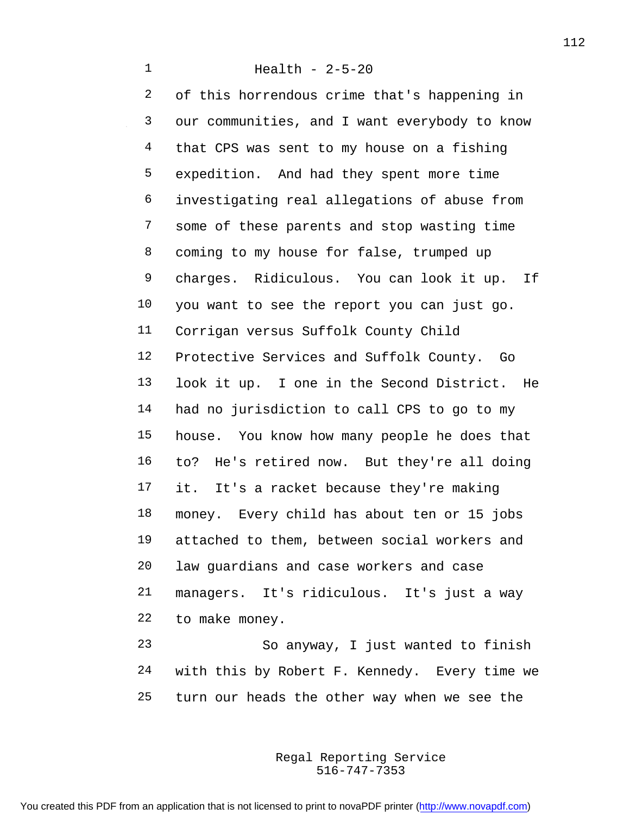of this horrendous crime that's happening in our communities, and I want everybody to know that CPS was sent to my house on a fishing expedition. And had they spent more time investigating real allegations of abuse from some of these parents and stop wasting time coming to my house for false, trumped up charges. Ridiculous. You can look it up. If you want to see the report you can just go. Corrigan versus Suffolk County Child Protective Services and Suffolk County. Go look it up. I one in the Second District. He had no jurisdiction to call CPS to go to my house. You know how many people he does that to? He's retired now. But they're all doing it. It's a racket because they're making money. Every child has about ten or 15 jobs attached to them, between social workers and law guardians and case workers and case managers. It's ridiculous. It's just a way to make money. So anyway, I just wanted to finish

 with this by Robert F. Kennedy. Every time we turn our heads the other way when we see the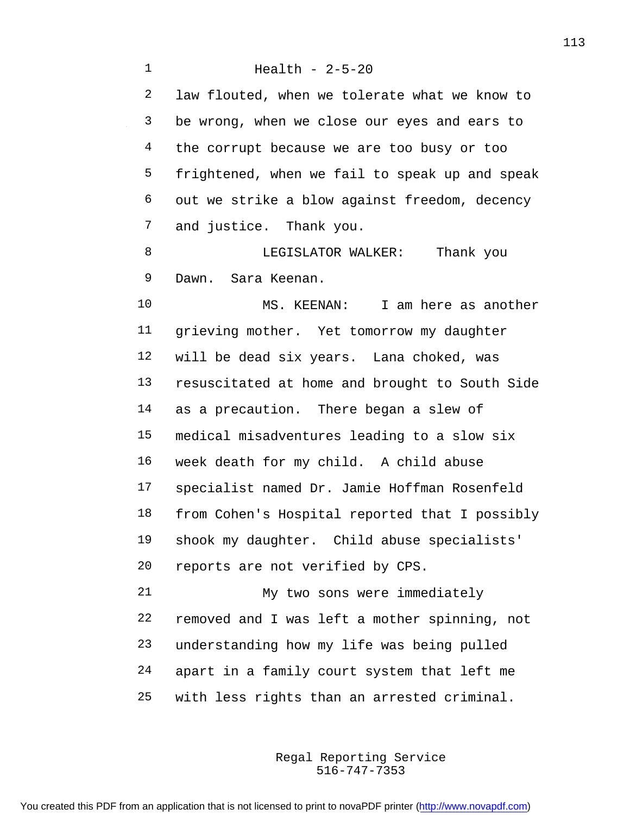Health - 2-5-20 law flouted, when we tolerate what we know to be wrong, when we close our eyes and ears to 4 the corrupt because we are too busy or too frightened, when we fail to speak up and speak out we strike a blow against freedom, decency and justice. Thank you. 8 LEGISLATOR WALKER: Thank you Dawn. Sara Keenan. MS. KEENAN: I am here as another grieving mother. Yet tomorrow my daughter will be dead six years. Lana choked, was resuscitated at home and brought to South Side as a precaution. There began a slew of medical misadventures leading to a slow six week death for my child. A child abuse specialist named Dr. Jamie Hoffman Rosenfeld from Cohen's Hospital reported that I possibly shook my daughter. Child abuse specialists' reports are not verified by CPS. My two sons were immediately removed and I was left a mother spinning, not understanding how my life was being pulled apart in a family court system that left me with less rights than an arrested criminal.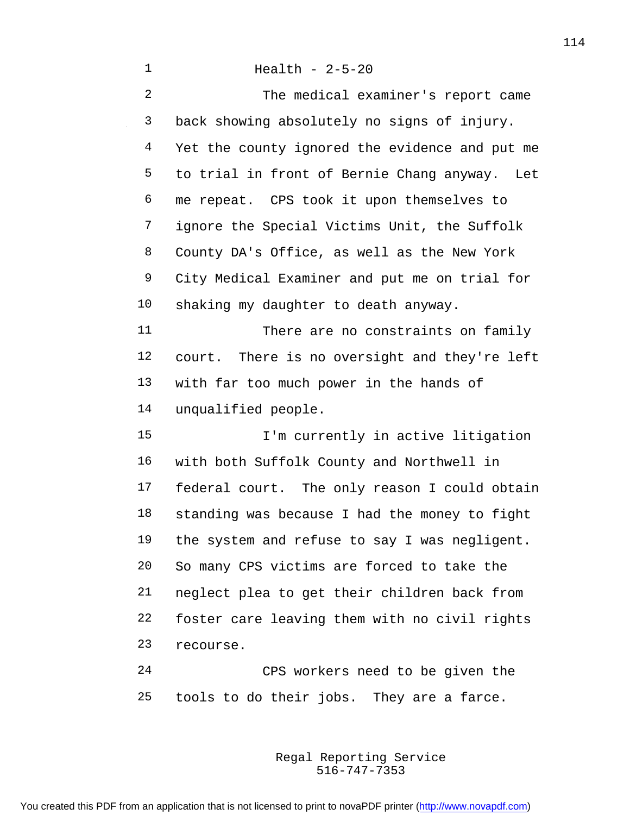| $\mathbf{1}$   | Health - $2-5-20$                              |
|----------------|------------------------------------------------|
| $\overline{2}$ | The medical examiner's report came             |
| 3              | back showing absolutely no signs of injury.    |
| 4              | Yet the county ignored the evidence and put me |
| 5              | to trial in front of Bernie Chang anyway. Let  |
| 6              | me repeat. CPS took it upon themselves to      |
| 7              | ignore the Special Victims Unit, the Suffolk   |
| 8              | County DA's Office, as well as the New York    |
| 9              | City Medical Examiner and put me on trial for  |
| 10             | shaking my daughter to death anyway.           |
| 11             | There are no constraints on family             |
| 12             | court. There is no oversight and they're left  |
| 13             | with far too much power in the hands of        |
| 14             | unqualified people.                            |
| 15             | I'm currently in active litigation             |
| 16             | with both Suffolk County and Northwell in      |
| 17             | federal court. The only reason I could obtain  |
| 18             | standing was because I had the money to fight  |
| 19             | the system and refuse to say I was negligent.  |
| 20             | So many CPS victims are forced to take the     |
| 21             | neglect plea to get their children back from   |
| 22             | foster care leaving them with no civil rights  |
| 23             | recourse.                                      |
|                |                                                |

 $\sim 10^6$ 

 CPS workers need to be given the tools to do their jobs. They are a farce.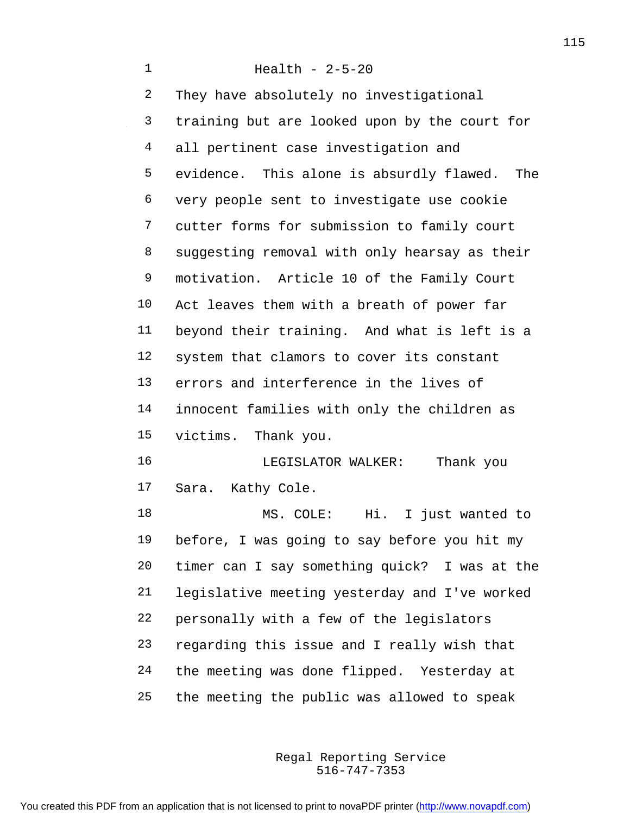Health - 2-5-20 They have absolutely no investigational training but are looked upon by the court for all pertinent case investigation and evidence. This alone is absurdly flawed. The very people sent to investigate use cookie cutter forms for submission to family court suggesting removal with only hearsay as their motivation. Article 10 of the Family Court Act leaves them with a breath of power far beyond their training. And what is left is a system that clamors to cover its constant errors and interference in the lives of innocent families with only the children as victims. Thank you. LEGISLATOR WALKER: Thank you Sara. Kathy Cole. MS. COLE: Hi. I just wanted to before, I was going to say before you hit my timer can I say something quick? I was at the legislative meeting yesterday and I've worked personally with a few of the legislators regarding this issue and I really wish that the meeting was done flipped. Yesterday at the meeting the public was allowed to speak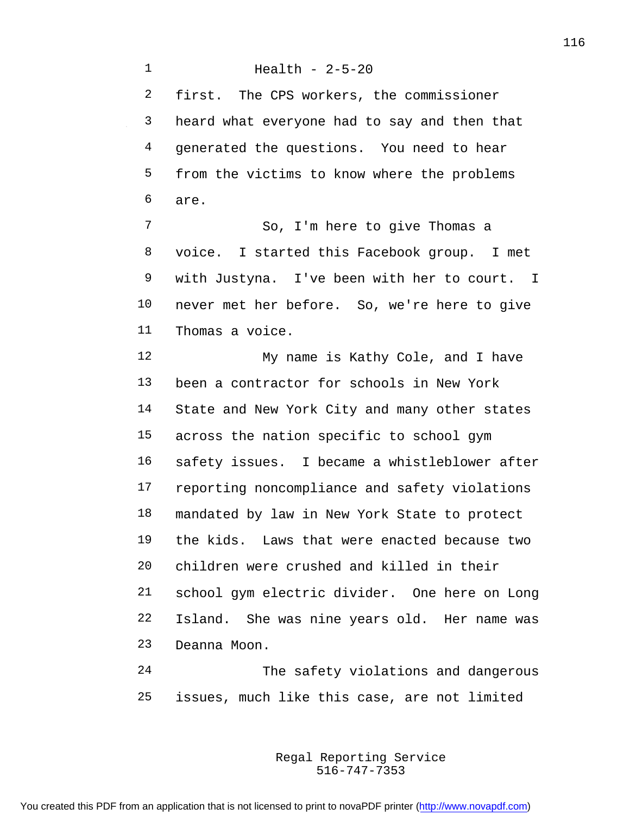Health - 2-5-20 first. The CPS workers, the commissioner heard what everyone had to say and then that generated the questions. You need to hear from the victims to know where the problems are. So, I'm here to give Thomas a voice. I started this Facebook group. I met with Justyna. I've been with her to court. I never met her before. So, we're here to give Thomas a voice. 12 My name is Kathy Cole, and I have been a contractor for schools in New York State and New York City and many other states across the nation specific to school gym safety issues. I became a whistleblower after reporting noncompliance and safety violations mandated by law in New York State to protect the kids. Laws that were enacted because two children were crushed and killed in their school gym electric divider. One here on Long Island. She was nine years old. Her name was Deanna Moon. The safety violations and dangerous

issues, much like this case, are not limited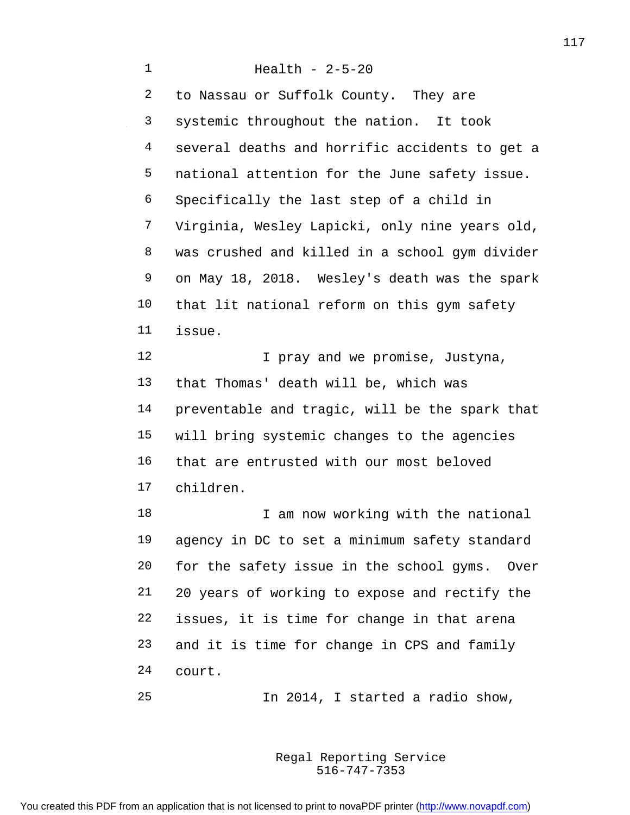Health - 2-5-20 to Nassau or Suffolk County. They are systemic throughout the nation. It took several deaths and horrific accidents to get a national attention for the June safety issue. Specifically the last step of a child in Virginia, Wesley Lapicki, only nine years old, was crushed and killed in a school gym divider on May 18, 2018. Wesley's death was the spark that lit national reform on this gym safety issue. **I** pray and we promise, Justyna, that Thomas' death will be, which was preventable and tragic, will be the spark that will bring systemic changes to the agencies that are entrusted with our most beloved children. 18 I am now working with the national agency in DC to set a minimum safety standard for the safety issue in the school gyms. Over 20 years of working to expose and rectify the issues, it is time for change in that arena and it is time for change in CPS and family court. In 2014, I started a radio show,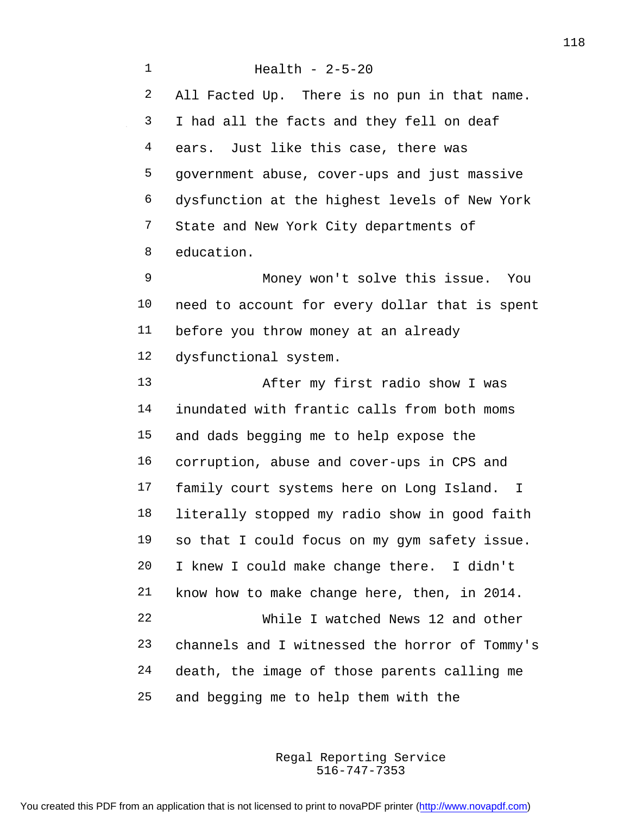Health - 2-5-20 All Facted Up. There is no pun in that name. I had all the facts and they fell on deaf ears. Just like this case, there was government abuse, cover-ups and just massive dysfunction at the highest levels of New York State and New York City departments of education. Money won't solve this issue. You need to account for every dollar that is spent before you throw money at an already dysfunctional system. After my first radio show I was inundated with frantic calls from both moms and dads begging me to help expose the corruption, abuse and cover-ups in CPS and family court systems here on Long Island. I literally stopped my radio show in good faith so that I could focus on my gym safety issue. I knew I could make change there. I didn't know how to make change here, then, in 2014. While I watched News 12 and other channels and I witnessed the horror of Tommy's death, the image of those parents calling me and begging me to help them with the

> 516-747-7353 Regal Reporting Service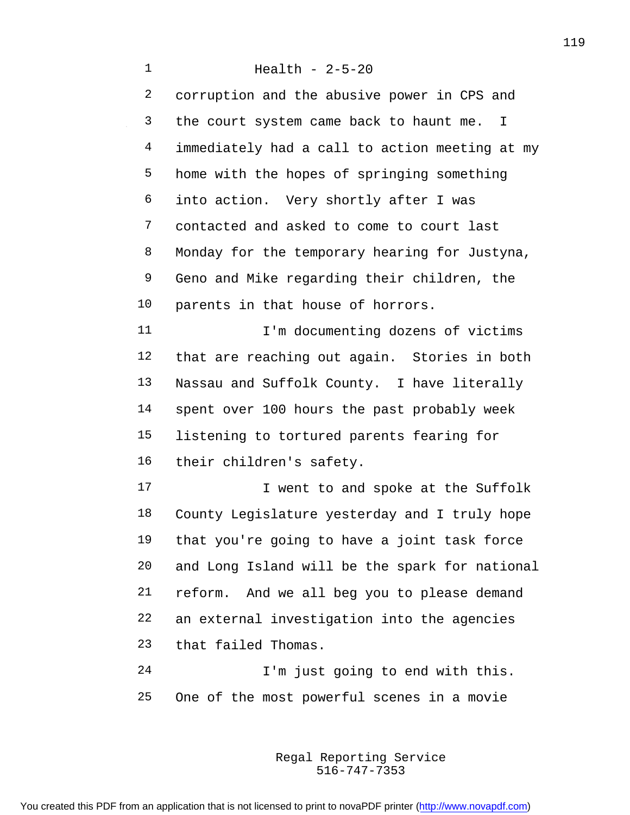Health - 2-5-20 corruption and the abusive power in CPS and the court system came back to haunt me. I immediately had a call to action meeting at my home with the hopes of springing something into action. Very shortly after I was contacted and asked to come to court last Monday for the temporary hearing for Justyna, Geno and Mike regarding their children, the parents in that house of horrors. 11 I'm documenting dozens of victims that are reaching out again. Stories in both Nassau and Suffolk County. I have literally spent over 100 hours the past probably week listening to tortured parents fearing for their children's safety. **I** went to and spoke at the Suffolk County Legislature yesterday and I truly hope that you're going to have a joint task force and Long Island will be the spark for national reform. And we all beg you to please demand an external investigation into the agencies that failed Thomas. I'm just going to end with this.

> 516-747-7353 Regal Reporting Service

One of the most powerful scenes in a movie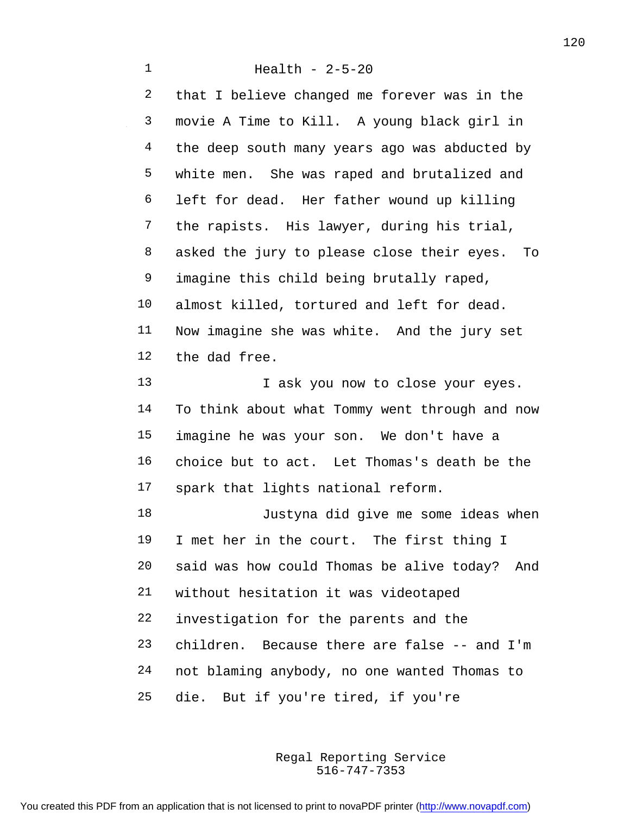Health - 2-5-20 that I believe changed me forever was in the movie A Time to Kill. A young black girl in 4 the deep south many years ago was abducted by white men. She was raped and brutalized and left for dead. Her father wound up killing the rapists. His lawyer, during his trial, asked the jury to please close their eyes. To imagine this child being brutally raped, almost killed, tortured and left for dead. Now imagine she was white. And the jury set the dad free. 13 I ask you now to close your eyes. To think about what Tommy went through and now imagine he was your son. We don't have a choice but to act. Let Thomas's death be the spark that lights national reform. Justyna did give me some ideas when I met her in the court. The first thing I said was how could Thomas be alive today? And without hesitation it was videotaped investigation for the parents and the children. Because there are false -- and I'm not blaming anybody, no one wanted Thomas to

die. But if you're tired, if you're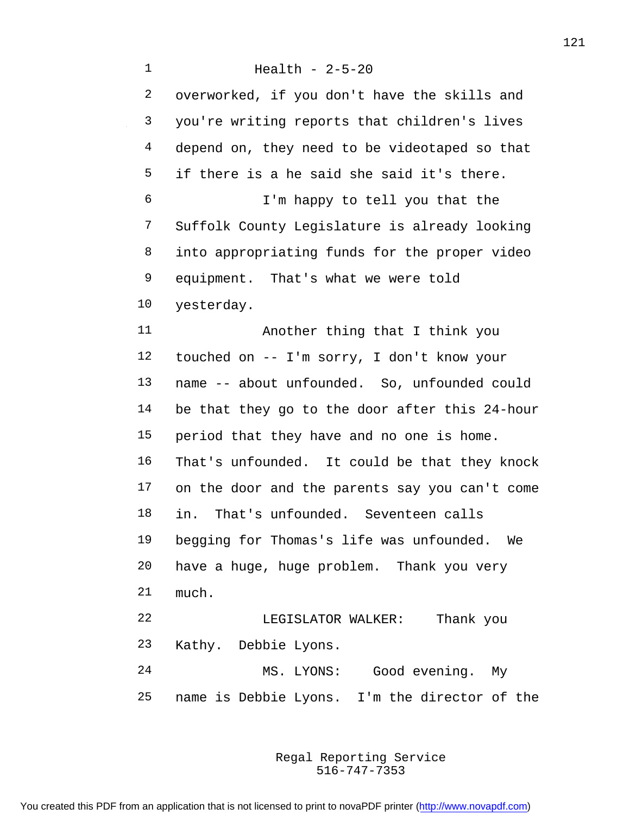Health - 2-5-20 overworked, if you don't have the skills and you're writing reports that children's lives depend on, they need to be videotaped so that if there is a he said she said it's there. I'm happy to tell you that the Suffolk County Legislature is already looking into appropriating funds for the proper video equipment. That's what we were told yesterday. Another thing that I think you touched on -- I'm sorry, I don't know your name -- about unfounded. So, unfounded could be that they go to the door after this 24-hour period that they have and no one is home. That's unfounded. It could be that they knock on the door and the parents say you can't come in. That's unfounded. Seventeen calls begging for Thomas's life was unfounded. We have a huge, huge problem. Thank you very much. LEGISLATOR WALKER: Thank you Kathy. Debbie Lyons. MS. LYONS: Good evening. My name is Debbie Lyons. I'm the director of the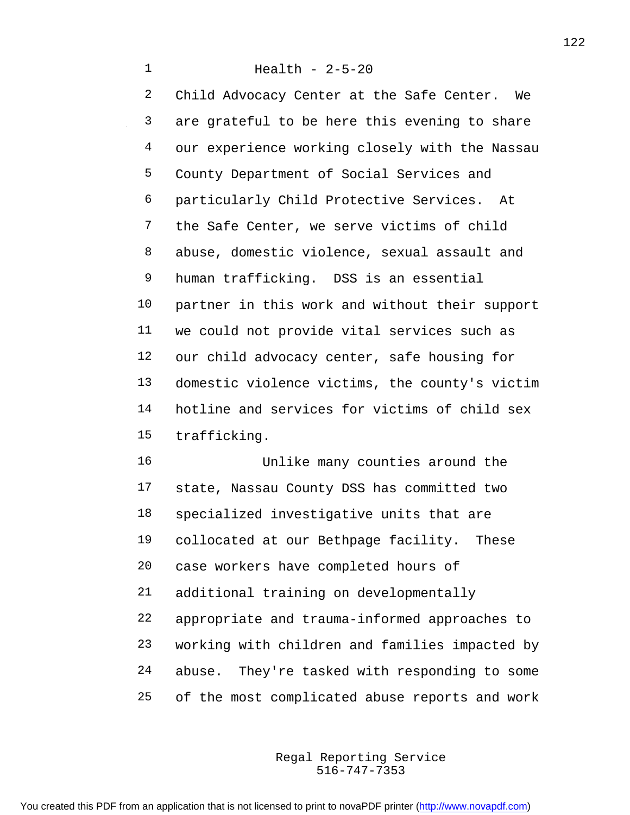Health - 2-5-20 Child Advocacy Center at the Safe Center. We are grateful to be here this evening to share our experience working closely with the Nassau County Department of Social Services and particularly Child Protective Services. At the Safe Center, we serve victims of child abuse, domestic violence, sexual assault and human trafficking. DSS is an essential partner in this work and without their support we could not provide vital services such as our child advocacy center, safe housing for domestic violence victims, the county's victim hotline and services for victims of child sex trafficking.

 Unlike many counties around the state, Nassau County DSS has committed two specialized investigative units that are collocated at our Bethpage facility. These case workers have completed hours of additional training on developmentally appropriate and trauma-informed approaches to working with children and families impacted by abuse. They're tasked with responding to some of the most complicated abuse reports and work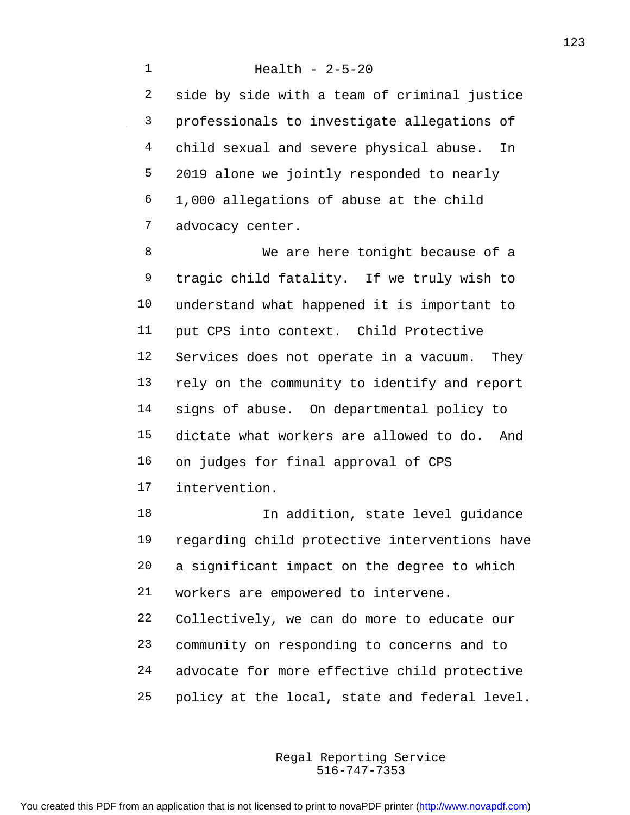side by side with a team of criminal justice professionals to investigate allegations of 4 child sexual and severe physical abuse. In 2019 alone we jointly responded to nearly 1,000 allegations of abuse at the child advocacy center.

8 We are here tonight because of a tragic child fatality. If we truly wish to understand what happened it is important to put CPS into context. Child Protective Services does not operate in a vacuum. They rely on the community to identify and report signs of abuse. On departmental policy to dictate what workers are allowed to do. And on judges for final approval of CPS intervention.

**In addition, state level guidance**  regarding child protective interventions have a significant impact on the degree to which workers are empowered to intervene. Collectively, we can do more to educate our community on responding to concerns and to advocate for more effective child protective

policy at the local, state and federal level.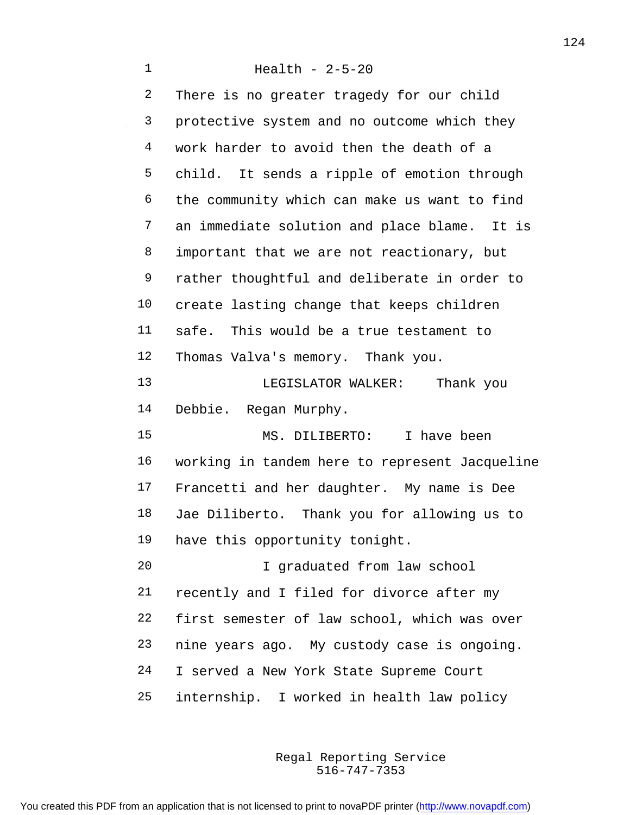Health - 2-5-20 2 There is no greater tragedy for our child protective system and no outcome which they work harder to avoid then the death of a child. It sends a ripple of emotion through the community which can make us want to find an immediate solution and place blame. It is 8 important that we are not reactionary, but rather thoughtful and deliberate in order to create lasting change that keeps children safe. This would be a true testament to Thomas Valva's memory. Thank you. LEGISLATOR WALKER: Thank you Debbie. Regan Murphy. MS. DILIBERTO: I have been working in tandem here to represent Jacqueline Francetti and her daughter. My name is Dee Jae Diliberto. Thank you for allowing us to have this opportunity tonight. I graduated from law school recently and I filed for divorce after my first semester of law school, which was over nine years ago. My custody case is ongoing. I served a New York State Supreme Court internship. I worked in health law policy

> 516-747-7353 Regal Reporting Service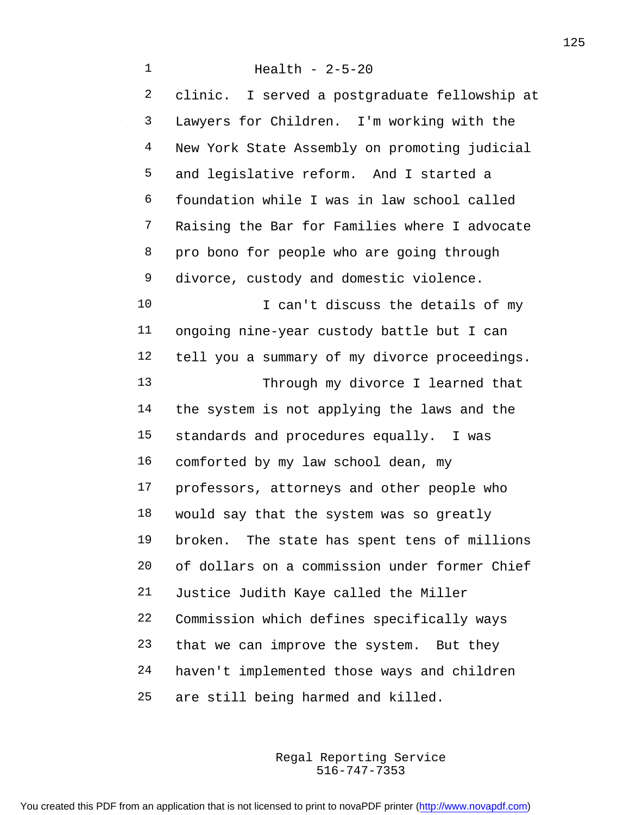Health - 2-5-20 clinic. I served a postgraduate fellowship at Lawyers for Children. I'm working with the New York State Assembly on promoting judicial and legislative reform. And I started a foundation while I was in law school called Raising the Bar for Families where I advocate pro bono for people who are going through divorce, custody and domestic violence. 10 I can't discuss the details of my ongoing nine-year custody battle but I can tell you a summary of my divorce proceedings. Through my divorce I learned that the system is not applying the laws and the standards and procedures equally. I was comforted by my law school dean, my professors, attorneys and other people who would say that the system was so greatly broken. The state has spent tens of millions of dollars on a commission under former Chief Justice Judith Kaye called the Miller Commission which defines specifically ways that we can improve the system. But they haven't implemented those ways and children are still being harmed and killed.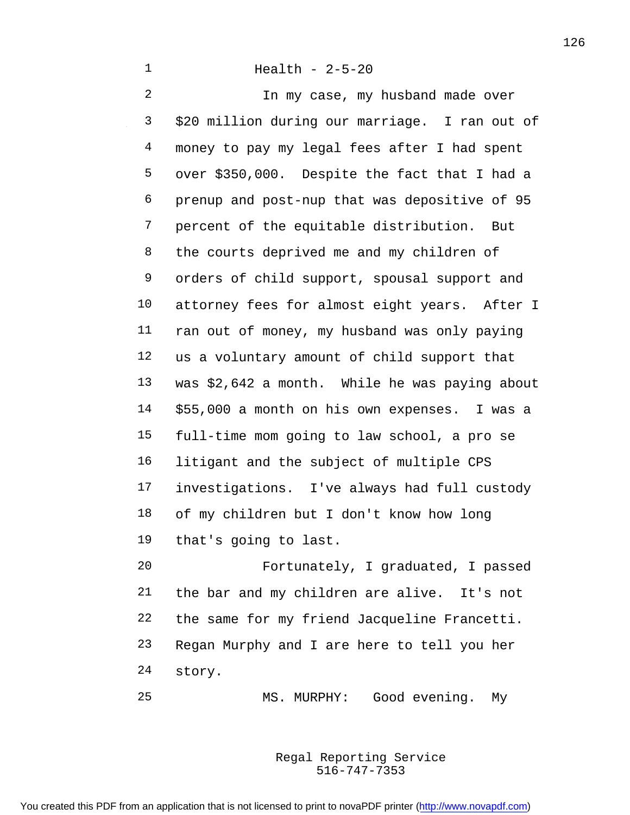In my case, my husband made over \$20 million during our marriage. I ran out of money to pay my legal fees after I had spent over \$350,000. Despite the fact that I had a prenup and post-nup that was depositive of 95 percent of the equitable distribution. But 8 the courts deprived me and my children of orders of child support, spousal support and attorney fees for almost eight years. After I ran out of money, my husband was only paying us a voluntary amount of child support that was \$2,642 a month. While he was paying about \$55,000 a month on his own expenses. I was a full-time mom going to law school, a pro se litigant and the subject of multiple CPS investigations. I've always had full custody of my children but I don't know how long that's going to last. Fortunately, I graduated, I passed the bar and my children are alive. It's not

 Regan Murphy and I are here to tell you her story.

the same for my friend Jacqueline Francetti.

MS. MURPHY: Good evening. My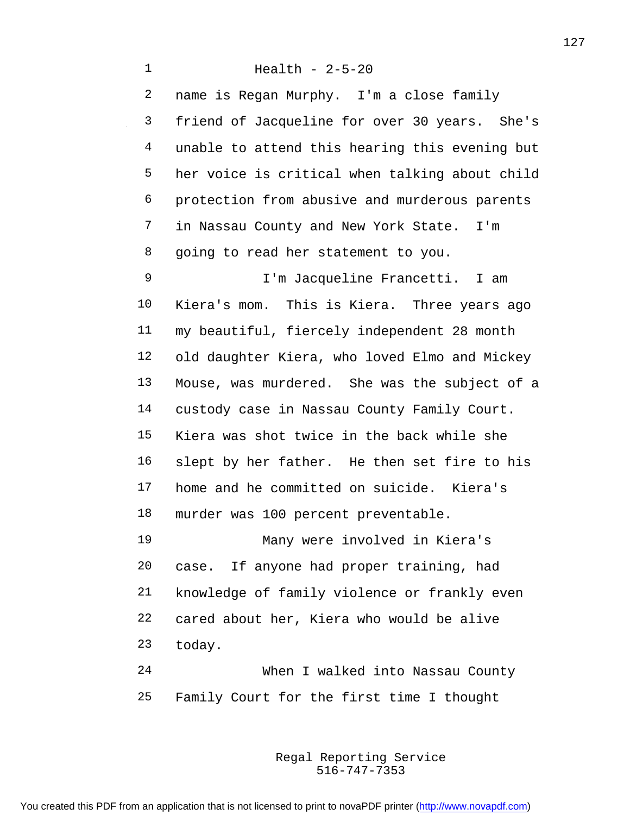Health - 2-5-20 name is Regan Murphy. I'm a close family friend of Jacqueline for over 30 years. She's unable to attend this hearing this evening but her voice is critical when talking about child protection from abusive and murderous parents in Nassau County and New York State. I'm going to read her statement to you. I'm Jacqueline Francetti. I am Kiera's mom. This is Kiera. Three years ago my beautiful, fiercely independent 28 month old daughter Kiera, who loved Elmo and Mickey Mouse, was murdered. She was the subject of a custody case in Nassau County Family Court. Kiera was shot twice in the back while she slept by her father. He then set fire to his home and he committed on suicide. Kiera's murder was 100 percent preventable. Many were involved in Kiera's case. If anyone had proper training, had knowledge of family violence or frankly even cared about her, Kiera who would be alive today. When I walked into Nassau County

Family Court for the first time I thought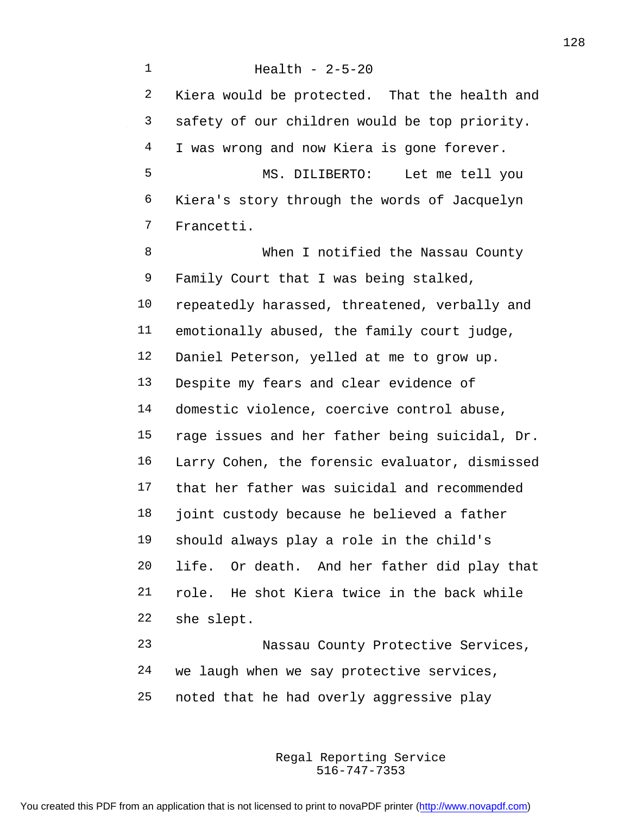Health - 2-5-20 Kiera would be protected. That the health and safety of our children would be top priority. 4 I was wrong and now Kiera is gone forever. MS. DILIBERTO: Let me tell you Kiera's story through the words of Jacquelyn Francetti. When I notified the Nassau County Family Court that I was being stalked, repeatedly harassed, threatened, verbally and emotionally abused, the family court judge, Daniel Peterson, yelled at me to grow up. Despite my fears and clear evidence of domestic violence, coercive control abuse, rage issues and her father being suicidal, Dr. Larry Cohen, the forensic evaluator, dismissed that her father was suicidal and recommended joint custody because he believed a father should always play a role in the child's life. Or death. And her father did play that role. He shot Kiera twice in the back while she slept. Nassau County Protective Services,

 we laugh when we say protective services, noted that he had overly aggressive play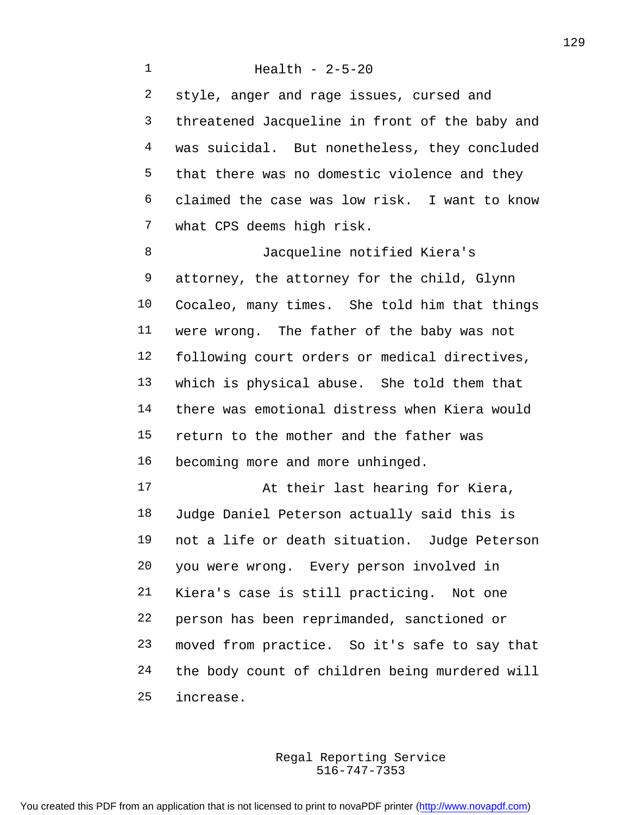Health - 2-5-20 style, anger and rage issues, cursed and threatened Jacqueline in front of the baby and was suicidal. But nonetheless, they concluded that there was no domestic violence and they claimed the case was low risk. I want to know what CPS deems high risk. Jacqueline notified Kiera's attorney, the attorney for the child, Glynn Cocaleo, many times. She told him that things were wrong. The father of the baby was not following court orders or medical directives, which is physical abuse. She told them that there was emotional distress when Kiera would return to the mother and the father was becoming more and more unhinged. 17 At their last hearing for Kiera, Judge Daniel Peterson actually said this is not a life or death situation. Judge Peterson you were wrong. Every person involved in

 Kiera's case is still practicing. Not one person has been reprimanded, sanctioned or moved from practice. So it's safe to say that the body count of children being murdered will increase.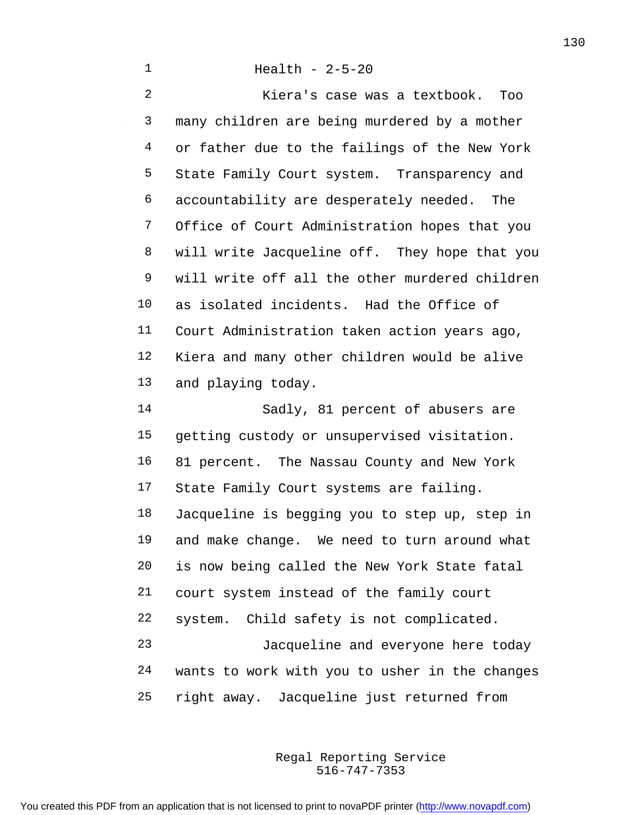Health - 2-5-20

 Kiera's case was a textbook. Too many children are being murdered by a mother or father due to the failings of the New York State Family Court system. Transparency and accountability are desperately needed. The Office of Court Administration hopes that you will write Jacqueline off. They hope that you will write off all the other murdered children as isolated incidents. Had the Office of Court Administration taken action years ago, Kiera and many other children would be alive and playing today. Sadly, 81 percent of abusers are

 getting custody or unsupervised visitation. 81 percent. The Nassau County and New York State Family Court systems are failing. Jacqueline is begging you to step up, step in and make change. We need to turn around what is now being called the New York State fatal court system instead of the family court system. Child safety is not complicated. Jacqueline and everyone here today wants to work with you to usher in the changes right away. Jacqueline just returned from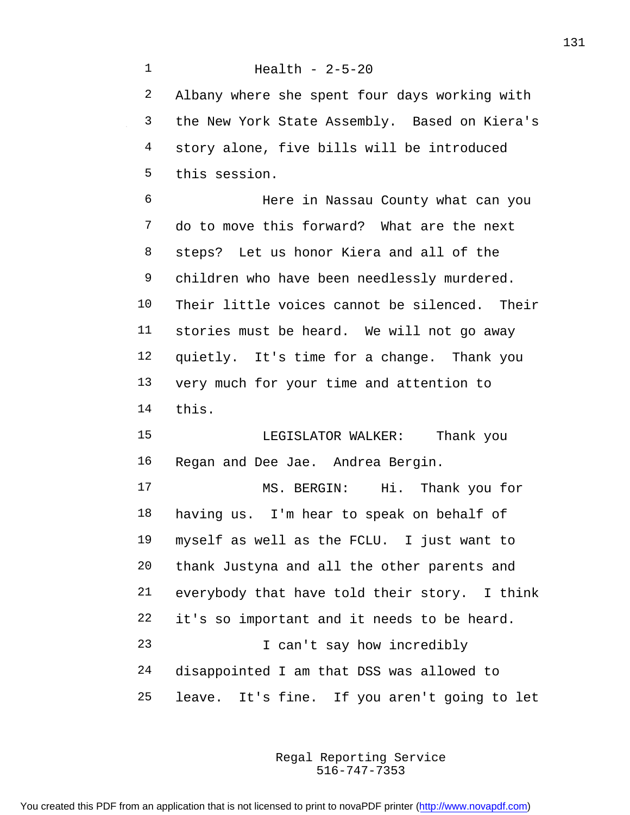Health - 2-5-20 Albany where she spent four days working with the New York State Assembly. Based on Kiera's story alone, five bills will be introduced this session. Here in Nassau County what can you do to move this forward? What are the next steps? Let us honor Kiera and all of the children who have been needlessly murdered. Their little voices cannot be silenced. Their stories must be heard. We will not go away quietly. It's time for a change. Thank you very much for your time and attention to this. LEGISLATOR WALKER: Thank you Regan and Dee Jae. Andrea Bergin. MS. BERGIN: Hi. Thank you for having us. I'm hear to speak on behalf of myself as well as the FCLU. I just want to thank Justyna and all the other parents and everybody that have told their story. I think it's so important and it needs to be heard. I can't say how incredibly disappointed I am that DSS was allowed to leave. It's fine. If you aren't going to let

> 516-747-7353 Regal Reporting Service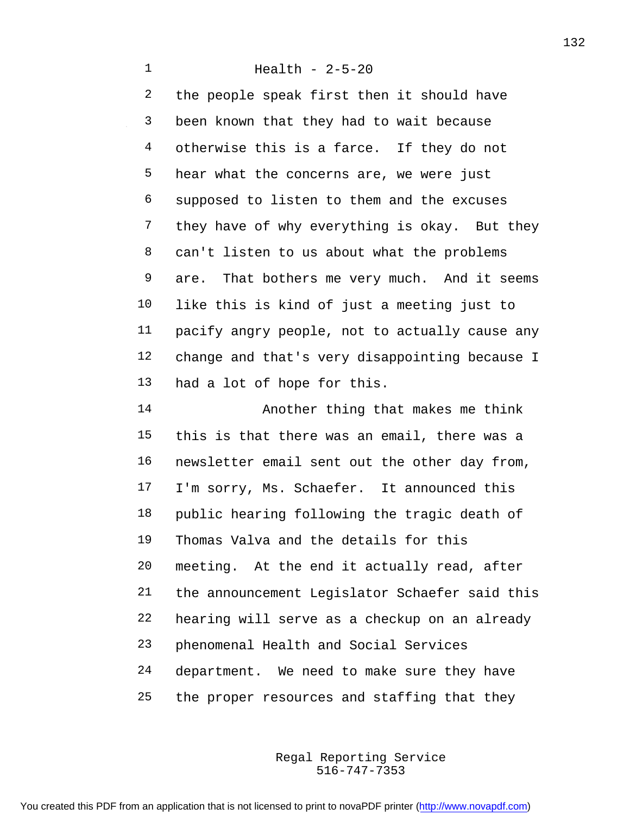Health - 2-5-20 the people speak first then it should have been known that they had to wait because 4 otherwise this is a farce. If they do not hear what the concerns are, we were just supposed to listen to them and the excuses they have of why everything is okay. But they can't listen to us about what the problems are. That bothers me very much. And it seems like this is kind of just a meeting just to pacify angry people, not to actually cause any change and that's very disappointing because I had a lot of hope for this. Another thing that makes me think

 this is that there was an email, there was a newsletter email sent out the other day from, I'm sorry, Ms. Schaefer. It announced this public hearing following the tragic death of Thomas Valva and the details for this meeting. At the end it actually read, after the announcement Legislator Schaefer said this hearing will serve as a checkup on an already phenomenal Health and Social Services department. We need to make sure they have the proper resources and staffing that they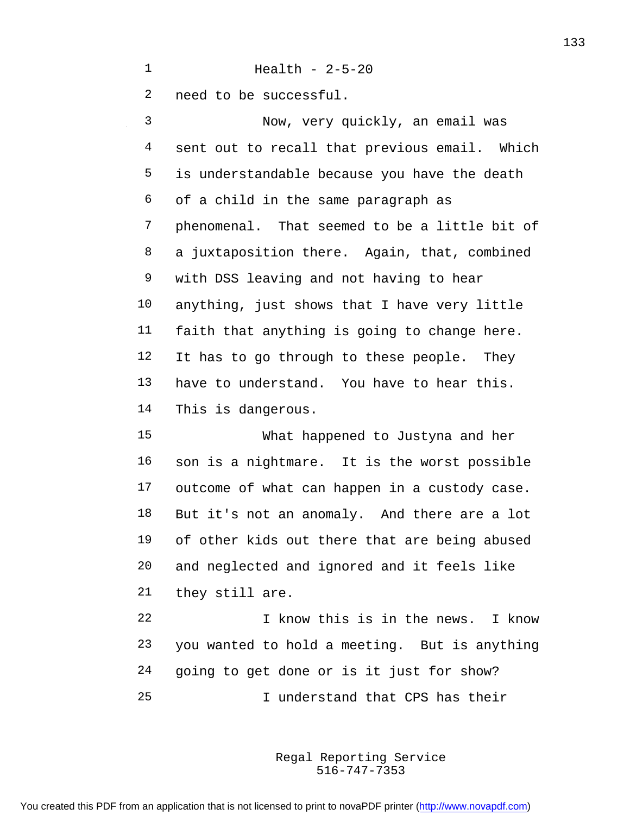need to be successful.

Health - 2-5-20

 Now, very quickly, an email was sent out to recall that previous email. Which is understandable because you have the death of a child in the same paragraph as phenomenal. That seemed to be a little bit of a juxtaposition there. Again, that, combined with DSS leaving and not having to hear anything, just shows that I have very little faith that anything is going to change here. It has to go through to these people. They have to understand. You have to hear this. This is dangerous.

 What happened to Justyna and her son is a nightmare. It is the worst possible outcome of what can happen in a custody case. But it's not an anomaly. And there are a lot of other kids out there that are being abused and neglected and ignored and it feels like they still are.

 I know this is in the news. I know you wanted to hold a meeting. But is anything going to get done or is it just for show? I understand that CPS has their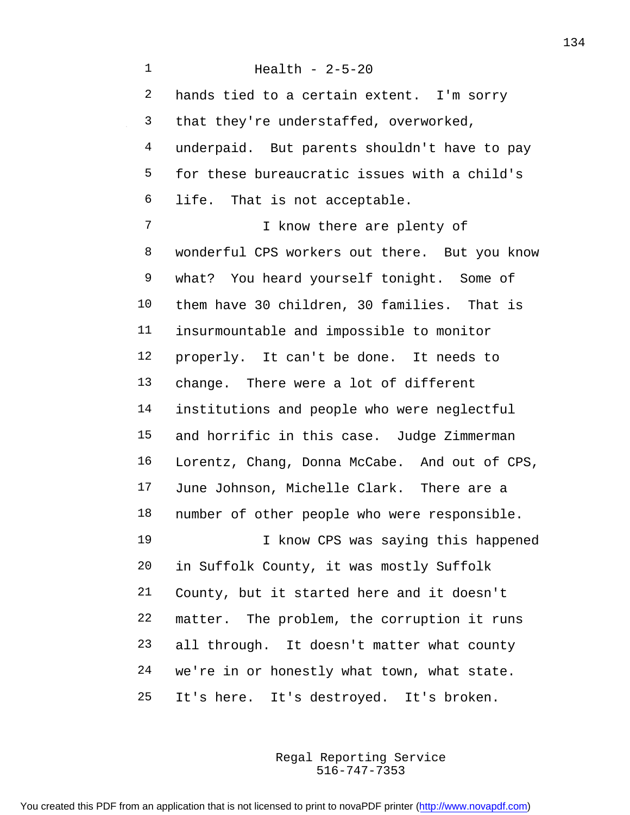Health - 2-5-20 2 hands tied to a certain extent. I'm sorry that they're understaffed, overworked, underpaid. But parents shouldn't have to pay for these bureaucratic issues with a child's life. That is not acceptable. I know there are plenty of wonderful CPS workers out there. But you know what? You heard yourself tonight. Some of them have 30 children, 30 families. That is insurmountable and impossible to monitor properly. It can't be done. It needs to change. There were a lot of different institutions and people who were neglectful and horrific in this case. Judge Zimmerman Lorentz, Chang, Donna McCabe. And out of CPS, June Johnson, Michelle Clark. There are a number of other people who were responsible. I know CPS was saying this happened in Suffolk County, it was mostly Suffolk County, but it started here and it doesn't matter. The problem, the corruption it runs all through. It doesn't matter what county we're in or honestly what town, what state. It's here. It's destroyed. It's broken.

> 516-747-7353 Regal Reporting Service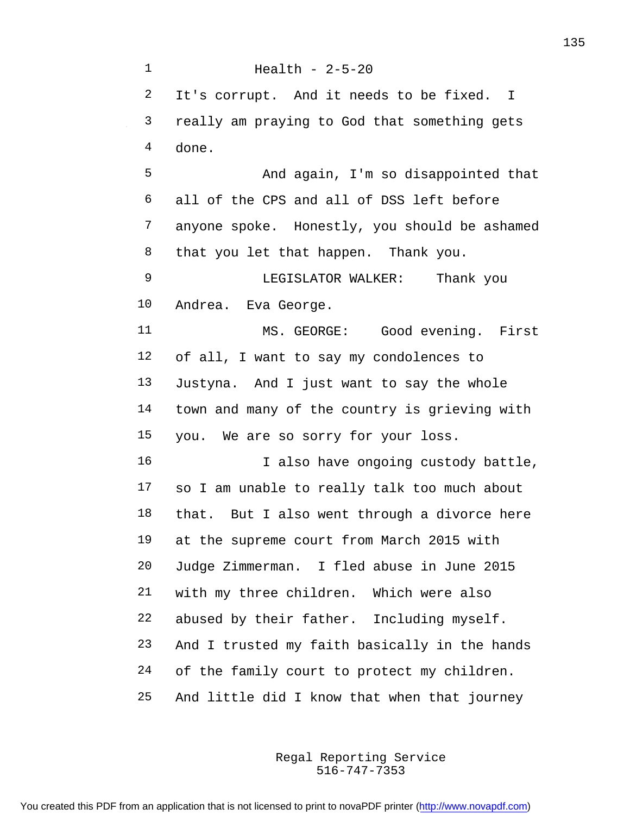Health - 2-5-20 2 It's corrupt. And it needs to be fixed. I really am praying to God that something gets done. And again, I'm so disappointed that all of the CPS and all of DSS left before anyone spoke. Honestly, you should be ashamed that you let that happen. Thank you. LEGISLATOR WALKER: Thank you Andrea. Eva George. MS. GEORGE: Good evening. First of all, I want to say my condolences to Justyna. And I just want to say the whole town and many of the country is grieving with you. We are so sorry for your loss. 16 16 I also have ongoing custody battle, so I am unable to really talk too much about that. But I also went through a divorce here at the supreme court from March 2015 with Judge Zimmerman. I fled abuse in June 2015 with my three children. Which were also abused by their father. Including myself. And I trusted my faith basically in the hands of the family court to protect my children. And little did I know that when that journey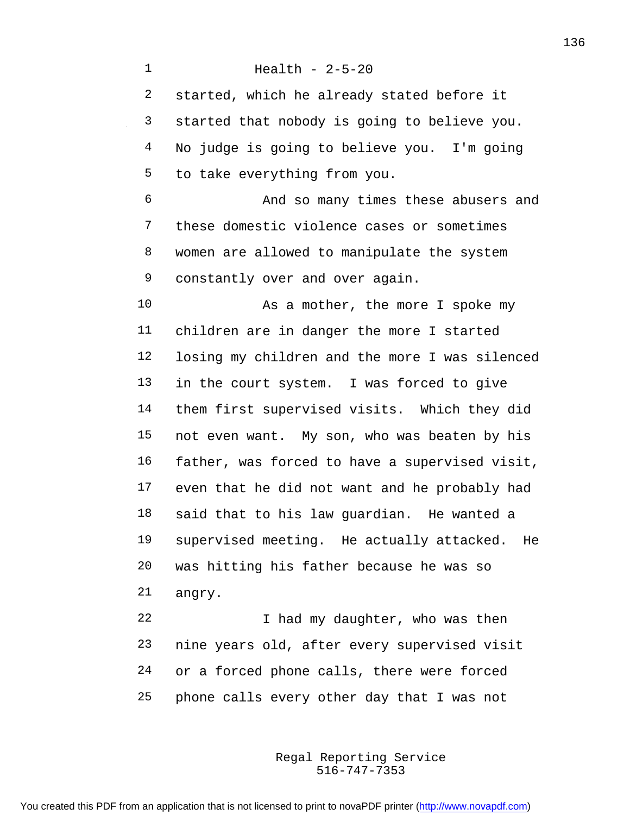Health - 2-5-20 started, which he already stated before it started that nobody is going to believe you. No judge is going to believe you. I'm going to take everything from you. And so many times these abusers and these domestic violence cases or sometimes women are allowed to manipulate the system constantly over and over again. 10 As a mother, the more I spoke my children are in danger the more I started losing my children and the more I was silenced in the court system. I was forced to give them first supervised visits. Which they did not even want. My son, who was beaten by his father, was forced to have a supervised visit, even that he did not want and he probably had said that to his law guardian. He wanted a supervised meeting. He actually attacked. He was hitting his father because he was so angry. 22 I had my daughter, who was then nine years old, after every supervised visit

phone calls every other day that I was not

or a forced phone calls, there were forced

516-747-7353 Regal Reporting Service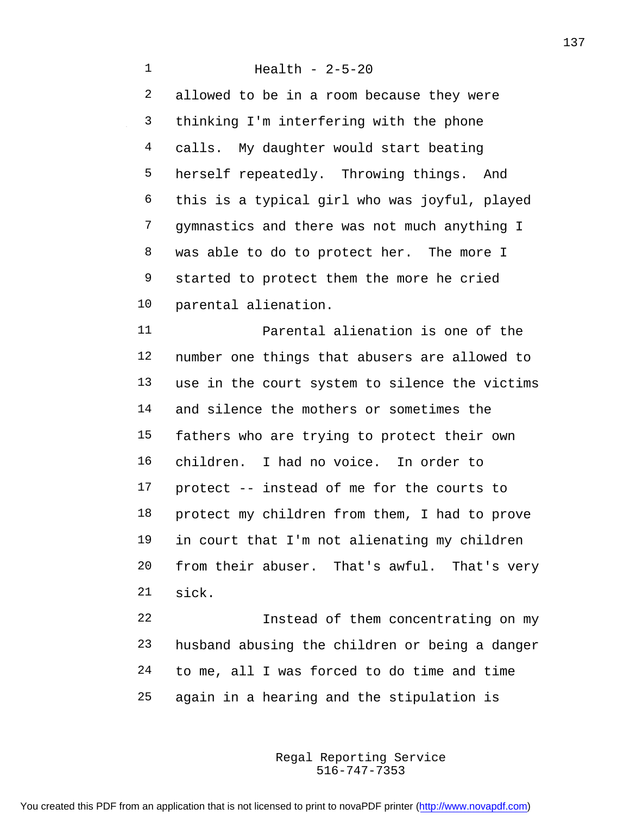Health - 2-5-20 allowed to be in a room because they were thinking I'm interfering with the phone calls. My daughter would start beating herself repeatedly. Throwing things. And this is a typical girl who was joyful, played gymnastics and there was not much anything I was able to do to protect her. The more I 9 started to protect them the more he cried parental alienation. Parental alienation is one of the number one things that abusers are allowed to use in the court system to silence the victims and silence the mothers or sometimes the fathers who are trying to protect their own children. I had no voice. In order to protect -- instead of me for the courts to protect my children from them, I had to prove in court that I'm not alienating my children

 from their abuser. That's awful. That's very sick. Instead of them concentrating on my

 husband abusing the children or being a danger to me, all I was forced to do time and time again in a hearing and the stipulation is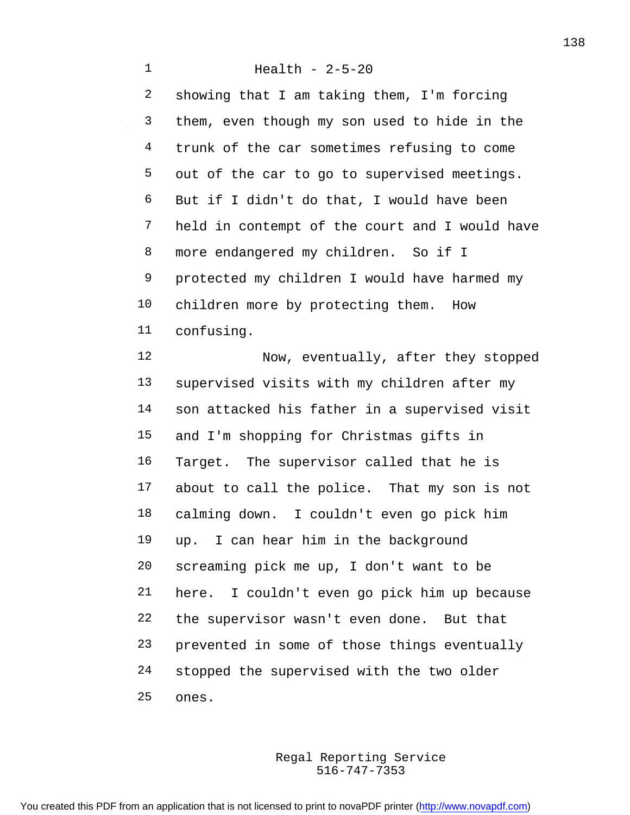Health - 2-5-20 showing that I am taking them, I'm forcing them, even though my son used to hide in the trunk of the car sometimes refusing to come out of the car to go to supervised meetings. But if I didn't do that, I would have been held in contempt of the court and I would have more endangered my children. So if I protected my children I would have harmed my children more by protecting them. How confusing. Now, eventually, after they stopped supervised visits with my children after my son attacked his father in a supervised visit and I'm shopping for Christmas gifts in Target. The supervisor called that he is about to call the police. That my son is not calming down. I couldn't even go pick him up. I can hear him in the background screaming pick me up, I don't want to be here. I couldn't even go pick him up because the supervisor wasn't even done. But that prevented in some of those things eventually stopped the supervised with the two older

ones.

516-747-7353 Regal Reporting Service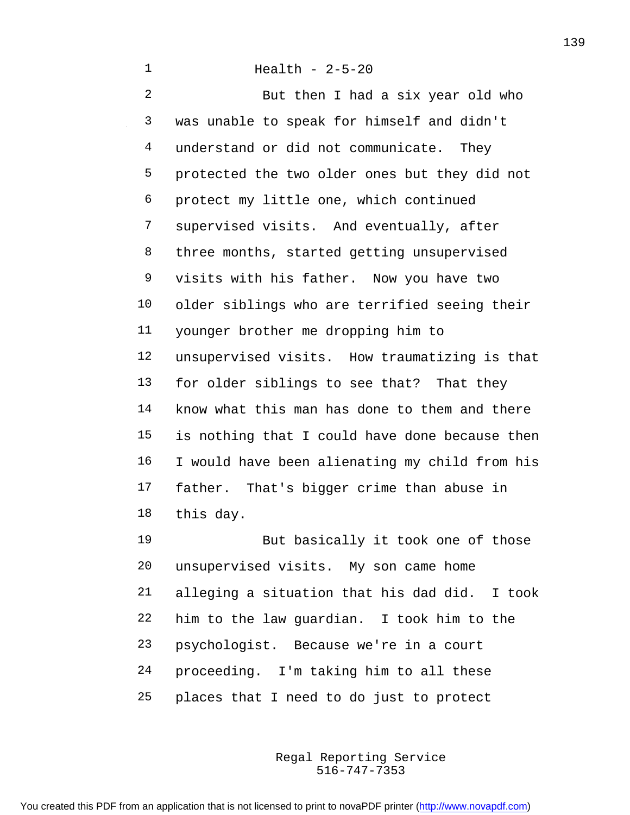But then I had a six year old who was unable to speak for himself and didn't 4 understand or did not communicate. They protected the two older ones but they did not protect my little one, which continued supervised visits. And eventually, after three months, started getting unsupervised visits with his father. Now you have two older siblings who are terrified seeing their younger brother me dropping him to unsupervised visits. How traumatizing is that for older siblings to see that? That they know what this man has done to them and there is nothing that I could have done because then I would have been alienating my child from his father. That's bigger crime than abuse in this day.

19 But basically it took one of those unsupervised visits. My son came home alleging a situation that his dad did. I took him to the law guardian. I took him to the psychologist. Because we're in a court proceeding. I'm taking him to all these places that I need to do just to protect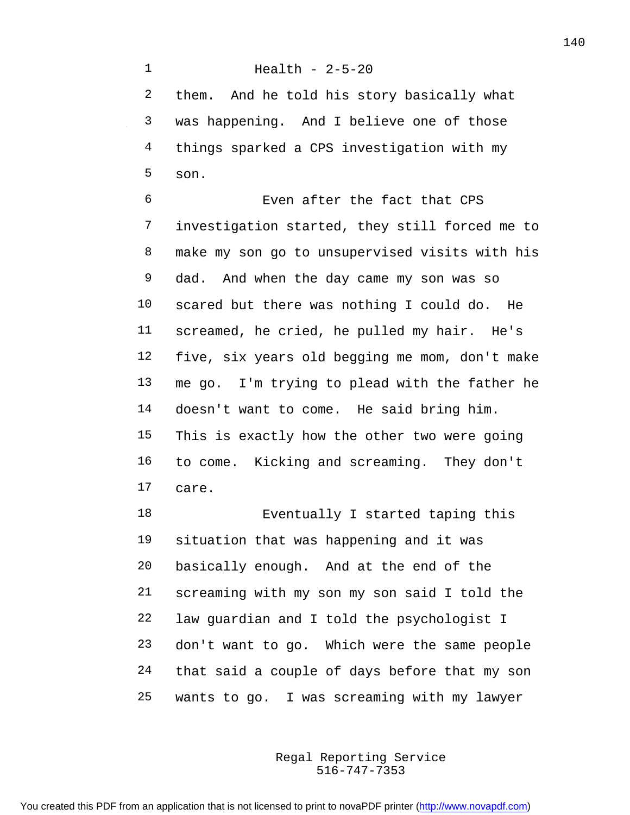Health - 2-5-20 them. And he told his story basically what was happening. And I believe one of those things sparked a CPS investigation with my son.

 Even after the fact that CPS investigation started, they still forced me to make my son go to unsupervised visits with his dad. And when the day came my son was so scared but there was nothing I could do. He screamed, he cried, he pulled my hair. He's five, six years old begging me mom, don't make me go. I'm trying to plead with the father he doesn't want to come. He said bring him. This is exactly how the other two were going to come. Kicking and screaming. They don't care.

 Eventually I started taping this situation that was happening and it was basically enough. And at the end of the screaming with my son my son said I told the law guardian and I told the psychologist I don't want to go. Which were the same people that said a couple of days before that my son wants to go. I was screaming with my lawyer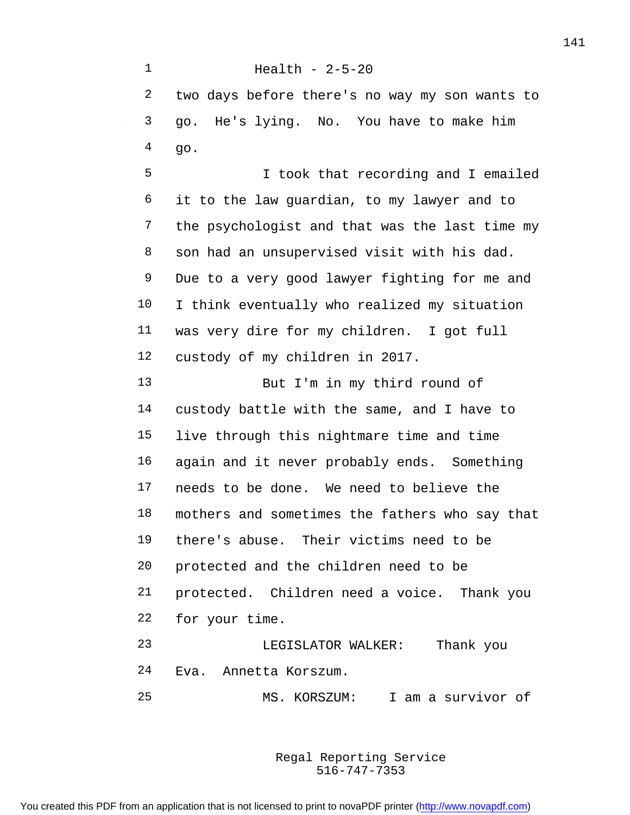Health - 2-5-20 two days before there's no way my son wants to go. He's lying. No. You have to make him  $4 \qquad q_0$ . I took that recording and I emailed it to the law guardian, to my lawyer and to the psychologist and that was the last time my son had an unsupervised visit with his dad. Due to a very good lawyer fighting for me and I think eventually who realized my situation was very dire for my children. I got full custody of my children in 2017. But I'm in my third round of custody battle with the same, and I have to live through this nightmare time and time again and it never probably ends. Something needs to be done. We need to believe the mothers and sometimes the fathers who say that there's abuse. Their victims need to be protected and the children need to be protected. Children need a voice. Thank you for your time. LEGISLATOR WALKER: Thank you Eva. Annetta Korszum. MS. KORSZUM: I am a survivor of

> 516-747-7353 Regal Reporting Service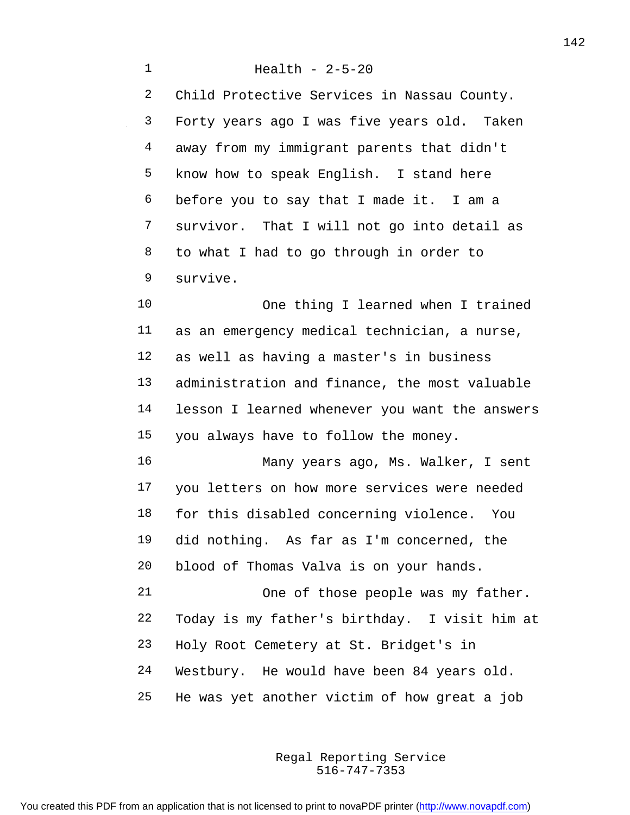Health - 2-5-20 Child Protective Services in Nassau County. Forty years ago I was five years old. Taken away from my immigrant parents that didn't know how to speak English. I stand here before you to say that I made it. I am a survivor. That I will not go into detail as to what I had to go through in order to survive. One thing I learned when I trained as an emergency medical technician, a nurse, as well as having a master's in business administration and finance, the most valuable lesson I learned whenever you want the answers you always have to follow the money. Many years ago, Ms. Walker, I sent you letters on how more services were needed for this disabled concerning violence. You did nothing. As far as I'm concerned, the blood of Thomas Valva is on your hands. One of those people was my father. Today is my father's birthday. I visit him at Holy Root Cemetery at St. Bridget's in Westbury. He would have been 84 years old. He was yet another victim of how great a job

> 516-747-7353 Regal Reporting Service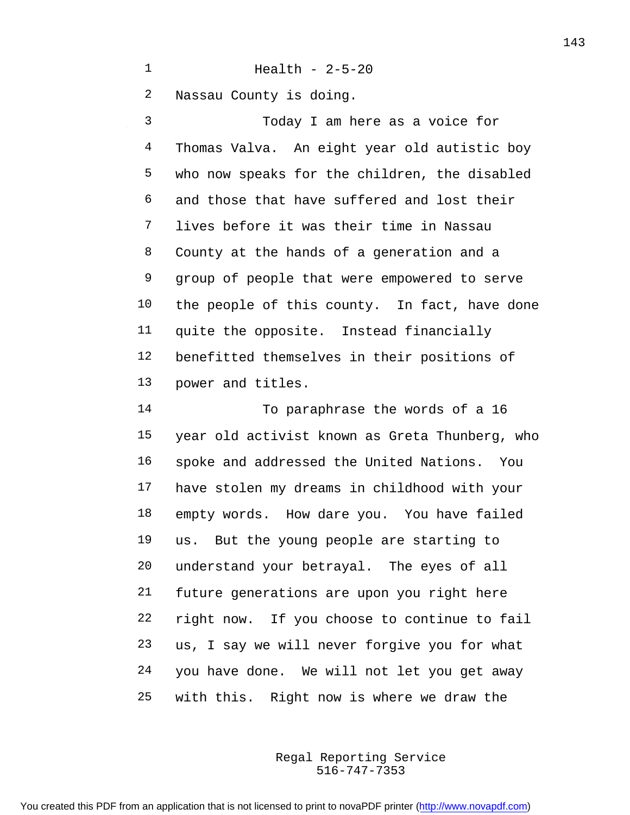Health - 2-5-20

Nassau County is doing.

 Today I am here as a voice for Thomas Valva. An eight year old autistic boy who now speaks for the children, the disabled and those that have suffered and lost their lives before it was their time in Nassau County at the hands of a generation and a group of people that were empowered to serve the people of this county. In fact, have done quite the opposite. Instead financially benefitted themselves in their positions of power and titles.

 To paraphrase the words of a 16 year old activist known as Greta Thunberg, who spoke and addressed the United Nations. You have stolen my dreams in childhood with your empty words. How dare you. You have failed us. But the young people are starting to understand your betrayal. The eyes of all future generations are upon you right here right now. If you choose to continue to fail us, I say we will never forgive you for what you have done. We will not let you get away with this. Right now is where we draw the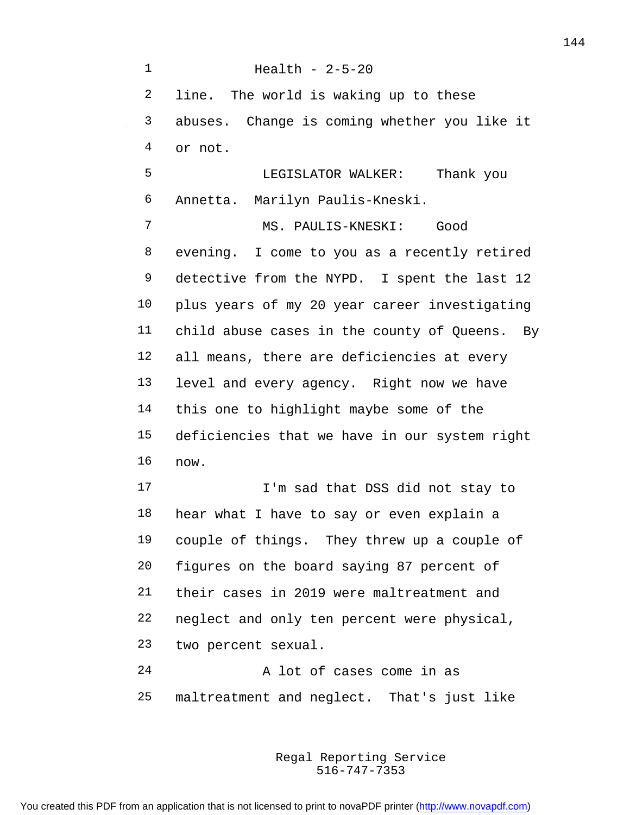Health - 2-5-20 line. The world is waking up to these abuses. Change is coming whether you like it or not. LEGISLATOR WALKER: Thank you Annetta. Marilyn Paulis-Kneski. MS. PAULIS-KNESKI: Good evening. I come to you as a recently retired 9 detective from the NYPD. I spent the last 12 plus years of my 20 year career investigating child abuse cases in the county of Queens. By all means, there are deficiencies at every level and every agency. Right now we have this one to highlight maybe some of the deficiencies that we have in our system right now. I'm sad that DSS did not stay to hear what I have to say or even explain a couple of things. They threw up a couple of figures on the board saying 87 percent of their cases in 2019 were maltreatment and neglect and only ten percent were physical, two percent sexual. A lot of cases come in as maltreatment and neglect. That's just like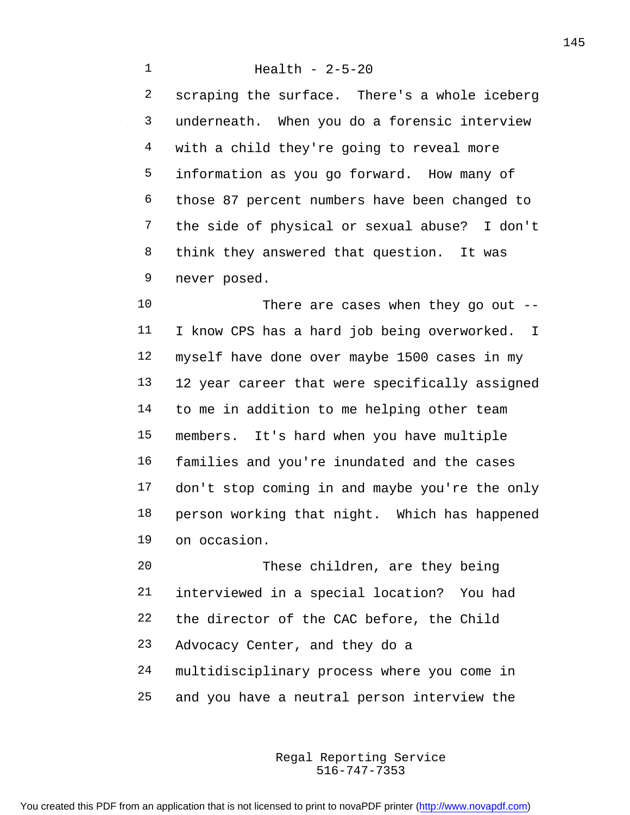Health - 2-5-20 scraping the surface. There's a whole iceberg underneath. When you do a forensic interview with a child they're going to reveal more information as you go forward. How many of those 87 percent numbers have been changed to the side of physical or sexual abuse? I don't think they answered that question. It was never posed.

 There are cases when they go out -- I know CPS has a hard job being overworked. I myself have done over maybe 1500 cases in my 12 year career that were specifically assigned to me in addition to me helping other team members. It's hard when you have multiple families and you're inundated and the cases don't stop coming in and maybe you're the only person working that night. Which has happened on occasion.

 These children, are they being interviewed in a special location? You had the director of the CAC before, the Child Advocacy Center, and they do a multidisciplinary process where you come in and you have a neutral person interview the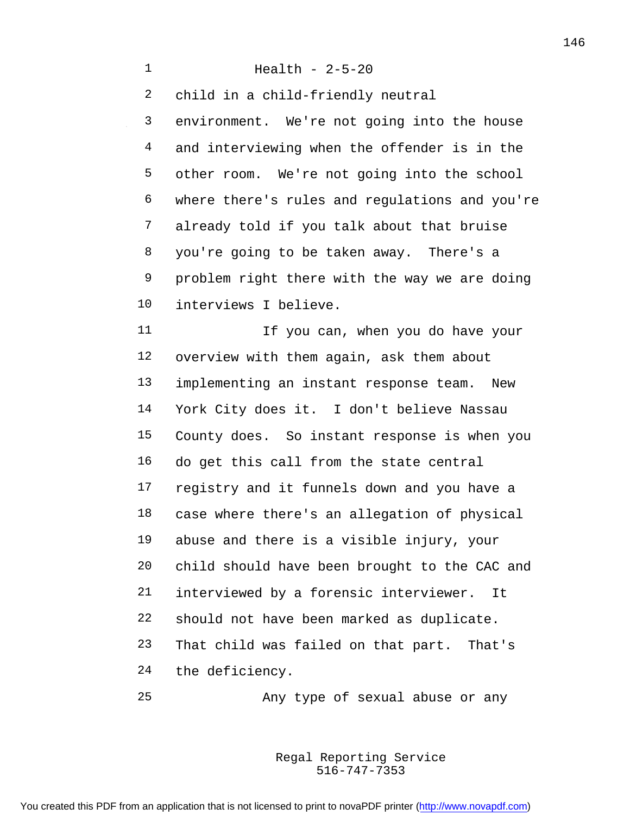Health - 2-5-20 child in a child-friendly neutral environment. We're not going into the house and interviewing when the offender is in the other room. We're not going into the school where there's rules and regulations and you're already told if you talk about that bruise you're going to be taken away. There's a problem right there with the way we are doing interviews I believe. 11 11 If you can, when you do have your overview with them again, ask them about implementing an instant response team. New York City does it. I don't believe Nassau County does. So instant response is when you do get this call from the state central registry and it funnels down and you have a case where there's an allegation of physical abuse and there is a visible injury, your child should have been brought to the CAC and interviewed by a forensic interviewer. It should not have been marked as duplicate. That child was failed on that part. That's the deficiency. Any type of sexual abuse or any

> 516-747-7353 Regal Reporting Service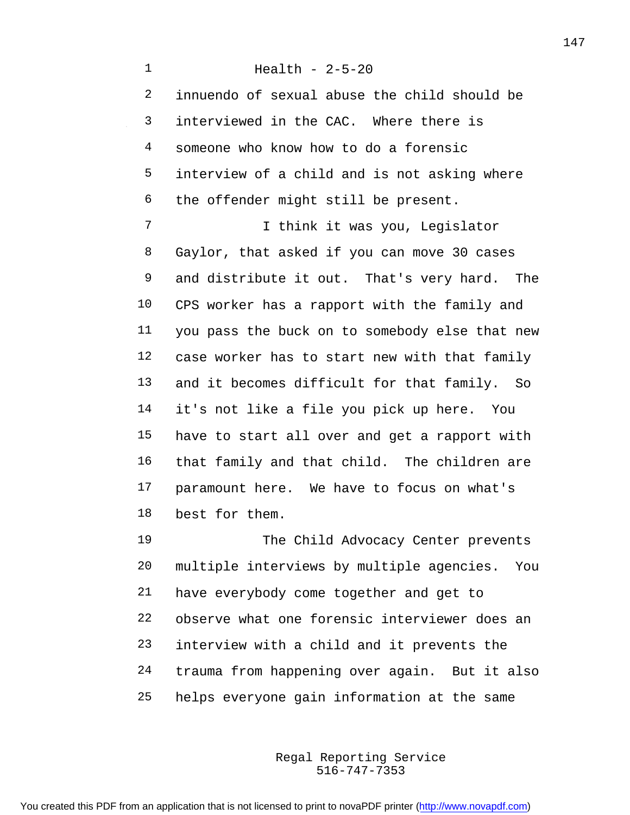Health - 2-5-20 innuendo of sexual abuse the child should be interviewed in the CAC. Where there is someone who know how to do a forensic interview of a child and is not asking where the offender might still be present. I think it was you, Legislator Gaylor, that asked if you can move 30 cases and distribute it out. That's very hard. The CPS worker has a rapport with the family and you pass the buck on to somebody else that new case worker has to start new with that family and it becomes difficult for that family. So it's not like a file you pick up here. You have to start all over and get a rapport with that family and that child. The children are paramount here. We have to focus on what's best for them. The Child Advocacy Center prevents multiple interviews by multiple agencies. You have everybody come together and get to observe what one forensic interviewer does an interview with a child and it prevents the trauma from happening over again. But it also

helps everyone gain information at the same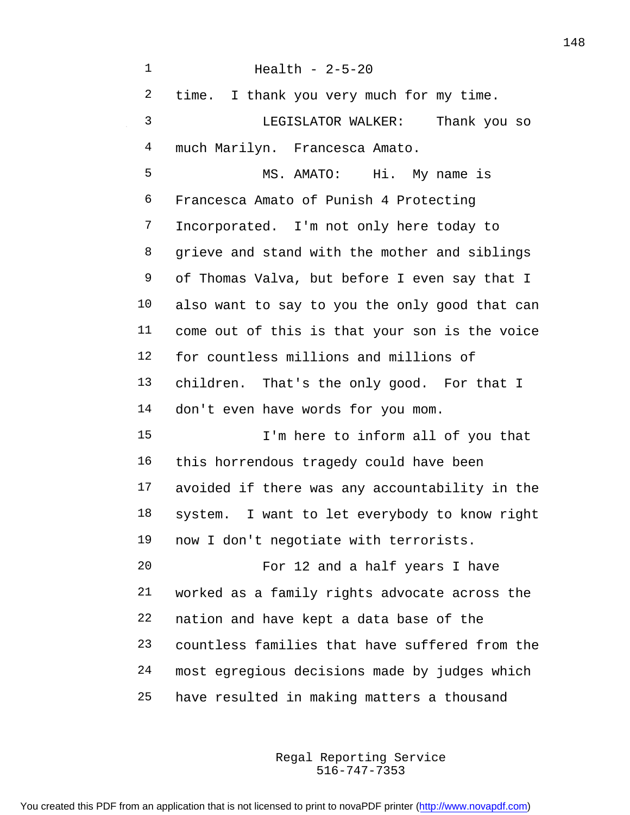| $\mathbf 1$ | Health - $2-5-20$                              |
|-------------|------------------------------------------------|
| 2           | time. I thank you very much for my time.       |
| 3           | LEGISLATOR WALKER:<br>Thank you so             |
| 4           | much Marilyn. Francesca Amato.                 |
| 5           | MS. AMATO: Hi. My name is                      |
| 6           | Francesca Amato of Punish 4 Protecting         |
| 7           | Incorporated. I'm not only here today to       |
| 8           | grieve and stand with the mother and siblings  |
| 9           | of Thomas Valva, but before I even say that I  |
| 10          | also want to say to you the only good that can |
| 11          | come out of this is that your son is the voice |
| 12          | for countless millions and millions of         |
| 13          | children. That's the only good. For that I     |
| 14          | don't even have words for you mom.             |
| 15          | I'm here to inform all of you that             |
| 16          | this horrendous tragedy could have been        |
| 17          | avoided if there was any accountability in the |
| 18          | system. I want to let everybody to know right  |
| 19          | now I don't negotiate with terrorists.         |
| 20          | For 12 and a half years I have                 |
| 21          | worked as a family rights advocate across the  |
| 22          | nation and have kept a data base of the        |
| 23          | countless families that have suffered from the |
| 24          | most egregious decisions made by judges which  |
| 25          | have resulted in making matters a thousand     |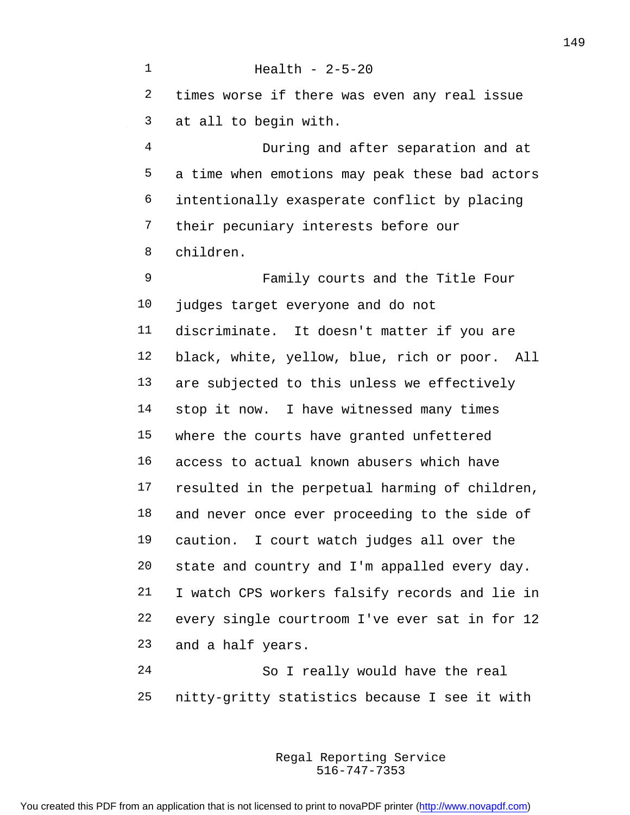Health - 2-5-20 times worse if there was even any real issue at all to begin with. During and after separation and at a time when emotions may peak these bad actors intentionally exasperate conflict by placing their pecuniary interests before our children. Family courts and the Title Four judges target everyone and do not discriminate. It doesn't matter if you are black, white, yellow, blue, rich or poor. All are subjected to this unless we effectively 14 stop it now. I have witnessed many times where the courts have granted unfettered access to actual known abusers which have resulted in the perpetual harming of children, and never once ever proceeding to the side of caution. I court watch judges all over the state and country and I'm appalled every day. I watch CPS workers falsify records and lie in every single courtroom I've ever sat in for 12 and a half years. So I really would have the real

nitty-gritty statistics because I see it with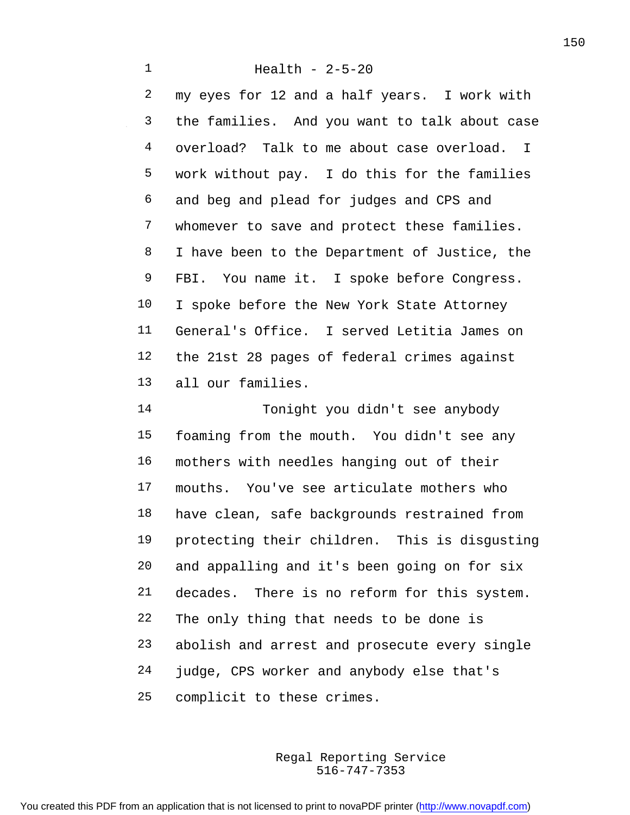## Health - 2-5-20

 my eyes for 12 and a half years. I work with the families. And you want to talk about case overload? Talk to me about case overload. I work without pay. I do this for the families and beg and plead for judges and CPS and whomever to save and protect these families. 8 I have been to the Department of Justice, the FBI. You name it. I spoke before Congress. I spoke before the New York State Attorney General's Office. I served Letitia James on the 21st 28 pages of federal crimes against all our families.

 Tonight you didn't see anybody foaming from the mouth. You didn't see any mothers with needles hanging out of their mouths. You've see articulate mothers who have clean, safe backgrounds restrained from protecting their children. This is disgusting and appalling and it's been going on for six decades. There is no reform for this system. The only thing that needs to be done is abolish and arrest and prosecute every single judge, CPS worker and anybody else that's complicit to these crimes.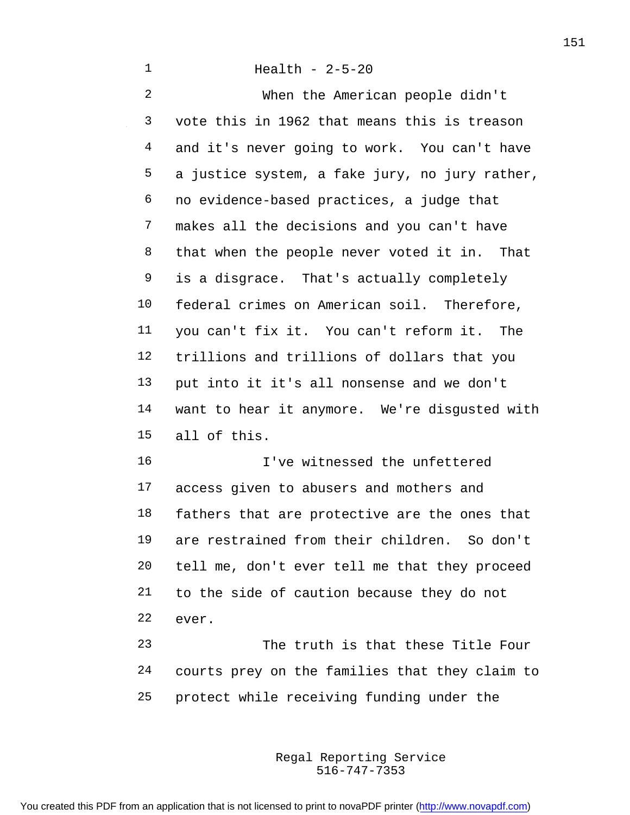Health - 2-5-20

 When the American people didn't vote this in 1962 that means this is treason and it's never going to work. You can't have a justice system, a fake jury, no jury rather, no evidence-based practices, a judge that makes all the decisions and you can't have that when the people never voted it in. That is a disgrace. That's actually completely federal crimes on American soil. Therefore, you can't fix it. You can't reform it. The trillions and trillions of dollars that you put into it it's all nonsense and we don't want to hear it anymore. We're disgusted with all of this.

 I've witnessed the unfettered access given to abusers and mothers and fathers that are protective are the ones that are restrained from their children. So don't tell me, don't ever tell me that they proceed to the side of caution because they do not ever.

 The truth is that these Title Four courts prey on the families that they claim to protect while receiving funding under the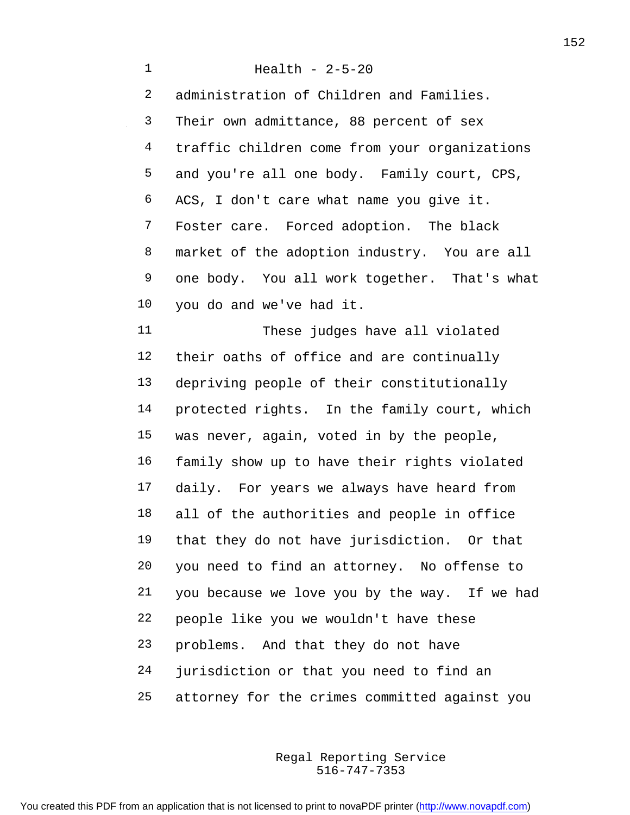Health - 2-5-20 administration of Children and Families. Their own admittance, 88 percent of sex traffic children come from your organizations and you're all one body. Family court, CPS, ACS, I don't care what name you give it. Foster care. Forced adoption. The black market of the adoption industry. You are all one body. You all work together. That's what you do and we've had it. These judges have all violated their oaths of office and are continually depriving people of their constitutionally protected rights. In the family court, which was never, again, voted in by the people, family show up to have their rights violated daily. For years we always have heard from all of the authorities and people in office that they do not have jurisdiction. Or that you need to find an attorney. No offense to you because we love you by the way. If we had people like you we wouldn't have these problems. And that they do not have jurisdiction or that you need to find an attorney for the crimes committed against you

> 516-747-7353 Regal Reporting Service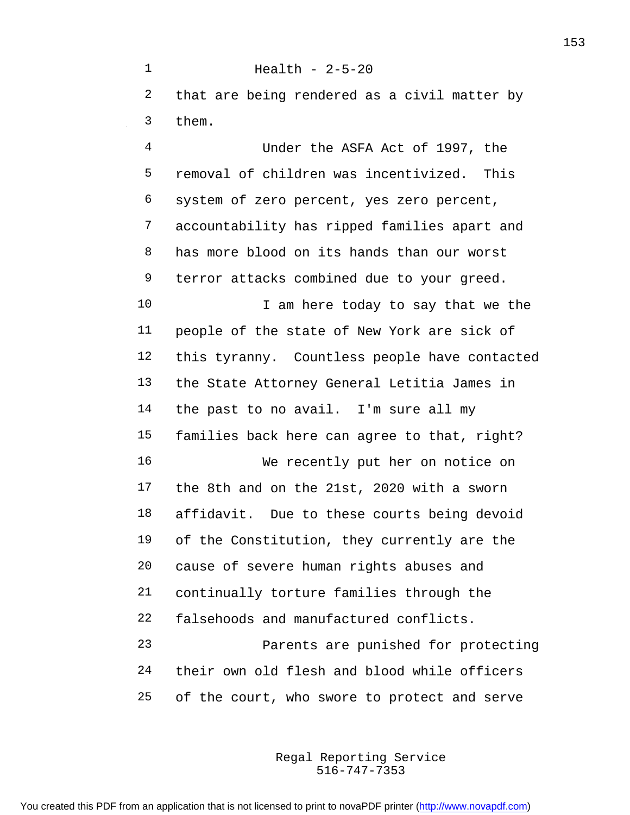Health - 2-5-20 that are being rendered as a civil matter by them.

 Under the ASFA Act of 1997, the removal of children was incentivized. This system of zero percent, yes zero percent, accountability has ripped families apart and has more blood on its hands than our worst terror attacks combined due to your greed. 10 I am here today to say that we the people of the state of New York are sick of this tyranny. Countless people have contacted the State Attorney General Letitia James in the past to no avail. I'm sure all my families back here can agree to that, right? We recently put her on notice on the 8th and on the 21st, 2020 with a sworn affidavit. Due to these courts being devoid of the Constitution, they currently are the cause of severe human rights abuses and continually torture families through the falsehoods and manufactured conflicts. Parents are punished for protecting their own old flesh and blood while officers of the court, who swore to protect and serve

> 516-747-7353 Regal Reporting Service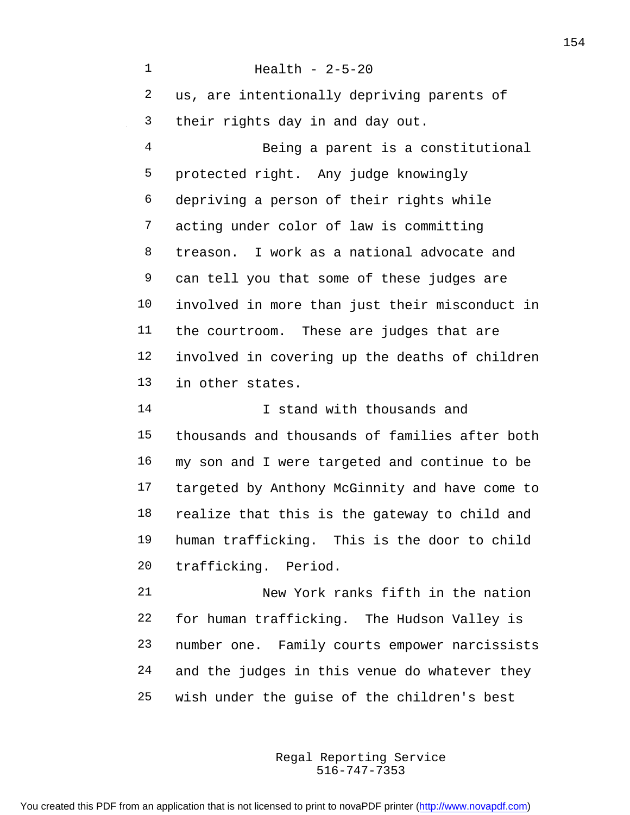Health - 2-5-20 us, are intentionally depriving parents of their rights day in and day out. Being a parent is a constitutional protected right. Any judge knowingly depriving a person of their rights while acting under color of law is committing treason. I work as a national advocate and can tell you that some of these judges are involved in more than just their misconduct in the courtroom. These are judges that are involved in covering up the deaths of children in other states. 14 I stand with thousands and thousands and thousands of families after both my son and I were targeted and continue to be targeted by Anthony McGinnity and have come to realize that this is the gateway to child and human trafficking. This is the door to child trafficking. Period. New York ranks fifth in the nation for human trafficking. The Hudson Valley is number one. Family courts empower narcissists and the judges in this venue do whatever they wish under the guise of the children's best

> 516-747-7353 Regal Reporting Service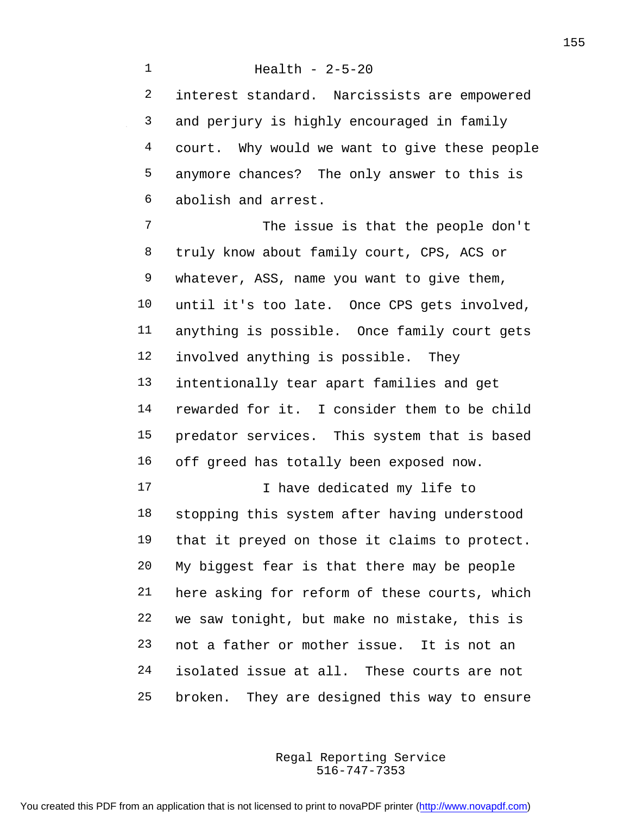Health - 2-5-20 interest standard. Narcissists are empowered and perjury is highly encouraged in family court. Why would we want to give these people anymore chances? The only answer to this is abolish and arrest. The issue is that the people don't truly know about family court, CPS, ACS or whatever, ASS, name you want to give them, until it's too late. Once CPS gets involved, anything is possible. Once family court gets involved anything is possible. They intentionally tear apart families and get rewarded for it. I consider them to be child predator services. This system that is based off greed has totally been exposed now. 17 17 I have dedicated my life to stopping this system after having understood that it preyed on those it claims to protect. My biggest fear is that there may be people here asking for reform of these courts, which we saw tonight, but make no mistake, this is not a father or mother issue. It is not an isolated issue at all. These courts are not

broken. They are designed this way to ensure

516-747-7353 Regal Reporting Service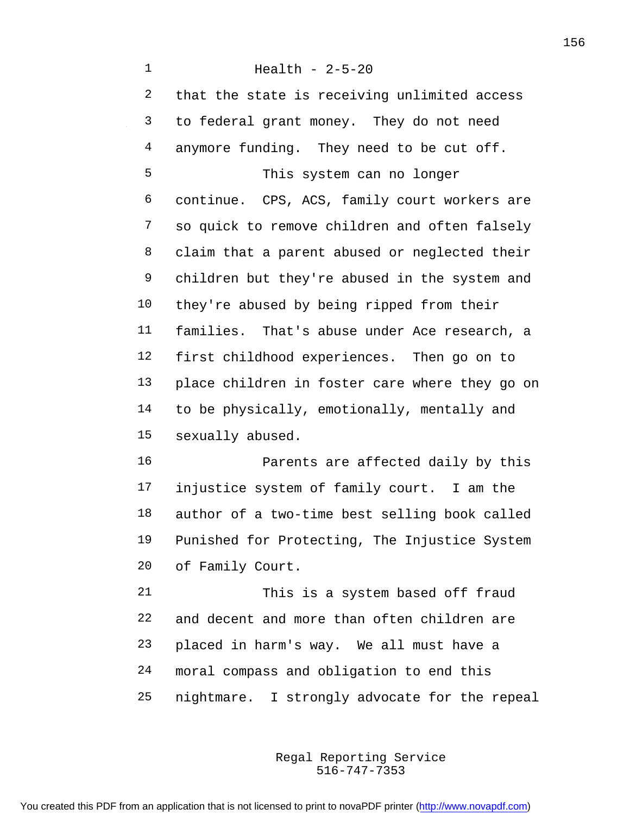Health - 2-5-20 that the state is receiving unlimited access to federal grant money. They do not need 4 anymore funding. They need to be cut off. This system can no longer continue. CPS, ACS, family court workers are so quick to remove children and often falsely claim that a parent abused or neglected their children but they're abused in the system and they're abused by being ripped from their families. That's abuse under Ace research, a first childhood experiences. Then go on to place children in foster care where they go on to be physically, emotionally, mentally and sexually abused. Parents are affected daily by this injustice system of family court. I am the author of a two-time best selling book called Punished for Protecting, The Injustice System of Family Court. This is a system based off fraud and decent and more than often children are placed in harm's way. We all must have a

nightmare. I strongly advocate for the repeal

moral compass and obligation to end this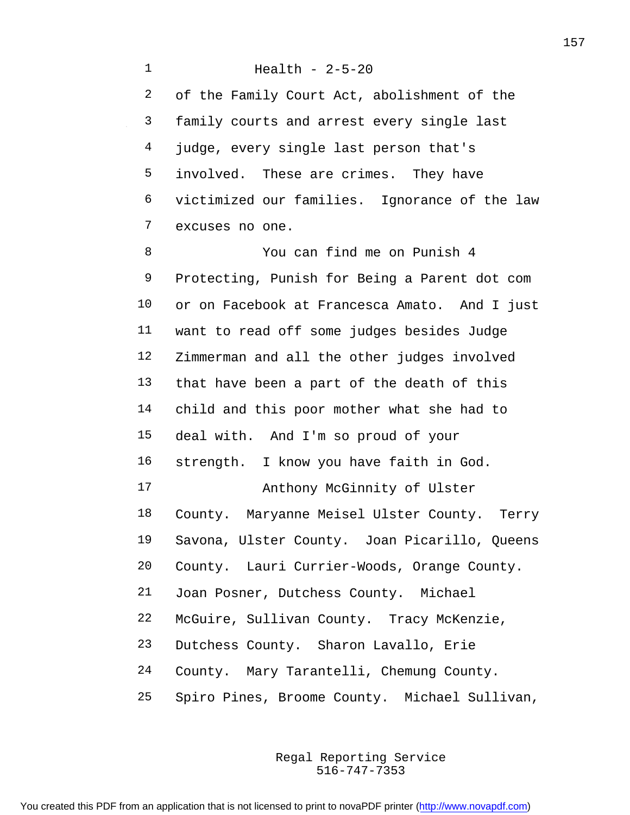Health - 2-5-20 of the Family Court Act, abolishment of the family courts and arrest every single last judge, every single last person that's involved. These are crimes. They have victimized our families. Ignorance of the law excuses no one. You can find me on Punish 4 Protecting, Punish for Being a Parent dot com or on Facebook at Francesca Amato. And I just want to read off some judges besides Judge Zimmerman and all the other judges involved that have been a part of the death of this child and this poor mother what she had to deal with. And I'm so proud of your

strength. I know you have faith in God.

Anthony McGinnity of Ulster

 County. Maryanne Meisel Ulster County. Terry Savona, Ulster County. Joan Picarillo, Queens

County. Lauri Currier-Woods, Orange County.

Joan Posner, Dutchess County. Michael

McGuire, Sullivan County. Tracy McKenzie,

Dutchess County. Sharon Lavallo, Erie

County. Mary Tarantelli, Chemung County.

Spiro Pines, Broome County. Michael Sullivan,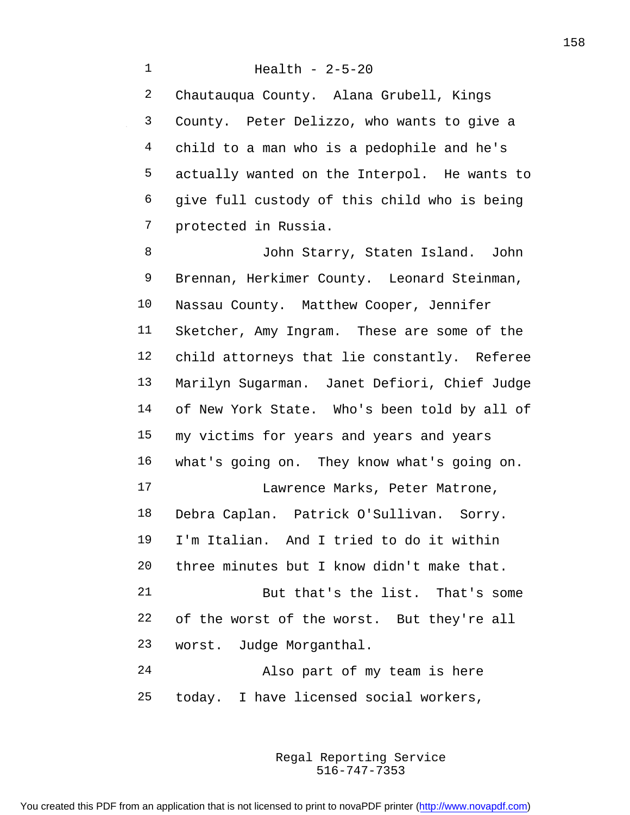Health - 2-5-20 Chautauqua County. Alana Grubell, Kings County. Peter Delizzo, who wants to give a child to a man who is a pedophile and he's actually wanted on the Interpol. He wants to give full custody of this child who is being protected in Russia.

 John Starry, Staten Island. John Brennan, Herkimer County. Leonard Steinman, Nassau County. Matthew Cooper, Jennifer Sketcher, Amy Ingram. These are some of the child attorneys that lie constantly. Referee Marilyn Sugarman. Janet Defiori, Chief Judge of New York State. Who's been told by all of my victims for years and years and years what's going on. They know what's going on. Lawrence Marks, Peter Matrone, Debra Caplan. Patrick O'Sullivan. Sorry. I'm Italian. And I tried to do it within three minutes but I know didn't make that. But that's the list. That's some of the worst of the worst. But they're all worst. Judge Morganthal. Also part of my team is here today. I have licensed social workers,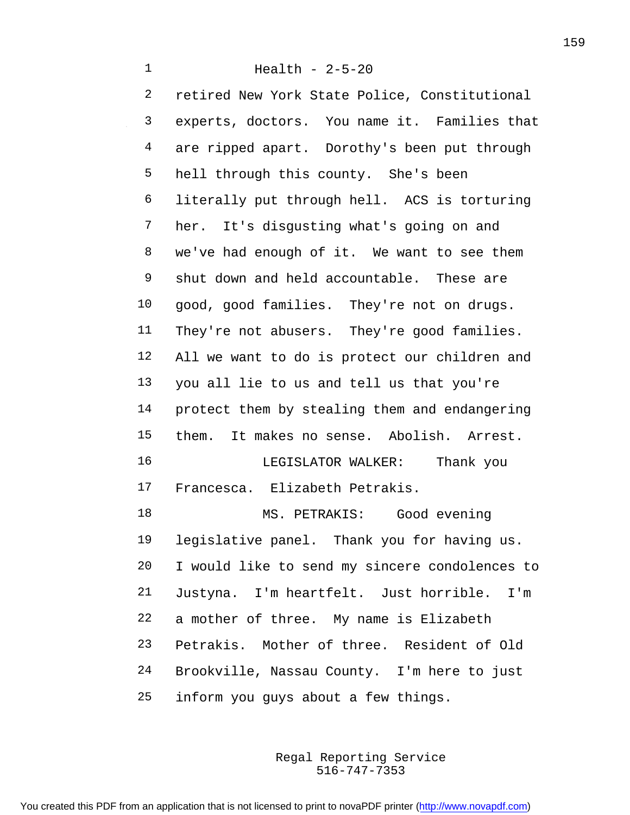Health - 2-5-20 retired New York State Police, Constitutional experts, doctors. You name it. Families that are ripped apart. Dorothy's been put through hell through this county. She's been literally put through hell. ACS is torturing her. It's disgusting what's going on and we've had enough of it. We want to see them shut down and held accountable. These are good, good families. They're not on drugs. They're not abusers. They're good families. All we want to do is protect our children and you all lie to us and tell us that you're protect them by stealing them and endangering them. It makes no sense. Abolish. Arrest. LEGISLATOR WALKER: Thank you Francesca. Elizabeth Petrakis. MS. PETRAKIS: Good evening legislative panel. Thank you for having us. I would like to send my sincere condolences to Justyna. I'm heartfelt. Just horrible. I'm a mother of three. My name is Elizabeth Petrakis. Mother of three. Resident of Old Brookville, Nassau County. I'm here to just inform you guys about a few things.

> 516-747-7353 Regal Reporting Service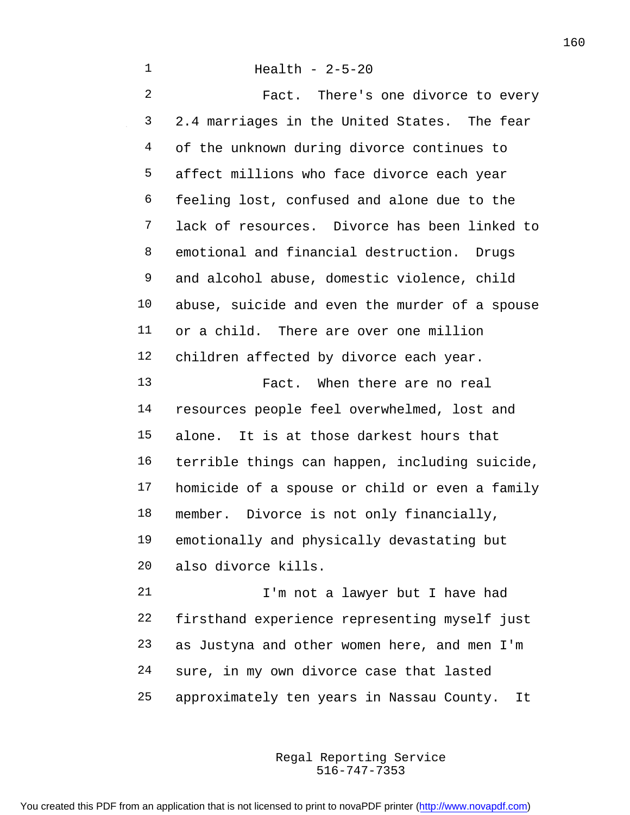Health - 2-5-20 Fact. There's one divorce to every 2.4 marriages in the United States. The fear of the unknown during divorce continues to affect millions who face divorce each year feeling lost, confused and alone due to the lack of resources. Divorce has been linked to emotional and financial destruction. Drugs and alcohol abuse, domestic violence, child abuse, suicide and even the murder of a spouse or a child. There are over one million children affected by divorce each year. Fact. When there are no real resources people feel overwhelmed, lost and alone. It is at those darkest hours that terrible things can happen, including suicide, homicide of a spouse or child or even a family member. Divorce is not only financially, emotionally and physically devastating but also divorce kills.

21 I'm not a lawyer but I have had firsthand experience representing myself just as Justyna and other women here, and men I'm sure, in my own divorce case that lasted approximately ten years in Nassau County. It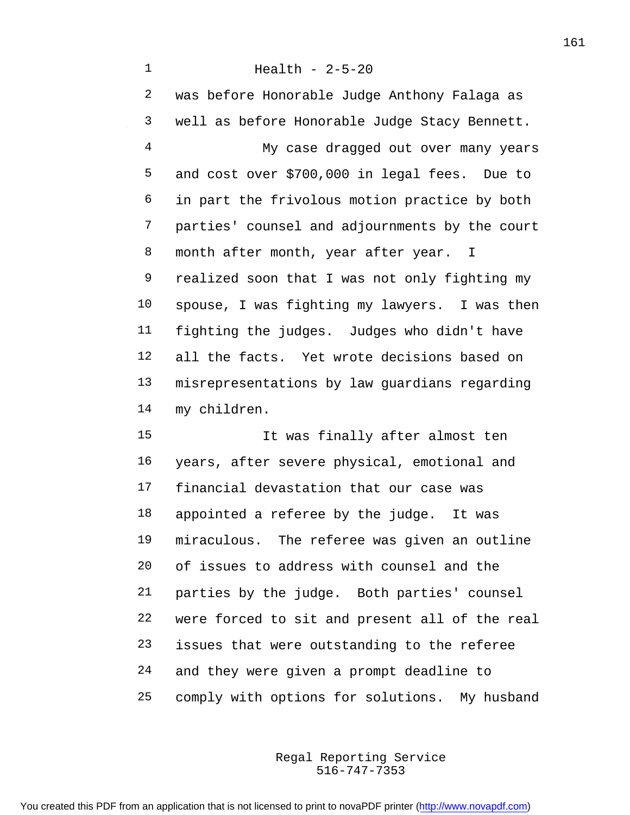Health - 2-5-20 was before Honorable Judge Anthony Falaga as well as before Honorable Judge Stacy Bennett. My case dragged out over many years and cost over \$700,000 in legal fees. Due to in part the frivolous motion practice by both parties' counsel and adjournments by the court 8 month after month, year after year. I realized soon that I was not only fighting my spouse, I was fighting my lawyers. I was then fighting the judges. Judges who didn't have all the facts. Yet wrote decisions based on misrepresentations by law guardians regarding my children.

 It was finally after almost ten years, after severe physical, emotional and financial devastation that our case was appointed a referee by the judge. It was miraculous. The referee was given an outline of issues to address with counsel and the parties by the judge. Both parties' counsel were forced to sit and present all of the real issues that were outstanding to the referee and they were given a prompt deadline to comply with options for solutions. My husband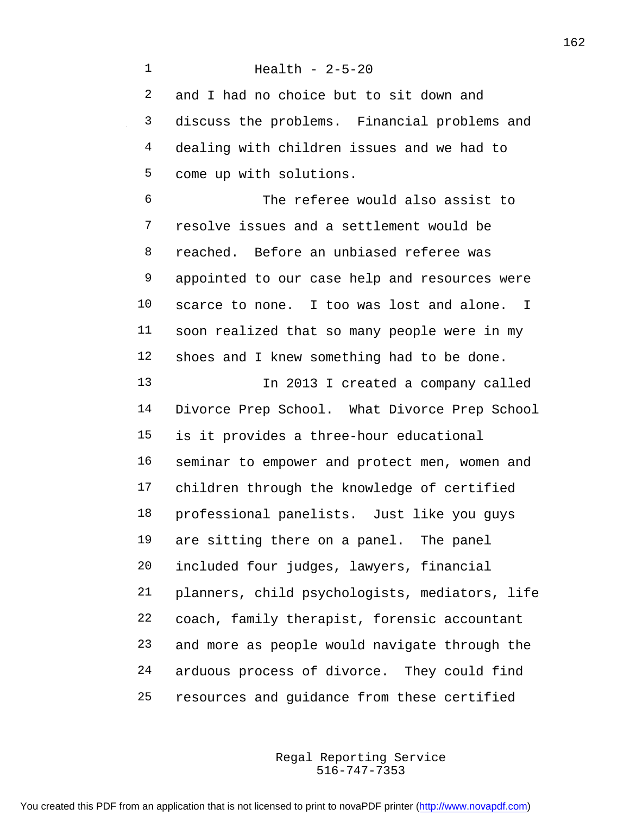Health - 2-5-20 and I had no choice but to sit down and discuss the problems. Financial problems and dealing with children issues and we had to come up with solutions. The referee would also assist to resolve issues and a settlement would be reached. Before an unbiased referee was appointed to our case help and resources were scarce to none. I too was lost and alone. I soon realized that so many people were in my shoes and I knew something had to be done. 13 In 2013 I created a company called Divorce Prep School. What Divorce Prep School is it provides a three-hour educational seminar to empower and protect men, women and children through the knowledge of certified professional panelists. Just like you guys are sitting there on a panel. The panel included four judges, lawyers, financial planners, child psychologists, mediators, life coach, family therapist, forensic accountant and more as people would navigate through the arduous process of divorce. They could find resources and guidance from these certified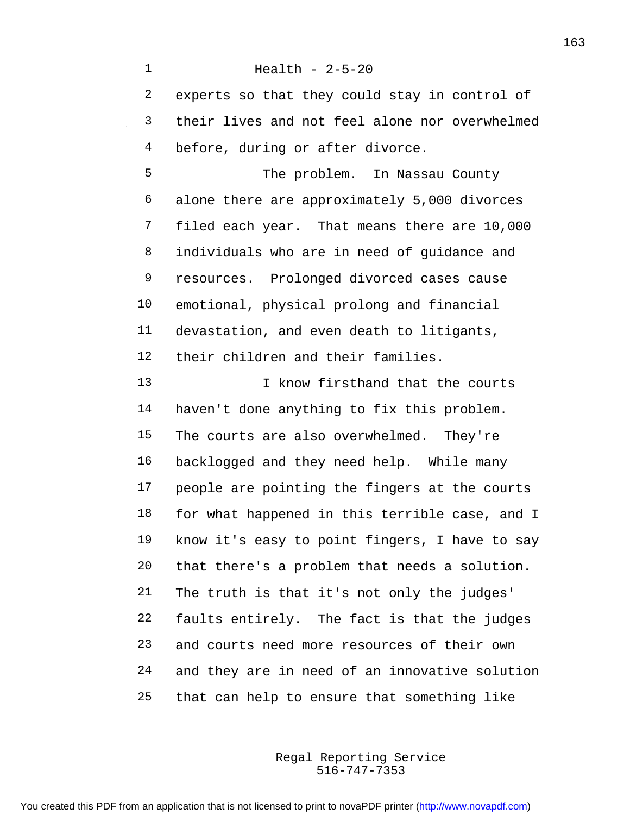Health - 2-5-20 experts so that they could stay in control of their lives and not feel alone nor overwhelmed 4 before, during or after divorce. The problem. In Nassau County alone there are approximately 5,000 divorces filed each year. That means there are 10,000 individuals who are in need of guidance and resources. Prolonged divorced cases cause emotional, physical prolong and financial devastation, and even death to litigants, their children and their families. 13 I know firsthand that the courts haven't done anything to fix this problem. The courts are also overwhelmed. They're backlogged and they need help. While many people are pointing the fingers at the courts for what happened in this terrible case, and I know it's easy to point fingers, I have to say that there's a problem that needs a solution. The truth is that it's not only the judges' faults entirely. The fact is that the judges and courts need more resources of their own and they are in need of an innovative solution that can help to ensure that something like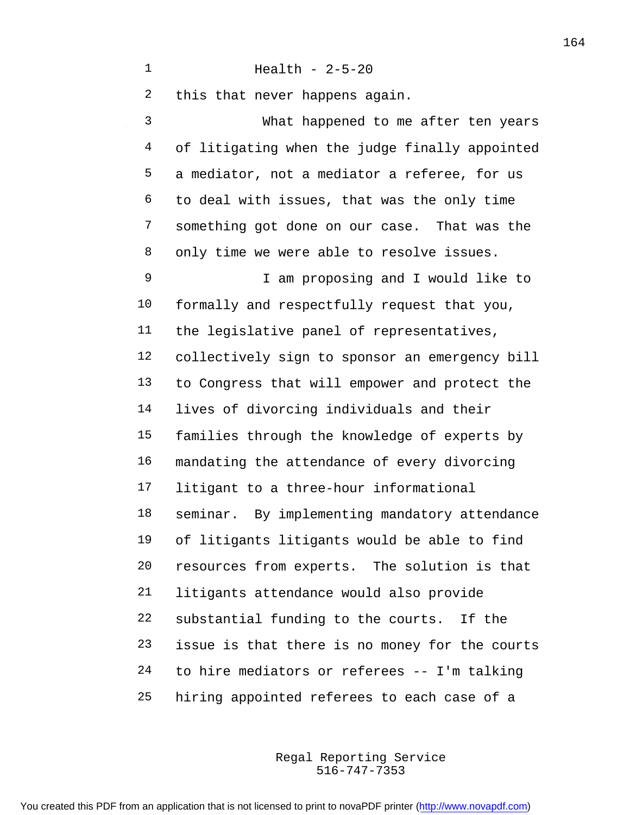| 2            | this that never happens again.                 |
|--------------|------------------------------------------------|
| $\mathsf{3}$ | What happened to me after ten years            |
| 4            | of litigating when the judge finally appointed |
| 5            | a mediator, not a mediator a referee, for us   |
| 6            | to deal with issues, that was the only time    |
| 7            | something got done on our case. That was the   |
| 8            | only time we were able to resolve issues.      |
| 9            | I am proposing and I would like to             |
| 10           | formally and respectfully request that you,    |
| 11           | the legislative panel of representatives,      |
| 12           | collectively sign to sponsor an emergency bill |
| 13           | to Congress that will empower and protect the  |
| 14           | lives of divorcing individuals and their       |
| 15           | families through the knowledge of experts by   |
| 16           | mandating the attendance of every divorcing    |
| 17           | litigant to a three-hour informational         |
| 18           | seminar. By implementing mandatory attendance  |
| 19           | of litigants litigants would be able to find   |
| 20           | resources from experts. The solution is that   |
| 21           | litigants attendance would also provide        |
| 22           | substantial funding to the courts. If the      |
| 23           | issue is that there is no money for the courts |
| 24           | to hire mediators or referees -- I'm talking   |
| 25           | hiring appointed referees to each case of a    |

516-747-7353 Regal Reporting Service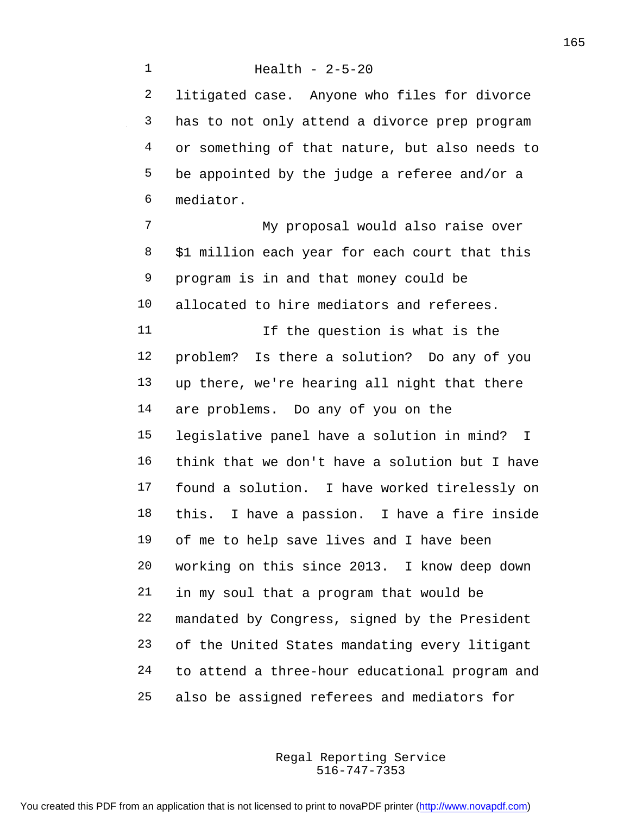litigated case. Anyone who files for divorce has to not only attend a divorce prep program or something of that nature, but also needs to be appointed by the judge a referee and/or a mediator.

 My proposal would also raise over \$1 million each year for each court that this program is in and that money could be allocated to hire mediators and referees. 11 11 If the question is what is the problem? Is there a solution? Do any of you up there, we're hearing all night that there are problems. Do any of you on the legislative panel have a solution in mind? I think that we don't have a solution but I have found a solution. I have worked tirelessly on this. I have a passion. I have a fire inside of me to help save lives and I have been working on this since 2013. I know deep down in my soul that a program that would be mandated by Congress, signed by the President of the United States mandating every litigant to attend a three-hour educational program and also be assigned referees and mediators for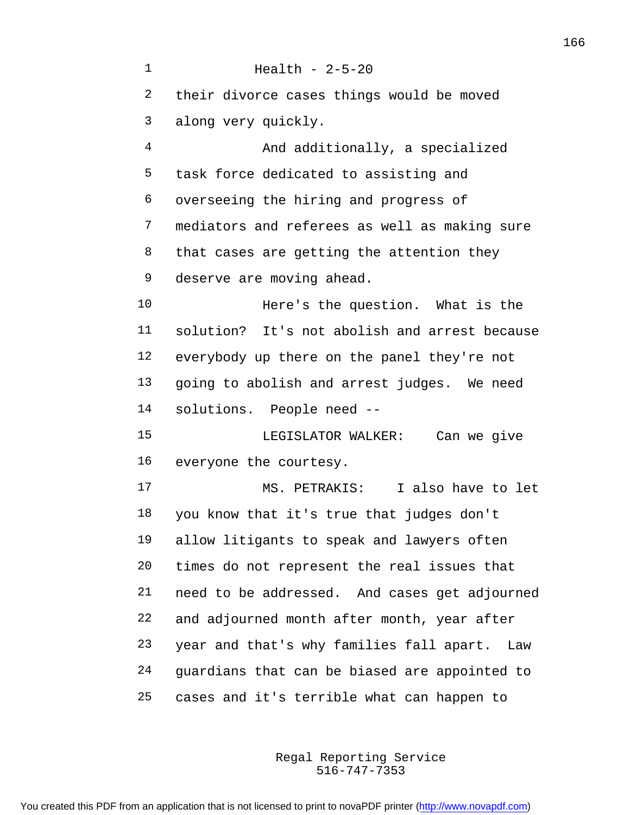Health - 2-5-20 their divorce cases things would be moved along very quickly. And additionally, a specialized task force dedicated to assisting and overseeing the hiring and progress of mediators and referees as well as making sure 8 that cases are getting the attention they deserve are moving ahead. Here's the question. What is the solution? It's not abolish and arrest because everybody up there on the panel they're not going to abolish and arrest judges. We need solutions. People need -- LEGISLATOR WALKER: Can we give everyone the courtesy. MS. PETRAKIS: I also have to let you know that it's true that judges don't allow litigants to speak and lawyers often times do not represent the real issues that need to be addressed. And cases get adjourned and adjourned month after month, year after year and that's why families fall apart. Law guardians that can be biased are appointed to cases and it's terrible what can happen to

> 516-747-7353 Regal Reporting Service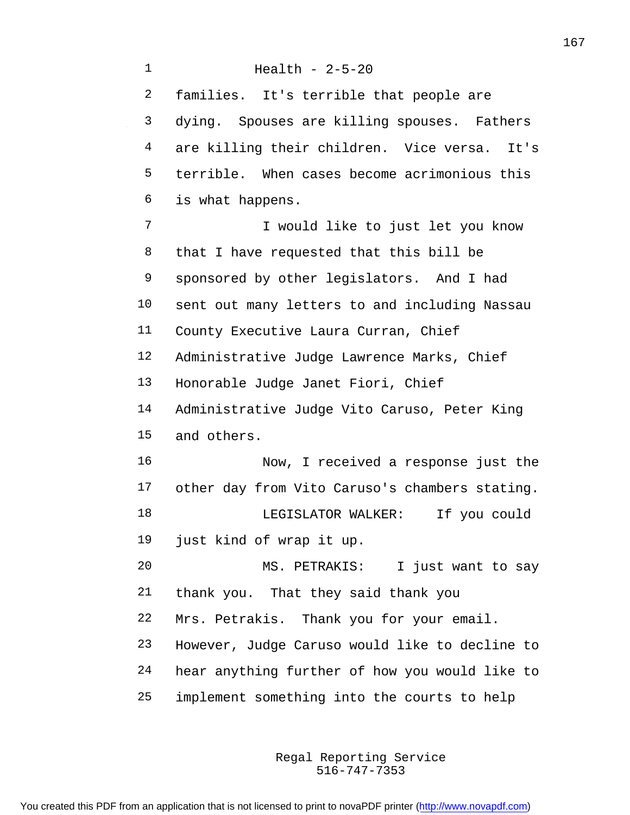Health - 2-5-20 families. It's terrible that people are dying. Spouses are killing spouses. Fathers are killing their children. Vice versa. It's terrible. When cases become acrimonious this is what happens. I would like to just let you know that I have requested that this bill be sponsored by other legislators. And I had sent out many letters to and including Nassau County Executive Laura Curran, Chief Administrative Judge Lawrence Marks, Chief Honorable Judge Janet Fiori, Chief Administrative Judge Vito Caruso, Peter King and others. Now, I received a response just the other day from Vito Caruso's chambers stating. LEGISLATOR WALKER: If you could just kind of wrap it up. MS. PETRAKIS: I just want to say thank you. That they said thank you Mrs. Petrakis. Thank you for your email. However, Judge Caruso would like to decline to hear anything further of how you would like to implement something into the courts to help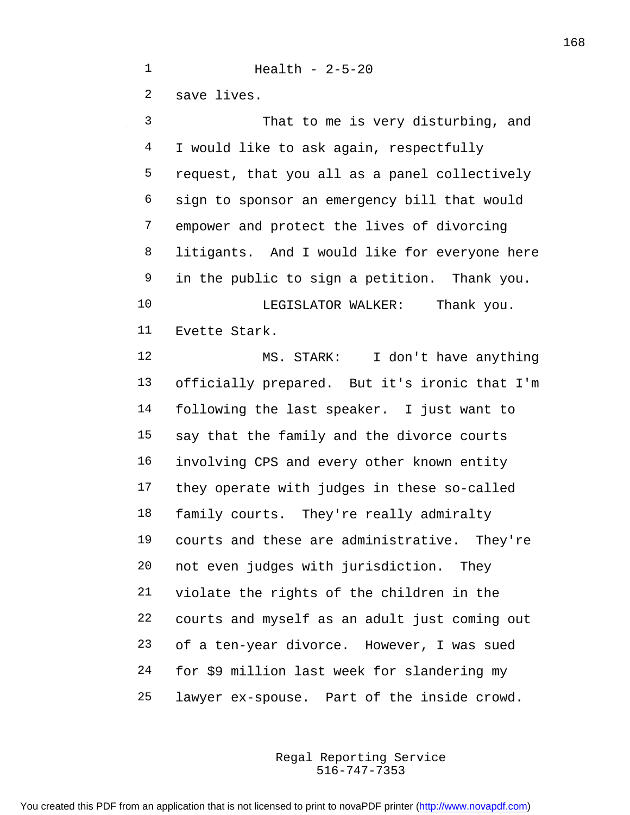Health - 2-5-20 save lives. That to me is very disturbing, and I would like to ask again, respectfully request, that you all as a panel collectively sign to sponsor an emergency bill that would empower and protect the lives of divorcing litigants. And I would like for everyone here in the public to sign a petition. Thank you. 10 LEGISLATOR WALKER: Thank you. Evette Stark. MS. STARK: I don't have anything officially prepared. But it's ironic that I'm following the last speaker. I just want to

 say that the family and the divorce courts involving CPS and every other known entity they operate with judges in these so-called family courts. They're really admiralty courts and these are administrative. They're not even judges with jurisdiction. They violate the rights of the children in the courts and myself as an adult just coming out of a ten-year divorce. However, I was sued for \$9 million last week for slandering my lawyer ex-spouse. Part of the inside crowd.

> 516-747-7353 Regal Reporting Service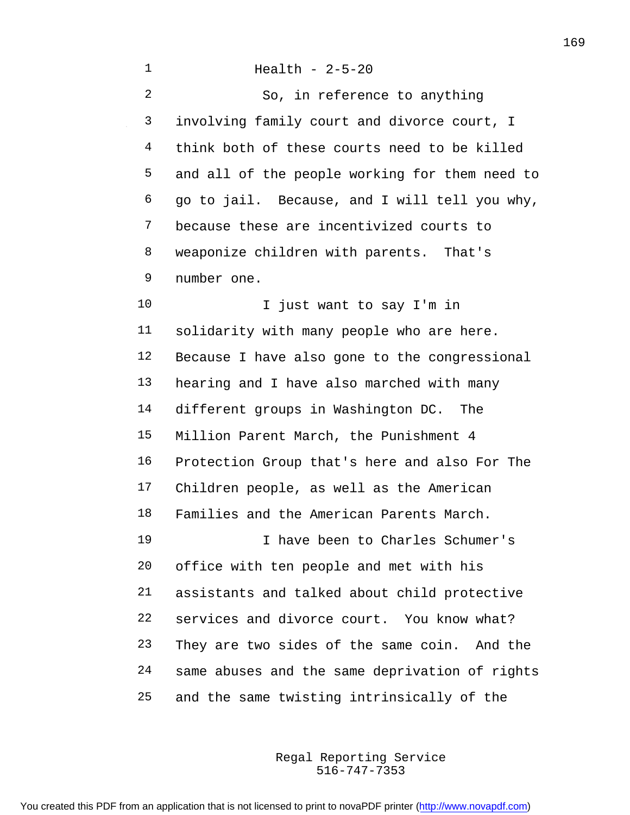| $\mathbf 1$    | Health - $2-5-20$                              |
|----------------|------------------------------------------------|
| $\overline{2}$ | So, in reference to anything                   |
| 3              | involving family court and divorce court, I    |
| $\overline{4}$ | think both of these courts need to be killed   |
| 5              | and all of the people working for them need to |
| 6              | go to jail. Because, and I will tell you why,  |
| 7              | because these are incentivized courts to       |
| 8              | weaponize children with parents. That's        |
| 9              | number one.                                    |
| 10             | I just want to say I'm in                      |
| 11             | solidarity with many people who are here.      |
| 12             | Because I have also gone to the congressional  |
| 13             | hearing and I have also marched with many      |
| 14             | different groups in Washington DC. The         |
| 15             | Million Parent March, the Punishment 4         |
| 16             | Protection Group that's here and also For The  |
| 17             | Children people, as well as the American       |
| 18             | Families and the American Parents March.       |
| 19             | I have been to Charles Schumer's               |
| 20             | office with ten people and met with his        |
| 21             | assistants and talked about child protective   |
| 22             | services and divorce court. You know what?     |
| 23             | They are two sides of the same coin. And the   |
| 24             | same abuses and the same deprivation of rights |
| 25             | and the same twisting intrinsically of the     |

516-747-7353 Regal Reporting Service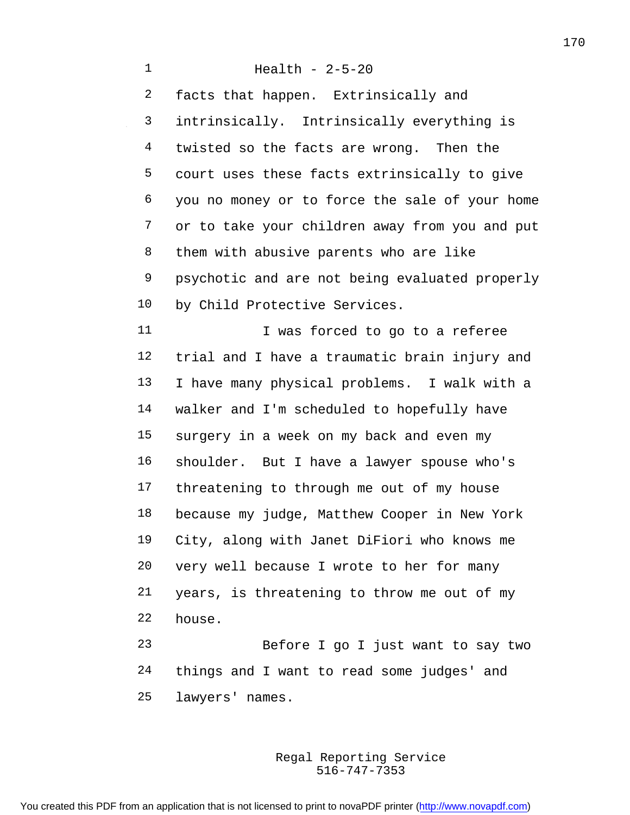Health - 2-5-20 facts that happen. Extrinsically and intrinsically. Intrinsically everything is twisted so the facts are wrong. Then the court uses these facts extrinsically to give you no money or to force the sale of your home or to take your children away from you and put them with abusive parents who are like psychotic and are not being evaluated properly by Child Protective Services. 11 I was forced to go to a referee trial and I have a traumatic brain injury and I have many physical problems. I walk with a walker and I'm scheduled to hopefully have surgery in a week on my back and even my shoulder. But I have a lawyer spouse who's threatening to through me out of my house because my judge, Matthew Cooper in New York City, along with Janet DiFiori who knows me very well because I wrote to her for many years, is threatening to throw me out of my house. Before I go I just want to say two things and I want to read some judges' and

lawyers' names.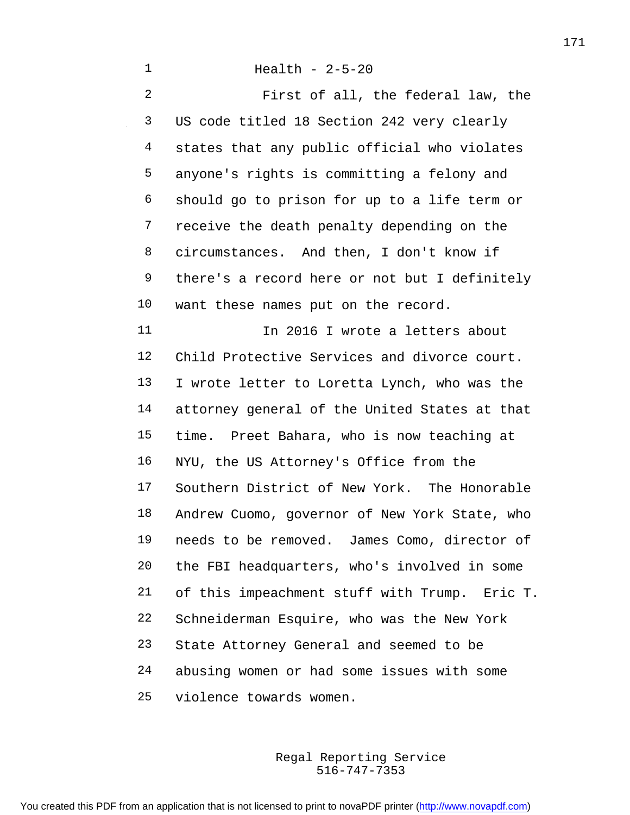Health - 2-5-20 First of all, the federal law, the US code titled 18 Section 242 very clearly states that any public official who violates anyone's rights is committing a felony and should go to prison for up to a life term or 7 receive the death penalty depending on the circumstances. And then, I don't know if there's a record here or not but I definitely want these names put on the record. 11 11 In 2016 I wrote a letters about Child Protective Services and divorce court. I wrote letter to Loretta Lynch, who was the attorney general of the United States at that time. Preet Bahara, who is now teaching at NYU, the US Attorney's Office from the Southern District of New York. The Honorable Andrew Cuomo, governor of New York State, who needs to be removed. James Como, director of the FBI headquarters, who's involved in some of this impeachment stuff with Trump. Eric T. Schneiderman Esquire, who was the New York State Attorney General and seemed to be abusing women or had some issues with some violence towards women.

> 516-747-7353 Regal Reporting Service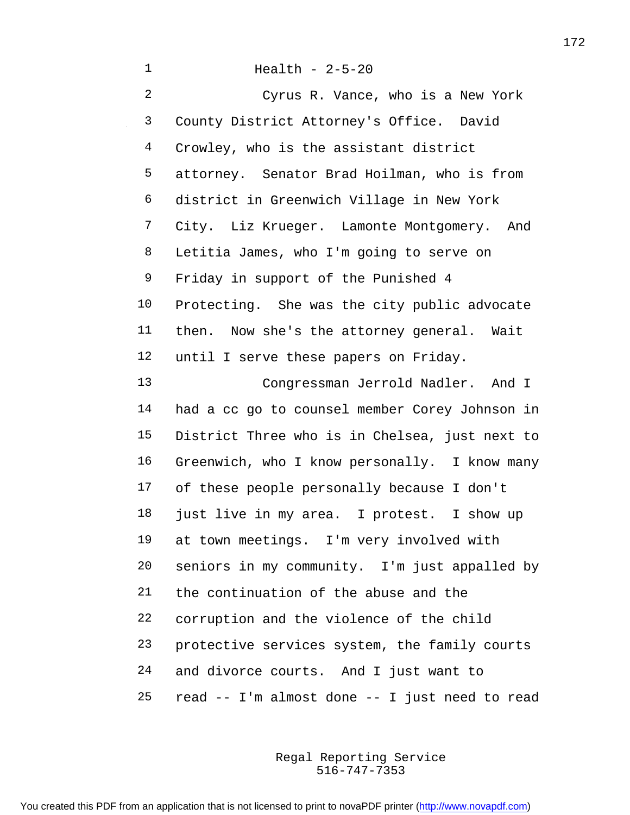| 1  | Health - $2-5-20$                              |
|----|------------------------------------------------|
| 2  | Cyrus R. Vance, who is a New York              |
| 3  | County District Attorney's Office. David       |
| 4  | Crowley, who is the assistant district         |
| 5  | attorney. Senator Brad Hoilman, who is from    |
| 6  | district in Greenwich Village in New York      |
| 7  | City. Liz Krueger. Lamonte Montgomery. And     |
| 8  | Letitia James, who I'm going to serve on       |
| 9  | Friday in support of the Punished 4            |
| 10 | Protecting. She was the city public advocate   |
| 11 | then. Now she's the attorney general. Wait     |
| 12 | until I serve these papers on Friday.          |
| 13 | Congressman Jerrold Nadler. And I              |
| 14 | had a cc go to counsel member Corey Johnson in |
| 15 | District Three who is in Chelsea, just next to |
| 16 | Greenwich, who I know personally. I know many  |
| 17 | of these people personally because I don't     |
| 18 | just live in my area. I protest. I show up     |
| 19 | at town meetings. I'm very involved with       |
| 20 | seniors in my community. I'm just appalled by  |
| 21 | the continuation of the abuse and the          |
| 22 | corruption and the violence of the child       |
| 23 | protective services system, the family courts  |
| 24 | and divorce courts. And I just want to         |
| 25 | read -- I'm almost done -- I just need to read |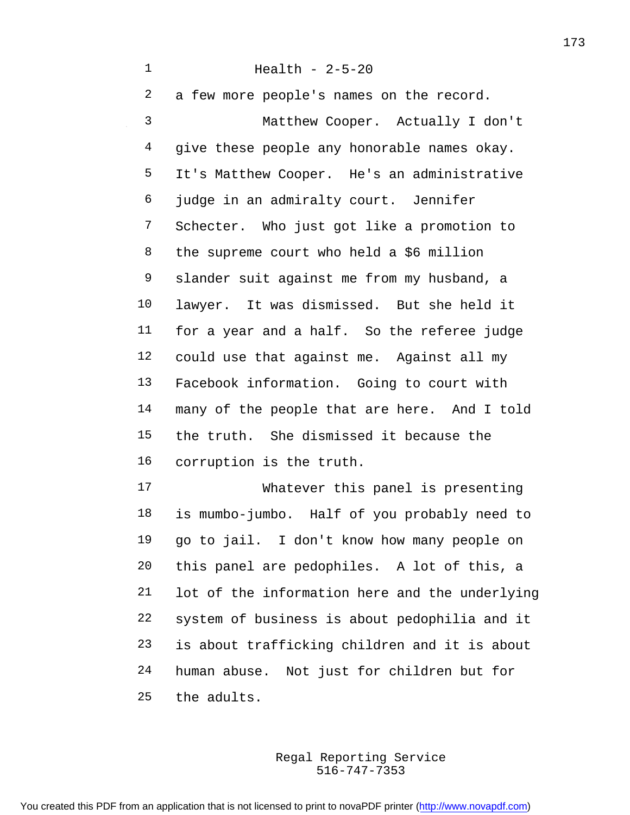Health - 2-5-20 a few more people's names on the record. Matthew Cooper. Actually I don't 4 qive these people any honorable names okay. It's Matthew Cooper. He's an administrative judge in an admiralty court. Jennifer Schecter. Who just got like a promotion to the supreme court who held a \$6 million slander suit against me from my husband, a lawyer. It was dismissed. But she held it for a year and a half. So the referee judge could use that against me. Against all my Facebook information. Going to court with many of the people that are here. And I told the truth. She dismissed it because the corruption is the truth. Whatever this panel is presenting is mumbo-jumbo. Half of you probably need to go to jail. I don't know how many people on this panel are pedophiles. A lot of this, a lot of the information here and the underlying system of business is about pedophilia and it

 is about trafficking children and it is about human abuse. Not just for children but for

the adults.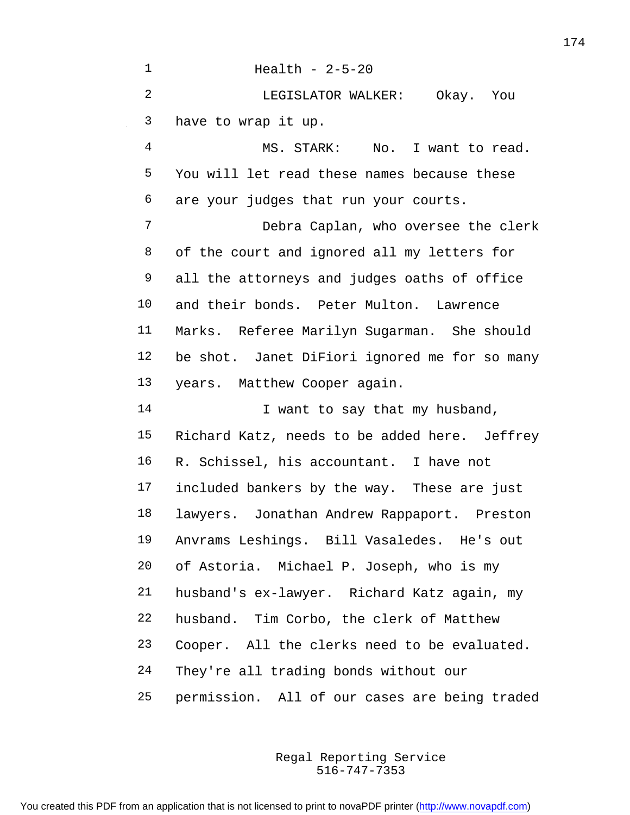| $\mathbf 1$    | Health - $2-5-20$                             |
|----------------|-----------------------------------------------|
| $\overline{2}$ | LEGISLATOR WALKER: Okay. You                  |
| 3              | have to wrap it up.                           |
| $\overline{4}$ | MS. STARK: No. I want to read.                |
| 5              | You will let read these names because these   |
| 6              | are your judges that run your courts.         |
| 7              | Debra Caplan, who oversee the clerk           |
| 8              | of the court and ignored all my letters for   |
| 9              | all the attorneys and judges oaths of office  |
| 10             | and their bonds. Peter Multon. Lawrence       |
| 11             | Marks. Referee Marilyn Sugarman. She should   |
| 12             | be shot. Janet DiFiori ignored me for so many |
| 13             | years. Matthew Cooper again.                  |
| 14             | I want to say that my husband,                |
| 15             | Richard Katz, needs to be added here. Jeffrey |
| 16             | R. Schissel, his accountant. I have not       |
| 17             | included bankers by the way. These are just   |
| 18             | lawyers. Jonathan Andrew Rappaport. Preston   |
| 19             | Anvrams Leshings. Bill Vasaledes. He's out    |
| 20             | of Astoria. Michael P. Joseph, who is my      |
| 21             | husband's ex-lawyer. Richard Katz again, my   |
| 22             | husband. Tim Corbo, the clerk of Matthew      |
| 23             | Cooper. All the clerks need to be evaluated.  |
| 24             | They're all trading bonds without our         |
| 25             | permission. All of our cases are being traded |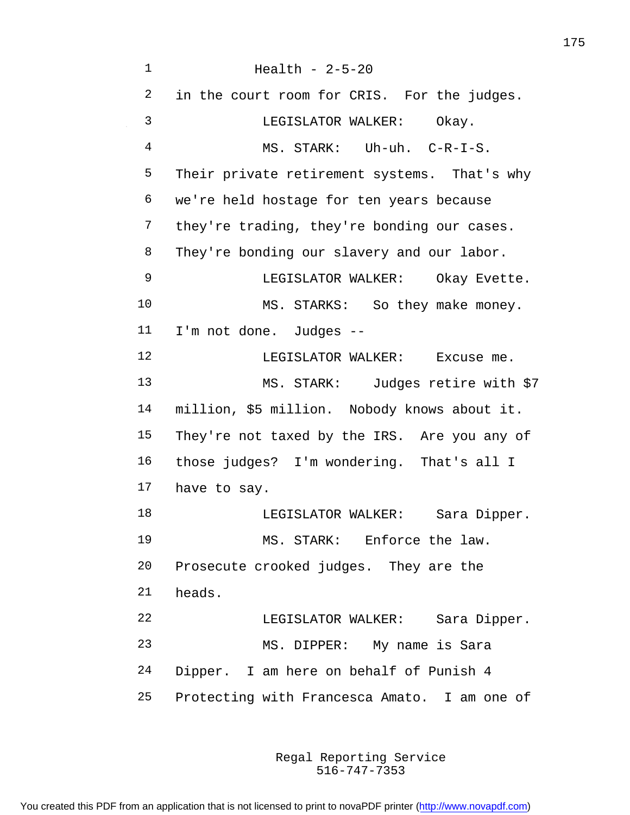Health - 2-5-20 in the court room for CRIS. For the judges. LEGISLATOR WALKER: Okay. MS. STARK: Uh-uh. C-R-I-S. Their private retirement systems. That's why we're held hostage for ten years because 7 they're trading, they're bonding our cases. 8 They're bonding our slavery and our labor. LEGISLATOR WALKER: Okay Evette. 10 MS. STARKS: So they make money. I'm not done. Judges -- 12 LEGISLATOR WALKER: Excuse me. MS. STARK: Judges retire with \$7 million, \$5 million. Nobody knows about it. They're not taxed by the IRS. Are you any of those judges? I'm wondering. That's all I have to say. 18 LEGISLATOR WALKER: Sara Dipper. MS. STARK: Enforce the law. Prosecute crooked judges. They are the heads. LEGISLATOR WALKER: Sara Dipper. MS. DIPPER: My name is Sara Dipper. I am here on behalf of Punish 4 Protecting with Francesca Amato. I am one of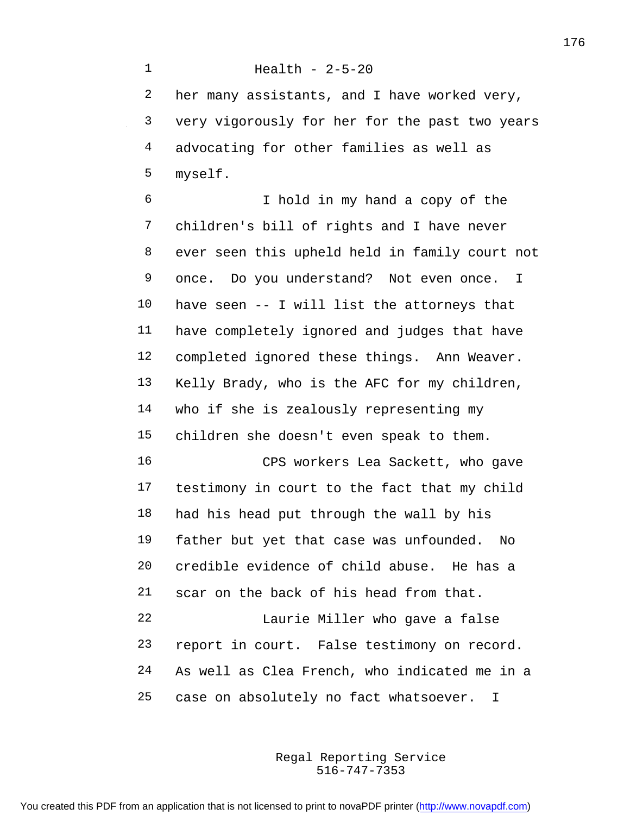Health - 2-5-20 her many assistants, and I have worked very, very vigorously for her for the past two years advocating for other families as well as myself.

 I hold in my hand a copy of the children's bill of rights and I have never ever seen this upheld held in family court not once. Do you understand? Not even once. I have seen -- I will list the attorneys that have completely ignored and judges that have completed ignored these things. Ann Weaver. Kelly Brady, who is the AFC for my children, who if she is zealously representing my children she doesn't even speak to them. CPS workers Lea Sackett, who gave testimony in court to the fact that my child had his head put through the wall by his father but yet that case was unfounded. No credible evidence of child abuse. He has a scar on the back of his head from that. Laurie Miller who gave a false

 report in court. False testimony on record. As well as Clea French, who indicated me in a case on absolutely no fact whatsoever. I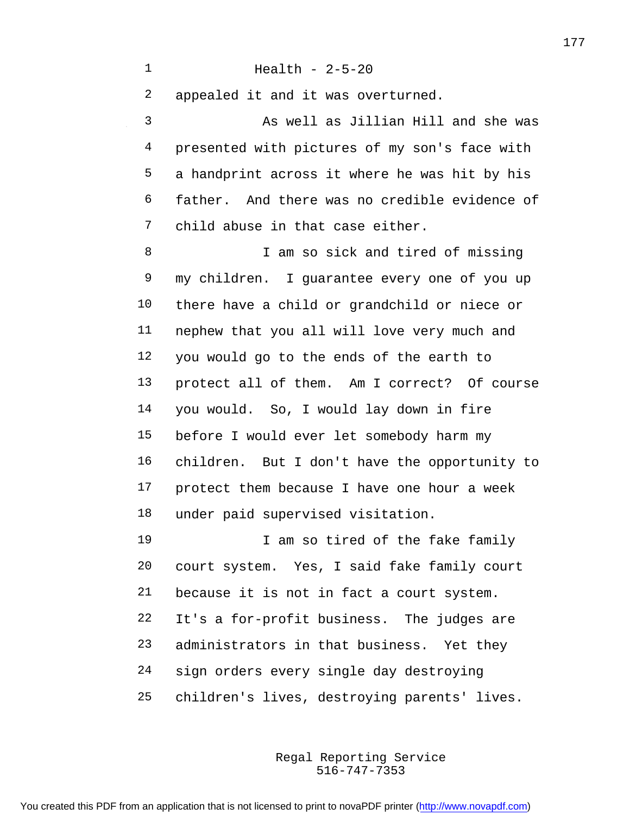Health - 2-5-20 appealed it and it was overturned. As well as Jillian Hill and she was presented with pictures of my son's face with a handprint across it where he was hit by his father. And there was no credible evidence of child abuse in that case either. I am so sick and tired of missing my children. I guarantee every one of you up there have a child or grandchild or niece or nephew that you all will love very much and you would go to the ends of the earth to protect all of them. Am I correct? Of course you would. So, I would lay down in fire before I would ever let somebody harm my

 protect them because I have one hour a week under paid supervised visitation.

children. But I don't have the opportunity to

19 19 I am so tired of the fake family court system. Yes, I said fake family court because it is not in fact a court system. It's a for-profit business. The judges are administrators in that business. Yet they sign orders every single day destroying children's lives, destroying parents' lives.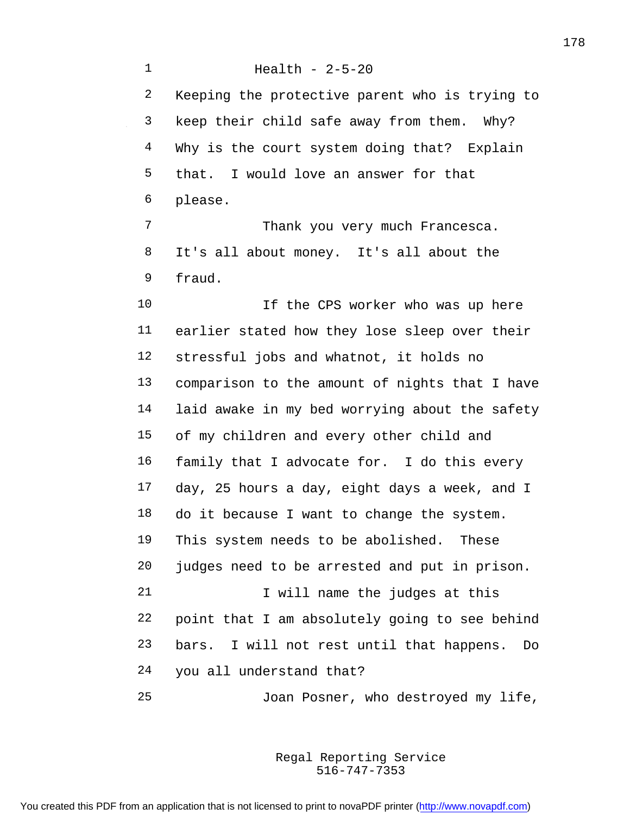Health - 2-5-20 Keeping the protective parent who is trying to keep their child safe away from them. Why? 4 Why is the court system doing that? Explain that. I would love an answer for that please. 7 Thank you very much Francesca. It's all about money. It's all about the fraud. 10 10 If the CPS worker who was up here earlier stated how they lose sleep over their stressful jobs and whatnot, it holds no comparison to the amount of nights that I have laid awake in my bed worrying about the safety of my children and every other child and family that I advocate for. I do this every day, 25 hours a day, eight days a week, and I do it because I want to change the system. This system needs to be abolished. These judges need to be arrested and put in prison. 21 1 Vill name the judges at this point that I am absolutely going to see behind bars. I will not rest until that happens. Do you all understand that? Joan Posner, who destroyed my life,

> 516-747-7353 Regal Reporting Service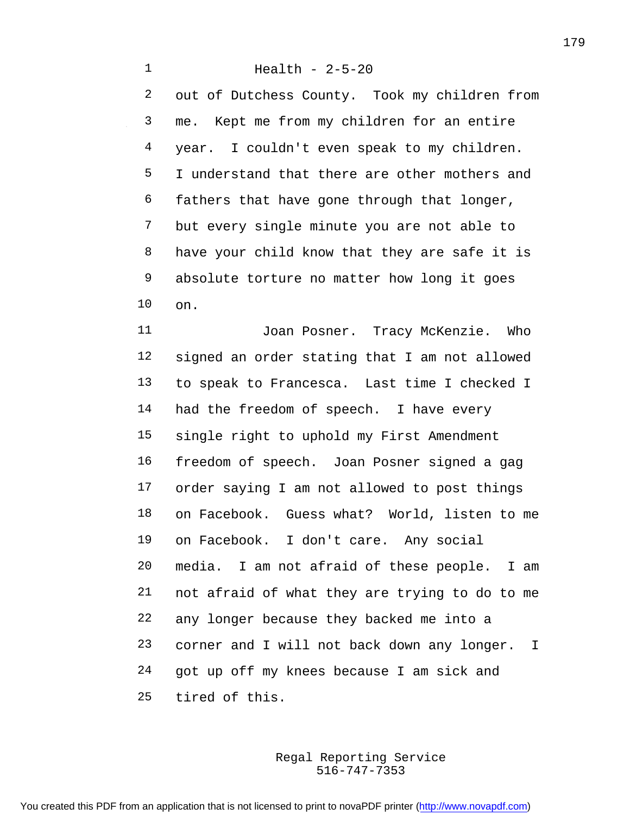Health - 2-5-20 out of Dutchess County. Took my children from me. Kept me from my children for an entire year. I couldn't even speak to my children. I understand that there are other mothers and fathers that have gone through that longer, but every single minute you are not able to have your child know that they are safe it is absolute torture no matter how long it goes on.

11 Joan Posner. Tracy McKenzie. Who signed an order stating that I am not allowed to speak to Francesca. Last time I checked I 14 had the freedom of speech. I have every single right to uphold my First Amendment freedom of speech. Joan Posner signed a gag order saying I am not allowed to post things on Facebook. Guess what? World, listen to me on Facebook. I don't care. Any social media. I am not afraid of these people. I am not afraid of what they are trying to do to me any longer because they backed me into a corner and I will not back down any longer. I got up off my knees because I am sick and tired of this.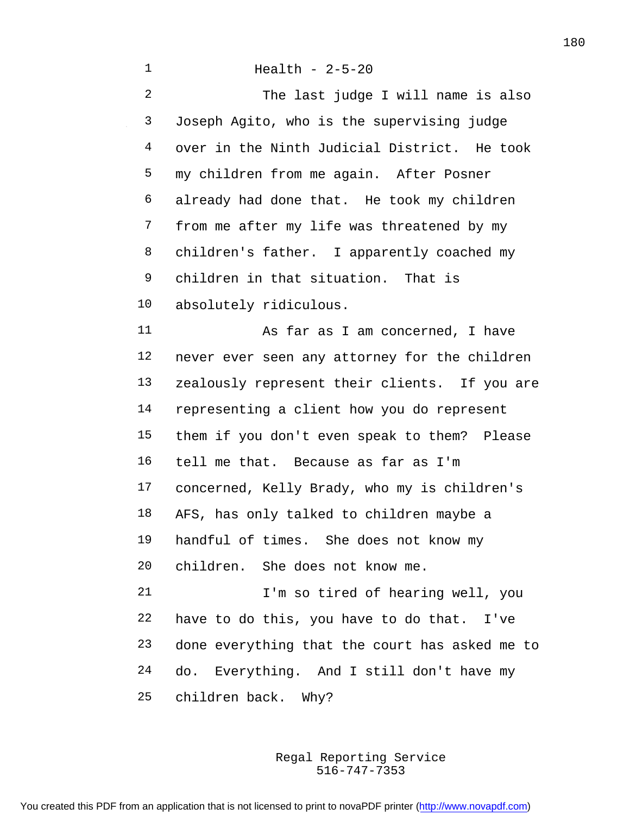The last judge I will name is also Joseph Agito, who is the supervising judge over in the Ninth Judicial District. He took my children from me again. After Posner already had done that. He took my children from me after my life was threatened by my 8 children's father. I apparently coached my children in that situation. That is absolutely ridiculous. As far as I am concerned, I have never ever seen any attorney for the children zealously represent their clients. If you are representing a client how you do represent them if you don't even speak to them? Please tell me that. Because as far as I'm concerned, Kelly Brady, who my is children's AFS, has only talked to children maybe a handful of times. She does not know my children. She does not know me. I'm so tired of hearing well, you have to do this, you have to do that. I've done everything that the court has asked me to do. Everything. And I still don't have my children back. Why?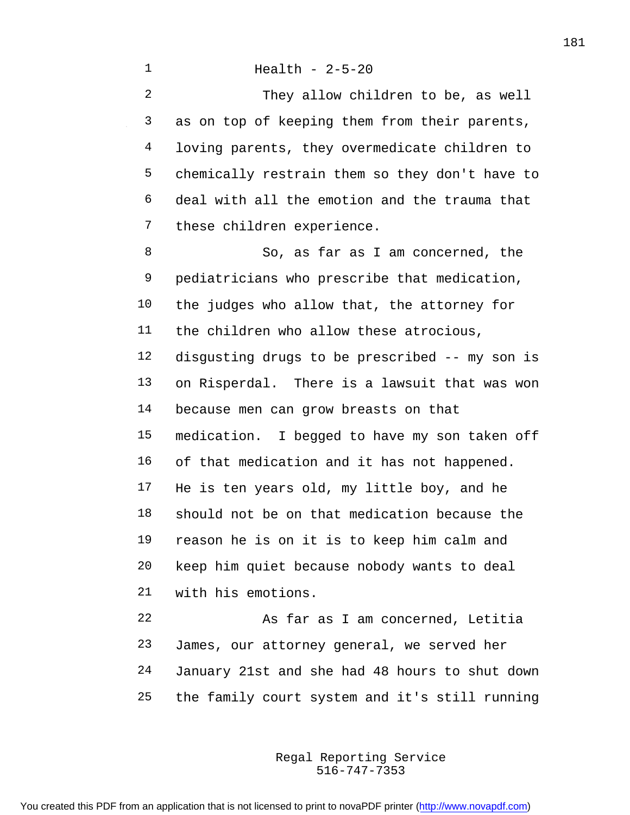They allow children to be, as well as on top of keeping them from their parents, loving parents, they overmedicate children to chemically restrain them so they don't have to deal with all the emotion and the trauma that these children experience.

 So, as far as I am concerned, the pediatricians who prescribe that medication, the judges who allow that, the attorney for the children who allow these atrocious, disgusting drugs to be prescribed -- my son is on Risperdal. There is a lawsuit that was won because men can grow breasts on that medication. I begged to have my son taken off of that medication and it has not happened. He is ten years old, my little boy, and he should not be on that medication because the reason he is on it is to keep him calm and keep him quiet because nobody wants to deal with his emotions. As far as I am concerned, Letitia

 James, our attorney general, we served her January 21st and she had 48 hours to shut down the family court system and it's still running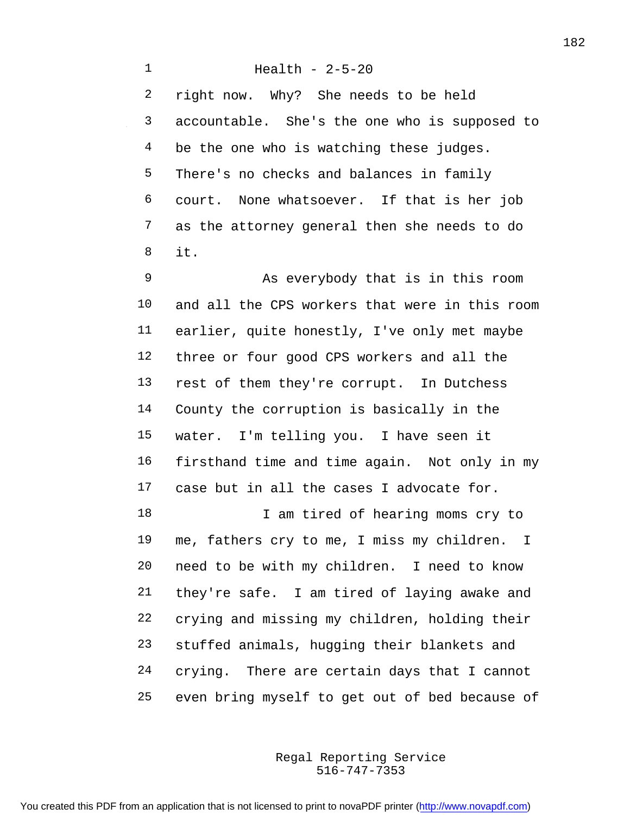Health - 2-5-20 right now. Why? She needs to be held accountable. She's the one who is supposed to 4 be the one who is watching these judges. There's no checks and balances in family court. None whatsoever. If that is her job as the attorney general then she needs to do it.

 As everybody that is in this room and all the CPS workers that were in this room earlier, quite honestly, I've only met maybe three or four good CPS workers and all the rest of them they're corrupt. In Dutchess County the corruption is basically in the water. I'm telling you. I have seen it firsthand time and time again. Not only in my case but in all the cases I advocate for. 18 I am tired of hearing moms cry to me, fathers cry to me, I miss my children. I need to be with my children. I need to know they're safe. I am tired of laying awake and crying and missing my children, holding their stuffed animals, hugging their blankets and crying. There are certain days that I cannot even bring myself to get out of bed because of

> 516-747-7353 Regal Reporting Service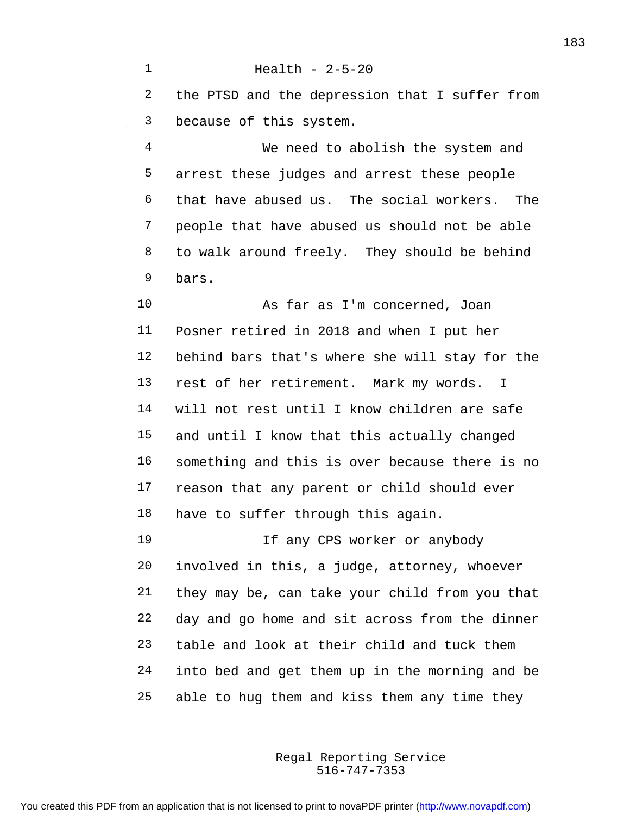the PTSD and the depression that I suffer from because of this system.

Health - 2-5-20

 We need to abolish the system and arrest these judges and arrest these people that have abused us. The social workers. The people that have abused us should not be able to walk around freely. They should be behind bars.

 As far as I'm concerned, Joan Posner retired in 2018 and when I put her behind bars that's where she will stay for the rest of her retirement. Mark my words. I will not rest until I know children are safe and until I know that this actually changed something and this is over because there is no reason that any parent or child should ever have to suffer through this again.

 If any CPS worker or anybody involved in this, a judge, attorney, whoever they may be, can take your child from you that day and go home and sit across from the dinner table and look at their child and tuck them into bed and get them up in the morning and be able to hug them and kiss them any time they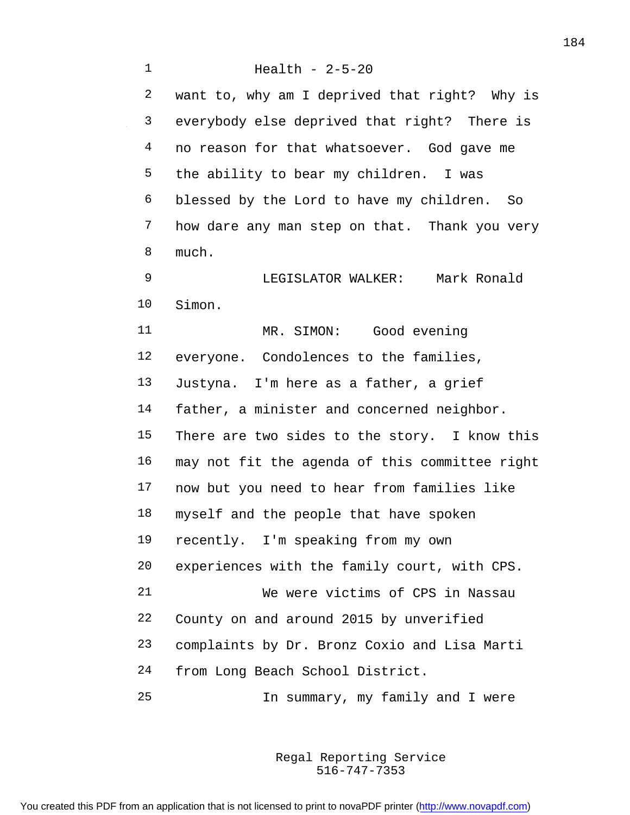Health - 2-5-20 want to, why am I deprived that right? Why is everybody else deprived that right? There is 4 no reason for that whatsoever. God gave me the ability to bear my children. I was blessed by the Lord to have my children. So how dare any man step on that. Thank you very much. LEGISLATOR WALKER: Mark Ronald Simon. 11 MR. SIMON: Good evening everyone. Condolences to the families, Justyna. I'm here as a father, a grief father, a minister and concerned neighbor. There are two sides to the story. I know this may not fit the agenda of this committee right now but you need to hear from families like myself and the people that have spoken recently. I'm speaking from my own experiences with the family court, with CPS. We were victims of CPS in Nassau County on and around 2015 by unverified complaints by Dr. Bronz Coxio and Lisa Marti from Long Beach School District. In summary, my family and I were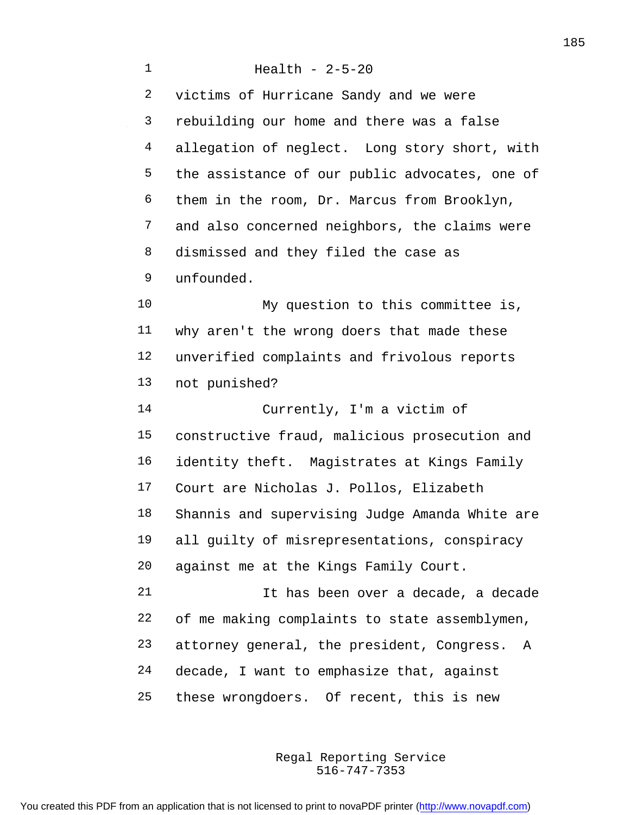Health - 2-5-20 victims of Hurricane Sandy and we were rebuilding our home and there was a false allegation of neglect. Long story short, with the assistance of our public advocates, one of them in the room, Dr. Marcus from Brooklyn, and also concerned neighbors, the claims were dismissed and they filed the case as unfounded. My question to this committee is, why aren't the wrong doers that made these unverified complaints and frivolous reports not punished? Currently, I'm a victim of constructive fraud, malicious prosecution and identity theft. Magistrates at Kings Family Court are Nicholas J. Pollos, Elizabeth Shannis and supervising Judge Amanda White are all guilty of misrepresentations, conspiracy against me at the Kings Family Court. It has been over a decade, a decade of me making complaints to state assemblymen, attorney general, the president, Congress. A decade, I want to emphasize that, against these wrongdoers. Of recent, this is new

> 516-747-7353 Regal Reporting Service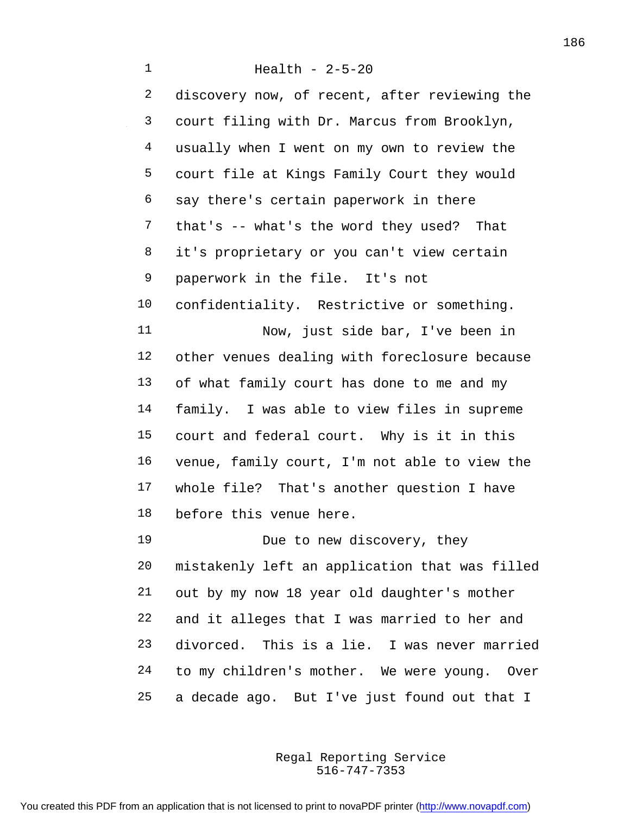Health - 2-5-20 2 discovery now, of recent, after reviewing the court filing with Dr. Marcus from Brooklyn, usually when I went on my own to review the court file at Kings Family Court they would say there's certain paperwork in there that's -- what's the word they used? That 8 it's proprietary or you can't view certain paperwork in the file. It's not confidentiality. Restrictive or something. Now, just side bar, I've been in other venues dealing with foreclosure because of what family court has done to me and my family. I was able to view files in supreme court and federal court. Why is it in this venue, family court, I'm not able to view the whole file? That's another question I have before this venue here. 19 Due to new discovery, they mistakenly left an application that was filled out by my now 18 year old daughter's mother

 and it alleges that I was married to her and divorced. This is a lie. I was never married to my children's mother. We were young. Over a decade ago. But I've just found out that I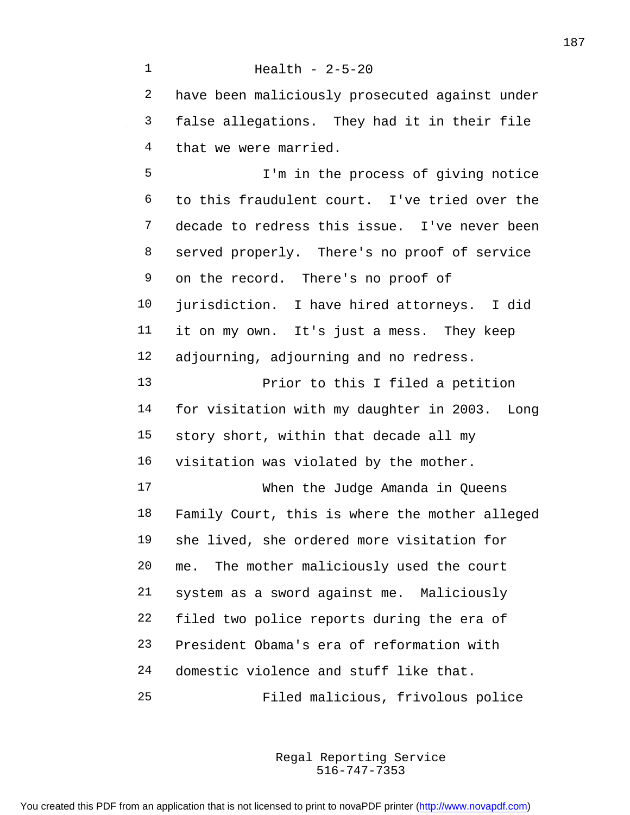Health - 2-5-20 have been maliciously prosecuted against under false allegations. They had it in their file that we were married. I'm in the process of giving notice to this fraudulent court. I've tried over the decade to redress this issue. I've never been served properly. There's no proof of service on the record. There's no proof of jurisdiction. I have hired attorneys. I did it on my own. It's just a mess. They keep adjourning, adjourning and no redress. Prior to this I filed a petition for visitation with my daughter in 2003. Long story short, within that decade all my visitation was violated by the mother. When the Judge Amanda in Queens Family Court, this is where the mother alleged she lived, she ordered more visitation for me. The mother maliciously used the court system as a sword against me. Maliciously filed two police reports during the era of President Obama's era of reformation with domestic violence and stuff like that. Filed malicious, frivolous police

> 516-747-7353 Regal Reporting Service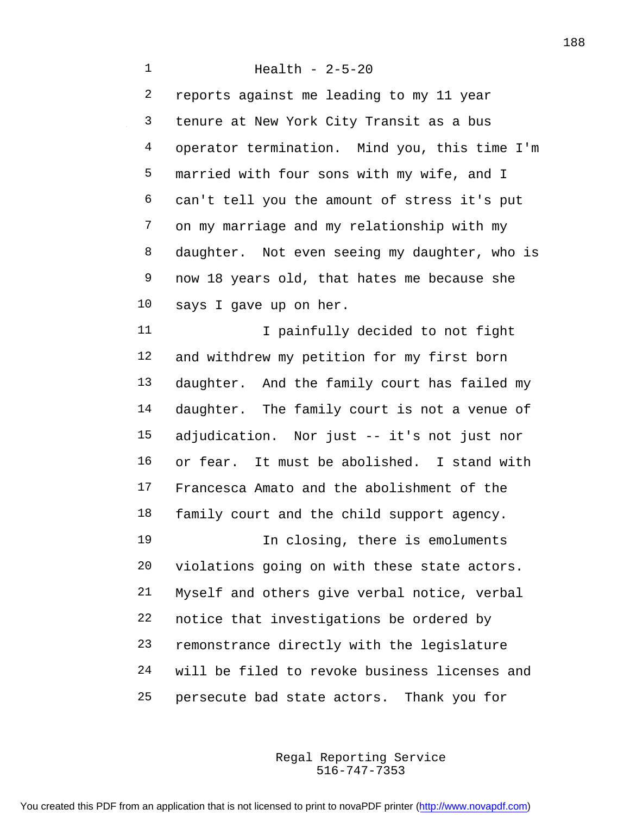Health - 2-5-20 reports against me leading to my 11 year tenure at New York City Transit as a bus operator termination. Mind you, this time I'm married with four sons with my wife, and I can't tell you the amount of stress it's put on my marriage and my relationship with my daughter. Not even seeing my daughter, who is now 18 years old, that hates me because she says I gave up on her. 11 I painfully decided to not fight and withdrew my petition for my first born daughter. And the family court has failed my daughter. The family court is not a venue of adjudication. Nor just -- it's not just nor or fear. It must be abolished. I stand with Francesca Amato and the abolishment of the family court and the child support agency. 19 19 In closing, there is emoluments violations going on with these state actors. Myself and others give verbal notice, verbal notice that investigations be ordered by remonstrance directly with the legislature will be filed to revoke business licenses and persecute bad state actors. Thank you for

> 516-747-7353 Regal Reporting Service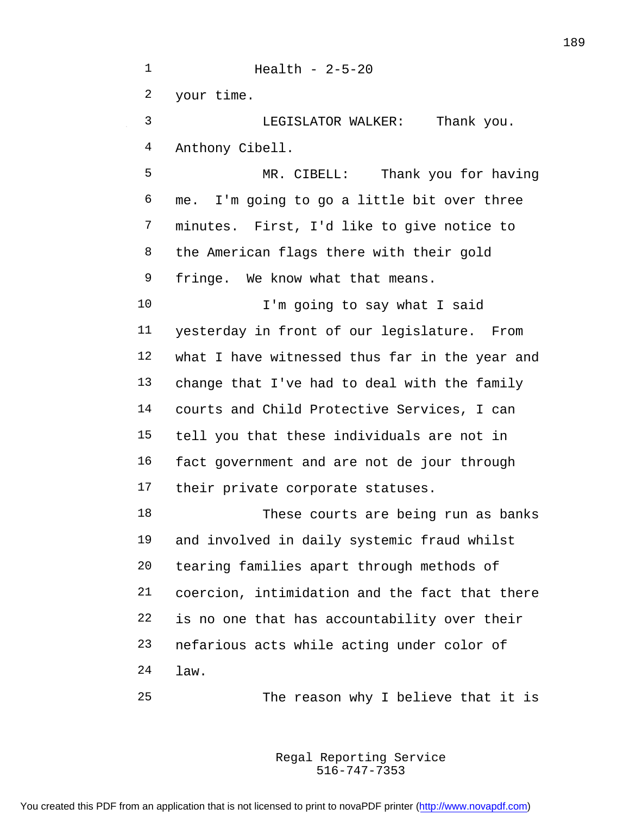Health - 2-5-20 your time. LEGISLATOR WALKER: Thank you. Anthony Cibell. MR. CIBELL: Thank you for having me. I'm going to go a little bit over three minutes. First, I'd like to give notice to the American flags there with their gold fringe. We know what that means. I'm going to say what I said yesterday in front of our legislature. From what I have witnessed thus far in the year and change that I've had to deal with the family courts and Child Protective Services, I can tell you that these individuals are not in fact government and are not de jour through their private corporate statuses. These courts are being run as banks and involved in daily systemic fraud whilst tearing families apart through methods of coercion, intimidation and the fact that there is no one that has accountability over their nefarious acts while acting under color of law. The reason why I believe that it is

> 516-747-7353 Regal Reporting Service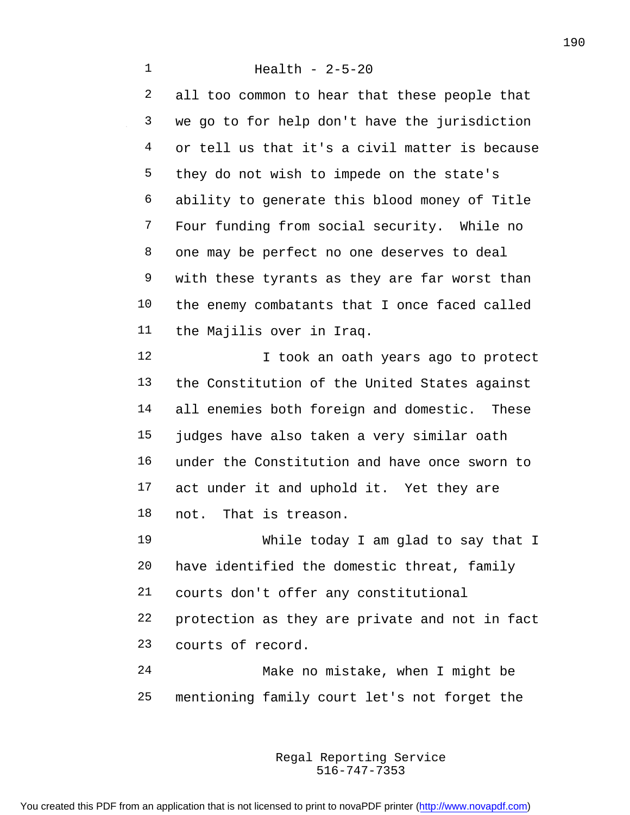all too common to hear that these people that we go to for help don't have the jurisdiction or tell us that it's a civil matter is because they do not wish to impede on the state's ability to generate this blood money of Title Four funding from social security. While no one may be perfect no one deserves to deal with these tyrants as they are far worst than the enemy combatants that I once faced called the Majilis over in Iraq. **I** took an oath years ago to protect the Constitution of the United States against all enemies both foreign and domestic. These judges have also taken a very similar oath under the Constitution and have once sworn to 17 act under it and uphold it. Yet they are not. That is treason. While today I am glad to say that I have identified the domestic threat, family courts don't offer any constitutional protection as they are private and not in fact courts of record. Make no mistake, when I might be mentioning family court let's not forget the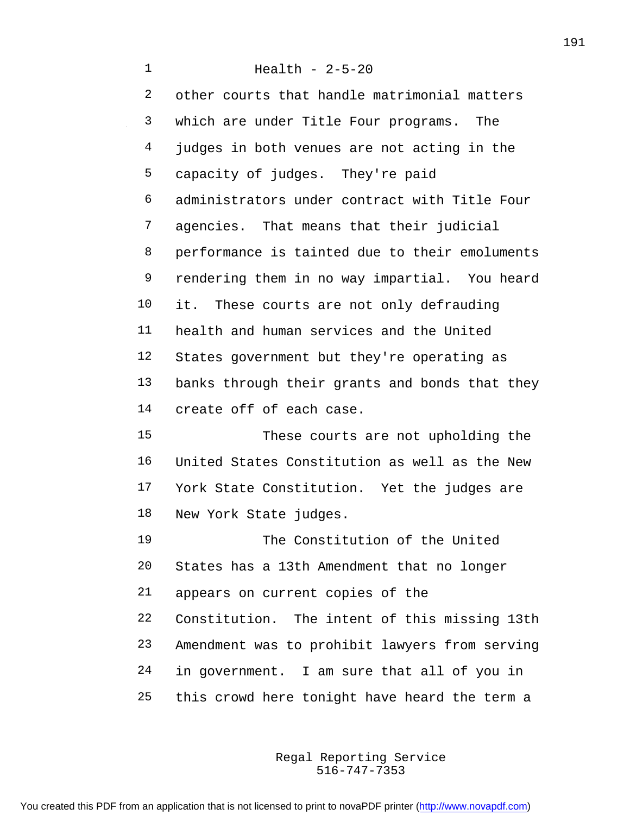Health - 2-5-20 other courts that handle matrimonial matters which are under Title Four programs. The judges in both venues are not acting in the capacity of judges. They're paid administrators under contract with Title Four agencies. That means that their judicial performance is tainted due to their emoluments rendering them in no way impartial. You heard it. These courts are not only defrauding health and human services and the United States government but they're operating as banks through their grants and bonds that they create off of each case. These courts are not upholding the United States Constitution as well as the New York State Constitution. Yet the judges are New York State judges. The Constitution of the United States has a 13th Amendment that no longer appears on current copies of the Constitution. The intent of this missing 13th Amendment was to prohibit lawyers from serving in government. I am sure that all of you in this crowd here tonight have heard the term a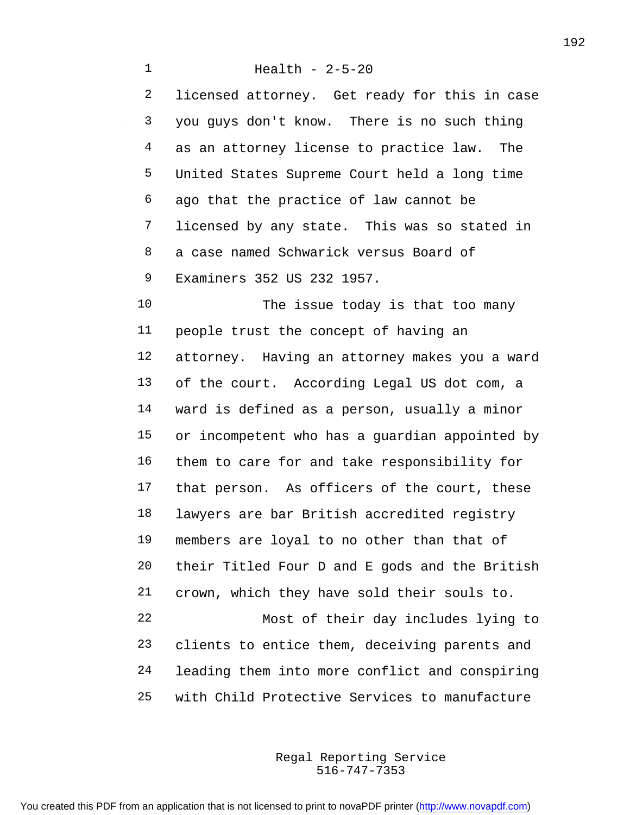Health - 2-5-20 licensed attorney. Get ready for this in case you guys don't know. There is no such thing as an attorney license to practice law. The United States Supreme Court held a long time ago that the practice of law cannot be licensed by any state. This was so stated in a case named Schwarick versus Board of Examiners 352 US 232 1957. The issue today is that too many people trust the concept of having an attorney. Having an attorney makes you a ward of the court. According Legal US dot com, a ward is defined as a person, usually a minor or incompetent who has a guardian appointed by them to care for and take responsibility for that person. As officers of the court, these lawyers are bar British accredited registry members are loyal to no other than that of their Titled Four D and E gods and the British crown, which they have sold their souls to. Most of their day includes lying to clients to entice them, deceiving parents and leading them into more conflict and conspiring with Child Protective Services to manufacture

> 516-747-7353 Regal Reporting Service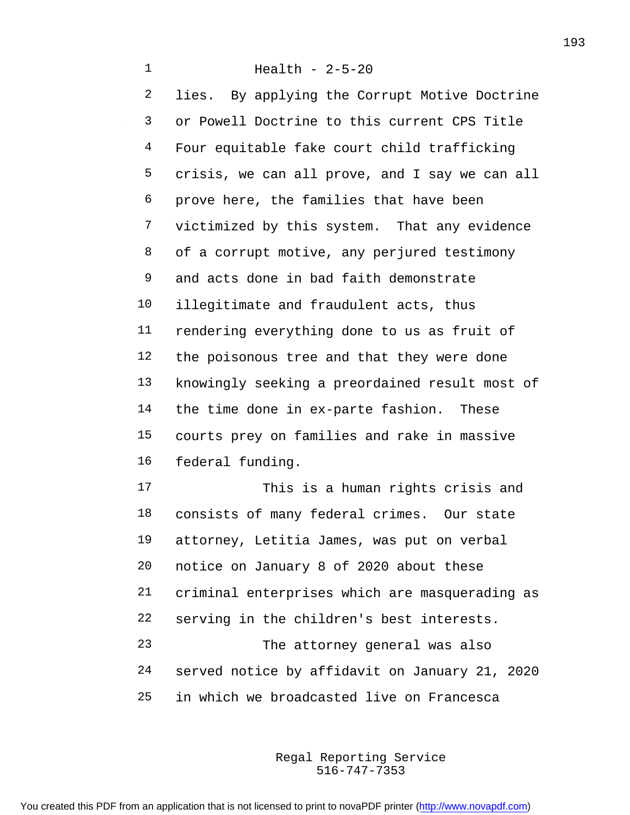Health - 2-5-20 lies. By applying the Corrupt Motive Doctrine or Powell Doctrine to this current CPS Title Four equitable fake court child trafficking crisis, we can all prove, and I say we can all prove here, the families that have been victimized by this system. That any evidence of a corrupt motive, any perjured testimony and acts done in bad faith demonstrate illegitimate and fraudulent acts, thus rendering everything done to us as fruit of the poisonous tree and that they were done knowingly seeking a preordained result most of the time done in ex-parte fashion. These courts prey on families and rake in massive federal funding. This is a human rights crisis and consists of many federal crimes. Our state attorney, Letitia James, was put on verbal notice on January 8 of 2020 about these criminal enterprises which are masquerading as serving in the children's best interests. The attorney general was also

 served notice by affidavit on January 21, 2020 in which we broadcasted live on Francesca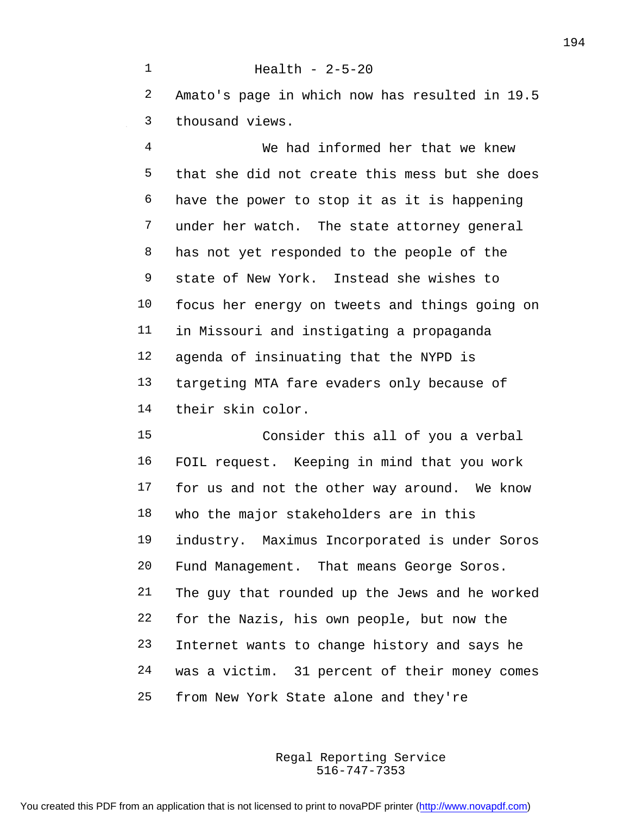Amato's page in which now has resulted in 19.5 thousand views.

Health - 2-5-20

 We had informed her that we knew that she did not create this mess but she does have the power to stop it as it is happening under her watch. The state attorney general 8 has not yet responded to the people of the state of New York. Instead she wishes to focus her energy on tweets and things going on in Missouri and instigating a propaganda agenda of insinuating that the NYPD is targeting MTA fare evaders only because of their skin color.

 Consider this all of you a verbal FOIL request. Keeping in mind that you work for us and not the other way around. We know who the major stakeholders are in this industry. Maximus Incorporated is under Soros Fund Management. That means George Soros. The guy that rounded up the Jews and he worked for the Nazis, his own people, but now the Internet wants to change history and says he was a victim. 31 percent of their money comes from New York State alone and they're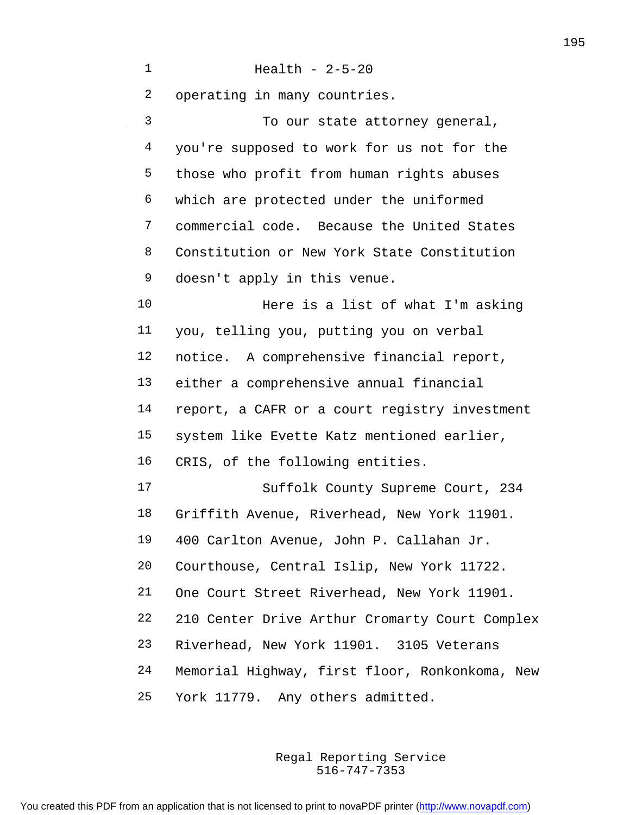Health - 2-5-20 operating in many countries. To our state attorney general, you're supposed to work for us not for the those who profit from human rights abuses which are protected under the uniformed commercial code. Because the United States Constitution or New York State Constitution doesn't apply in this venue. Here is a list of what I'm asking you, telling you, putting you on verbal notice. A comprehensive financial report, either a comprehensive annual financial report, a CAFR or a court registry investment system like Evette Katz mentioned earlier, CRIS, of the following entities. Suffolk County Supreme Court, 234 Griffith Avenue, Riverhead, New York 11901. 400 Carlton Avenue, John P. Callahan Jr. Courthouse, Central Islip, New York 11722. One Court Street Riverhead, New York 11901. 210 Center Drive Arthur Cromarty Court Complex Riverhead, New York 11901. 3105 Veterans Memorial Highway, first floor, Ronkonkoma, New York 11779. Any others admitted.

> 516-747-7353 Regal Reporting Service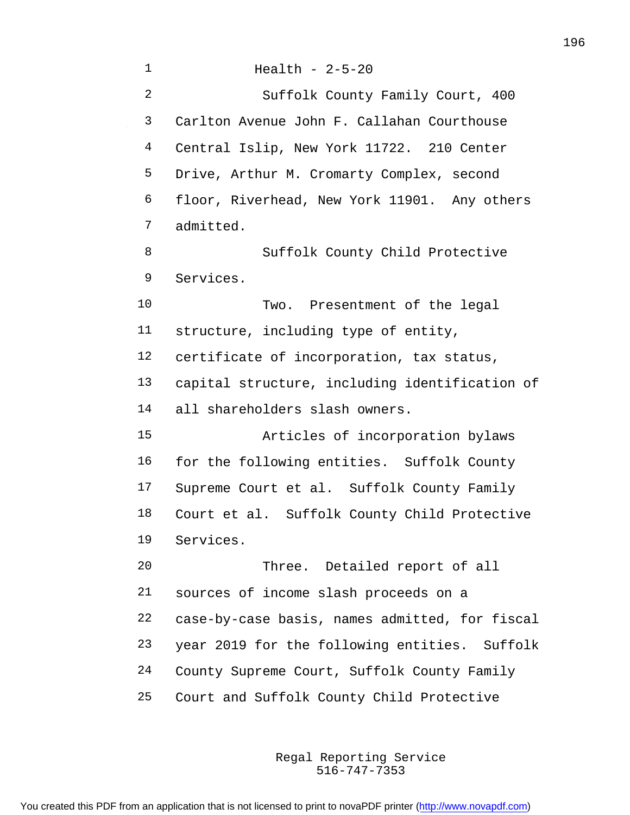| $\mathbf 1$    | Health - $2-5-20$                              |
|----------------|------------------------------------------------|
| $\overline{a}$ | Suffolk County Family Court, 400               |
| 3              | Carlton Avenue John F. Callahan Courthouse     |
| 4              | Central Islip, New York 11722. 210 Center      |
| 5              | Drive, Arthur M. Cromarty Complex, second      |
| 6              | floor, Riverhead, New York 11901. Any others   |
| 7              | admitted.                                      |
| 8              | Suffolk County Child Protective                |
| 9              | Services.                                      |
| 10             | Two. Presentment of the legal                  |
| 11             | structure, including type of entity,           |
| 12             | certificate of incorporation, tax status,      |
| 13             | capital structure, including identification of |
| 14             | all shareholders slash owners.                 |
| 15             | Articles of incorporation bylaws               |
| 16             | for the following entities. Suffolk County     |
| 17             | Supreme Court et al. Suffolk County Family     |
| 18             | Court et al. Suffolk County Child Protective   |
| 19             | Services.                                      |
| 20             | Three. Detailed report of all                  |
| 21             | sources of income slash proceeds on a          |
| 22             | case-by-case basis, names admitted, for fiscal |
| 23             | year 2019 for the following entities. Suffolk  |
| 24             | County Supreme Court, Suffolk County Family    |
| 25             | Court and Suffolk County Child Protective      |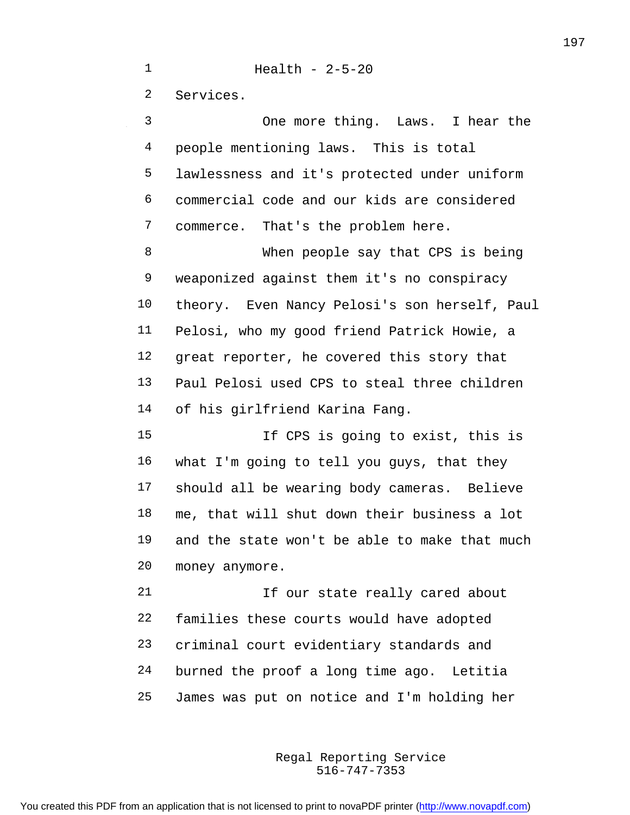Health - 2-5-20

Services.

 One more thing. Laws. I hear the people mentioning laws. This is total lawlessness and it's protected under uniform commercial code and our kids are considered commerce. That's the problem here. When people say that CPS is being weaponized against them it's no conspiracy theory. Even Nancy Pelosi's son herself, Paul Pelosi, who my good friend Patrick Howie, a great reporter, he covered this story that Paul Pelosi used CPS to steal three children of his girlfriend Karina Fang. If CPS is going to exist, this is what I'm going to tell you guys, that they should all be wearing body cameras. Believe me, that will shut down their business a lot

 and the state won't be able to make that much money anymore.

21 15 Our state really cared about families these courts would have adopted criminal court evidentiary standards and burned the proof a long time ago. Letitia James was put on notice and I'm holding her

> 516-747-7353 Regal Reporting Service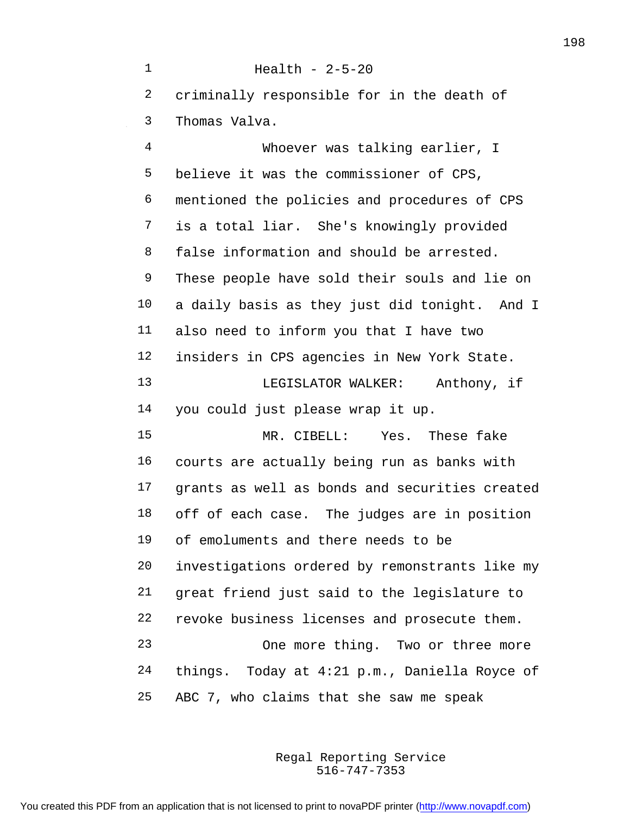Health - 2-5-20 criminally responsible for in the death of Thomas Valva. Whoever was talking earlier, I believe it was the commissioner of CPS, mentioned the policies and procedures of CPS is a total liar. She's knowingly provided false information and should be arrested. These people have sold their souls and lie on a daily basis as they just did tonight. And I also need to inform you that I have two insiders in CPS agencies in New York State. LEGISLATOR WALKER: Anthony, if you could just please wrap it up. MR. CIBELL: Yes. These fake courts are actually being run as banks with grants as well as bonds and securities created off of each case. The judges are in position of emoluments and there needs to be investigations ordered by remonstrants like my great friend just said to the legislature to revoke business licenses and prosecute them. One more thing. Two or three more things. Today at 4:21 p.m., Daniella Royce of ABC 7, who claims that she saw me speak

> 516-747-7353 Regal Reporting Service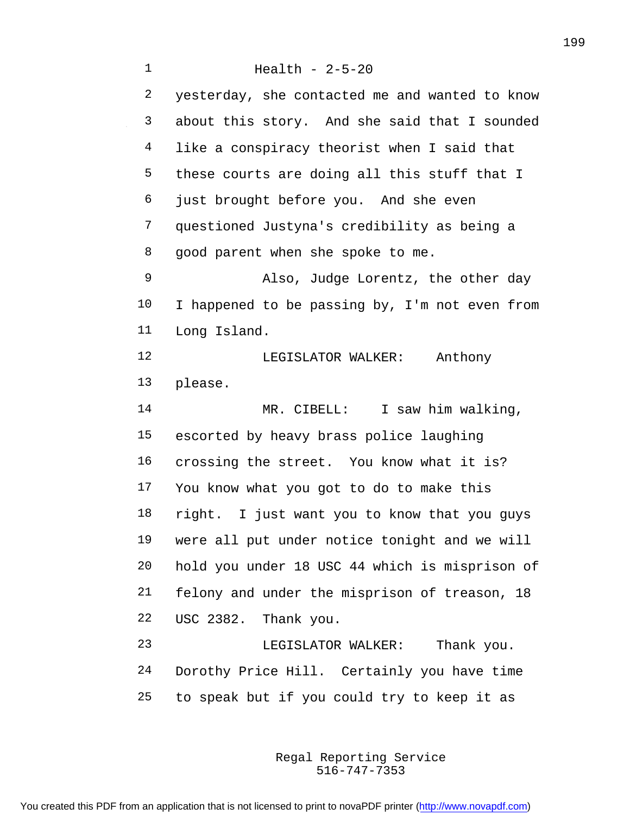Health - 2-5-20 yesterday, she contacted me and wanted to know about this story. And she said that I sounded like a conspiracy theorist when I said that these courts are doing all this stuff that I just brought before you. And she even questioned Justyna's credibility as being a good parent when she spoke to me. Also, Judge Lorentz, the other day I happened to be passing by, I'm not even from Long Island. 12 LEGISLATOR WALKER: Anthony please. 14 MR. CIBELL: I saw him walking, escorted by heavy brass police laughing crossing the street. You know what it is? You know what you got to do to make this right. I just want you to know that you guys were all put under notice tonight and we will hold you under 18 USC 44 which is misprison of felony and under the misprison of treason, 18 USC 2382. Thank you. LEGISLATOR WALKER: Thank you. Dorothy Price Hill. Certainly you have time to speak but if you could try to keep it as

> 516-747-7353 Regal Reporting Service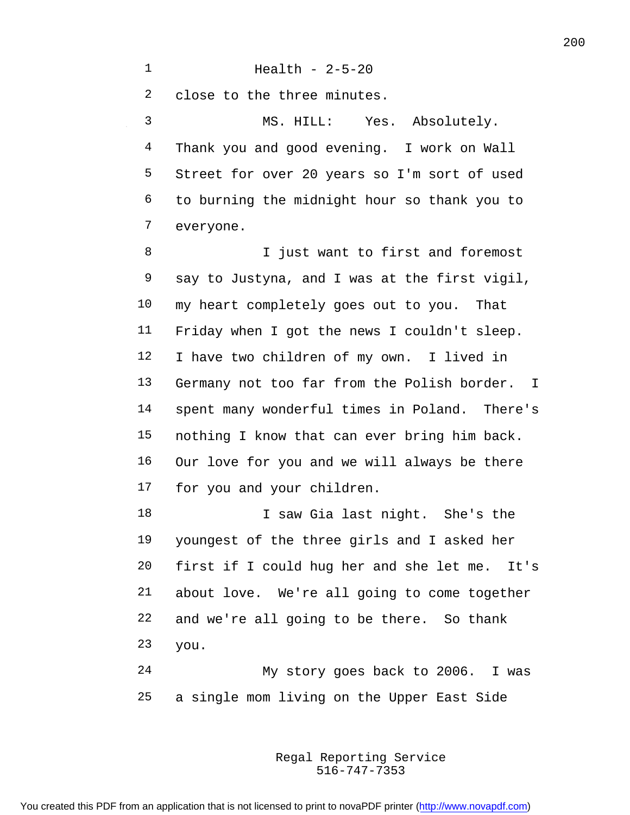Health - 2-5-20

close to the three minutes.

 MS. HILL: Yes. Absolutely. Thank you and good evening. I work on Wall Street for over 20 years so I'm sort of used to burning the midnight hour so thank you to everyone.

 I just want to first and foremost say to Justyna, and I was at the first vigil, my heart completely goes out to you. That Friday when I got the news I couldn't sleep. I have two children of my own. I lived in Germany not too far from the Polish border. I spent many wonderful times in Poland. There's nothing I know that can ever bring him back. Our love for you and we will always be there for you and your children.

18 I saw Gia last night. She's the youngest of the three girls and I asked her first if I could hug her and she let me. It's about love. We're all going to come together and we're all going to be there. So thank you.

 My story goes back to 2006. I was a single mom living on the Upper East Side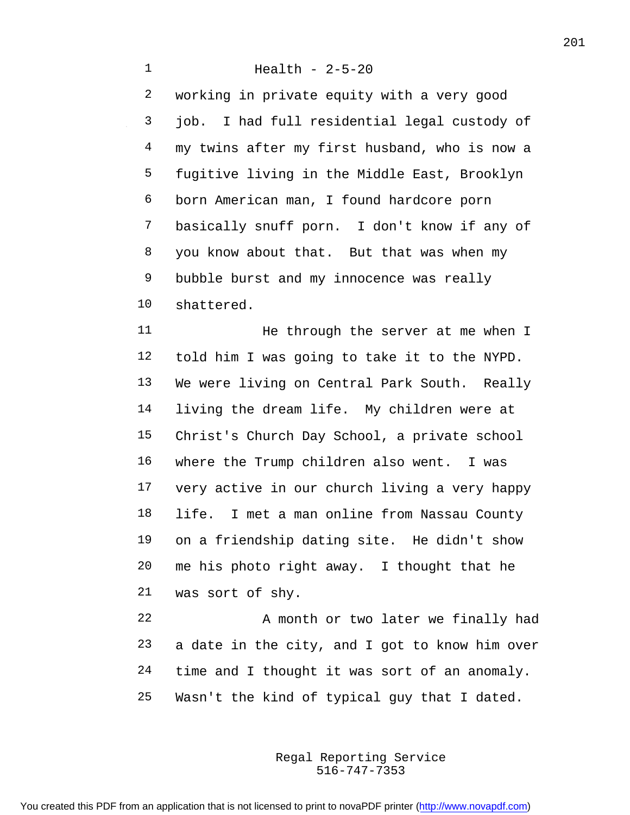## Health - 2-5-20

 working in private equity with a very good job. I had full residential legal custody of my twins after my first husband, who is now a fugitive living in the Middle East, Brooklyn born American man, I found hardcore porn basically snuff porn. I don't know if any of 8 you know about that. But that was when my bubble burst and my innocence was really shattered.

11 He through the server at me when I told him I was going to take it to the NYPD. We were living on Central Park South. Really living the dream life. My children were at Christ's Church Day School, a private school where the Trump children also went. I was very active in our church living a very happy life. I met a man online from Nassau County on a friendship dating site. He didn't show me his photo right away. I thought that he was sort of shy.

22 A month or two later we finally had a date in the city, and I got to know him over 24 time and I thought it was sort of an anomaly. Wasn't the kind of typical guy that I dated.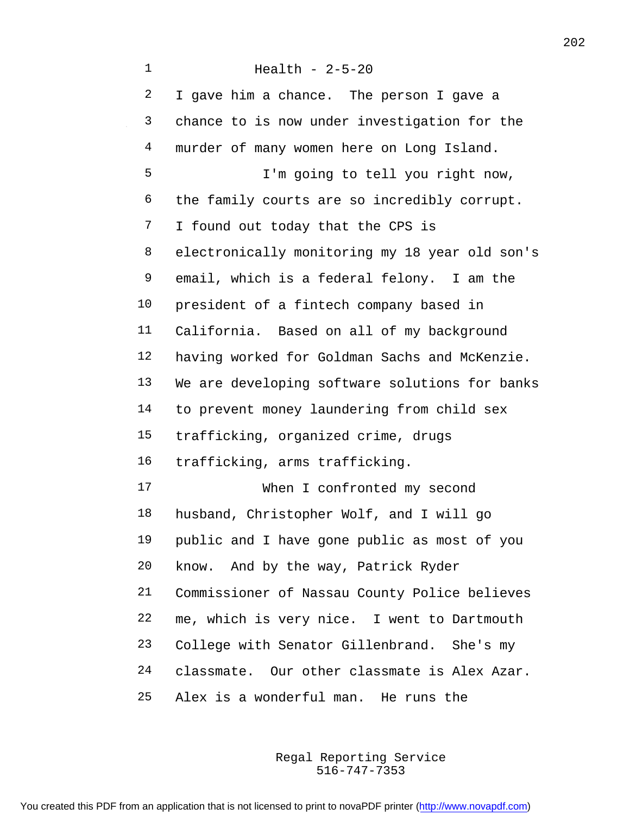Health - 2-5-20 2 I gave him a chance. The person I gave a chance to is now under investigation for the murder of many women here on Long Island. I'm going to tell you right now, the family courts are so incredibly corrupt. I found out today that the CPS is electronically monitoring my 18 year old son's email, which is a federal felony. I am the president of a fintech company based in California. Based on all of my background having worked for Goldman Sachs and McKenzie. We are developing software solutions for banks to prevent money laundering from child sex trafficking, organized crime, drugs trafficking, arms trafficking. When I confronted my second husband, Christopher Wolf, and I will go public and I have gone public as most of you know. And by the way, Patrick Ryder Commissioner of Nassau County Police believes me, which is very nice. I went to Dartmouth College with Senator Gillenbrand. She's my classmate. Our other classmate is Alex Azar. Alex is a wonderful man. He runs the

> 516-747-7353 Regal Reporting Service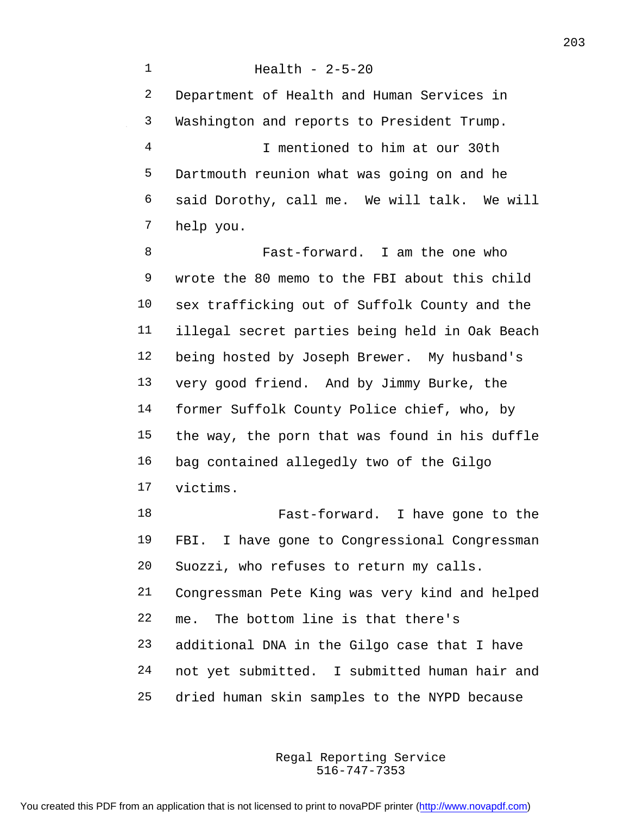Health - 2-5-20 Department of Health and Human Services in Washington and reports to President Trump. I mentioned to him at our 30th Dartmouth reunion what was going on and he said Dorothy, call me. We will talk. We will help you.

 Fast-forward. I am the one who wrote the 80 memo to the FBI about this child sex trafficking out of Suffolk County and the illegal secret parties being held in Oak Beach being hosted by Joseph Brewer. My husband's very good friend. And by Jimmy Burke, the former Suffolk County Police chief, who, by the way, the porn that was found in his duffle bag contained allegedly two of the Gilgo victims.

 Fast-forward. I have gone to the 19 FBI. I have gone to Congressional Congressman Suozzi, who refuses to return my calls. Congressman Pete King was very kind and helped me. The bottom line is that there's additional DNA in the Gilgo case that I have not yet submitted. I submitted human hair and dried human skin samples to the NYPD because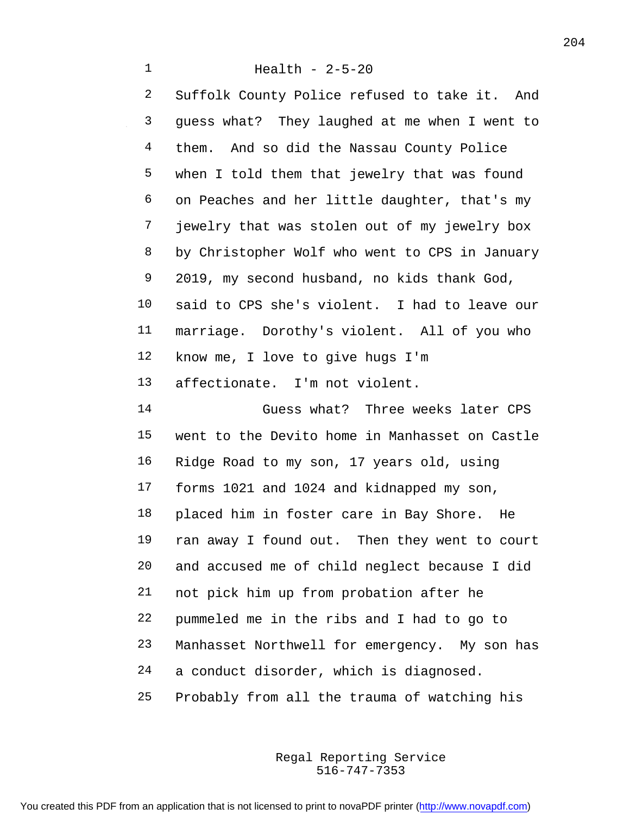Health - 2-5-20 Suffolk County Police refused to take it. And guess what? They laughed at me when I went to them. And so did the Nassau County Police when I told them that jewelry that was found on Peaches and her little daughter, that's my jewelry that was stolen out of my jewelry box by Christopher Wolf who went to CPS in January 2019, my second husband, no kids thank God, said to CPS she's violent. I had to leave our marriage. Dorothy's violent. All of you who know me, I love to give hugs I'm affectionate. I'm not violent. Guess what? Three weeks later CPS went to the Devito home in Manhasset on Castle Ridge Road to my son, 17 years old, using forms 1021 and 1024 and kidnapped my son, placed him in foster care in Bay Shore. He ran away I found out. Then they went to court and accused me of child neglect because I did not pick him up from probation after he pummeled me in the ribs and I had to go to Manhasset Northwell for emergency. My son has a conduct disorder, which is diagnosed. Probably from all the trauma of watching his

> 516-747-7353 Regal Reporting Service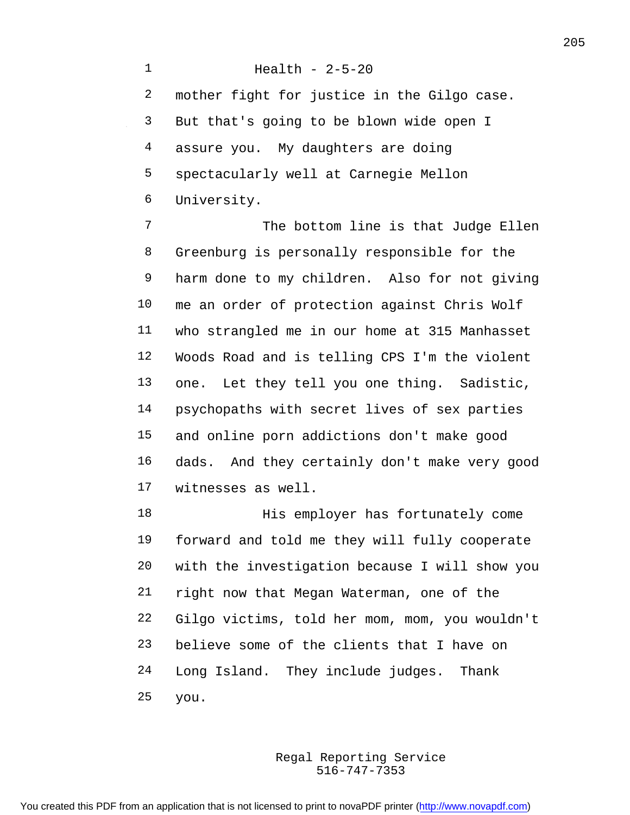Health - 2-5-20 mother fight for justice in the Gilgo case. But that's going to be blown wide open I assure you. My daughters are doing spectacularly well at Carnegie Mellon University. 7 The bottom line is that Judge Ellen Greenburg is personally responsible for the harm done to my children. Also for not giving me an order of protection against Chris Wolf who strangled me in our home at 315 Manhasset Woods Road and is telling CPS I'm the violent one. Let they tell you one thing. Sadistic, psychopaths with secret lives of sex parties and online porn addictions don't make good dads. And they certainly don't make very good witnesses as well. 18 His employer has fortunately come forward and told me they will fully cooperate with the investigation because I will show you right now that Megan Waterman, one of the Gilgo victims, told her mom, mom, you wouldn't believe some of the clients that I have on Long Island. They include judges. Thank you.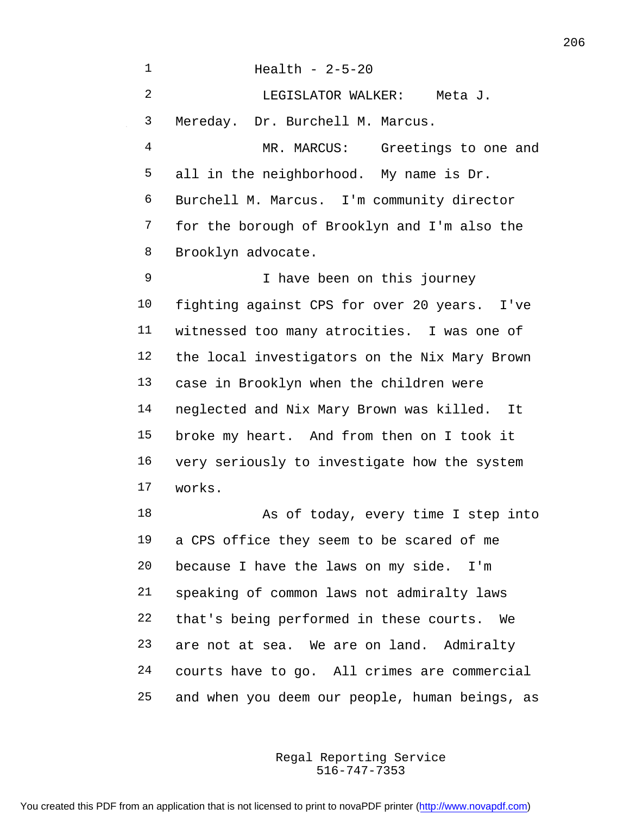Health - 2-5-20 LEGISLATOR WALKER: Meta J. Mereday. Dr. Burchell M. Marcus. MR. MARCUS: Greetings to one and all in the neighborhood. My name is Dr. Burchell M. Marcus. I'm community director for the borough of Brooklyn and I'm also the Brooklyn advocate. I have been on this journey fighting against CPS for over 20 years. I've witnessed too many atrocities. I was one of the local investigators on the Nix Mary Brown case in Brooklyn when the children were neglected and Nix Mary Brown was killed. It broke my heart. And from then on I took it very seriously to investigate how the system works. 18 As of today, every time I step into a CPS office they seem to be scared of me because I have the laws on my side. I'm speaking of common laws not admiralty laws that's being performed in these courts. We are not at sea. We are on land. Admiralty courts have to go. All crimes are commercial and when you deem our people, human beings, as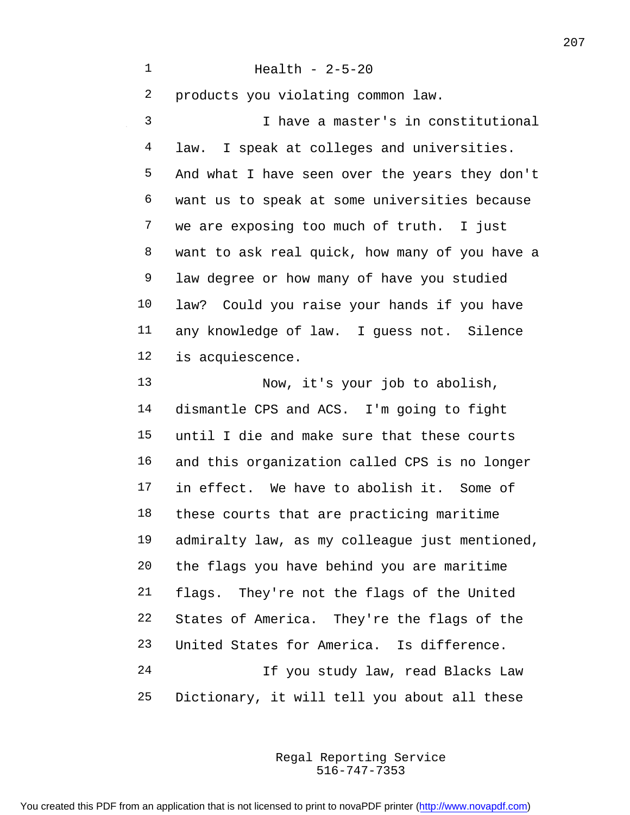Health - 2-5-20 products you violating common law. I have a master's in constitutional law. I speak at colleges and universities. And what I have seen over the years they don't want us to speak at some universities because we are exposing too much of truth. I just want to ask real quick, how many of you have a law degree or how many of have you studied law? Could you raise your hands if you have any knowledge of law. I guess not. Silence is acquiescence.

 Now, it's your job to abolish, dismantle CPS and ACS. I'm going to fight until I die and make sure that these courts and this organization called CPS is no longer in effect. We have to abolish it. Some of these courts that are practicing maritime admiralty law, as my colleague just mentioned, the flags you have behind you are maritime flags. They're not the flags of the United States of America. They're the flags of the United States for America. Is difference. If you study law, read Blacks Law Dictionary, it will tell you about all these

> 516-747-7353 Regal Reporting Service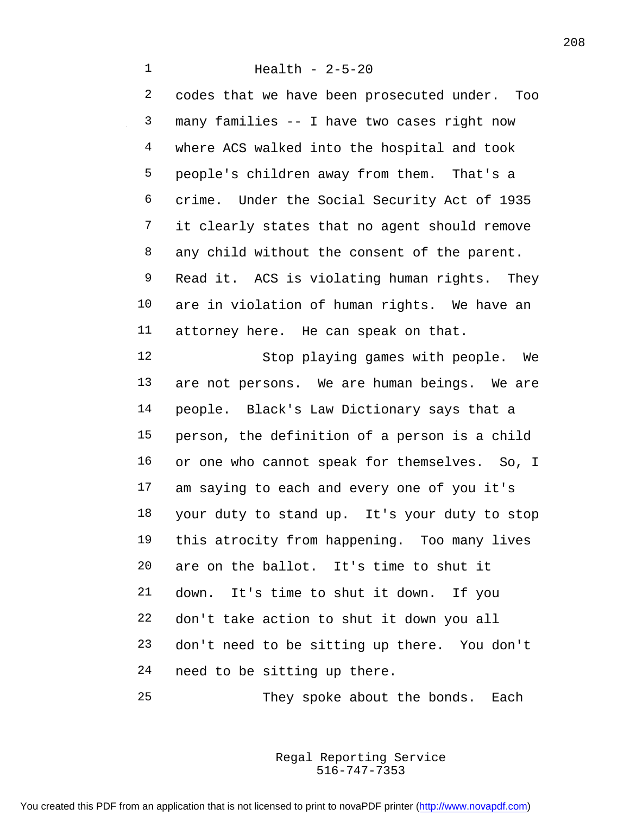Health - 2-5-20 codes that we have been prosecuted under. Too many families -- I have two cases right now where ACS walked into the hospital and took people's children away from them. That's a crime. Under the Social Security Act of 1935

8 any child without the consent of the parent. Read it. ACS is violating human rights. They are in violation of human rights. We have an

it clearly states that no agent should remove

attorney here. He can speak on that.

 Stop playing games with people. We are not persons. We are human beings. We are people. Black's Law Dictionary says that a person, the definition of a person is a child 16 or one who cannot speak for themselves. So, I am saying to each and every one of you it's your duty to stand up. It's your duty to stop this atrocity from happening. Too many lives are on the ballot. It's time to shut it down. It's time to shut it down. If you don't take action to shut it down you all don't need to be sitting up there. You don't need to be sitting up there.

25 They spoke about the bonds. Each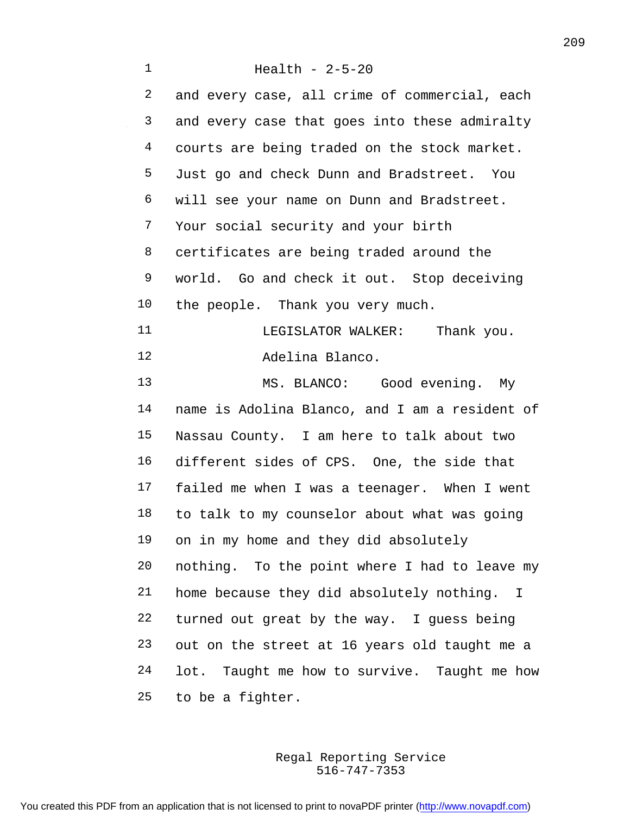| $\mathbf 1$ | Health - $2-5-20$                               |
|-------------|-------------------------------------------------|
| 2           | and every case, all crime of commercial, each   |
| 3           | and every case that goes into these admiralty   |
| 4           | courts are being traded on the stock market.    |
| 5           | Just go and check Dunn and Bradstreet. You      |
| 6           | will see your name on Dunn and Bradstreet.      |
| 7           | Your social security and your birth             |
| 8           | certificates are being traded around the        |
| 9           | world. Go and check it out. Stop deceiving      |
| 10          | the people. Thank you very much.                |
| 11          | LEGISLATOR WALKER: Thank you.                   |
| 12          | Adelina Blanco.                                 |
| 13          | MS. BLANCO: Good evening. My                    |
| 14          | name is Adolina Blanco, and I am a resident of  |
| 15          | Nassau County. I am here to talk about two      |
| 16          | different sides of CPS. One, the side that      |
| 17          | failed me when I was a teenager. When I went    |
| 18          | to talk to my counselor about what was going    |
| 19          | on in my home and they did absolutely           |
| 20          | nothing. To the point where I had to leave my   |
| 21          | home because they did absolutely nothing. I     |
| $2\sqrt{2}$ | turned out great by the way. I guess being      |
| 23          | out on the street at 16 years old taught me a   |
| 24          | Taught me how to survive. Taught me how<br>lot. |
| 25          | to be a fighter.                                |

516-747-7353 Regal Reporting Service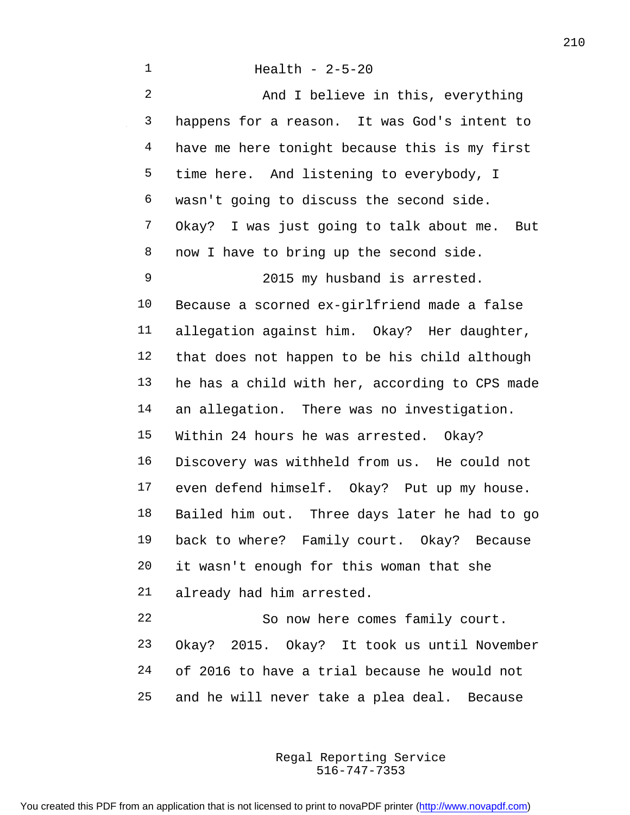| $\mathbf{1}$   | Health - $2-5-20$                               |
|----------------|-------------------------------------------------|
| $\overline{2}$ | And I believe in this, everything               |
| 3              | happens for a reason. It was God's intent to    |
| 4              | have me here tonight because this is my first   |
| 5              | time here. And listening to everybody, I        |
| 6              | wasn't going to discuss the second side.        |
| 7              | Okay? I was just going to talk about me.<br>But |
| 8              | now I have to bring up the second side.         |
| 9              | 2015 my husband is arrested.                    |
| 10             | Because a scorned ex-girlfriend made a false    |
| 11             | allegation against him. Okay? Her daughter,     |
| 12             | that does not happen to be his child although   |
| 13             | he has a child with her, according to CPS made  |
| 14             | an allegation. There was no investigation.      |
| 15             | Within 24 hours he was arrested. Okay?          |
| 16             | Discovery was withheld from us. He could not    |
| 17             | even defend himself. Okay? Put up my house.     |
| 18             | Bailed him out. Three days later he had to go   |
| 19             | back to where? Family court. Okay? Because      |
| 20             | it wasn't enough for this woman that she        |
| 21             | already had him arrested.                       |
| 22             | So now here comes family court.                 |
| 23             | Okay? 2015. Okay? It took us until November     |
| 24             | of 2016 to have a trial because he would not    |
|                |                                                 |

 $\sim$ 

516-747-7353 Regal Reporting Service

and he will never take a plea deal. Because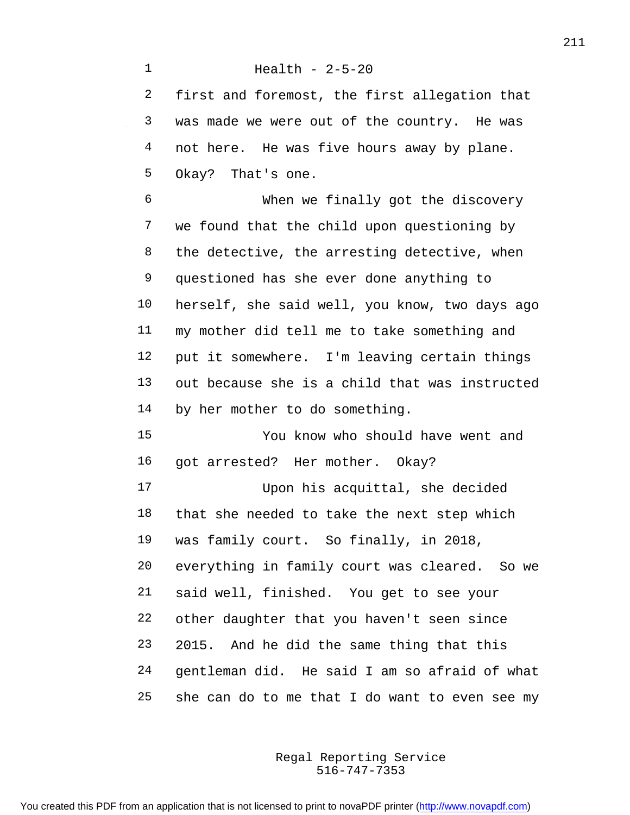Health - 2-5-20 first and foremost, the first allegation that was made we were out of the country. He was 4 not here. He was five hours away by plane. Okay? That's one. When we finally got the discovery we found that the child upon questioning by the detective, the arresting detective, when questioned has she ever done anything to herself, she said well, you know, two days ago my mother did tell me to take something and put it somewhere. I'm leaving certain things out because she is a child that was instructed by her mother to do something. You know who should have went and got arrested? Her mother. Okay? Upon his acquittal, she decided that she needed to take the next step which was family court. So finally, in 2018, everything in family court was cleared. So we said well, finished. You get to see your other daughter that you haven't seen since

 gentleman did. He said I am so afraid of what she can do to me that I do want to even see my

2015. And he did the same thing that this

516-747-7353 Regal Reporting Service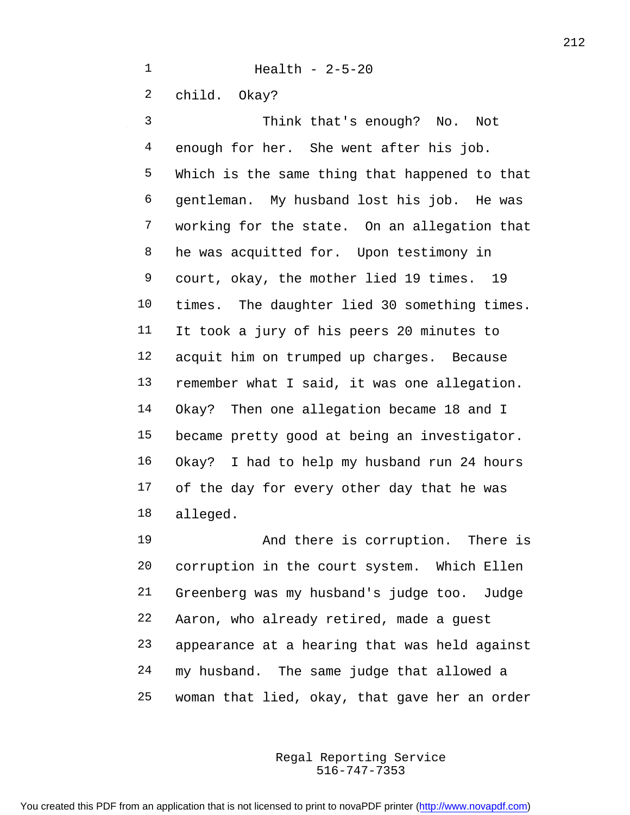Health - 2-5-20

child. Okay?

 Think that's enough? No. Not enough for her. She went after his job. Which is the same thing that happened to that gentleman. My husband lost his job. He was working for the state. On an allegation that he was acquitted for. Upon testimony in court, okay, the mother lied 19 times. 19 times. The daughter lied 30 something times. It took a jury of his peers 20 minutes to acquit him on trumped up charges. Because remember what I said, it was one allegation. Okay? Then one allegation became 18 and I became pretty good at being an investigator. Okay? I had to help my husband run 24 hours of the day for every other day that he was alleged.

19 And there is corruption. There is corruption in the court system. Which Ellen Greenberg was my husband's judge too. Judge Aaron, who already retired, made a guest appearance at a hearing that was held against my husband. The same judge that allowed a woman that lied, okay, that gave her an order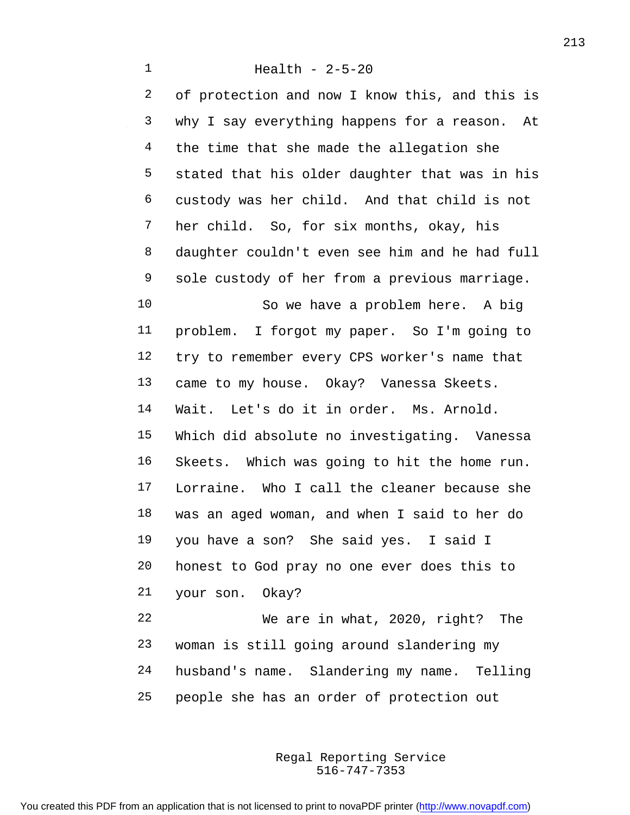Health - 2-5-20 of protection and now I know this, and this is why I say everything happens for a reason. At 4 the time that she made the allegation she stated that his older daughter that was in his custody was her child. And that child is not her child. So, for six months, okay, his daughter couldn't even see him and he had full sole custody of her from a previous marriage. So we have a problem here. A big problem. I forgot my paper. So I'm going to try to remember every CPS worker's name that came to my house. Okay? Vanessa Skeets. Wait. Let's do it in order. Ms. Arnold. Which did absolute no investigating. Vanessa Skeets. Which was going to hit the home run. Lorraine. Who I call the cleaner because she was an aged woman, and when I said to her do you have a son? She said yes. I said I honest to God pray no one ever does this to your son. Okay? We are in what, 2020, right? The woman is still going around slandering my husband's name. Slandering my name. Telling

people she has an order of protection out

516-747-7353 Regal Reporting Service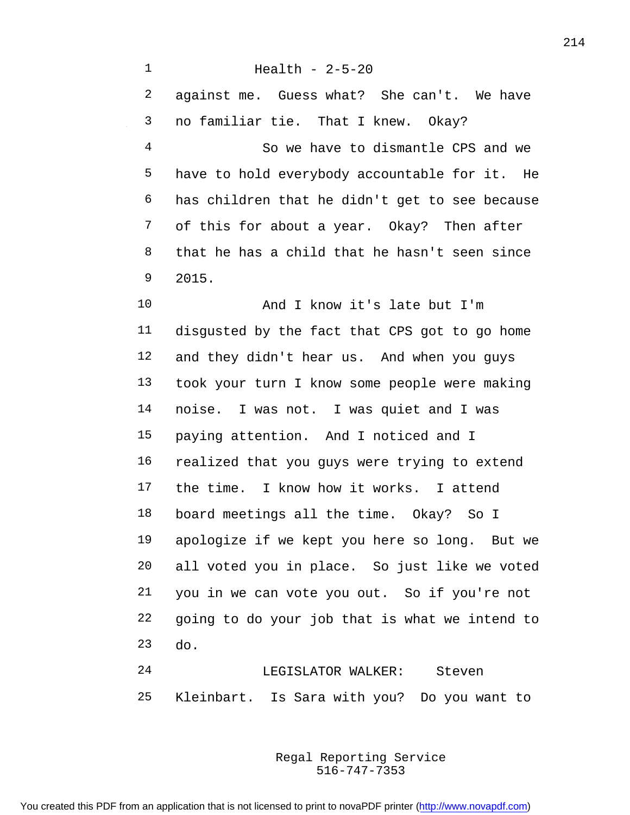Health - 2-5-20 against me. Guess what? She can't. We have no familiar tie. That I knew. Okay? So we have to dismantle CPS and we have to hold everybody accountable for it. He has children that he didn't get to see because of this for about a year. Okay? Then after that he has a child that he hasn't seen since 2015. And I know it's late but I'm disgusted by the fact that CPS got to go home and they didn't hear us. And when you guys took your turn I know some people were making noise. I was not. I was quiet and I was paying attention. And I noticed and I realized that you guys were trying to extend the time. I know how it works. I attend board meetings all the time. Okay? So I apologize if we kept you here so long. But we all voted you in place. So just like we voted you in we can vote you out. So if you're not going to do your job that is what we intend to do. LEGISLATOR WALKER: Steven

Kleinbart. Is Sara with you? Do you want to

516-747-7353 Regal Reporting Service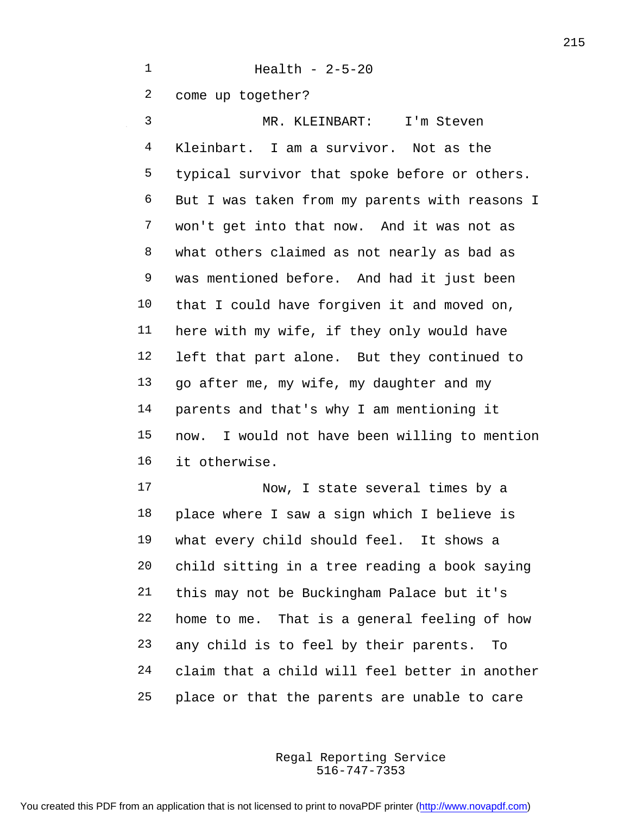Health - 2-5-20 come up together? MR. KLEINBART: I'm Steven Kleinbart. I am a survivor. Not as the typical survivor that spoke before or others. But I was taken from my parents with reasons I won't get into that now. And it was not as what others claimed as not nearly as bad as was mentioned before. And had it just been that I could have forgiven it and moved on, here with my wife, if they only would have left that part alone. But they continued to go after me, my wife, my daughter and my parents and that's why I am mentioning it now. I would not have been willing to mention it otherwise. Now, I state several times by a place where I saw a sign which I believe is what every child should feel. It shows a

 child sitting in a tree reading a book saying this may not be Buckingham Palace but it's home to me. That is a general feeling of how any child is to feel by their parents. To claim that a child will feel better in another place or that the parents are unable to care

> 516-747-7353 Regal Reporting Service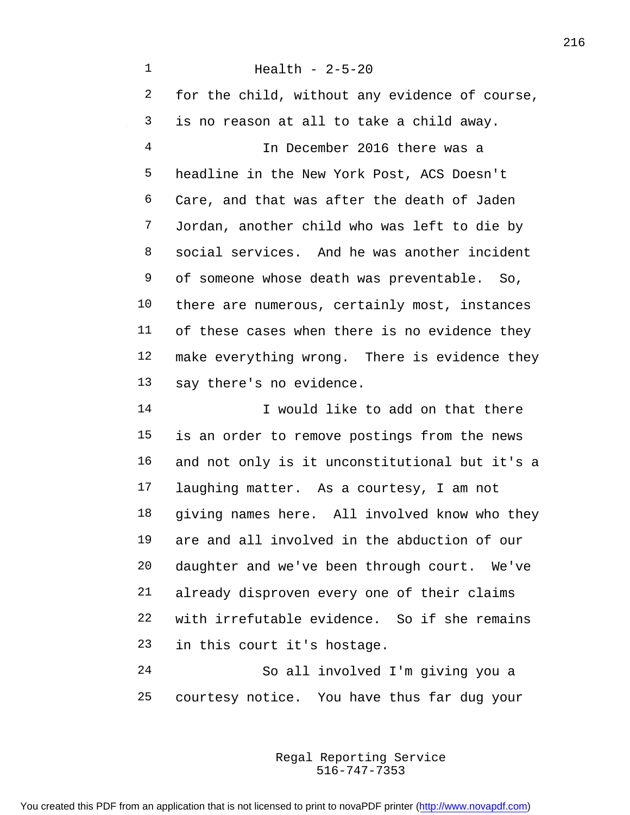Health - 2-5-20 for the child, without any evidence of course, is no reason at all to take a child away. In December 2016 there was a headline in the New York Post, ACS Doesn't Care, and that was after the death of Jaden Jordan, another child who was left to die by social services. And he was another incident of someone whose death was preventable. So, there are numerous, certainly most, instances of these cases when there is no evidence they make everything wrong. There is evidence they say there's no evidence. I would like to add on that there is an order to remove postings from the news and not only is it unconstitutional but it's a laughing matter. As a courtesy, I am not giving names here. All involved know who they are and all involved in the abduction of our daughter and we've been through court. We've already disproven every one of their claims with irrefutable evidence. So if she remains in this court it's hostage. So all involved I'm giving you a

> 516-747-7353 Regal Reporting Service

courtesy notice. You have thus far dug your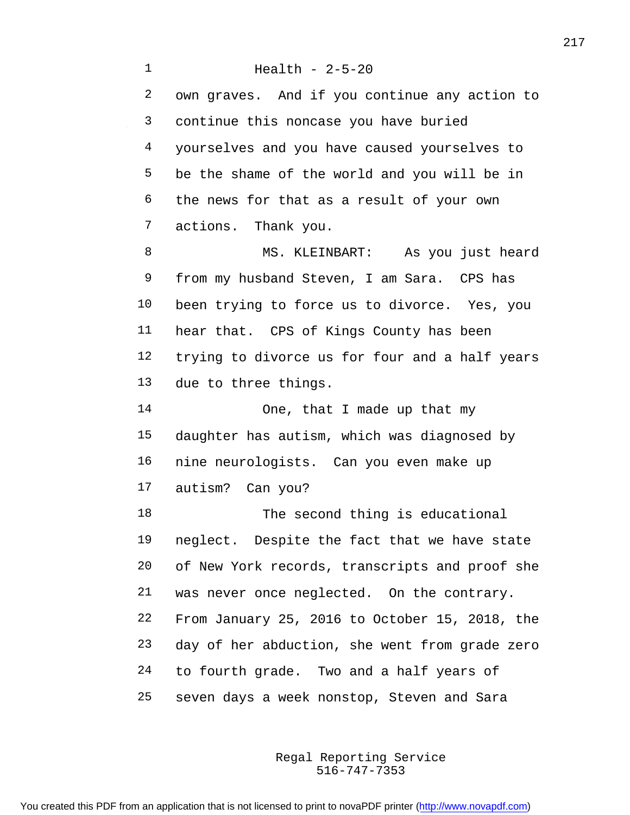Health - 2-5-20 own graves. And if you continue any action to continue this noncase you have buried yourselves and you have caused yourselves to be the shame of the world and you will be in the news for that as a result of your own actions. Thank you. 8 MS. KLEINBART: As you just heard from my husband Steven, I am Sara. CPS has been trying to force us to divorce. Yes, you hear that. CPS of Kings County has been trying to divorce us for four and a half years due to three things. 14 One, that I made up that my daughter has autism, which was diagnosed by nine neurologists. Can you even make up autism? Can you? 18 The second thing is educational neglect. Despite the fact that we have state of New York records, transcripts and proof she was never once neglected. On the contrary. From January 25, 2016 to October 15, 2018, the day of her abduction, she went from grade zero to fourth grade. Two and a half years of seven days a week nonstop, Steven and Sara

> 516-747-7353 Regal Reporting Service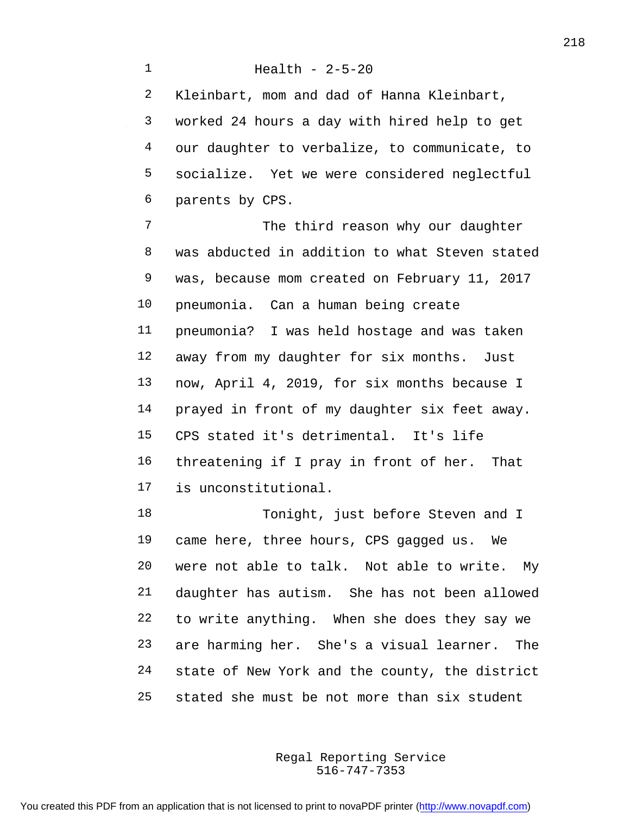Kleinbart, mom and dad of Hanna Kleinbart, worked 24 hours a day with hired help to get our daughter to verbalize, to communicate, to socialize. Yet we were considered neglectful parents by CPS.

7 The third reason why our daughter was abducted in addition to what Steven stated was, because mom created on February 11, 2017 pneumonia. Can a human being create pneumonia? I was held hostage and was taken away from my daughter for six months. Just now, April 4, 2019, for six months because I prayed in front of my daughter six feet away. CPS stated it's detrimental. It's life threatening if I pray in front of her. That is unconstitutional.

18 Tonight, just before Steven and I came here, three hours, CPS gagged us. We were not able to talk. Not able to write. My daughter has autism. She has not been allowed to write anything. When she does they say we are harming her. She's a visual learner. The state of New York and the county, the district stated she must be not more than six student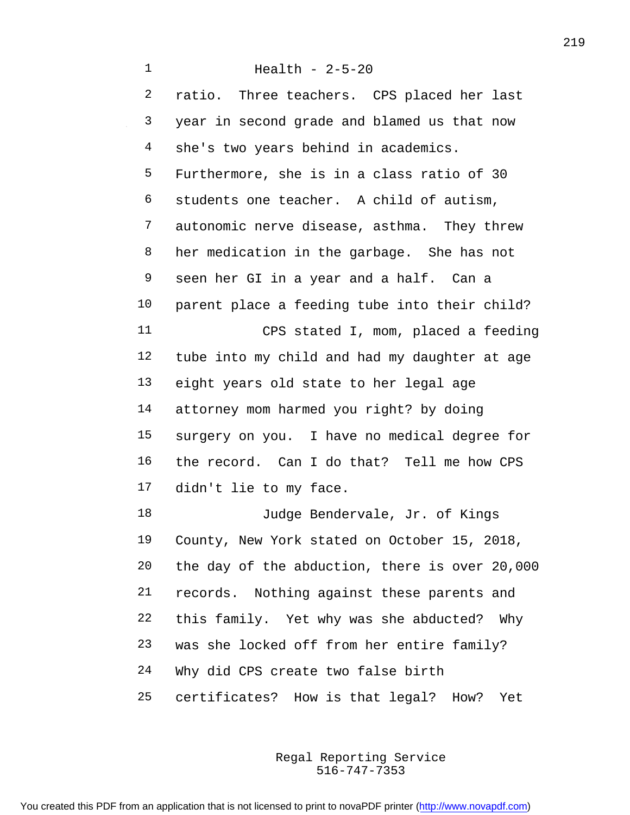Health - 2-5-20 ratio. Three teachers. CPS placed her last year in second grade and blamed us that now she's two years behind in academics. Furthermore, she is in a class ratio of 30 students one teacher. A child of autism, autonomic nerve disease, asthma. They threw her medication in the garbage. She has not seen her GI in a year and a half. Can a parent place a feeding tube into their child? CPS stated I, mom, placed a feeding tube into my child and had my daughter at age eight years old state to her legal age attorney mom harmed you right? by doing surgery on you. I have no medical degree for the record. Can I do that? Tell me how CPS didn't lie to my face. 18 Judge Bendervale, Jr. of Kings County, New York stated on October 15, 2018, the day of the abduction, there is over 20,000 records. Nothing against these parents and this family. Yet why was she abducted? Why was she locked off from her entire family? Why did CPS create two false birth certificates? How is that legal? How? Yet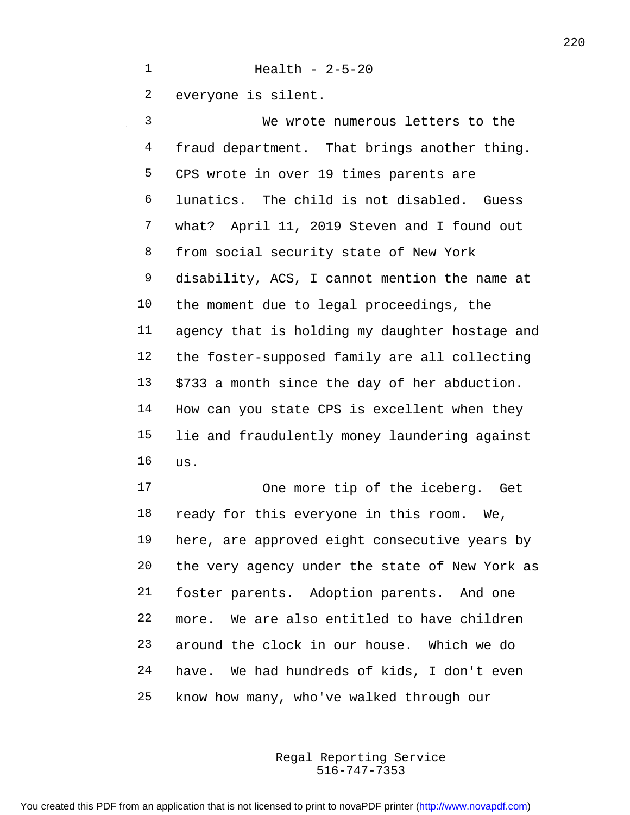everyone is silent.

Health - 2-5-20

 We wrote numerous letters to the 4 fraud department. That brings another thing. CPS wrote in over 19 times parents are lunatics. The child is not disabled. Guess what? April 11, 2019 Steven and I found out from social security state of New York disability, ACS, I cannot mention the name at the moment due to legal proceedings, the agency that is holding my daughter hostage and the foster-supposed family are all collecting \$733 a month since the day of her abduction. How can you state CPS is excellent when they lie and fraudulently money laundering against us.

17 One more tip of the iceberg. Get ready for this everyone in this room. We, here, are approved eight consecutive years by the very agency under the state of New York as foster parents. Adoption parents. And one more. We are also entitled to have children around the clock in our house. Which we do have. We had hundreds of kids, I don't even know how many, who've walked through our

> 516-747-7353 Regal Reporting Service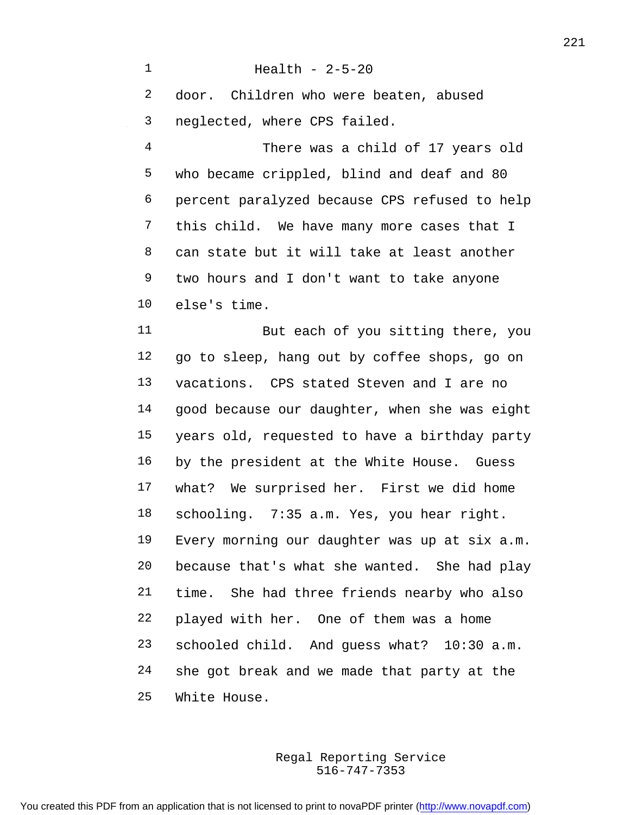Health - 2-5-20 door. Children who were beaten, abused neglected, where CPS failed. There was a child of 17 years old who became crippled, blind and deaf and 80 percent paralyzed because CPS refused to help this child. We have many more cases that I can state but it will take at least another two hours and I don't want to take anyone else's time. 11 But each of you sitting there, you go to sleep, hang out by coffee shops, go on vacations. CPS stated Steven and I are no good because our daughter, when she was eight years old, requested to have a birthday party by the president at the White House. Guess what? We surprised her. First we did home schooling. 7:35 a.m. Yes, you hear right. Every morning our daughter was up at six a.m. because that's what she wanted. She had play time. She had three friends nearby who also played with her. One of them was a home schooled child. And guess what? 10:30 a.m. she got break and we made that party at the White House.

> 516-747-7353 Regal Reporting Service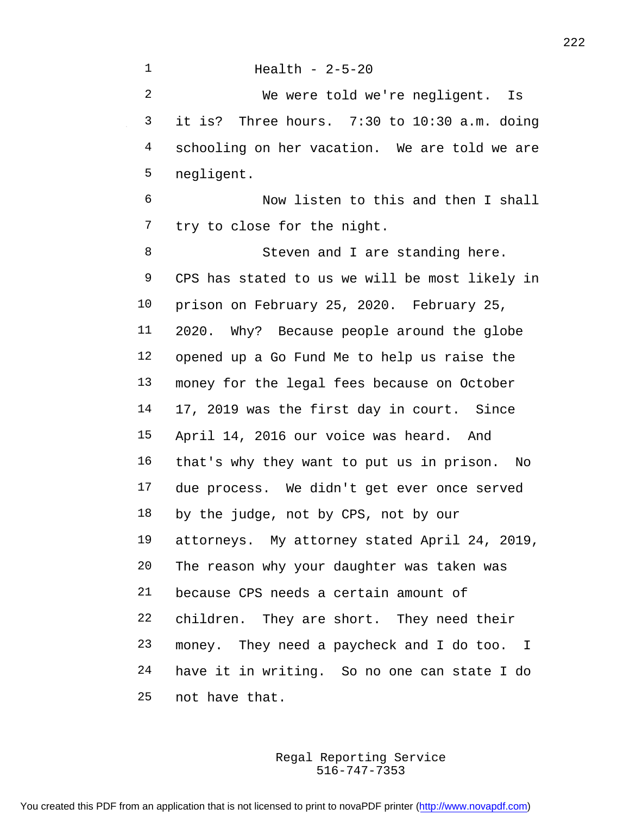Health - 2-5-20 We were told we're negligent. Is it is? Three hours. 7:30 to 10:30 a.m. doing schooling on her vacation. We are told we are negligent. Now listen to this and then I shall try to close for the night. 8 Steven and I are standing here. CPS has stated to us we will be most likely in prison on February 25, 2020. February 25, 2020. Why? Because people around the globe opened up a Go Fund Me to help us raise the money for the legal fees because on October 17, 2019 was the first day in court. Since April 14, 2016 our voice was heard. And that's why they want to put us in prison. No due process. We didn't get ever once served by the judge, not by CPS, not by our attorneys. My attorney stated April 24, 2019, The reason why your daughter was taken was because CPS needs a certain amount of children. They are short. They need their money. They need a paycheck and I do too. I have it in writing. So no one can state I do not have that.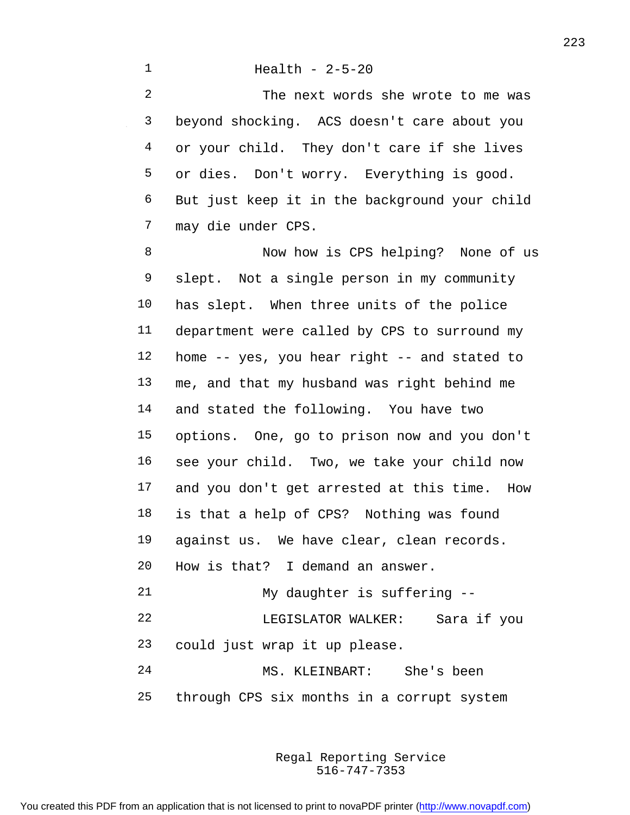## Health - 2-5-20

 The next words she wrote to me was beyond shocking. ACS doesn't care about you or your child. They don't care if she lives or dies. Don't worry. Everything is good. But just keep it in the background your child may die under CPS.

 Now how is CPS helping? None of us slept. Not a single person in my community has slept. When three units of the police department were called by CPS to surround my home -- yes, you hear right -- and stated to me, and that my husband was right behind me and stated the following. You have two options. One, go to prison now and you don't see your child. Two, we take your child now and you don't get arrested at this time. How is that a help of CPS? Nothing was found against us. We have clear, clean records. How is that? I demand an answer. My daughter is suffering -- LEGISLATOR WALKER: Sara if you could just wrap it up please. MS. KLEINBART: She's been through CPS six months in a corrupt system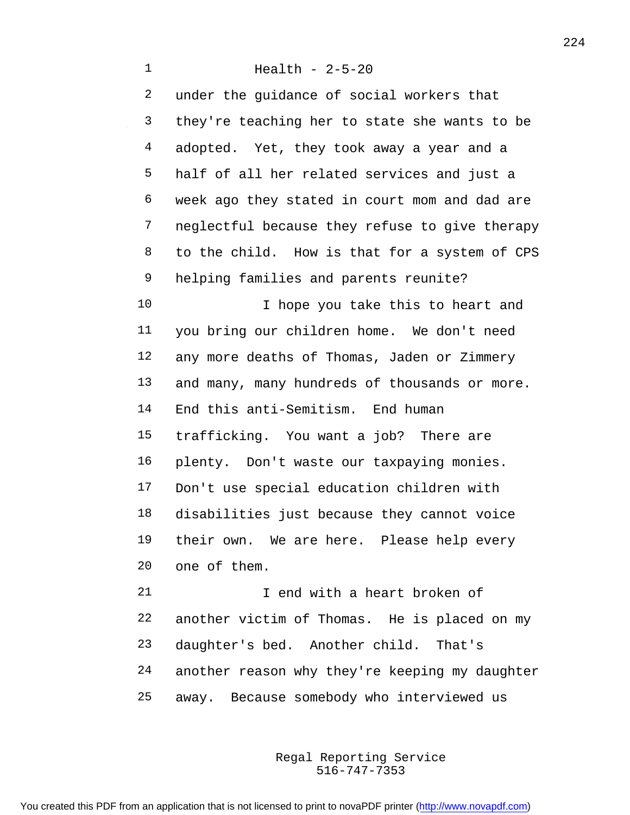Health - 2-5-20 under the guidance of social workers that they're teaching her to state she wants to be adopted. Yet, they took away a year and a half of all her related services and just a week ago they stated in court mom and dad are neglectful because they refuse to give therapy to the child. How is that for a system of CPS helping families and parents reunite? 10 10 I hope you take this to heart and you bring our children home. We don't need any more deaths of Thomas, Jaden or Zimmery and many, many hundreds of thousands or more. End this anti-Semitism. End human trafficking. You want a job? There are plenty. Don't waste our taxpaying monies. Don't use special education children with disabilities just because they cannot voice their own. We are here. Please help every one of them. 21 I end with a heart broken of another victim of Thomas. He is placed on my

 daughter's bed. Another child. That's another reason why they're keeping my daughter away. Because somebody who interviewed us

> 516-747-7353 Regal Reporting Service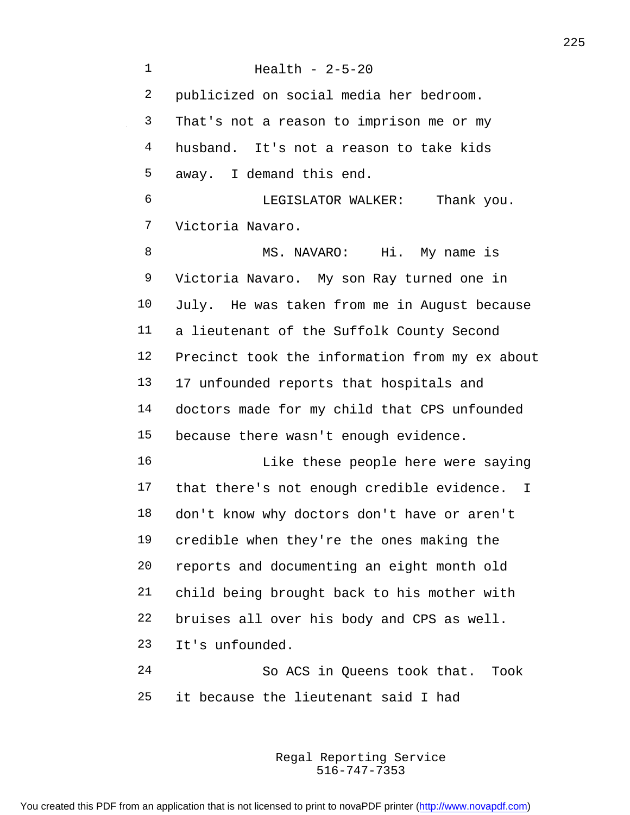Health - 2-5-20 publicized on social media her bedroom. That's not a reason to imprison me or my husband. It's not a reason to take kids away. I demand this end. LEGISLATOR WALKER: Thank you. Victoria Navaro. 8 MS. NAVARO: Hi. My name is Victoria Navaro. My son Ray turned one in July. He was taken from me in August because a lieutenant of the Suffolk County Second Precinct took the information from my ex about 17 unfounded reports that hospitals and doctors made for my child that CPS unfounded because there wasn't enough evidence. 16 Like these people here were saying that there's not enough credible evidence. I don't know why doctors don't have or aren't credible when they're the ones making the reports and documenting an eight month old child being brought back to his mother with bruises all over his body and CPS as well. It's unfounded. So ACS in Queens took that. Took it because the lieutenant said I had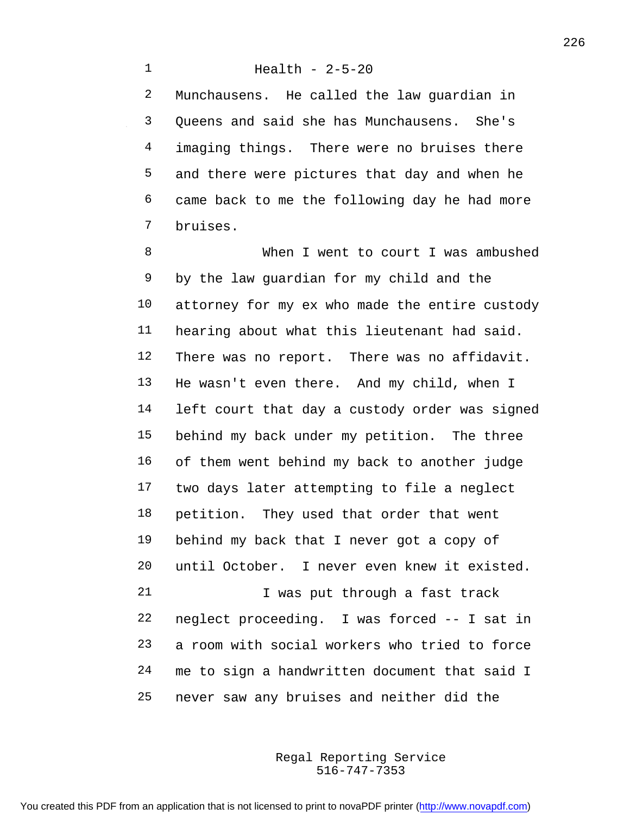Munchausens. He called the law guardian in Queens and said she has Munchausens. She's 4 imaging things. There were no bruises there and there were pictures that day and when he came back to me the following day he had more bruises.

 When I went to court I was ambushed by the law guardian for my child and the attorney for my ex who made the entire custody hearing about what this lieutenant had said. There was no report. There was no affidavit. He wasn't even there. And my child, when I left court that day a custody order was signed behind my back under my petition. The three of them went behind my back to another judge two days later attempting to file a neglect petition. They used that order that went behind my back that I never got a copy of until October. I never even knew it existed. 21 1 Vas put through a fast track neglect proceeding. I was forced -- I sat in a room with social workers who tried to force me to sign a handwritten document that said I never saw any bruises and neither did the

> 516-747-7353 Regal Reporting Service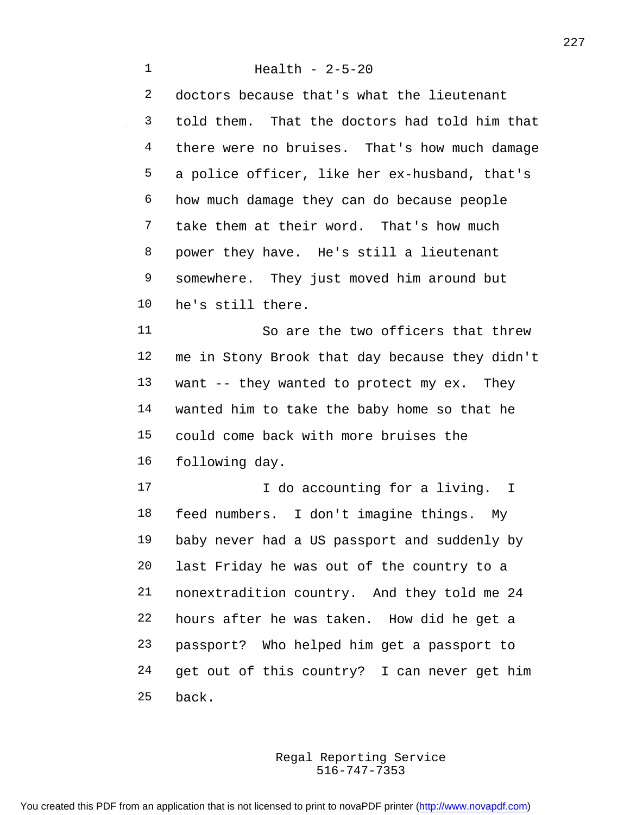Health - 2-5-20 doctors because that's what the lieutenant told them. That the doctors had told him that there were no bruises. That's how much damage a police officer, like her ex-husband, that's how much damage they can do because people take them at their word. That's how much power they have. He's still a lieutenant 9 somewhere. They just moved him around but he's still there. So are the two officers that threw me in Stony Brook that day because they didn't want -- they wanted to protect my ex. They wanted him to take the baby home so that he could come back with more bruises the following day. 17 17 I do accounting for a living. I feed numbers. I don't imagine things. My baby never had a US passport and suddenly by last Friday he was out of the country to a nonextradition country. And they told me 24 hours after he was taken. How did he get a passport? Who helped him get a passport to get out of this country? I can never get him back.

> 516-747-7353 Regal Reporting Service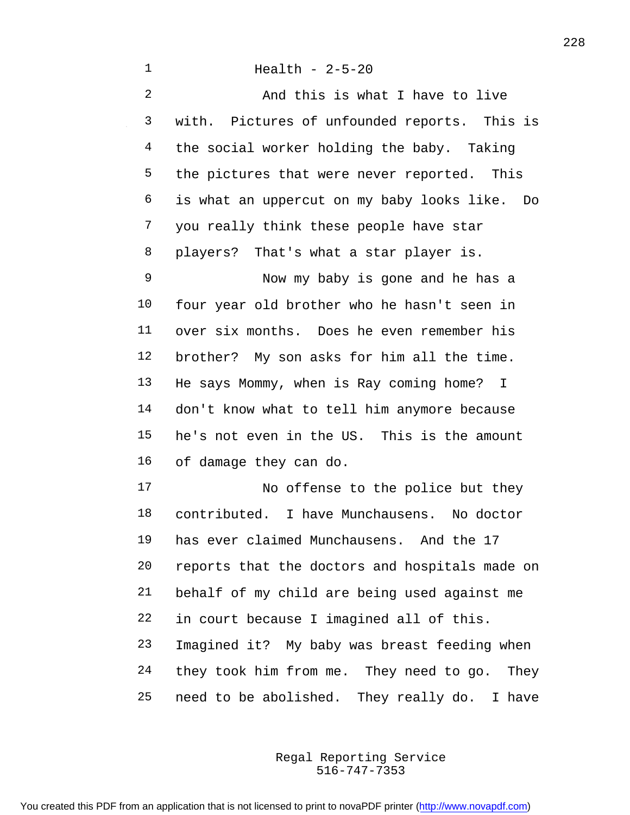| $\mathbf 1$    | Health - $2-5-20$                              |
|----------------|------------------------------------------------|
| $\overline{2}$ | And this is what I have to live                |
| 3              | with. Pictures of unfounded reports. This is   |
| 4              | the social worker holding the baby. Taking     |
| 5              | the pictures that were never reported. This    |
| 6              | is what an uppercut on my baby looks like. Do  |
| 7              | you really think these people have star        |
| 8              | players? That's what a star player is.         |
| 9              | Now my baby is gone and he has a               |
| 10             | four year old brother who he hasn't seen in    |
| 11             | over six months. Does he even remember his     |
| 12             | brother? My son asks for him all the time.     |
| 13             | He says Mommy, when is Ray coming home? I      |
| 14             | don't know what to tell him anymore because    |
| 15             | he's not even in the US. This is the amount    |
| 16             | of damage they can do.                         |
| 17             | No offense to the police but they              |
| 18             | contributed. I have Munchausens. No doctor     |
| 19             | has ever claimed Munchausens. And the 17       |
| 20             | reports that the doctors and hospitals made on |
| 21             | behalf of my child are being used against me   |
| 22             | in court because I imagined all of this.       |
| 23             | Imagined it? My baby was breast feeding when   |
| 24             | they took him from me. They need to go. They   |

 $\sim$ 

need to be abolished. They really do. I have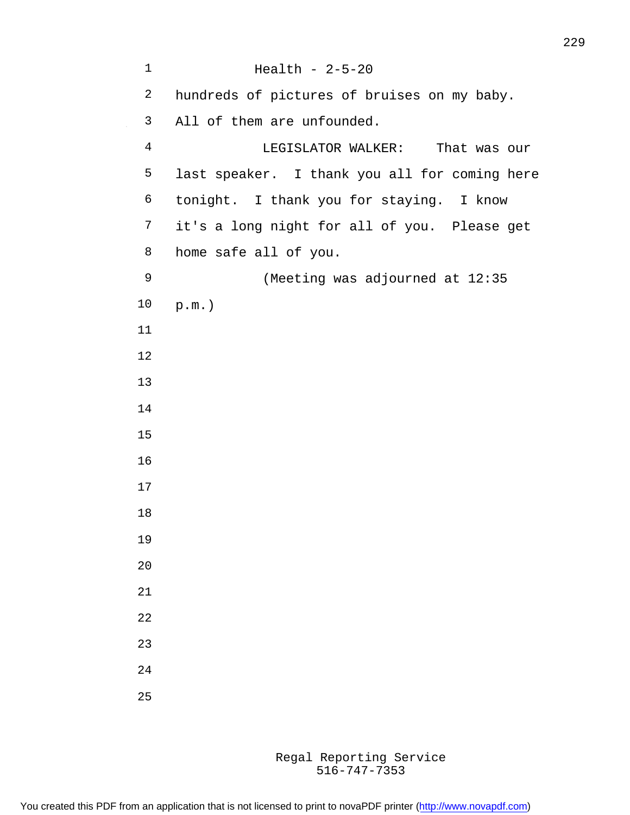| 1              | Health - $2-5-20$                             |
|----------------|-----------------------------------------------|
| 2              | hundreds of pictures of bruises on my baby.   |
| 3              | All of them are unfounded.                    |
| $\overline{4}$ | LEGISLATOR WALKER: That was our               |
| 5              | last speaker. I thank you all for coming here |
| 6              | tonight. I thank you for staying. I know      |
| 7              | it's a long night for all of you. Please get  |
| 8              | home safe all of you.                         |
| 9              | (Meeting was adjourned at 12:35               |
| 10             | $p.m.$ )                                      |
| 11             |                                               |
| 12             |                                               |
| 13             |                                               |
| 14             |                                               |
| 15             |                                               |
| 16             |                                               |
| 17             |                                               |
| 18             |                                               |
| 19             |                                               |
| 20             |                                               |
| 21             |                                               |
| 22             |                                               |
| 23             |                                               |
| 24             |                                               |
| 25             |                                               |